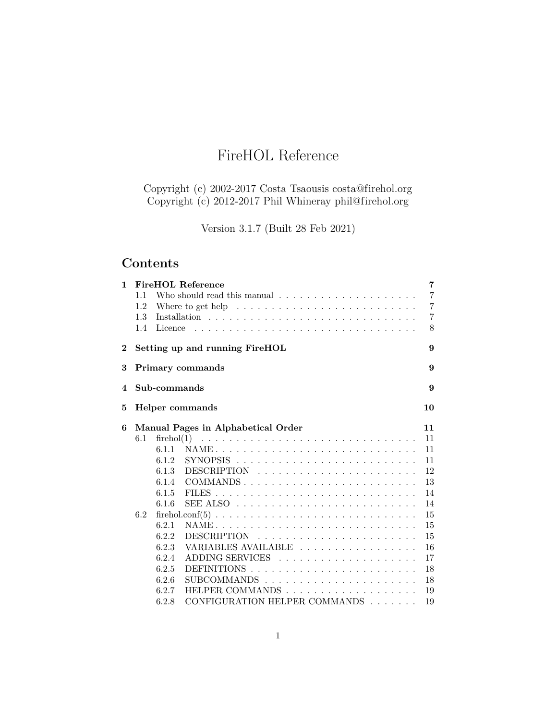# FireHOL Reference

Copyright (c) 2002-2017 Costa Tsaousis [costa@firehol.org](mailto:costa@firehol.org) Copyright (c) 2012-2017 Phil Whineray [phil@firehol.org](mailto:phil@firehol.org)

Version 3.1.7 (Built 28 Feb 2021)

# **Contents**

| $\mathbf{1}$ |         |              | <b>FireHOL Reference</b>                                                     |  |  | $\overline{7}$ |
|--------------|---------|--------------|------------------------------------------------------------------------------|--|--|----------------|
|              | 1.1     |              | Who should read this manual $\ldots \ldots \ldots \ldots \ldots \ldots$      |  |  | $\overline{7}$ |
|              | 1.2     |              | Where to get help $\dots \dots \dots \dots \dots \dots \dots \dots \dots$    |  |  | $\overline{7}$ |
|              | 1.3     |              |                                                                              |  |  | $\overline{7}$ |
|              | $1.4\,$ | Licence      |                                                                              |  |  | 8              |
| $\bf{2}^-$   |         |              | Setting up and running FireHOL                                               |  |  | 9              |
| 3            |         |              | <b>Primary commands</b>                                                      |  |  | 9              |
| 4            |         | Sub-commands |                                                                              |  |  | 9              |
| 5            |         |              | Helper commands                                                              |  |  | 10             |
| 6            |         |              | Manual Pages in Alphabetical Order                                           |  |  | 11             |
|              | 6.1     |              |                                                                              |  |  | 11             |
|              |         | 6.1.1        |                                                                              |  |  | 11             |
|              |         | 6.1.2        |                                                                              |  |  | 11             |
|              |         | 6.1.3        |                                                                              |  |  | 12             |
|              |         | 6.1.4        | COMMANDS                                                                     |  |  | 13             |
|              |         | 6.1.5        |                                                                              |  |  | 14             |
|              |         | 6.1.6        | SEE ALSO $\dots\dots\dots\dots\dots\dots\dots\dots\dots\dots\dots\dots\dots$ |  |  | 14             |
|              | 6.2     |              |                                                                              |  |  | 15             |
|              |         | 6.2.1        |                                                                              |  |  | 15             |
|              |         | 6.2.2        |                                                                              |  |  | 15             |
|              |         | 6.2.3        | VARIABLES AVAILABLE                                                          |  |  | 16             |
|              |         | 6.2.4        |                                                                              |  |  | 17             |
|              |         | 6.2.5        |                                                                              |  |  | 18             |
|              |         | 6.2.6        |                                                                              |  |  | 18             |
|              |         | 6.2.7        |                                                                              |  |  | 19             |
|              |         | 6.2.8        | CONFIGURATION HELPER COMMANDS                                                |  |  | 19             |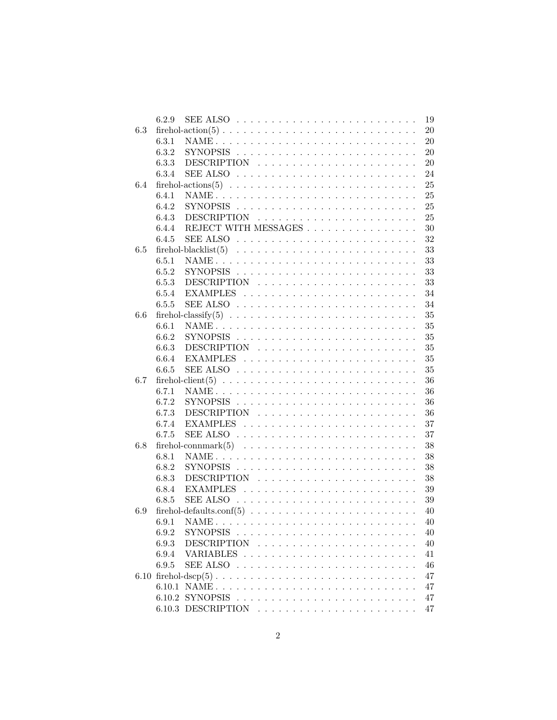|     | 6.2.9 | SEE ALSO $\dots \dots \dots \dots \dots \dots \dots \dots \dots \dots \dots$                                                              |  |  |  |  |  |  |  |  | $19\,$ |
|-----|-------|-------------------------------------------------------------------------------------------------------------------------------------------|--|--|--|--|--|--|--|--|--------|
| 6.3 |       |                                                                                                                                           |  |  |  |  |  |  |  |  | $20\,$ |
|     | 6.3.1 |                                                                                                                                           |  |  |  |  |  |  |  |  | $20\,$ |
|     | 6.3.2 |                                                                                                                                           |  |  |  |  |  |  |  |  | $20\,$ |
|     | 6.3.3 |                                                                                                                                           |  |  |  |  |  |  |  |  | $20\,$ |
|     | 6.3.4 |                                                                                                                                           |  |  |  |  |  |  |  |  | 24     |
| 6.4 |       |                                                                                                                                           |  |  |  |  |  |  |  |  | 25     |
|     | 6.4.1 |                                                                                                                                           |  |  |  |  |  |  |  |  | 25     |
|     | 6.4.2 |                                                                                                                                           |  |  |  |  |  |  |  |  | 25     |
|     | 6.4.3 |                                                                                                                                           |  |  |  |  |  |  |  |  | 25     |
|     | 6.4.4 | REJECT WITH MESSAGES                                                                                                                      |  |  |  |  |  |  |  |  | $30\,$ |
|     | 6.4.5 | SEE ALSO $\dots\dots\dots\dots\dots\dots\dots\dots\dots\dots\dots\dots$                                                                   |  |  |  |  |  |  |  |  | 32     |
| 6.5 |       |                                                                                                                                           |  |  |  |  |  |  |  |  | 33     |
|     | 6.5.1 |                                                                                                                                           |  |  |  |  |  |  |  |  | 33     |
|     | 6.5.2 |                                                                                                                                           |  |  |  |  |  |  |  |  | 33     |
|     | 6.5.3 |                                                                                                                                           |  |  |  |  |  |  |  |  | 33     |
|     | 6.5.4 |                                                                                                                                           |  |  |  |  |  |  |  |  | 34     |
|     | 6.5.5 |                                                                                                                                           |  |  |  |  |  |  |  |  | 34     |
|     |       |                                                                                                                                           |  |  |  |  |  |  |  |  |        |
| 6.6 |       |                                                                                                                                           |  |  |  |  |  |  |  |  | 35     |
|     | 6.6.1 |                                                                                                                                           |  |  |  |  |  |  |  |  | $35\,$ |
|     | 6.6.2 |                                                                                                                                           |  |  |  |  |  |  |  |  | $35\,$ |
|     | 6.6.3 |                                                                                                                                           |  |  |  |  |  |  |  |  | $35\,$ |
|     | 6.6.4 |                                                                                                                                           |  |  |  |  |  |  |  |  | 35     |
|     | 6.6.5 |                                                                                                                                           |  |  |  |  |  |  |  |  | 35     |
| 6.7 |       |                                                                                                                                           |  |  |  |  |  |  |  |  | 36     |
|     | 6.7.1 |                                                                                                                                           |  |  |  |  |  |  |  |  | 36     |
|     | 6.7.2 |                                                                                                                                           |  |  |  |  |  |  |  |  | 36     |
|     | 6.7.3 |                                                                                                                                           |  |  |  |  |  |  |  |  | 36     |
|     | 6.7.4 |                                                                                                                                           |  |  |  |  |  |  |  |  | 37     |
|     | 6.7.5 |                                                                                                                                           |  |  |  |  |  |  |  |  | 37     |
| 6.8 |       |                                                                                                                                           |  |  |  |  |  |  |  |  | 38     |
|     | 6.8.1 |                                                                                                                                           |  |  |  |  |  |  |  |  | 38     |
|     | 6.8.2 |                                                                                                                                           |  |  |  |  |  |  |  |  | 38     |
|     | 6.8.3 |                                                                                                                                           |  |  |  |  |  |  |  |  | 38     |
|     | 6.8.4 |                                                                                                                                           |  |  |  |  |  |  |  |  | 39     |
|     | 6.8.5 |                                                                                                                                           |  |  |  |  |  |  |  |  | 39     |
| 6.9 |       |                                                                                                                                           |  |  |  |  |  |  |  |  | 40     |
|     |       | 6.9.1 NAME.<br><u> 1919 - 1920 - 1920 - 1920 - 1920 - 1930 - 1940 - 1950 - 1950 - 1950 - 1950 - 1950 - 1950 - 1950 - 1950 - 1950 - 19</u> |  |  |  |  |  |  |  |  | 40     |
|     | 6.9.2 |                                                                                                                                           |  |  |  |  |  |  |  |  | 40     |
|     | 6.9.3 |                                                                                                                                           |  |  |  |  |  |  |  |  | 40     |
|     | 6.9.4 |                                                                                                                                           |  |  |  |  |  |  |  |  | 41     |
|     | 6.9.5 |                                                                                                                                           |  |  |  |  |  |  |  |  | $46\,$ |
|     |       |                                                                                                                                           |  |  |  |  |  |  |  |  | 47     |
|     |       |                                                                                                                                           |  |  |  |  |  |  |  |  | 47     |
|     |       |                                                                                                                                           |  |  |  |  |  |  |  |  | 47     |
|     |       |                                                                                                                                           |  |  |  |  |  |  |  |  | 47     |
|     |       |                                                                                                                                           |  |  |  |  |  |  |  |  |        |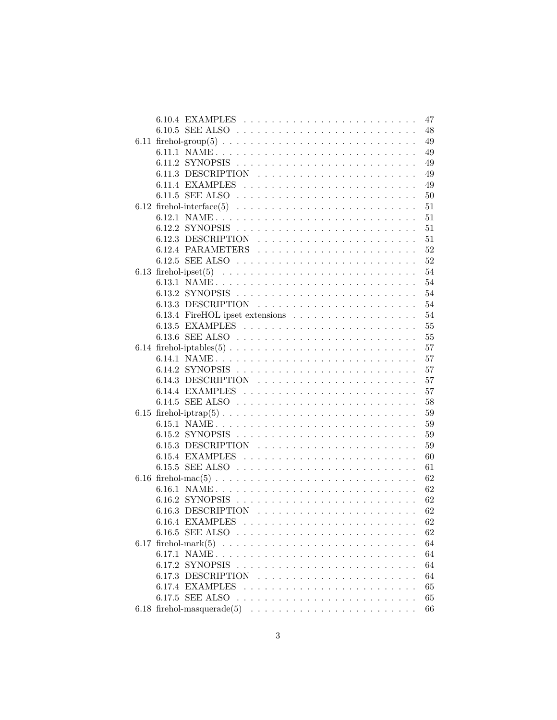|                                                                       | 47     |
|-----------------------------------------------------------------------|--------|
|                                                                       | 48     |
|                                                                       | 49     |
| 6.11.1 NAME                                                           | 49     |
|                                                                       | 49     |
|                                                                       | 49     |
|                                                                       | 49     |
|                                                                       | 50     |
|                                                                       | 51     |
|                                                                       | 51     |
|                                                                       | 51     |
|                                                                       | 51     |
|                                                                       | 52     |
|                                                                       | 52     |
|                                                                       | 54     |
|                                                                       | 54     |
|                                                                       | 54     |
|                                                                       | 54     |
|                                                                       | 54     |
|                                                                       | 55     |
|                                                                       |        |
|                                                                       | 55     |
|                                                                       | 57     |
| 6.14.1 NAME                                                           | 57     |
|                                                                       | 57     |
| 6.14.3 DESCRIPTION $\ldots \ldots \ldots \ldots \ldots \ldots \ldots$ | 57     |
|                                                                       | 57     |
|                                                                       | 58     |
|                                                                       | 59     |
| 6.15.1 NAME                                                           | 59     |
|                                                                       | 59     |
|                                                                       | 59     |
|                                                                       | 60     |
|                                                                       | 61     |
|                                                                       | 62     |
| 6.16.1 NAME                                                           | 62     |
|                                                                       | 62     |
|                                                                       | 62     |
| 6.16.4 EXAMPLES                                                       | $62\,$ |
|                                                                       | 62     |
|                                                                       | 64     |
| 6.17.1 NAME                                                           | 64     |
|                                                                       | 64     |
|                                                                       | 64     |
|                                                                       | 65     |
|                                                                       | 65     |
|                                                                       | 66     |
|                                                                       |        |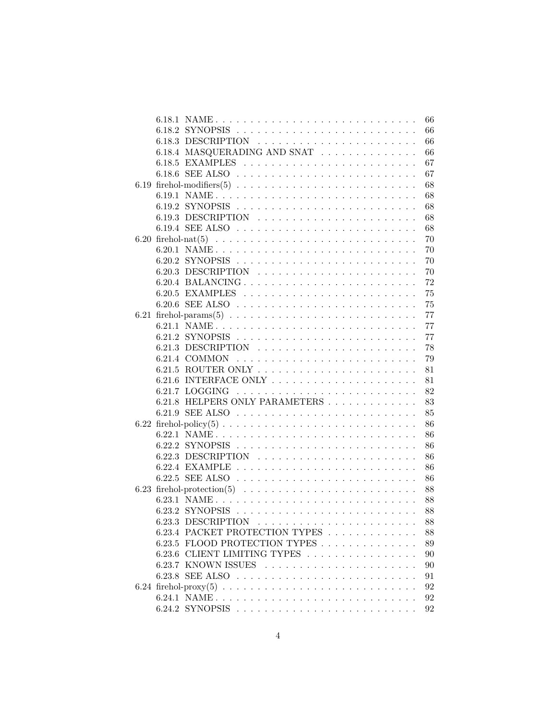|  | 6.18.1 NAME<br>66                                                           |  |
|--|-----------------------------------------------------------------------------|--|
|  | 66                                                                          |  |
|  | 66                                                                          |  |
|  | 6.18.4 MASQUERADING AND SNAT<br>66                                          |  |
|  | 67                                                                          |  |
|  | 67                                                                          |  |
|  | 68                                                                          |  |
|  | 6.19.1 NAME<br>68                                                           |  |
|  | 68                                                                          |  |
|  | 68                                                                          |  |
|  | 68                                                                          |  |
|  | 70                                                                          |  |
|  | 70                                                                          |  |
|  | 70                                                                          |  |
|  | 70                                                                          |  |
|  | 72                                                                          |  |
|  | 75                                                                          |  |
|  | 75                                                                          |  |
|  | 77                                                                          |  |
|  | 6.21.1 NAME<br>77                                                           |  |
|  | 77                                                                          |  |
|  | 6.21.3 DESCRIPTION $\ldots \ldots \ldots \ldots \ldots \ldots \ldots$<br>78 |  |
|  | 79                                                                          |  |
|  | 81                                                                          |  |
|  | 81                                                                          |  |
|  | 82                                                                          |  |
|  | 6.21.8 HELPERS ONLY PARAMETERS<br>83                                        |  |
|  | 85                                                                          |  |
|  |                                                                             |  |
|  | 86                                                                          |  |
|  | 6.22.1 NAME<br>86                                                           |  |
|  | 86                                                                          |  |
|  | 86                                                                          |  |
|  | 86                                                                          |  |
|  | 86                                                                          |  |
|  | 88                                                                          |  |
|  | 6.23.1 NAME<br>88                                                           |  |
|  | 88                                                                          |  |
|  | $88\,$                                                                      |  |
|  | 6.23.4 PACKET PROTECTION TYPES<br>88                                        |  |
|  | 6.23.5 FLOOD PROTECTION TYPES<br>89                                         |  |
|  | 6.23.6 CLIENT LIMITING TYPES<br>90                                          |  |
|  | 90                                                                          |  |
|  | 91                                                                          |  |
|  | 92                                                                          |  |
|  | 92                                                                          |  |
|  | 92                                                                          |  |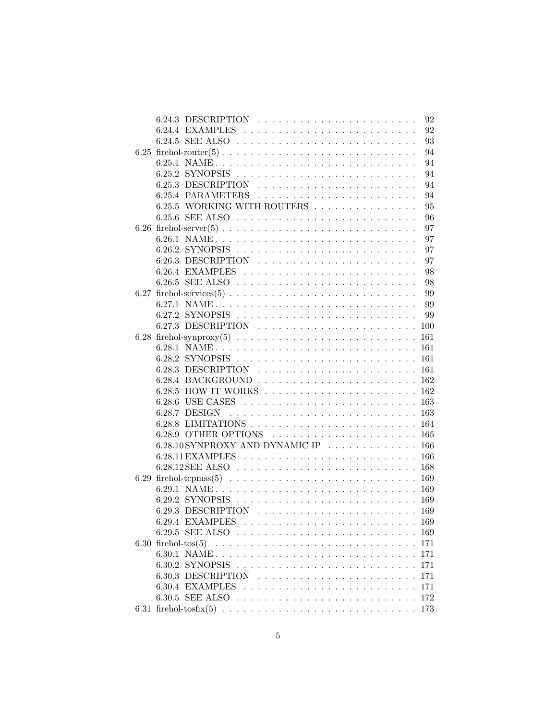| 6.24.3 DESCRIPTION $\ldots \ldots \ldots \ldots \ldots \ldots \ldots$ | 92  |
|-----------------------------------------------------------------------|-----|
|                                                                       | 92  |
|                                                                       | 93  |
|                                                                       | 94  |
| 6.25.1 NAME                                                           | 94  |
|                                                                       | 94  |
|                                                                       | 94  |
|                                                                       | 94  |
| 6.25.5 WORKING WITH ROUTERS                                           | 95  |
|                                                                       | 96  |
|                                                                       | 97  |
| 6.26.1 NAME                                                           | 97  |
|                                                                       | 97  |
|                                                                       | 97  |
|                                                                       | 98  |
|                                                                       | 98  |
|                                                                       | 99  |
| 6.27.1 NAME                                                           | 99  |
|                                                                       |     |
|                                                                       |     |
|                                                                       |     |
| 6.28.1 NAME 161                                                       |     |
|                                                                       |     |
|                                                                       |     |
|                                                                       |     |
|                                                                       |     |
|                                                                       |     |
|                                                                       |     |
|                                                                       |     |
|                                                                       |     |
|                                                                       |     |
| $6.28.10$ SYNPROXY AND DYNAMIC IP 166                                 |     |
|                                                                       |     |
|                                                                       |     |
|                                                                       |     |
|                                                                       |     |
|                                                                       |     |
|                                                                       |     |
| 6.29.4 EXAMPLES                                                       |     |
|                                                                       |     |
|                                                                       |     |
| 6.30.1 NAME                                                           | 171 |
|                                                                       | 171 |
|                                                                       | 171 |
|                                                                       | 171 |
|                                                                       |     |
|                                                                       |     |
|                                                                       |     |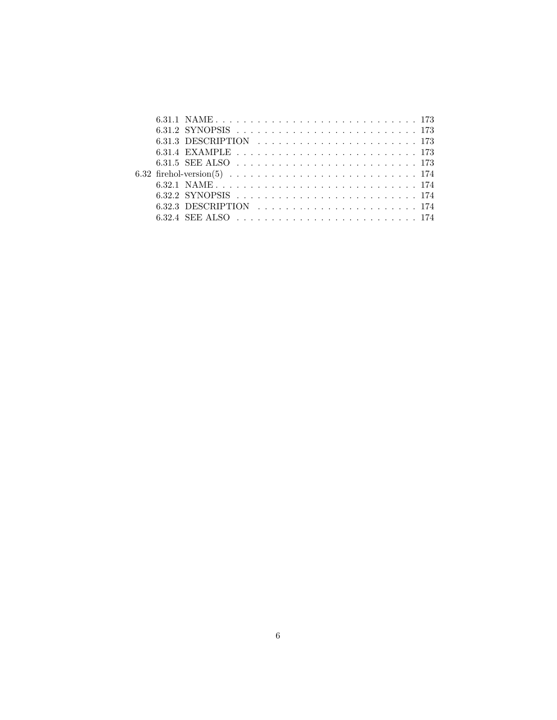|  | 6.31.3 DESCRIPTION $\ldots$ $\ldots$ $\ldots$ $\ldots$ $\ldots$ $\ldots$ $\ldots$ $\ldots$ 173 |  |  |  |  |  |  |  |  |  |  |  |  |  |
|--|------------------------------------------------------------------------------------------------|--|--|--|--|--|--|--|--|--|--|--|--|--|
|  |                                                                                                |  |  |  |  |  |  |  |  |  |  |  |  |  |
|  | 6.31.5 SEE ALSO                                                                                |  |  |  |  |  |  |  |  |  |  |  |  |  |
|  |                                                                                                |  |  |  |  |  |  |  |  |  |  |  |  |  |
|  |                                                                                                |  |  |  |  |  |  |  |  |  |  |  |  |  |
|  | 6.32.2 SYNOPSIS                                                                                |  |  |  |  |  |  |  |  |  |  |  |  |  |
|  |                                                                                                |  |  |  |  |  |  |  |  |  |  |  |  |  |
|  |                                                                                                |  |  |  |  |  |  |  |  |  |  |  |  |  |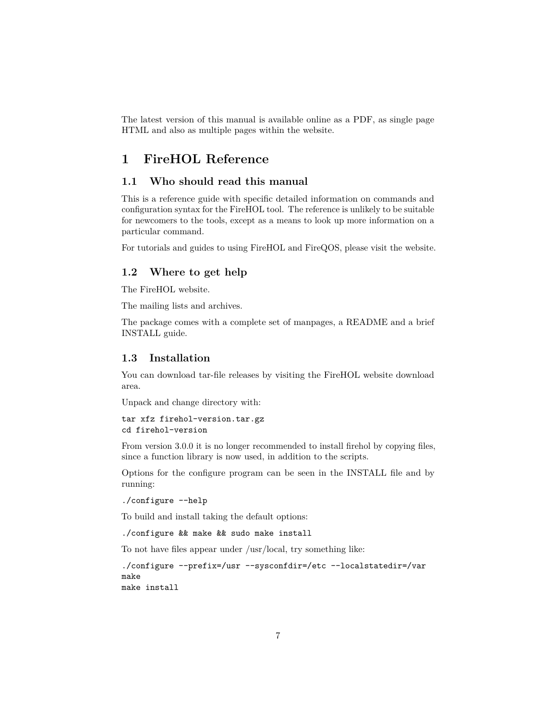The latest version of this manual is available online as a [PDF,](http://firehol.org/firehol-manual.pdf) as [single page](http://firehol.org/firehol-manual.html) [HTML](http://firehol.org/firehol-manual.html) and also as [multiple pages within the website.](http://firehol.org/firehol-manual/)

## <span id="page-6-0"></span>**1 FireHOL Reference**

## <span id="page-6-1"></span>**1.1 Who should read this manual**

This is a reference guide with specific detailed information on commands and configuration syntax for the FireHOL tool. The reference is unlikely to be suitable for newcomers to the tools, except as a means to look up more information on a particular command.

For tutorials and guides to using FireHOL and FireQOS, please visit the [website.](http://firehol.org/)

## <span id="page-6-2"></span>**1.2 Where to get help**

The [FireHOL website.](http://firehol.org/)

The [mailing lists and archives.](http://lists.firehol.org/mailman/listinfo)

The package comes with a complete set of manpages, a README and a brief INSTALL guide.

## <span id="page-6-3"></span>**1.3 Installation**

You can download tar-file releases by visiting the [FireHOL website download](http://firehol.org/download/) [area.](http://firehol.org/download/)

Unpack and change directory with:

```
tar xfz firehol-version.tar.gz
cd firehol-version
```
From version 3.0.0 it is no longer recommended to install firehol by copying files, since a function library is now used, in addition to the scripts.

Options for the configure program can be seen in the INSTALL file and by running:

```
./configure --help
```
To build and install taking the default options:

./configure && make && sudo make install

To not have files appear under /usr/local, try something like:

```
./configure --prefix=/usr --sysconfdir=/etc --localstatedir=/var
make
make install
```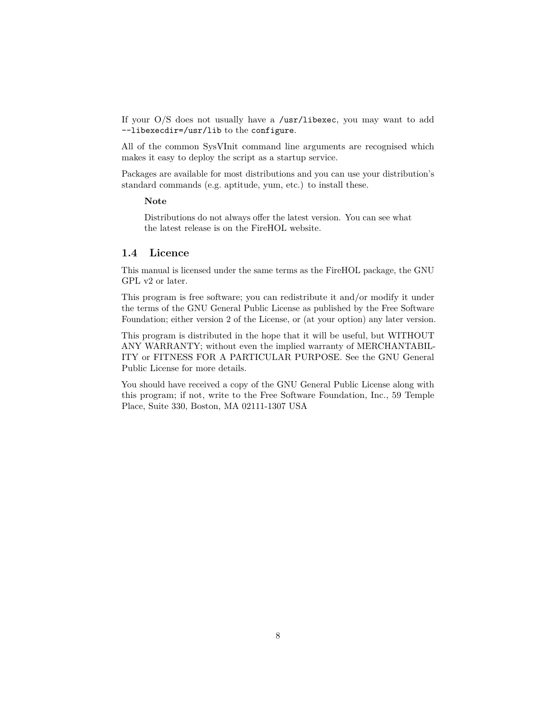If your O/S does not usually have a /usr/libexec, you may want to add --libexecdir=/usr/lib to the configure.

All of the common SysVInit command line arguments are recognised which makes it easy to deploy the script as a startup service.

Packages are available for most distributions and you can use your distribution's standard commands (e.g. aptitude, yum, etc.) to install these.

## **Note**

Distributions do not always offer the latest version. You can see what the latest release is on the [FireHOL website.](http://firehol.org/)

## <span id="page-7-0"></span>**1.4 Licence**

This manual is licensed under the same terms as the FireHOL package, the GNU GPL v2 or later.

This program is free software; you can redistribute it and/or modify it under the terms of the GNU General Public License as published by the Free Software Foundation; either version 2 of the License, or (at your option) any later version.

This program is distributed in the hope that it will be useful, but WITHOUT ANY WARRANTY; without even the implied warranty of MERCHANTABIL-ITY or FITNESS FOR A PARTICULAR PURPOSE. See the GNU General Public License for more details.

You should have received a copy of the GNU General Public License along with this program; if not, write to the Free Software Foundation, Inc., 59 Temple Place, Suite 330, Boston, MA 02111-1307 USA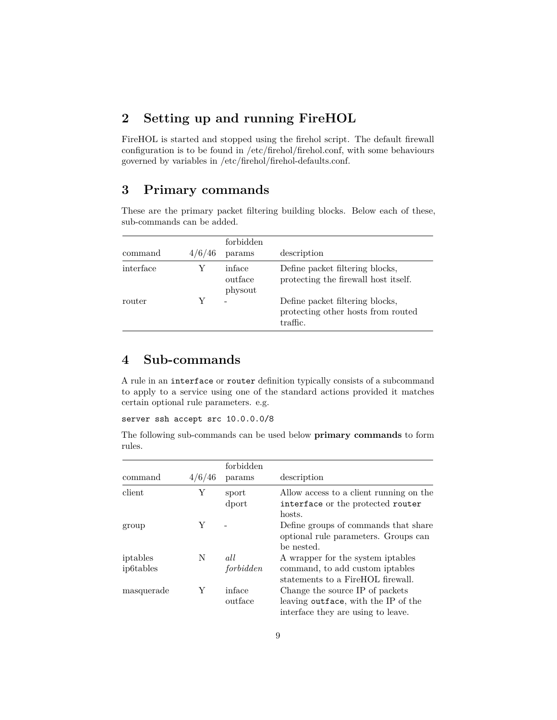# <span id="page-8-0"></span>**2 Setting up and running FireHOL**

FireHOL is started and stopped using the [firehol](#page-10-1) script. The default firewall configuration is to be found in [/etc/firehol/firehol.conf,](#page-14-0) with some behaviours governed by variables in [/etc/firehol/firehol-defaults.conf.](#page-39-0)

## <span id="page-8-1"></span>**3 Primary commands**

These are the primary packet filtering building blocks. Below each of these, sub-commands can be added.

| command   | 4/6/46 | forbidden<br>params          | description                                                                       |
|-----------|--------|------------------------------|-----------------------------------------------------------------------------------|
| interface |        | inface<br>outface<br>physout | Define packet filtering blocks,<br>protecting the firewall host itself.           |
| router    |        |                              | Define packet filtering blocks,<br>protecting other hosts from routed<br>traffic. |

## <span id="page-8-2"></span>**4 Sub-commands**

A rule in an interface or router definition typically consists of a subcommand to apply to a [service](#page-98-0) using one of the standard [actions](#page-24-0) provided it matches certain [optional rule parameters.](#page-76-0) e.g.

server ssh accept src 10.0.0.0/8

The following sub-commands can be used below **primary commands** to form rules.

| command                            | 4/6/46 | forbidden<br>params | description                                                                                                  |
|------------------------------------|--------|---------------------|--------------------------------------------------------------------------------------------------------------|
| client                             | Y      | sport<br>dport      | Allow access to a client running on the<br>interface or the protected router<br>hosts.                       |
| group                              | Y      |                     | Define groups of commands that share<br>optional rule parameters. Groups can<br>be nested.                   |
| iptables<br>ip <sub>6</sub> tables | N      | all<br>forbidden    | A wrapper for the system iptables<br>command, to add custom iptables<br>statements to a FireHOL firewall.    |
| masquerade                         | Y      | inface<br>outface   | Change the source IP of packets<br>leaving outface, with the IP of the<br>interface they are using to leave. |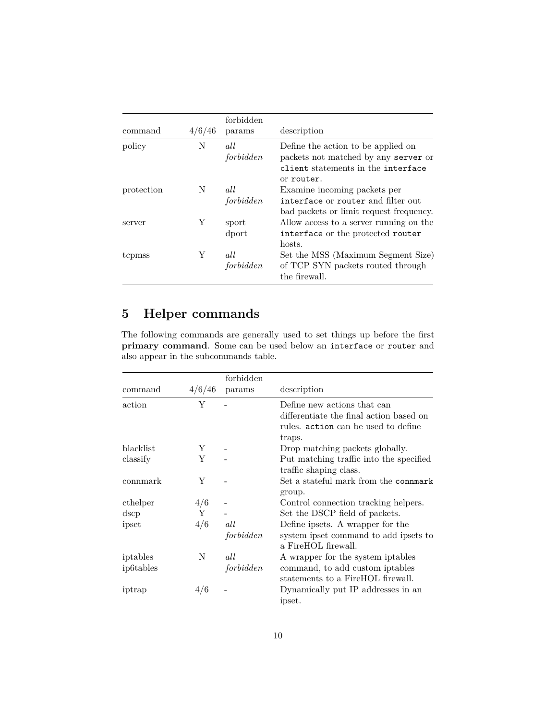| command    | 4/6/46 | forbidden<br>params | description                                                                                                                    |
|------------|--------|---------------------|--------------------------------------------------------------------------------------------------------------------------------|
| policy     | N      | all<br>forbidden    | Define the action to be applied on<br>packets not matched by any server or<br>client statements in the interface<br>or router. |
| protection | N      | all<br>forbidden    | Examine incoming packets per<br>interface or router and filter out<br>bad packets or limit request frequency.                  |
| server     | Y      | sport<br>dport      | Allow access to a server running on the<br>interface or the protected router<br>hosts.                                         |
| tcpmss     | Y      | all<br>forbidden    | Set the MSS (Maximum Segment Size)<br>of TCP SYN packets routed through<br>the firewall.                                       |

# <span id="page-9-0"></span>**5 Helper commands**

The following commands are generally used to set things up before the first **primary command**. Some can be used below an interface or router and also appear in the [subcommands](#page-8-2) table.

|           |        | forbidden |                                         |
|-----------|--------|-----------|-----------------------------------------|
| command   | 4/6/46 | params    | description                             |
| action    | Y      |           | Define new actions that can             |
|           |        |           | differentiate the final action based on |
|           |        |           | rules. action can be used to define     |
|           |        |           | traps.                                  |
| blacklist | Y      |           | Drop matching packets globally.         |
| classify  | Y      |           | Put matching traffic into the specified |
|           |        |           | traffic shaping class.                  |
| commark   | Y      |           | Set a stateful mark from the connmark   |
|           |        |           | group.                                  |
| cthelper  | 4/6    |           | Control connection tracking helpers.    |
| dscp      | Y      |           | Set the DSCP field of packets.          |
| ipset     | 4/6    | all       | Define ipsets. A wrapper for the        |
|           |        | forbidden | system ipset command to add ipsets to   |
|           |        |           | a FireHOL firewall.                     |
| iptables  | N      | all       | A wrapper for the system iptables       |
| ip6tables |        | forbidden | command, to add custom iptables         |
|           |        |           | statements to a FireHOL firewall.       |
| iptrap    | 4/6    |           | Dynamically put IP addresses in an      |
|           |        |           | ipset.                                  |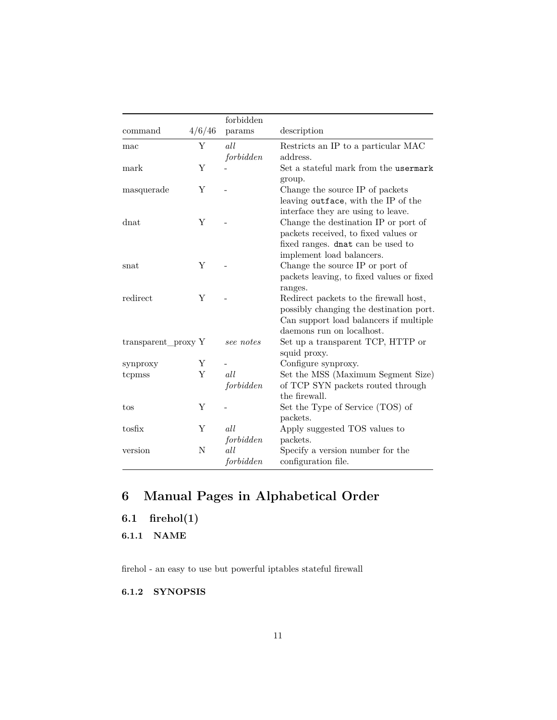|                     |        | forbidden |                                           |
|---------------------|--------|-----------|-------------------------------------------|
| command             | 4/6/46 | params    | description                               |
| mac                 | Υ      | all       | Restricts an IP to a particular MAC       |
|                     |        | forbidden | address.                                  |
| mark                | Y      |           | Set a stateful mark from the usermark     |
|                     |        |           | group.                                    |
| masquerade          | Y      |           | Change the source IP of packets           |
|                     |        |           | leaving outface, with the IP of the       |
|                     |        |           | interface they are using to leave.        |
| $_{\rm{dnat}}$      | Υ      |           | Change the destination IP or port of      |
|                     |        |           | packets received, to fixed values or      |
|                     |        |           | fixed ranges. dnat can be used to         |
|                     |        |           | implement load balancers.                 |
| snat                | Y      |           | Change the source IP or port of           |
|                     |        |           | packets leaving, to fixed values or fixed |
|                     |        |           | ranges.                                   |
| redirect            | Υ      |           | Redirect packets to the firewall host,    |
|                     |        |           | possibly changing the destination port.   |
|                     |        |           | Can support load balancers if multiple    |
|                     |        |           | daemons run on localhost.                 |
| transparent_proxy Y |        | see notes | Set up a transparent TCP, HTTP or         |
|                     |        |           | squid proxy.                              |
| synproxy            | Υ      |           | Configure synproxy.                       |
| tcpmss              | Υ      | all       | Set the MSS (Maximum Segment Size)        |
|                     |        | forbidden | of TCP SYN packets routed through         |
|                     |        |           | the firewall.                             |
| tos                 | Υ      |           | Set the Type of Service (TOS) of          |
|                     |        |           | packets.                                  |
| tosfix              | Υ      | all       | Apply suggested TOS values to             |
|                     |        | forbidden | packets.                                  |
| version             | N      | all       | Specify a version number for the          |
|                     |        | forbidden | configuration file.                       |

# <span id="page-10-0"></span>**6 Manual Pages in Alphabetical Order**

<span id="page-10-1"></span>**6.1 firehol(1)**

<span id="page-10-2"></span>**6.1.1 NAME**

firehol - an easy to use but powerful iptables stateful firewall

<span id="page-10-3"></span>**6.1.2 SYNOPSIS**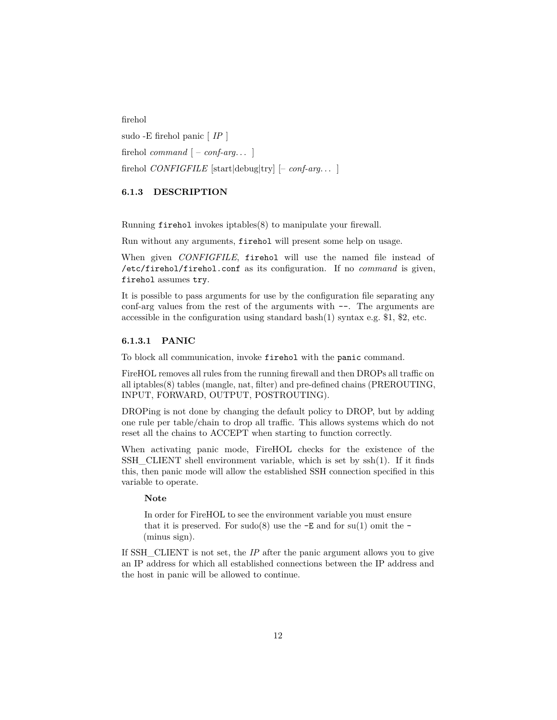firehol sudo -E firehol panic [ *IP* ] firehol *command*  $[-\text{conf-arg...}]$ firehol *CONFIGFILE* [start|debug|try] [– *conf-arg*. . . ]

#### <span id="page-11-0"></span>**6.1.3 DESCRIPTION**

Running firehol invokes iptables(8) to manipulate your firewall.

Run without any arguments, firehol will present some help on usage.

When given *CONFIGFILE*, firehol will use the named file instead of /etc/firehol/firehol.conf as its configuration. If no *command* is given, firehol assumes try.

It is possible to pass arguments for use by the configuration file separating any conf-arg values from the rest of the arguments with --. The arguments are accessible in the configuration using standard bash $(1)$  syntax e.g. \$1, \$2, etc.

#### **6.1.3.1 PANIC**

To block all communication, invoke firehol with the panic command.

FireHOL removes all rules from the running firewall and then DROPs all traffic on all iptables(8) tables (mangle, nat, filter) and pre-defined chains (PREROUTING, INPUT, FORWARD, OUTPUT, POSTROUTING).

DROPing is not done by changing the default policy to DROP, but by adding one rule per table/chain to drop all traffic. This allows systems which do not reset all the chains to ACCEPT when starting to function correctly.

When activating panic mode, FireHOL checks for the existence of the SSH\_CLIENT shell environment variable, which is set by ssh(1). If it finds this, then panic mode will allow the established SSH connection specified in this variable to operate.

#### **Note**

In order for FireHOL to see the environment variable you must ensure that it is preserved. For sudo(8) use the  $-E$  and for su(1) omit the  $-$ (minus sign).

If SSH\_CLIENT is not set, the *IP* after the panic argument allows you to give an IP address for which all established connections between the IP address and the host in panic will be allowed to continue.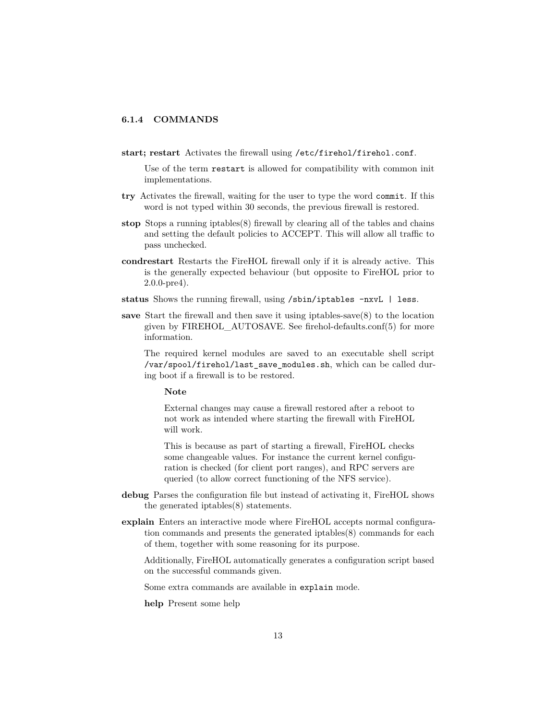#### <span id="page-12-0"></span>**6.1.4 COMMANDS**

**start; restart** Activates the firewall using /etc/firehol/firehol.conf.

Use of the term restart is allowed for compatibility with common init implementations.

- **try** Activates the firewall, waiting for the user to type the word commit. If this word is not typed within 30 seconds, the previous firewall is restored.
- **stop** Stops a running iptables(8) firewall by clearing all of the tables and chains and setting the default policies to ACCEPT. This will allow all traffic to pass unchecked.
- **condrestart** Restarts the FireHOL firewall only if it is already active. This is the generally expected behaviour (but opposite to FireHOL prior to 2.0.0-pre4).
- **status** Shows the running firewall, using /sbin/iptables -nxvL | less.
- **save** Start the firewall and then save it using iptables-save(8) to the location given by FIREHOL\_AUTOSAVE. See [firehol-defaults.conf\(5\)](#page-39-0) for more information.

The required kernel modules are saved to an executable shell script /var/spool/firehol/last\_save\_modules.sh, which can be called during boot if a firewall is to be restored.

#### **Note**

External changes may cause a firewall restored after a reboot to not work as intended where starting the firewall with FireHOL will work.

This is because as part of starting a firewall, FireHOL checks some changeable values. For instance the current kernel configuration is checked (for client port ranges), and RPC servers are queried (to allow correct functioning of the NFS service).

- **debug** Parses the configuration file but instead of activating it, FireHOL shows the generated iptables(8) statements.
- **explain** Enters an interactive mode where FireHOL accepts normal configuration commands and presents the generated iptables(8) commands for each of them, together with some reasoning for its purpose.

Additionally, FireHOL automatically generates a configuration script based on the successful commands given.

Some extra commands are available in explain mode.

**help** Present some help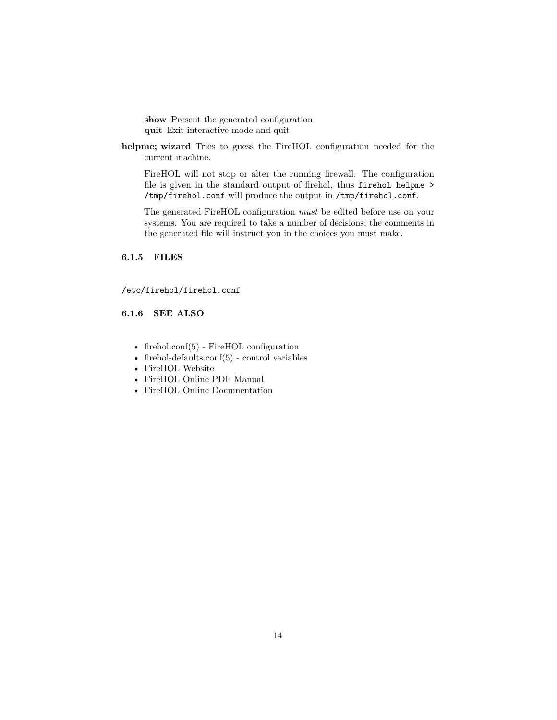**show** Present the generated configuration **quit** Exit interactive mode and quit

**helpme; wizard** Tries to guess the FireHOL configuration needed for the current machine.

FireHOL will not stop or alter the running firewall. The configuration file is given in the standard output of firehol, thus firehol helpme > /tmp/firehol.conf will produce the output in /tmp/firehol.conf.

The generated FireHOL configuration *must* be edited before use on your systems. You are required to take a number of decisions; the comments in the generated file will instruct you in the choices you must make.

## <span id="page-13-0"></span>**6.1.5 FILES**

/etc/firehol/firehol.conf

## <span id="page-13-1"></span>**6.1.6 SEE ALSO**

- [firehol.conf\(5\)](#page-14-0) FireHOL configuration
- [firehol-defaults.conf\(5\)](#page-39-0) control variables
- [FireHOL Website](http://firehol.org/)
- [FireHOL Online PDF Manual](http://firehol.org/firehol-manual.pdf)
- [FireHOL Online Documentation](http://firehol.org/documentation/)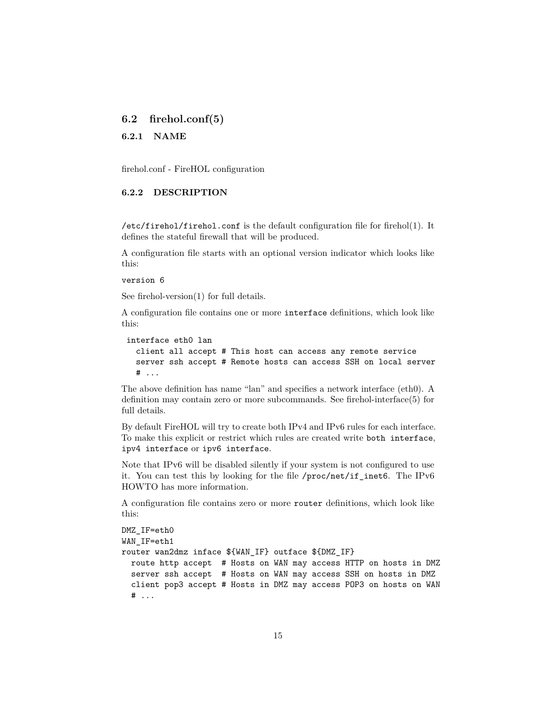## <span id="page-14-0"></span>**6.2 firehol.conf(5)**

<span id="page-14-1"></span>**6.2.1 NAME**

firehol.conf - FireHOL configuration

## <span id="page-14-2"></span>**6.2.2 DESCRIPTION**

/etc/firehol/firehol.conf is the default configuration file for [firehol\(1\).](#page-10-1) It defines the stateful firewall that will be produced.

A configuration file starts with an optional version indicator which looks like this:

#### version 6

See [firehol-version\(1\)](#page-173-0) for full details.

A configuration file contains one or more interface definitions, which look like this:

```
interface eth0 lan
 client all accept # This host can access any remote service
 server ssh accept # Remote hosts can access SSH on local server
 # ...
```
The above definition has name "lan" and specifies a network interface (eth0). A definition may contain zero or more subcommands. See [firehol-interface\(5\)](#page-50-0) for full details.

By default FireHOL will try to create both IPv4 and IPv6 rules for each interface. To make this explicit or restrict which rules are created write both interface, ipv4 interface or ipv6 interface.

Note that IPv6 will be disabled silently if your system is not configured to use it. You can test this by looking for the file /proc/net/if\_inet6. The [IPv6](http://www.tldp.org/HOWTO/Linux+IPv6-HOWTO/systemcheck-kernel.html) [HOWTO](http://www.tldp.org/HOWTO/Linux+IPv6-HOWTO/systemcheck-kernel.html) has more information.

A configuration file contains zero or more router definitions, which look like this:

```
DMZ_IF=eth0
WAN IF=eth1
router wan2dmz inface ${WAN_IF} outface ${DMZ_IF}
 route http accept # Hosts on WAN may access HTTP on hosts in DMZ
  server ssh accept # Hosts on WAN may access SSH on hosts in DMZ
  client pop3 accept # Hosts in DMZ may access POP3 on hosts on WAN
  # ...
```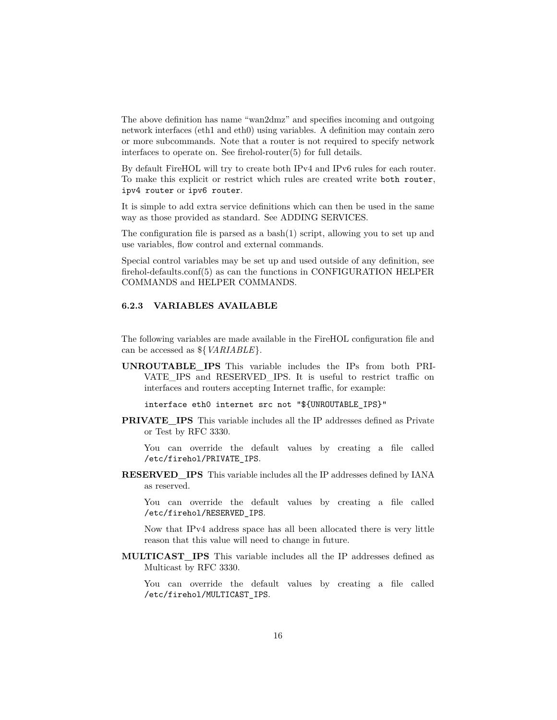The above definition has name "wan2dmz" and specifies incoming and outgoing network interfaces (eth1 and eth0) using variables. A definition may contain zero or more subcommands. Note that a router is not required to specify network interfaces to operate on. See [firehol-router\(5\)](#page-93-0) for full details.

By default FireHOL will try to create both IPv4 and IPv6 rules for each router. To make this explicit or restrict which rules are created write both router, ipv4 router or ipv6 router.

It is simple to add extra service definitions which can then be used in the same way as those provided as standard. See [ADDING SERVICES.](#page-15-1)

The configuration file is parsed as a bash(1) script, allowing you to set up and use variables, flow control and external commands.

Special control variables may be set up and used outside of any definition, see [firehol-defaults.conf\(5\)](#page-39-0) as can the functions in [CONFIGURATION HELPER](#page-18-3) [COMMANDS](#page-18-3) and [HELPER COMMANDS.](#page-9-0)

## <span id="page-15-0"></span>**6.2.3 VARIABLES AVAILABLE**

The following variables are made available in the FireHOL configuration file and can be accessed as \${*VARIABLE*}.

**UNROUTABLE\_IPS** This variable includes the IPs from both PRI-VATE IPS and RESERVED IPS. It is useful to restrict traffic on interfaces and routers accepting Internet traffic, for example:

interface eth0 internet src not "\${UNROUTABLE\_IPS}"

**PRIVATE\_IPS** This variable includes all the IP addresses defined as Private or Test by [RFC 3330.](https://tools.ietf.org/html/rfc3330)

You can override the default values by creating a file called /etc/firehol/PRIVATE\_IPS.

**RESERVED\_IPS** This variable includes all the IP addresses defined by [IANA](http://www.iana.org/) as reserved.

You can override the default values by creating a file called /etc/firehol/RESERVED\_IPS.

Now that IPv4 address space has all been allocated there is very little reason that this value will need to change in future.

**MULTICAST\_IPS** This variable includes all the IP addresses defined as Multicast by [RFC 3330.](https://tools.ietf.org/html/rfc3330)

<span id="page-15-1"></span>You can override the default values by creating a file called /etc/firehol/MULTICAST\_IPS.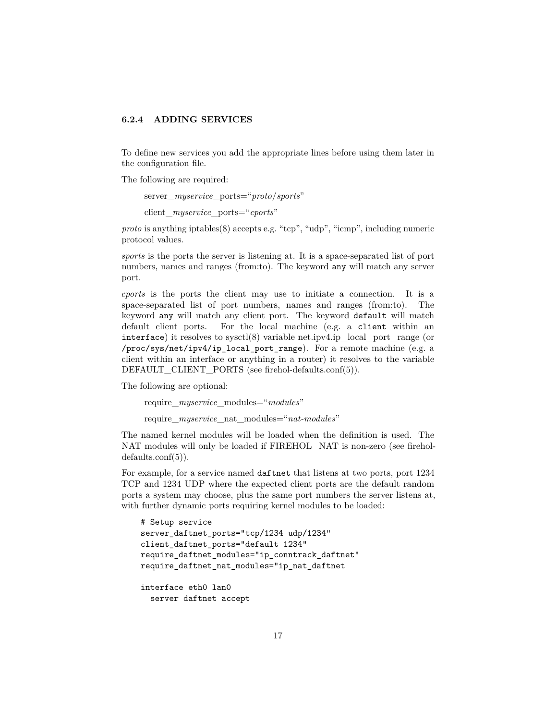## <span id="page-16-0"></span>**6.2.4 ADDING SERVICES**

To define new services you add the appropriate lines before using them later in the configuration file.

The following are required:

server\_*myservice*\_ports="*proto*/*sports*"

client\_*myservice*\_ports="*cports*"

*proto* is anything iptables(8) accepts e.g. "tcp", "udp", "icmp", including numeric protocol values.

*sports* is the ports the server is listening at. It is a space-separated list of port numbers, names and ranges (from:to). The keyword any will match any server port.

*cports* is the ports the client may use to initiate a connection. It is a space-separated list of port numbers, names and ranges (from:to). The keyword any will match any client port. The keyword default will match default client ports. For the local machine (e.g. a client within an interface) it resolves to sysctl(8) variable net.ipv4.ip\_local\_port\_range (or /proc/sys/net/ipv4/ip\_local\_port\_range). For a remote machine (e.g. a client within an interface or anything in a router) it resolves to the variable DEFAULT\_CLIENT\_PORTS (see [firehol-defaults.conf\(5\)\)](#page-39-0).

The following are optional:

require\_*myservice*\_modules="*modules*"

require\_*myservice*\_nat\_modules="*nat-modules*"

The named kernel modules will be loaded when the definition is used. The NAT modules will only be loaded if FIREHOL\_NAT is non-zero (see [firehol](#page-39-0)[defaults.conf\(5\)\)](#page-39-0).

For example, for a service named daftnet that listens at two ports, port 1234 TCP and 1234 UDP where the expected client ports are the default random ports a system may choose, plus the same port numbers the server listens at, with further dynamic ports requiring kernel modules to be loaded:

```
# Setup service
server_daftnet_ports="tcp/1234 udp/1234"
client_daftnet_ports="default 1234"
require_daftnet_modules="ip_conntrack_daftnet"
require_daftnet_nat_modules="ip_nat_daftnet
interface eth0 lan0
  server daftnet accept
```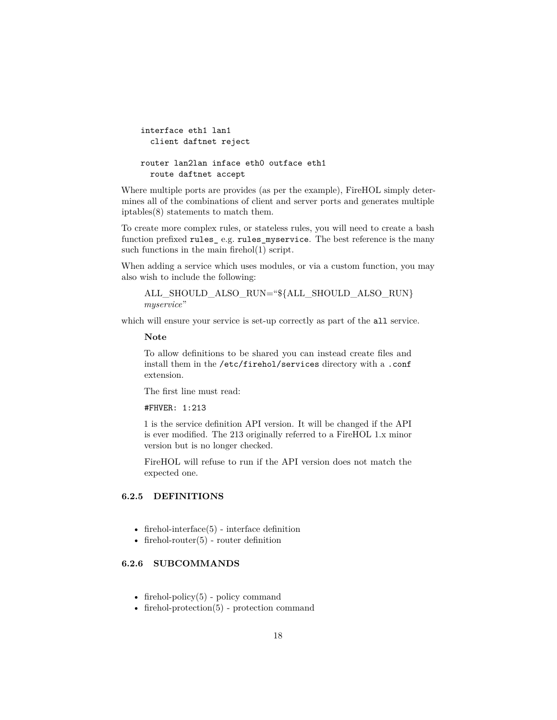```
interface eth1 lan1
  client daftnet reject
router lan2lan inface eth0 outface eth1
  route daftnet accept
```
Where multiple ports are provides (as per the example), FireHOL simply determines all of the combinations of client and server ports and generates multiple iptables(8) statements to match them.

To create more complex rules, or stateless rules, you will need to create a bash function prefixed rules\_ e.g. rules\_myservice. The best reference is the many such functions in the main firehol(1) script.

When adding a service which uses modules, or via a custom function, you may also wish to include the following:

ALL\_SHOULD\_ALSO\_RUN="\${ALL\_SHOULD\_ALSO\_RUN} *myservice*"

which will ensure your service is set-up correctly as part of the all service.

**Note**

To allow definitions to be shared you can instead create files and install them in the /etc/firehol/services directory with a .conf extension.

The first line must read:

#### #FHVER: 1:213

1 is the service definition API version. It will be changed if the API is ever modified. The 213 originally referred to a FireHOL 1.x minor version but is no longer checked.

FireHOL will refuse to run if the API version does not match the expected one.

## <span id="page-17-0"></span>**6.2.5 DEFINITIONS**

- firehol-interface $(5)$  interface definition
- firehol-router $(5)$  router definition

#### <span id="page-17-1"></span>**6.2.6 SUBCOMMANDS**

- firehol-policy $(5)$  policy command
- [firehol-protection\(5\)](#page-87-0) protection command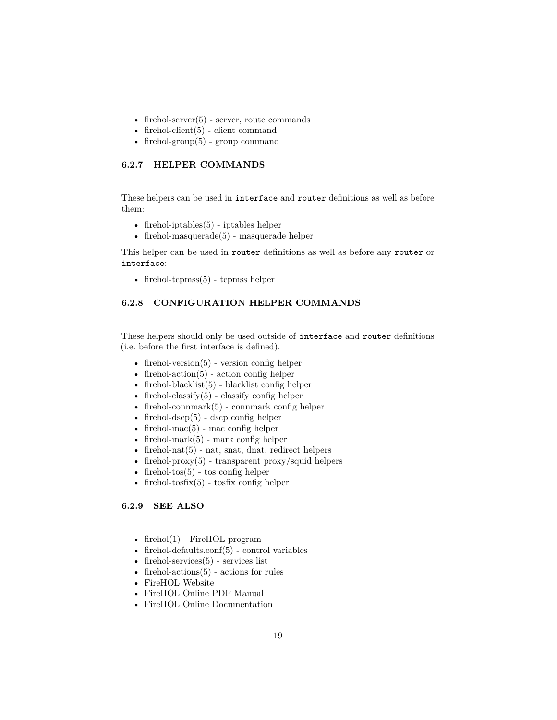- firehol-server $(5)$  server, route commands
- firehol-client $(5)$  client command
- [firehol-group\(5\)](#page-48-0) group command

## <span id="page-18-0"></span>**6.2.7 HELPER COMMANDS**

These helpers can be used in interface and router definitions as well as before them:

- [firehol-iptables\(5\)](#page-56-0) iptables helper
- firehol-masquerade $(5)$  masquerade helper

This helper can be used in router definitions as well as before any router or interface:

• [firehol-tcpmss\(5\)](#page-168-0) - tcpmss helper

## <span id="page-18-3"></span><span id="page-18-1"></span>**6.2.8 CONFIGURATION HELPER COMMANDS**

These helpers should only be used outside of interface and router definitions (i.e. before the first interface is defined).

- firehol-version $(5)$  version config helper
- firehol-action $(5)$  action config helper
- firehol-blacklist $(5)$  blacklist config helper
- firehol-classify $(5)$  classify config helper
- firehol-connmark $(5)$  connmark config helper
- firehol-dscp $(5)$  dscp config helper
- firehol-mac $(5)$  mac config helper
- firehol-mark $(5)$  mark config helper
- firehol-nat $(5)$  nat, snat, dnat, redirect helpers
- firehol-proxy $(5)$  transparent proxy/squid helpers
- firehol-tos $(5)$  tos config helper
- firehol-tosfix $(5)$  tosfix config helper

#### <span id="page-18-2"></span>**6.2.9 SEE ALSO**

- [firehol\(1\)](#page-10-1) FireHOL program
- firehol-defaults.conf $(5)$  control variables
- firehol-services $(5)$  services list
- firehol-actions $(5)$  actions for rules
- [FireHOL Website](http://firehol.org/)
- [FireHOL Online PDF Manual](http://firehol.org/firehol-manual.pdf)
- [FireHOL Online Documentation](http://firehol.org/documentation/)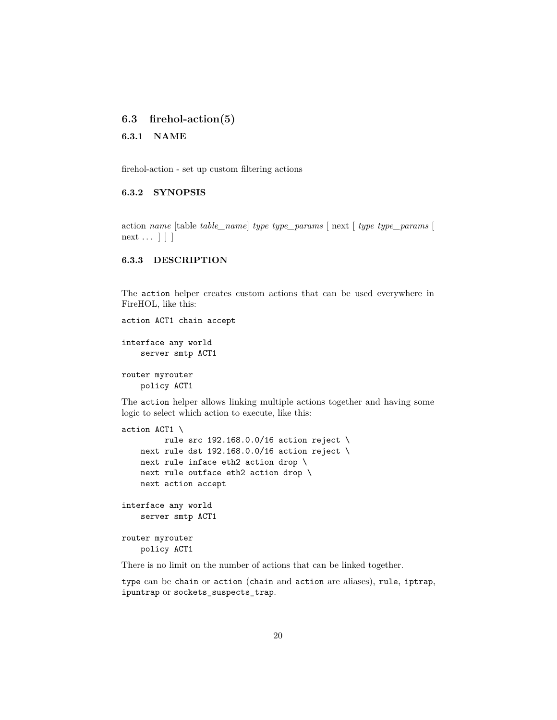## <span id="page-19-0"></span>**6.3 firehol-action(5)**

<span id="page-19-1"></span>**6.3.1 NAME**

firehol-action - set up custom filtering actions

## <span id="page-19-2"></span>**6.3.2 SYNOPSIS**

action *name* [table *table\_name*] *type type\_params* [ next [ *type type\_params* [ next ... | | |

## <span id="page-19-3"></span>**6.3.3 DESCRIPTION**

The action helper creates custom actions that can be used everywhere in FireHOL, like this:

```
action ACT1 chain accept
```

```
interface any world
    server smtp ACT1
```
router myrouter policy ACT1

The action helper allows linking multiple actions together and having some logic to select which action to execute, like this:

```
action ACT1 \
         rule src 192.168.0.0/16 action reject \
   next rule dst 192.168.0.0/16 action reject \
   next rule inface eth2 action drop \
   next rule outface eth2 action drop \
   next action accept
interface any world
    server smtp ACT1
router myrouter
   policy ACT1
```
There is no limit on the number of actions that can be linked together.

type can be chain or action (chain and action are aliases), rule, iptrap, ipuntrap or sockets\_suspects\_trap.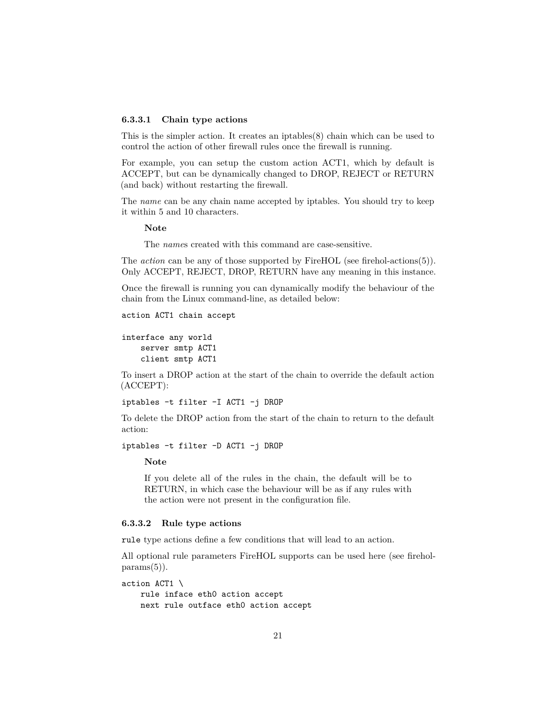#### **6.3.3.1 Chain type actions**

This is the simpler action. It creates an iptables $(8)$  chain which can be used to control the action of other firewall rules once the firewall is running.

For example, you can setup the custom action ACT1, which by default is ACCEPT, but can be dynamically changed to DROP, REJECT or RETURN (and back) without restarting the firewall.

The *name* can be any chain name accepted by iptables. You should try to keep it within 5 and 10 characters.

**Note**

The *name*s created with this command are case-sensitive.

The *action* can be any of those supported by FireHOL (see [firehol-actions\(5\)\)](#page-24-0). Only ACCEPT, REJECT, DROP, RETURN have any meaning in this instance.

Once the firewall is running you can dynamically modify the behaviour of the chain from the Linux command-line, as detailed below:

```
action ACT1 chain accept
```

```
interface any world
    server smtp ACT1
    client smtp ACT1
```
To insert a DROP action at the start of the chain to override the default action (ACCEPT):

```
iptables -t filter -I ACT1 -j DROP
```
To delete the DROP action from the start of the chain to return to the default action:

```
iptables -t filter -D ACT1 -j DROP
```
**Note**

If you delete all of the rules in the chain, the default will be to RETURN, in which case the behaviour will be as if any rules with the action were not present in the configuration file.

#### **6.3.3.2 Rule type actions**

rule type actions define a few conditions that will lead to an action.

All optional rule parameters FireHOL supports can be used here (see [firehol](#page-76-0) $params(5)$ .

```
action ACT1 \
   rule inface eth0 action accept
   next rule outface eth0 action accept
```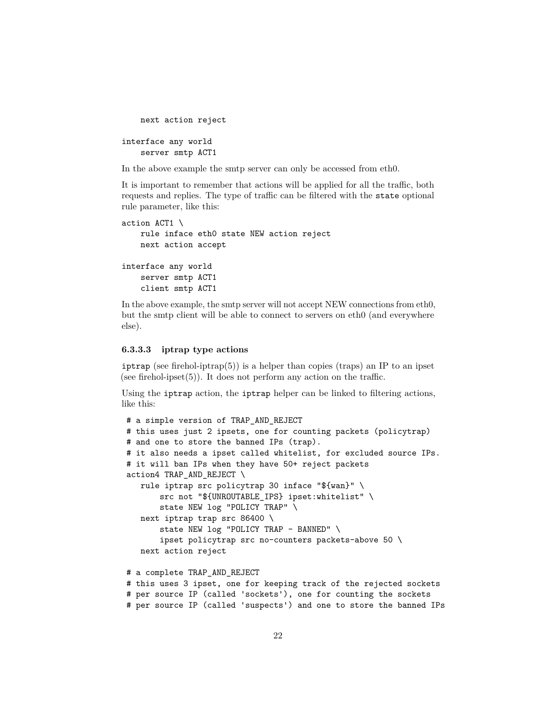```
next action reject
interface any world
    server smtp ACT1
```
In the above example the smtp server can only be accessed from eth0.

It is important to remember that actions will be applied for all the traffic, both requests and replies. The type of traffic can be filtered with the state optional rule parameter, like this:

```
action ACT1 \
   rule inface eth0 state NEW action reject
   next action accept
interface any world
    server smtp ACT1
    client smtp ACT1
```
In the above example, the smtp server will not accept NEW connections from eth0, but the smtp client will be able to connect to servers on eth0 (and everywhere else).

#### **6.3.3.3 iptrap type actions**

iptrap (see [firehol-iptrap\(5\)\)](#page-58-0) is a helper than copies (traps) an IP to an ipset (see firehol-ipset $(5)$ ). It does not perform any action on the traffic.

Using the iptrap action, the iptrap helper can be linked to filtering actions, like this:

```
# a simple version of TRAP_AND_REJECT
# this uses just 2 ipsets, one for counting packets (policytrap)
# and one to store the banned IPs (trap).
# it also needs a ipset called whitelist, for excluded source IPs.
# it will ban IPs when they have 50+ reject packets
action4 TRAP_AND_REJECT \
   rule iptrap src policytrap 30 inface "${wan}" \
       src not "${UNROUTABLE IPS} ipset:whitelist" \
       state NEW log "POLICY TRAP" \
   next iptrap trap src 86400 \
       state NEW log "POLICY TRAP - BANNED" \
       ipset policytrap src no-counters packets-above 50 \
   next action reject
# a complete TRAP_AND_REJECT
# this uses 3 ipset, one for keeping track of the rejected sockets
# per source IP (called 'sockets'), one for counting the sockets
# per source IP (called 'suspects') and one to store the banned IPs
```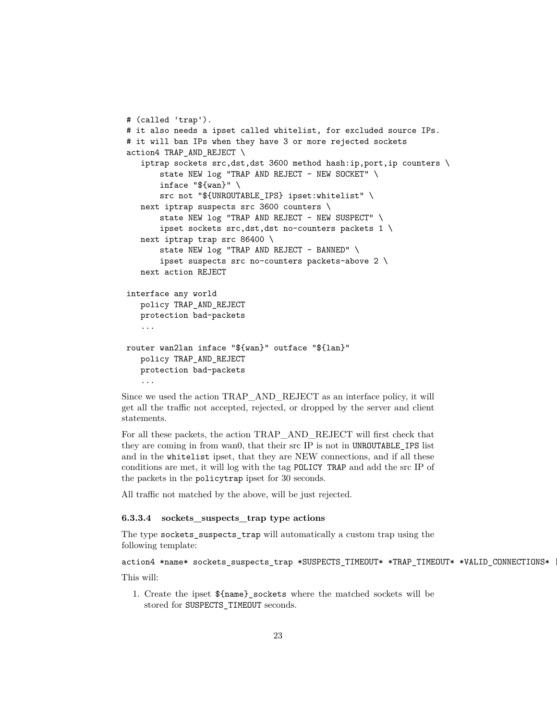```
# (called 'trap').
# it also needs a ipset called whitelist, for excluded source IPs.
# it will ban IPs when they have 3 or more rejected sockets
action4 TRAP_AND_REJECT \
   iptrap sockets src,dst,dst 3600 method hash:ip,port,ip counters \
       state NEW log "TRAP AND REJECT - NEW SOCKET" \setminusinface "${wan}" \
       src not "${UNROUTABLE_IPS} ipset:whitelist" \
  next iptrap suspects src 3600 counters \
       state NEW log "TRAP AND REJECT - NEW SUSPECT" \setminusipset sockets src,dst,dst no-counters packets 1 \
   next iptrap trap src 86400 \
       state NEW log "TRAP AND REJECT - BANNED" \
       ipset suspects src no-counters packets-above 2 \
  next action REJECT
interface any world
  policy TRAP_AND_REJECT
  protection bad-packets
   ...
router wan2lan inface "${wan}" outface "${lan}"
   policy TRAP_AND_REJECT
  protection bad-packets
   ...
```
Since we used the action TRAP\_AND\_REJECT as an interface policy, it will get all the traffic not accepted, rejected, or dropped by the server and client statements.

For all these packets, the action TRAP\_AND\_REJECT will first check that they are coming in from wan0, that their src IP is not in UNROUTABLE\_IPS list and in the whitelist ipset, that they are NEW connections, and if all these conditions are met, it will log with the tag POLICY TRAP and add the src IP of the packets in the policytrap ipset for 30 seconds.

All traffic not matched by the above, will be just rejected.

## **6.3.3.4 sockets\_suspects\_trap type actions**

The type sockets\_suspects\_trap will automatically a custom trap using the following template:

```
action4 *name* sockets_suspects_trap *SUSPECTS_TIMEOUT* *TRAP_TIMEOUT* *VALID_CONNECTIONS*
```
This will:

1. Create the ipset \${name}\_sockets where the matched sockets will be stored for SUSPECTS\_TIMEOUT seconds.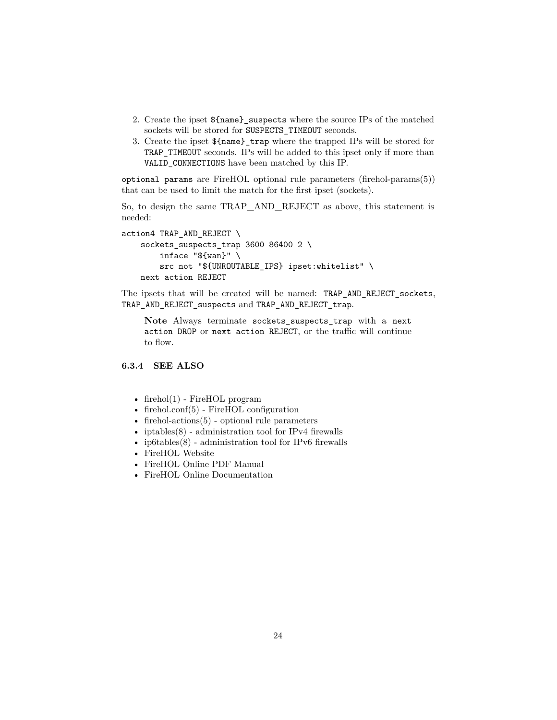- 2. Create the ipset \${name}\_suspects where the source IPs of the matched sockets will be stored for SUSPECTS\_TIMEOUT seconds.
- 3. Create the ipset \${name}\_trap where the trapped IPs will be stored for TRAP\_TIMEOUT seconds. IPs will be added to this ipset only if more than VALID\_CONNECTIONS have been matched by this IP.

optional params are FireHOL optional rule parameters [\(firehol-params\(5\)\)](#page-76-0) that can be used to limit the match for the first ipset (sockets).

So, to design the same TRAP\_AND\_REJECT as above, this statement is needed:

```
action4 TRAP_AND_REJECT \
    sockets_suspects_trap 3600 86400 2 \
        inface "${wan}" \
        src not "${UNROUTABLE_IPS} ipset:whitelist" \
   next action REJECT
```
The ipsets that will be created will be named: TRAP\_AND\_REJECT\_sockets, TRAP\_AND\_REJECT\_suspects and TRAP\_AND\_REJECT\_trap.

**Note** Always terminate sockets\_suspects\_trap with a next action DROP or next action REJECT, or the traffic will continue to flow.

### <span id="page-23-0"></span>**6.3.4 SEE ALSO**

- firehol $(1)$  FireHOL program
- [firehol.conf\(5\)](#page-14-0) FireHOL configuration
- [firehol-actions\(5\)](#page-24-0) optional rule parameters
- iptables $(8)$  administration tool for IPv4 firewalls
- ip6tables $(8)$  administration tool for IPv6 firewalls
- [FireHOL Website](http://firehol.org/)
- [FireHOL Online PDF Manual](http://firehol.org/firehol-manual.pdf)
- [FireHOL Online Documentation](http://firehol.org/documentation/)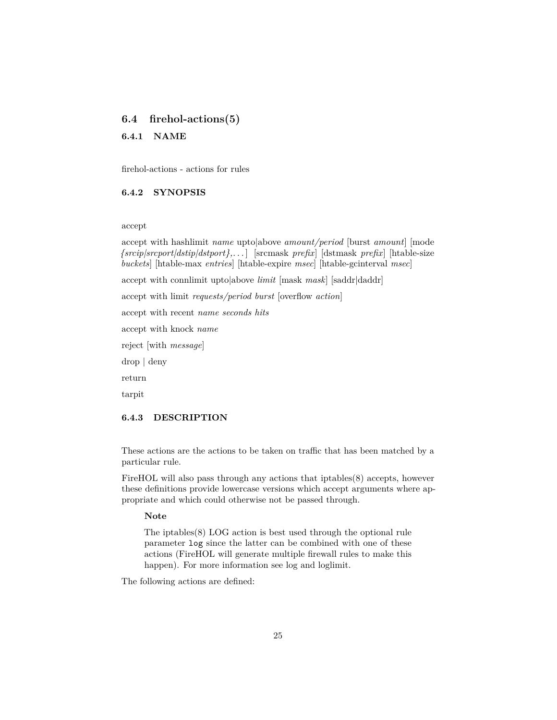## <span id="page-24-0"></span>**6.4 firehol-actions(5)**

#### <span id="page-24-1"></span>**6.4.1 NAME**

firehol-actions - actions for rules

## <span id="page-24-2"></span>**6.4.2 SYNOPSIS**

#### accept

accept with hashlimit *name* upto|above *amount/period* [burst *amount*] [mode *{srcip|srcport|dstip|dstport},. . .* ] [srcmask *prefix*] [dstmask *prefix*] [htable-size *buckets*] [htable-max *entries*] [htable-expire *msec*] [htable-gcinterval *msec*]

accept with connlimit upto|above *limit* [mask *mask*] [saddr|daddr]

accept with limit *requests/period burst* [overflow *action*]

accept with recent *name seconds hits*

accept with knock *name*

reject [with *message*]

drop | deny

return

tarpit

#### <span id="page-24-3"></span>**6.4.3 DESCRIPTION**

These actions are the actions to be taken on traffic that has been matched by a particular rule.

FireHOL will also pass through any actions that iptables(8) accepts, however these definitions provide lowercase versions which accept arguments where appropriate and which could otherwise not be passed through.

#### **Note**

The iptables(8) LOG action is best used through the optional rule parameter log since the latter can be combined with one of these actions (FireHOL will generate multiple firewall rules to make this happen). For more information see [log](#page-81-1) and [loglimit.](#page-81-1)

The following actions are defined: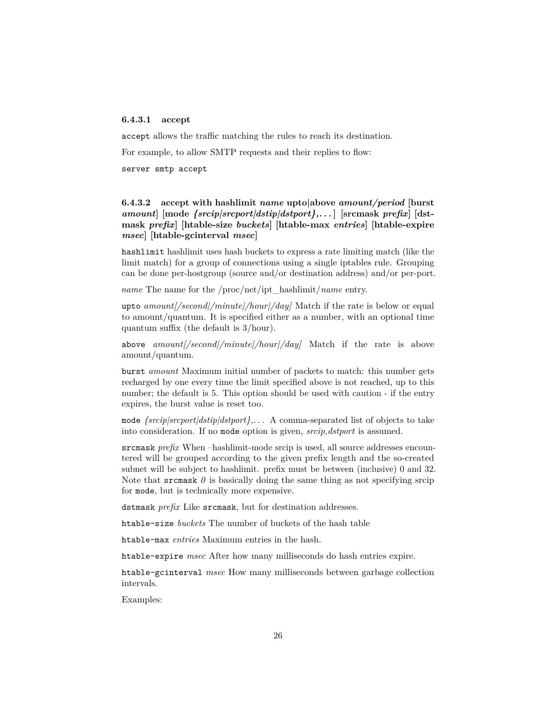## **6.4.3.1 accept**

accept allows the traffic matching the rules to reach its destination.

For example, to allow SMTP requests and their replies to flow:

server smtp accept

## **6.4.3.2 accept with hashlimit** *name* **upto|above** *amount/period* **[burst** *amount***] [mode** *{srcip|srcport|dstip|dstport},. . .* **] [srcmask** *prefix***] [dstmask** *prefix***] [htable-size** *buckets***] [htable-max** *entries***] [htable-expire** *msec***] [htable-gcinterval** *msec***]**

hashlimit hashlimit uses hash buckets to express a rate limiting match (like the limit match) for a group of connections using a single iptables rule. Grouping can be done per-hostgroup (source and/or destination address) and/or per-port.

*name* The name for the /proc/net/ipt\_hashlimit/*name* entry.

upto *amount[/second|/minute|/hour|/day]* Match if the rate is below or equal to amount/quantum. It is specified either as a number, with an optional time quantum suffix (the default is 3/hour).

above *amount[/second|/minute|/hour|/day]* Match if the rate is above amount/quantum.

burst *amount* Maximum initial number of packets to match: this number gets recharged by one every time the limit specified above is not reached, up to this number; the default is 5. This option should be used with caution - if the entry expires, the burst value is reset too.

mode *{srcip|srcport|dstip|dstport},. . .* A comma-separated list of objects to take into consideration. If no mode option is given, *srcip,dstport* is assumed.

srcmask *prefix* When –hashlimit-mode srcip is used, all source addresses encountered will be grouped according to the given prefix length and the so-created subnet will be subject to hashlimit. prefix must be between (inclusive) 0 and 32. Note that srcmask  $\theta$  is basically doing the same thing as not specifying srcip for mode, but is technically more expensive.

dstmask *prefix* Like srcmask, but for destination addresses.

htable-size *buckets* The number of buckets of the hash table

htable-max *entries* Maximum entries in the hash.

htable-expire *msec* After how many milliseconds do hash entries expire.

htable-gcinterval *msec* How many milliseconds between garbage collection intervals.

Examples: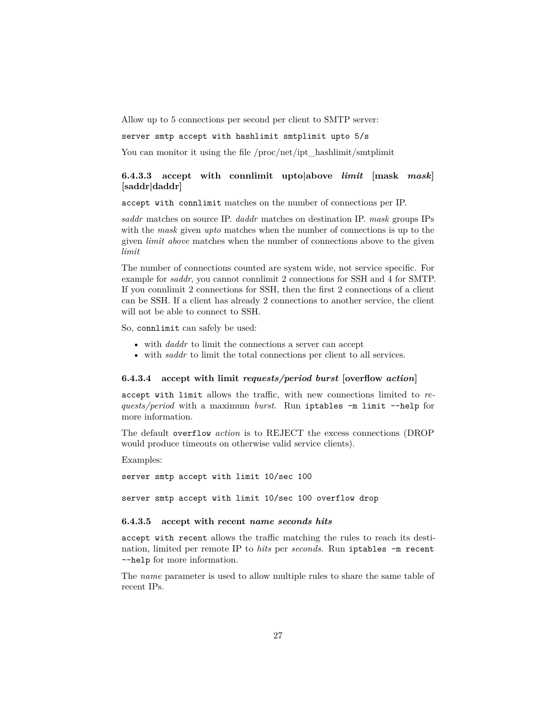Allow up to 5 connections per second per client to SMTP server:

server smtp accept with hashlimit smtplimit upto 5/s

You can monitor it using the file /proc/net/ipt\_hashlimit/smtplimit

## **6.4.3.3 accept with connlimit upto|above** *limit* **[mask** *mask***] [saddr|daddr]**

accept with connlimit matches on the number of connections per IP.

*saddr* matches on source IP. *daddr* matches on destination IP. *mask* groups IPs with the *mask* given *upto* matches when the number of connections is up to the given *limit above* matches when the number of connections above to the given *limit*

The number of connections counted are system wide, not service specific. For example for *saddr*, you cannot connlimit 2 connections for SSH and 4 for SMTP. If you connlimit 2 connections for SSH, then the first 2 connections of a client can be SSH. If a client has already 2 connections to another service, the client will not be able to connect to SSH.

So, connlimit can safely be used:

- with *daddr* to limit the connections a server can accept
- with *saddr* to limit the total connections per client to all services.

#### **6.4.3.4 accept with limit** *requests/period burst* **[overflow** *action***]**

accept with limit allows the traffic, with new connections limited to *requests/period* with a maximum *burst*. Run iptables -m limit --help for more information.

The default overflow *action* is to REJECT the excess connections (DROP would produce timeouts on otherwise valid service clients).

Examples:

server smtp accept with limit 10/sec 100

server smtp accept with limit 10/sec 100 overflow drop

#### **6.4.3.5 accept with recent** *name seconds hits*

accept with recent allows the traffic matching the rules to reach its destination, limited per remote IP to *hits* per *seconds*. Run iptables -m recent --help for more information.

The *name* parameter is used to allow multiple rules to share the same table of recent IPs.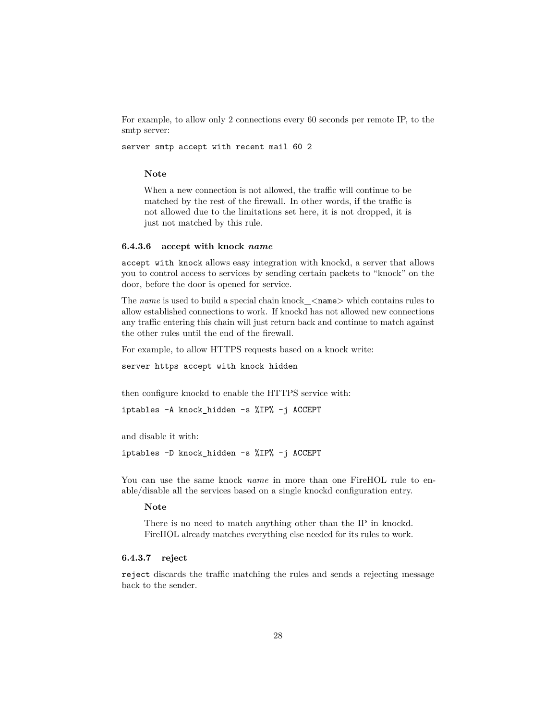For example, to allow only 2 connections every 60 seconds per remote IP, to the smtp server:

server smtp accept with recent mail 60 2

#### **Note**

When a new connection is not allowed, the traffic will continue to be matched by the rest of the firewall. In other words, if the traffic is not allowed due to the limitations set here, it is not dropped, it is just not matched by this rule.

#### **6.4.3.6 accept with knock** *name*

accept with knock allows easy integration with [knockd,](http://www.zeroflux.org/projects/knock/) a server that allows you to control access to services by sending certain packets to "knock" on the door, before the door is opened for service.

The *name* is used to build a special chain knock <name> which contains rules to allow established connections to work. If knockd has not allowed new connections any traffic entering this chain will just return back and continue to match against the other rules until the end of the firewall.

For example, to allow HTTPS requests based on a knock write:

server https accept with knock hidden

then configure knockd to enable the HTTPS service with:

```
iptables -A knock_hidden -s %IP% -j ACCEPT
```
and disable it with:

iptables -D knock\_hidden -s %IP% -j ACCEPT

You can use the same knock *name* in more than one FireHOL rule to enable/disable all the services based on a single knockd configuration entry.

#### **Note**

There is no need to match anything other than the IP in knockd. FireHOL already matches everything else needed for its rules to work.

#### **6.4.3.7 reject**

reject discards the traffic matching the rules and sends a rejecting message back to the sender.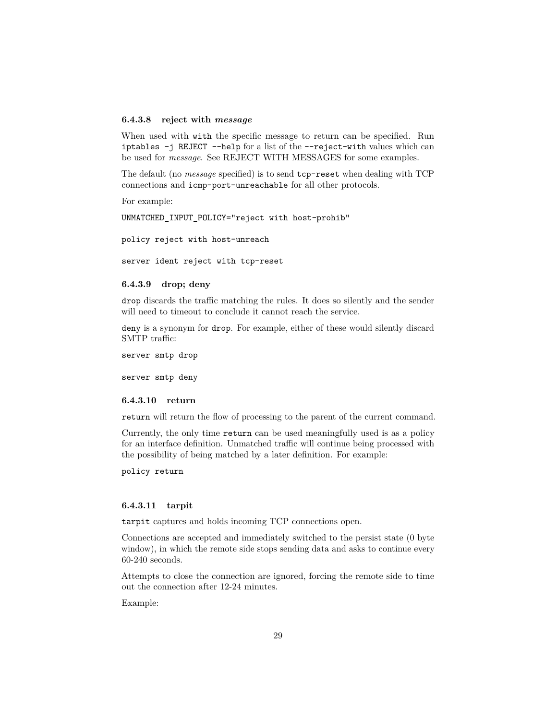#### **6.4.3.8 reject with** *message*

When used with with the specific message to return can be specified. Run iptables -j REJECT --help for a list of the --reject-with values which can be used for *message*. See [REJECT WITH MESSAGES](#page-29-1) for some examples.

The default (no *message* specified) is to send tcp-reset when dealing with TCP connections and icmp-port-unreachable for all other protocols.

For example:

UNMATCHED\_INPUT\_POLICY="reject with host-prohib"

policy reject with host-unreach

server ident reject with tcp-reset

## **6.4.3.9 drop; deny**

drop discards the traffic matching the rules. It does so silently and the sender will need to timeout to conclude it cannot reach the service.

deny is a synonym for drop. For example, either of these would silently discard SMTP traffic:

server smtp drop

server smtp deny

#### **6.4.3.10 return**

return will return the flow of processing to the parent of the current command.

Currently, the only time return can be used meaningfully used is as a policy for an interface definition. Unmatched traffic will continue being processed with the possibility of being matched by a later definition. For example:

policy return

#### **6.4.3.11 tarpit**

tarpit captures and holds incoming TCP connections open.

Connections are accepted and immediately switched to the persist state (0 byte window), in which the remote side stops sending data and asks to continue every 60-240 seconds.

Attempts to close the connection are ignored, forcing the remote side to time out the connection after 12-24 minutes.

Example: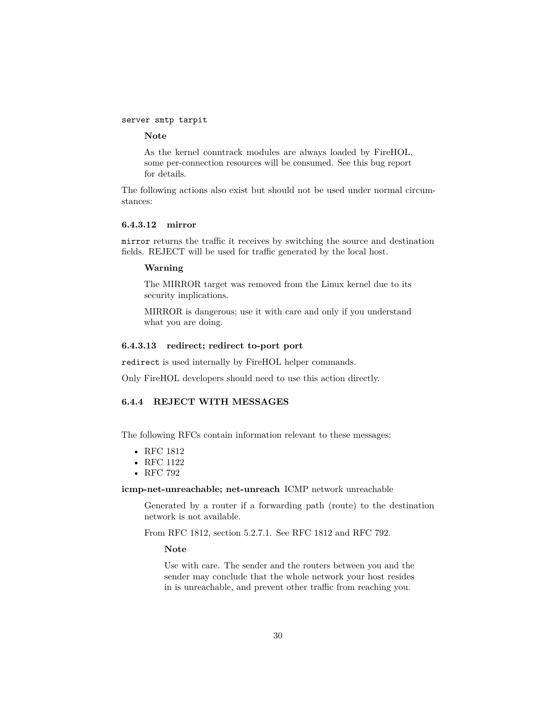#### server smtp tarpit

#### **Note**

As the kernel conntrack modules are always loaded by FireHOL, some per-connection resources will be consumed. See this [bug report](http://bugs.sanewall.org/sanewall/issues/10) for details.

The following actions also exist but should not be used under normal circumstances:

#### **6.4.3.12 mirror**

mirror returns the traffic it receives by switching the source and destination fields. REJECT will be used for traffic generated by the local host.

#### **Warning**

The MIRROR target was removed from the Linux kernel due to its security implications.

MIRROR is dangerous; use it with care and only if you understand what you are doing.

## **6.4.3.13 redirect; redirect to-port port**

redirect is used internally by FireHOL helper commands.

<span id="page-29-1"></span>Only FireHOL developers should need to use this action directly.

#### <span id="page-29-0"></span>**6.4.4 REJECT WITH MESSAGES**

The following RFCs contain information relevant to these messages:

- [RFC 1812](http://www.ietf.org/rfc/rfc1812.txt)
- [RFC 1122](http://www.ietf.org/rfc/rfc1122.txt)
- [RFC 792](http://www.ietf.org/rfc/rfc0792.txt)

**icmp-net-unreachable; net-unreach** ICMP network unreachable

Generated by a router if a forwarding path (route) to the destination network is not available.

From RFC 1812, section 5.2.7.1. See RFC 1812 and RFC 792.

**Note**

Use with care. The sender and the routers between you and the sender may conclude that the whole network your host resides in is unreachable, and prevent other traffic from reaching you.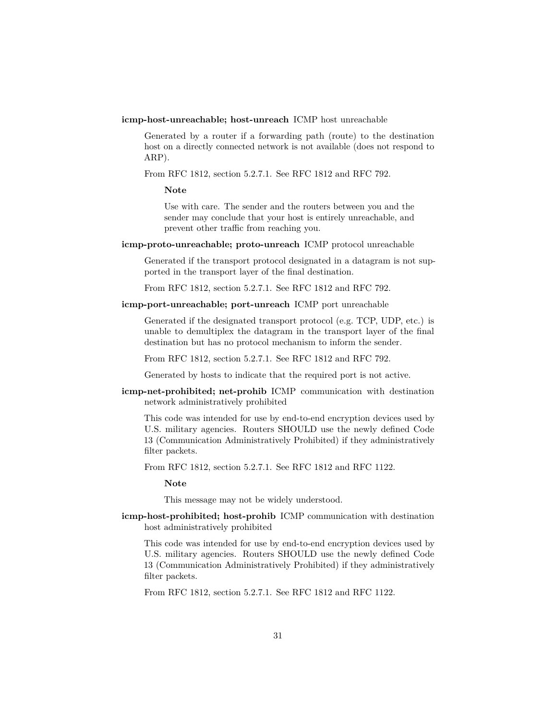**icmp-host-unreachable; host-unreach** ICMP host unreachable

Generated by a router if a forwarding path (route) to the destination host on a directly connected network is not available (does not respond to ARP).

From RFC 1812, section 5.2.7.1. See RFC 1812 and RFC 792.

**Note**

Use with care. The sender and the routers between you and the sender may conclude that your host is entirely unreachable, and prevent other traffic from reaching you.

**icmp-proto-unreachable; proto-unreach** ICMP protocol unreachable

Generated if the transport protocol designated in a datagram is not supported in the transport layer of the final destination.

From RFC 1812, section 5.2.7.1. See RFC 1812 and RFC 792.

**icmp-port-unreachable; port-unreach** ICMP port unreachable

Generated if the designated transport protocol (e.g. TCP, UDP, etc.) is unable to demultiplex the datagram in the transport layer of the final destination but has no protocol mechanism to inform the sender.

From RFC 1812, section 5.2.7.1. See RFC 1812 and RFC 792.

Generated by hosts to indicate that the required port is not active.

**icmp-net-prohibited; net-prohib** ICMP communication with destination network administratively prohibited

This code was intended for use by end-to-end encryption devices used by U.S. military agencies. Routers SHOULD use the newly defined Code 13 (Communication Administratively Prohibited) if they administratively filter packets.

From RFC 1812, section 5.2.7.1. See RFC 1812 and RFC 1122.

**Note**

This message may not be widely understood.

**icmp-host-prohibited; host-prohib** ICMP communication with destination host administratively prohibited

This code was intended for use by end-to-end encryption devices used by U.S. military agencies. Routers SHOULD use the newly defined Code 13 (Communication Administratively Prohibited) if they administratively filter packets.

From RFC 1812, section 5.2.7.1. See RFC 1812 and RFC 1122.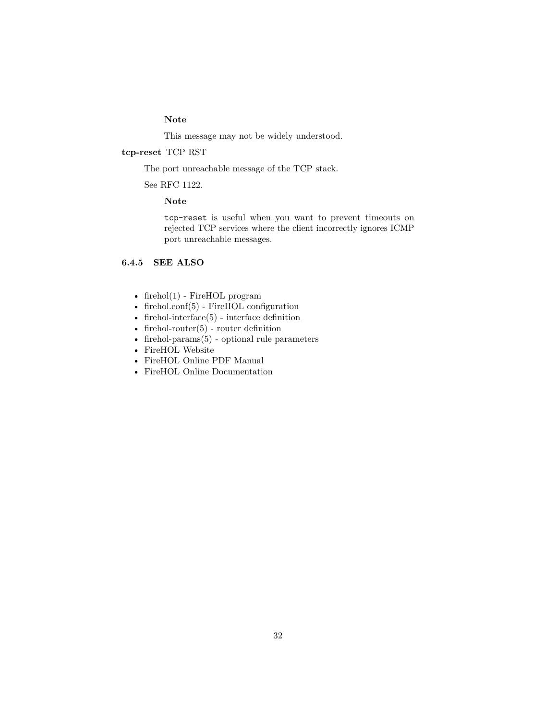## **Note**

This message may not be widely understood.

## **tcp-reset** TCP RST

The port unreachable message of the TCP stack.

See RFC 1122.

## **Note**

tcp-reset is useful when you want to prevent timeouts on rejected TCP services where the client incorrectly ignores ICMP port unreachable messages.

## <span id="page-31-0"></span>**6.4.5 SEE ALSO**

- [firehol\(1\)](#page-10-1) FireHOL program
- [firehol.conf\(5\)](#page-14-0) FireHOL configuration
- firehol-interface $(5)$  interface definition
- firehol-router $(5)$  router definition
- firehol-params $(5)$  optional rule parameters
- [FireHOL Website](http://firehol.org/)
- [FireHOL Online PDF Manual](http://firehol.org/firehol-manual.pdf)
- [FireHOL Online Documentation](http://firehol.org/documentation/)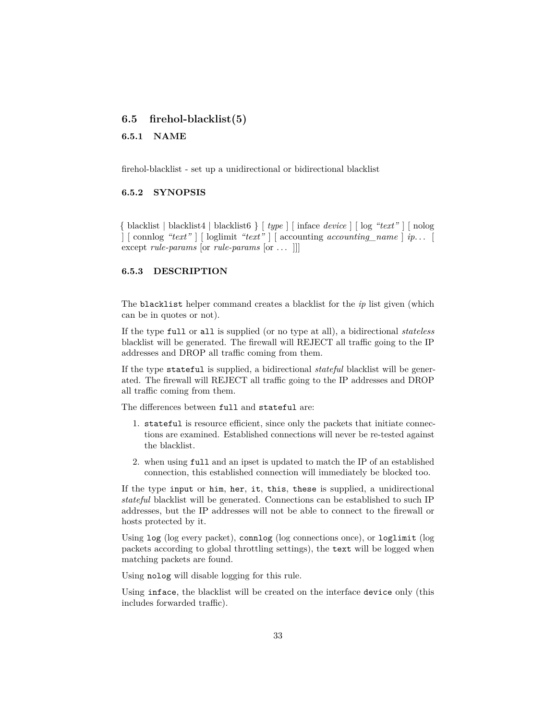## <span id="page-32-0"></span>**6.5 firehol-blacklist(5)**

#### <span id="page-32-1"></span>**6.5.1 NAME**

firehol-blacklist - set up a unidirectional or bidirectional blacklist

#### <span id="page-32-2"></span>**6.5.2 SYNOPSIS**

{ blacklist | blacklist4 | blacklist6 } [ *type* ] [ inface *device* ] [ log *"text"* ] [ nolog ] [ connlog *"text"* ] [ loglimit *"text"* ] [ accounting *accounting\_name* ] *ip*. . . [ except *rule-params* [or *rule-params* [or . . . ]]]

#### <span id="page-32-3"></span>**6.5.3 DESCRIPTION**

The blacklist helper command creates a blacklist for the *ip* list given (which can be in quotes or not).

If the type full or all is supplied (or no type at all), a bidirectional *stateless* blacklist will be generated. The firewall will REJECT all traffic going to the IP addresses and DROP all traffic coming from them.

If the type stateful is supplied, a bidirectional *stateful* blacklist will be generated. The firewall will REJECT all traffic going to the IP addresses and DROP all traffic coming from them.

The differences between full and stateful are:

- 1. stateful is resource efficient, since only the packets that initiate connections are examined. Established connections will never be re-tested against the blacklist.
- 2. when using full and an ipset is updated to match the IP of an established connection, this established connection will immediately be blocked too.

If the type input or him, her, it, this, these is supplied, a unidirectional *stateful* blacklist will be generated. Connections can be established to such IP addresses, but the IP addresses will not be able to connect to the firewall or hosts protected by it.

Using log (log every packet), connlog (log connections once), or loglimit (log packets according to global throttling settings), the text will be logged when matching packets are found.

Using nolog will disable logging for this rule.

Using inface, the blacklist will be created on the interface device only (this includes forwarded traffic).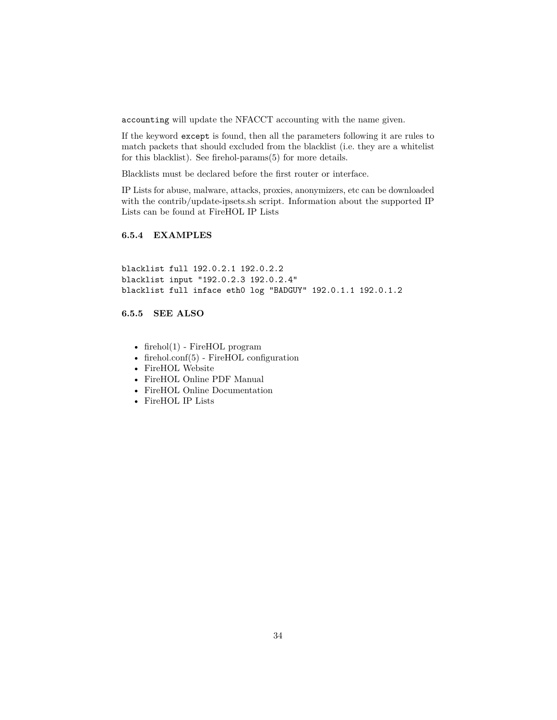accounting will update the NFACCT accounting with the name given.

If the keyword except is found, then all the parameters following it are rules to match packets that should excluded from the blacklist (i.e. they are a whitelist for this blacklist). See [firehol-params\(5\)](#page-76-0) for more details.

Blacklists must be declared before the first router or interface.

IP Lists for abuse, malware, attacks, proxies, anonymizers, etc can be downloaded with the contrib/update-ipsets.sh script. Information about the supported IP Lists can be found at [FireHOL IP Lists](http://iplists.firehol.org/)

## <span id="page-33-0"></span>**6.5.4 EXAMPLES**

blacklist full 192.0.2.1 192.0.2.2 blacklist input "192.0.2.3 192.0.2.4" blacklist full inface eth0 log "BADGUY" 192.0.1.1 192.0.1.2

## <span id="page-33-1"></span>**6.5.5 SEE ALSO**

- [firehol\(1\)](#page-10-1) FireHOL program
- [firehol.conf\(5\)](#page-14-0) FireHOL configuration
- [FireHOL Website](http://firehol.org/)
- [FireHOL Online PDF Manual](http://firehol.org/firehol-manual.pdf)
- [FireHOL Online Documentation](http://firehol.org/documentation/)
- [FireHOL IP Lists](http://iplists.firehol.org/)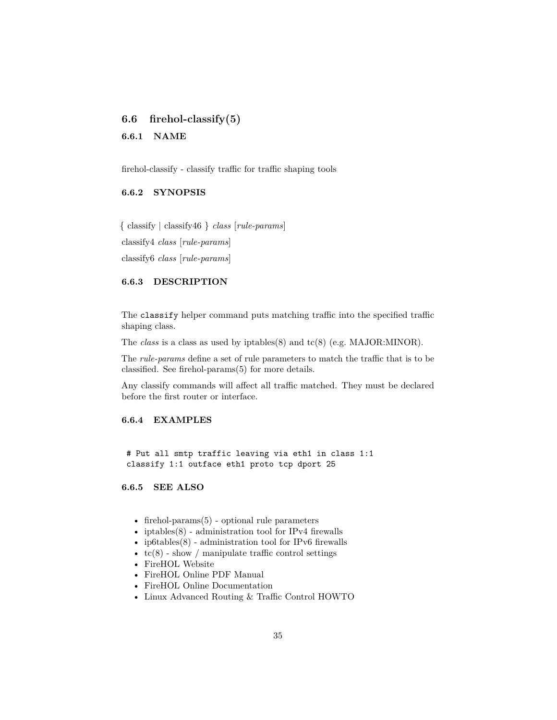## <span id="page-34-0"></span>**6.6 firehol-classify(5)**

#### <span id="page-34-1"></span>**6.6.1 NAME**

firehol-classify - classify traffic for traffic shaping tools

## <span id="page-34-2"></span>**6.6.2 SYNOPSIS**

{ classify | classify46 } *class* [*rule-params*] classify4 *class* [*rule-params*] classify6 *class* [*rule-params*]

## <span id="page-34-3"></span>**6.6.3 DESCRIPTION**

The classify helper command puts matching traffic into the specified traffic shaping class.

The *class* is a class as used by iptables(8) and tc(8) (e.g. MAJOR:MINOR).

The *rule-params* define a set of rule parameters to match the traffic that is to be classified. See [firehol-params\(5\)](#page-76-0) for more details.

Any classify commands will affect all traffic matched. They must be declared before the first router or interface.

## <span id="page-34-4"></span>**6.6.4 EXAMPLES**

# Put all smtp traffic leaving via eth1 in class 1:1 classify 1:1 outface eth1 proto tcp dport 25

#### <span id="page-34-5"></span>**6.6.5 SEE ALSO**

- firehol-params $(5)$  optional rule parameters
- iptables $(8)$  administration tool for IPv4 firewalls
- [ip6tables\(8\)](http://ipset.netfilter.org/ip6tables.man.html) administration tool for IPv6 firewalls
- $tc(8)$  show / manipulate traffic control settings
- [FireHOL Website](http://firehol.org/)
- [FireHOL Online PDF Manual](http://firehol.org/firehol-manual.pdf)
- [FireHOL Online Documentation](http://firehol.org/documentation/)
- [Linux Advanced Routing & Traffic Control HOWTO](http://lartc.org/howto/)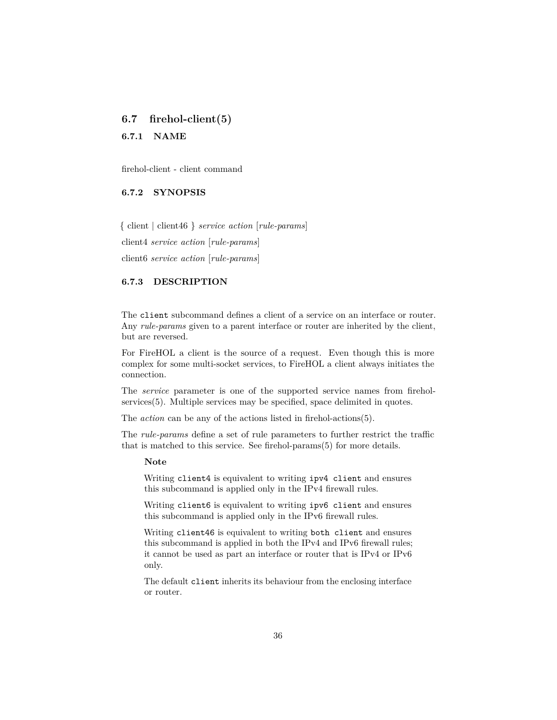## <span id="page-35-0"></span>**6.7 firehol-client(5)**

## <span id="page-35-1"></span>**6.7.1 NAME**

firehol-client - client command

## <span id="page-35-2"></span>**6.7.2 SYNOPSIS**

{ client | client46 } *service action* [*rule-params*] client4 *service action* [*rule-params*] client6 *service action* [*rule-params*]

## <span id="page-35-3"></span>**6.7.3 DESCRIPTION**

The client subcommand defines a client of a service on an interface or router. Any *rule-params* given to a parent interface or router are inherited by the client, but are reversed.

For FireHOL a client is the source of a request. Even though this is more complex for some multi-socket services, to FireHOL a client always initiates the connection.

The *service* parameter is one of the supported service names from [firehol](#page-98-0)[services\(5\).](#page-98-0) Multiple services may be specified, space delimited in quotes.

The *action* can be any of the actions listed in [firehol-actions\(5\).](#page-24-0)

The *rule-params* define a set of rule parameters to further restrict the traffic that is matched to this service. See [firehol-params\(5\)](#page-76-0) for more details.

#### **Note**

Writing client4 is equivalent to writing ipv4 client and ensures this subcommand is applied only in the IPv4 firewall rules.

Writing client6 is equivalent to writing ipv6 client and ensures this subcommand is applied only in the IPv6 firewall rules.

Writing client46 is equivalent to writing both client and ensures this subcommand is applied in both the IPv4 and IPv6 firewall rules; it cannot be used as part an interface or router that is IPv4 or IPv6 only.

The default client inherits its behaviour from the enclosing interface or router.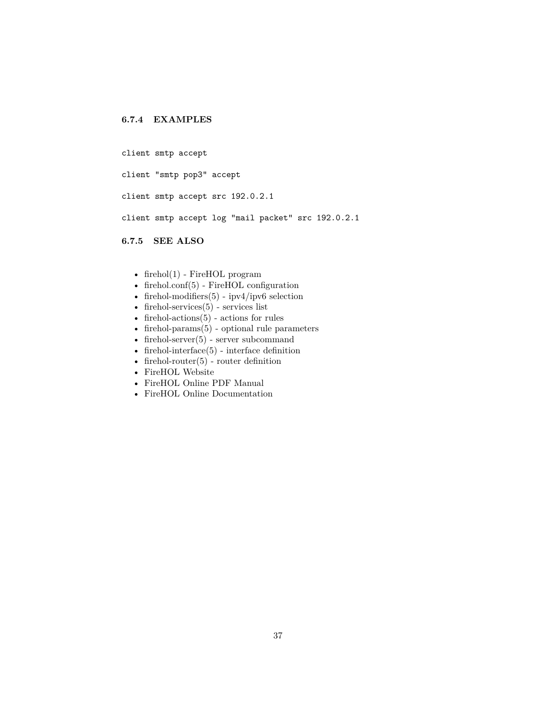# **6.7.4 EXAMPLES**

client smtp accept

client "smtp pop3" accept

client smtp accept src 192.0.2.1

client smtp accept log "mail packet" src 192.0.2.1

# **6.7.5 SEE ALSO**

- [firehol\(1\)](#page-10-0) FireHOL program
- [firehol.conf\(5\)](#page-14-0) FireHOL configuration
- firehol-modifiers $(5)$  ipv4/ipv6 selection
- firehol-services $(5)$  services list
- firehol-actions $(5)$  actions for rules
- firehol-params $(5)$  optional rule parameters
- firehol-server $(5)$  server subcommand
- firehol-interface $(5)$  interface definition
- firehol-router $(5)$  router definition
- [FireHOL Website](http://firehol.org/)
- [FireHOL Online PDF Manual](http://firehol.org/firehol-manual.pdf)
- [FireHOL Online Documentation](http://firehol.org/documentation/)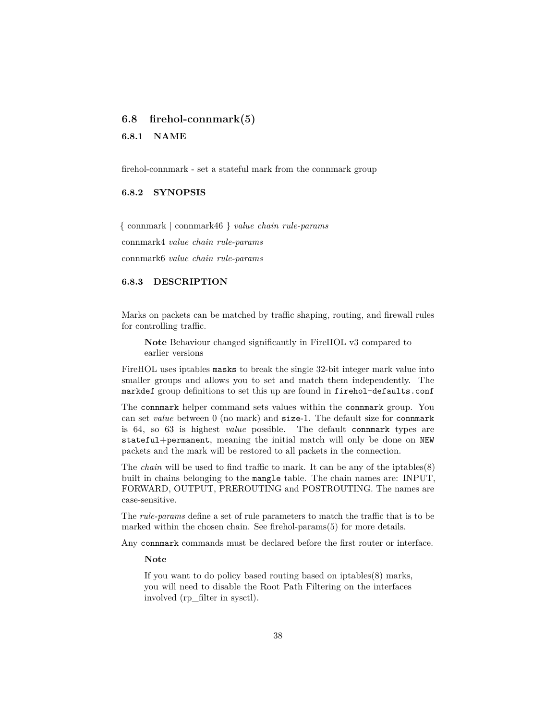# <span id="page-37-0"></span>**6.8 firehol-connmark(5)**

**6.8.1 NAME**

firehol-connmark - set a stateful mark from the connmark group

#### **6.8.2 SYNOPSIS**

{ connmark | connmark46 } *value chain rule-params*

connmark4 *value chain rule-params*

connmark6 *value chain rule-params*

## **6.8.3 DESCRIPTION**

Marks on packets can be matched by traffic shaping, routing, and firewall rules for controlling traffic.

**Note** Behaviour changed significantly in FireHOL v3 compared to earlier versions

FireHOL uses iptables masks to break the single 32-bit integer mark value into smaller groups and allows you to set and match them independently. The markdef group definitions to set this up are found in firehol-defaults.conf

The connmark helper command sets values within the connmark group. You can set *value* between 0 (no mark) and size-1. The default size for connmark is 64, so 63 is highest *value* possible. The default connmark types are stateful+permanent, meaning the initial match will only be done on NEW packets and the mark will be restored to all packets in the connection.

The *chain* will be used to find traffic to mark. It can be any of the iptables(8) built in chains belonging to the mangle table. The chain names are: INPUT, FORWARD, OUTPUT, PREROUTING and POSTROUTING. The names are case-sensitive.

The *rule-params* define a set of rule parameters to match the traffic that is to be marked within the chosen chain. See [firehol-params\(5\)](#page-76-0) for more details.

Any connmark commands must be declared before the first router or interface.

**Note**

If you want to do policy based routing based on iptables(8) marks, you will need to disable the Root Path Filtering on the interfaces involved (rp\_filter in sysctl).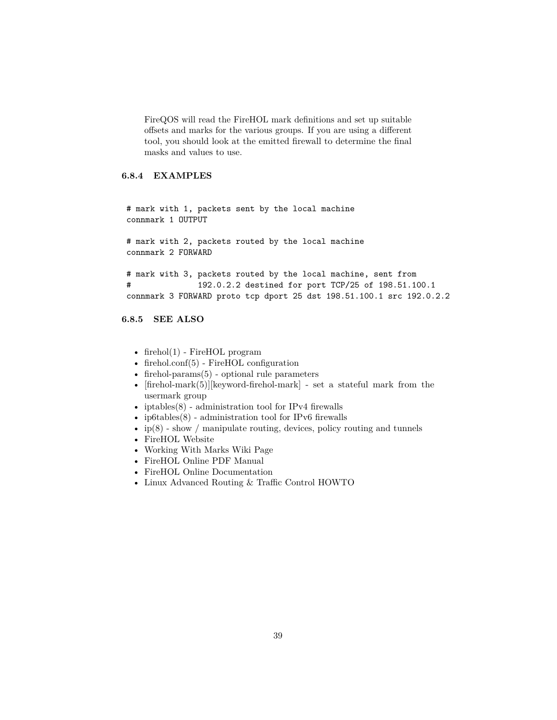FireQOS will read the FireHOL mark definitions and set up suitable offsets and marks for the various groups. If you are using a different tool, you should look at the emitted firewall to determine the final masks and values to use.

# **6.8.4 EXAMPLES**

# mark with 1, packets sent by the local machine connmark 1 OUTPUT

# mark with 2, packets routed by the local machine connmark 2 FORWARD

# mark with 3, packets routed by the local machine, sent from # 192.0.2.2 destined for port TCP/25 of 198.51.100.1 connmark 3 FORWARD proto tcp dport 25 dst 198.51.100.1 src 192.0.2.2

# **6.8.5 SEE ALSO**

- firehol $(1)$  FireHOL program
- [firehol.conf\(5\)](#page-14-0) FireHOL configuration
- [firehol-params\(5\)](#page-76-0) optional rule parameters
- $[firehol-mark(5)][keyword-friendly = sent a stateful mark from the$ usermark group
- iptables $(8)$  administration tool for IPv4 firewalls
- ip6tables $(8)$  administration tool for IPv6 firewalls
- ip(8) show / manipulate routing, devices, policy routing and tunnels
- [FireHOL Website](http://firehol.org/)
- [Working With Marks Wiki Page](https://github.com/firehol/firehol/wiki/Working-with-MARKs)
- [FireHOL Online PDF Manual](http://firehol.org/firehol-manual.pdf)
- [FireHOL Online Documentation](http://firehol.org/documentation/)
- [Linux Advanced Routing & Traffic Control HOWTO](http://lartc.org/howto/)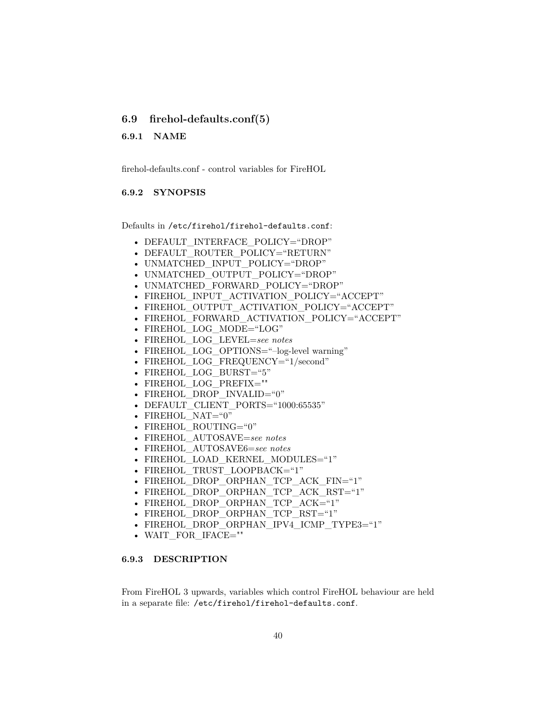## <span id="page-39-0"></span>**6.9 firehol-defaults.conf(5)**

#### **6.9.1 NAME**

firehol-defaults.conf - control variables for FireHOL

#### **6.9.2 SYNOPSIS**

Defaults in /etc/firehol/firehol-defaults.conf:

- DEFAULT INTERFACE POLICY="DROP"
- DEFAULT ROUTER POLICY="RETURN"
- UNMATCHED INPUT POLICY="DROP"
- UNMATCHED OUTPUT POLICY="DROP"
- UNMATCHED FORWARD POLICY="DROP"
- FIREHOL INPUT ACTIVATION POLICY="ACCEPT"
- FIREHOL\_OUTPUT\_ACTIVATION\_POLICY="ACCEPT"
- FIREHOL FORWARD ACTIVATION POLICY="ACCEPT"
- FIREHOL\_LOG\_MODE="LOG"
- FIREHOL\_LOG\_LEVEL=*see notes*
- FIREHOL\_LOG\_OPTIONS="-log-level warning"
- FIREHOL LOG FREQUENCY="1/second"
- FIREHOL\_LOG\_BURST="5"
- FIREHOL\_LOG\_PREFIX=""
- FIREHOL\_DROP\_INVALID="0"
- DEFAULT\_CLIENT\_PORTS="1000:65535"
- FIREHOL NAT="0"
- FIREHOL ROUTING="0"
- FIREHOL\_AUTOSAVE=*see notes*
- FIREHOL\_AUTOSAVE6=*see notes*
- FIREHOL LOAD KERNEL MODULES="1"
- FIREHOL\_TRUST\_LOOPBACK="1"
- FIREHOL\_DROP\_ORPHAN\_TCP\_ACK\_FIN="1"
- FIREHOL DROP ORPHAN TCP ACK RST="1"
- FIREHOL\_DROP\_ORPHAN\_TCP\_ACK="1"
- FIREHOL\_DROP\_ORPHAN\_TCP\_RST="1"
- FIREHOL\_DROP\_ORPHAN\_IPV4\_ICMP\_TYPE3="1"
- WAIT\_FOR\_IFACE=""

#### **6.9.3 DESCRIPTION**

From FireHOL 3 upwards, variables which control FireHOL behaviour are held in a separate file: /etc/firehol/firehol-defaults.conf.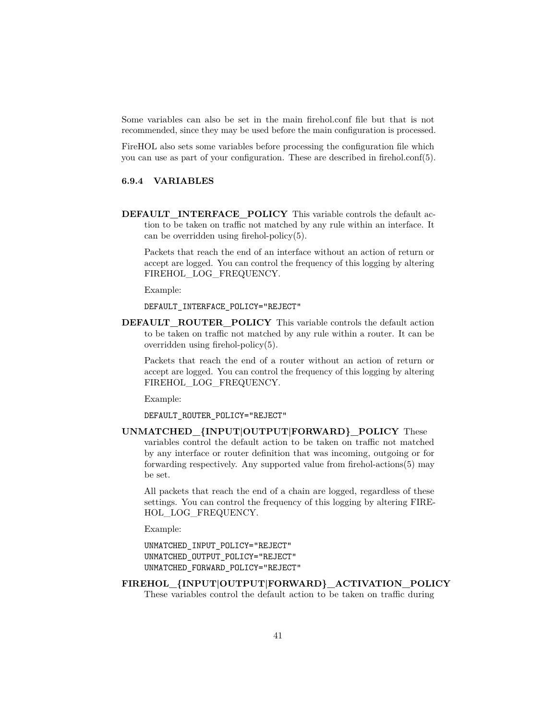Some variables can also be set in the main firehol.conf file but that is not recommended, since they may be used before the main configuration is processed.

FireHOL also sets some variables before processing the configuration file which you can use as part of your configuration. These are described in [firehol.conf\(5\).](#page-14-0)

## **6.9.4 VARIABLES**

**DEFAULT\_INTERFACE\_POLICY** This variable controls the default action to be taken on traffic not matched by any rule within an interface. It can be overridden using [firehol-policy\(5\).](#page-85-0)

Packets that reach the end of an interface without an action of return or accept are logged. You can control the frequency of this logging by altering FIREHOL\_LOG\_FREQUENCY.

Example:

DEFAULT\_INTERFACE\_POLICY="REJECT"

**DEFAULT\_ROUTER\_POLICY** This variable controls the default action to be taken on traffic not matched by any rule within a router. It can be overridden using [firehol-policy\(5\).](#page-85-0)

Packets that reach the end of a router without an action of return or accept are logged. You can control the frequency of this logging by altering FIREHOL\_LOG\_FREQUENCY.

Example:

DEFAULT\_ROUTER\_POLICY="REJECT"

**UNMATCHED\_{INPUT|OUTPUT|FORWARD}\_POLICY** These variables control the default action to be taken on traffic not matched by any interface or router definition that was incoming, outgoing or for forwarding respectively. Any supported value from [firehol-actions\(5\)](#page-24-0) may be set.

All packets that reach the end of a chain are logged, regardless of these settings. You can control the frequency of this logging by altering FIRE-HOL LOG FREQUENCY.

Example:

```
UNMATCHED_INPUT_POLICY="REJECT"
UNMATCHED_OUTPUT_POLICY="REJECT"
UNMATCHED_FORWARD_POLICY="REJECT"
```
# **FIREHOL\_{INPUT|OUTPUT|FORWARD}\_ACTIVATION\_POLICY**

These variables control the default action to be taken on traffic during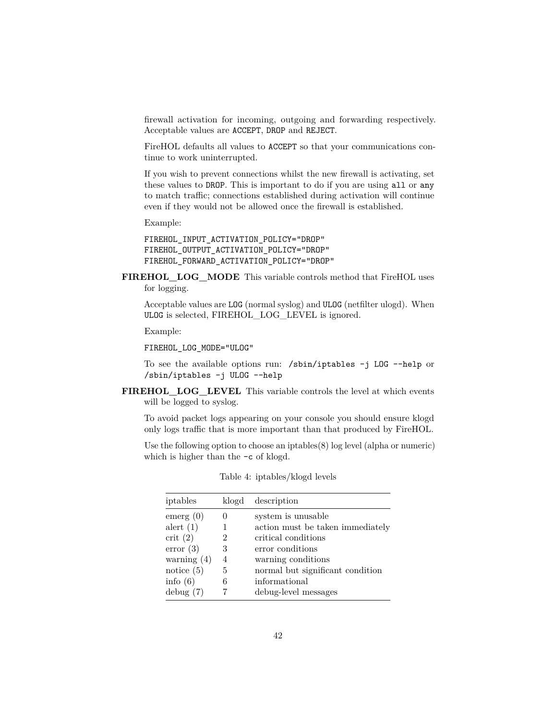firewall activation for incoming, outgoing and forwarding respectively. Acceptable values are ACCEPT, DROP and REJECT.

FireHOL defaults all values to ACCEPT so that your communications continue to work uninterrupted.

If you wish to prevent connections whilst the new firewall is activating, set these values to DROP. This is important to do if you are using all or any to match traffic; connections established during activation will continue even if they would not be allowed once the firewall is established.

Example:

FIREHOL\_INPUT\_ACTIVATION\_POLICY="DROP" FIREHOL\_OUTPUT\_ACTIVATION\_POLICY="DROP" FIREHOL\_FORWARD\_ACTIVATION\_POLICY="DROP"

**FIREHOL\_LOG\_MODE** This variable controls method that FireHOL uses for logging.

Acceptable values are LOG (normal syslog) and ULOG (netfilter ulogd). When ULOG is selected, FIREHOL\_LOG\_LEVEL is ignored.

Example:

FIREHOL\_LOG\_MODE="ULOG"

To see the available options run: /sbin/iptables -j LOG --help or /sbin/iptables -j ULOG --help

**FIREHOL\_LOG\_LEVEL** This variable controls the level at which events will be logged to syslog.

To avoid packet logs appearing on your console you should ensure klogd only logs traffic that is more important than that produced by FireHOL.

Use the following option to choose an iptables(8) log level (alpha or numeric) which is higher than the  $-c$  of klogd.

| iptables      | klogd | description                      |
|---------------|-------|----------------------------------|
| emerg (0)     |       | system is unusable               |
| alert $(1)$   |       | action must be taken immediately |
| crit(2)       |       | critical conditions              |
| error(3)      | 3     | error conditions                 |
| warning $(4)$ | 4     | warning conditions               |
| notice $(5)$  | 5     | normal but significant condition |
| info $(6)$    | 6     | informational                    |
| debug(7)      |       | debug-level messages             |

Table 4: iptables/klogd levels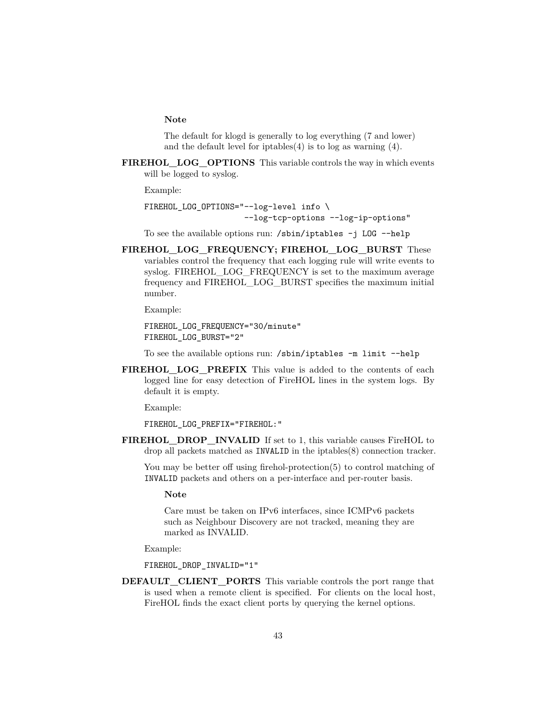#### **Note**

The default for klogd is generally to log everything (7 and lower) and the default level for iptables(4) is to log as warning (4).

**FIREHOL\_LOG\_OPTIONS** This variable controls the way in which events will be logged to syslog.

Example:

FIREHOL LOG OPTIONS="--log-level info \ --log-tcp-options --log-ip-options"

To see the available options run: /sbin/iptables -j LOG --help

**FIREHOL\_LOG\_FREQUENCY; FIREHOL\_LOG\_BURST** These variables control the frequency that each logging rule will write events to syslog. FIREHOL\_LOG\_FREQUENCY is set to the maximum average frequency and FIREHOL\_LOG\_BURST specifies the maximum initial number.

Example:

FIREHOL\_LOG\_FREQUENCY="30/minute" FIREHOL\_LOG\_BURST="2"

To see the available options run: /sbin/iptables -m limit --help

**FIREHOL\_LOG\_PREFIX** This value is added to the contents of each logged line for easy detection of FireHOL lines in the system logs. By default it is empty.

Example:

FIREHOL\_LOG\_PREFIX="FIREHOL:"

**FIREHOL\_DROP\_INVALID** If set to 1, this variable causes FireHOL to drop all packets matched as INVALID in the iptables(8) connection tracker.

You may be better off using [firehol-protection\(5\)](#page-87-0) to control matching of INVALID packets and others on a per-interface and per-router basis.

**Note**

Care must be taken on IPv6 interfaces, since ICMPv6 packets such as Neighbour Discovery are not tracked, meaning they are marked as INVALID.

Example:

FIREHOL\_DROP\_INVALID="1"

**DEFAULT\_CLIENT\_PORTS** This variable controls the port range that is used when a remote client is specified. For clients on the local host, FireHOL finds the exact client ports by querying the kernel options.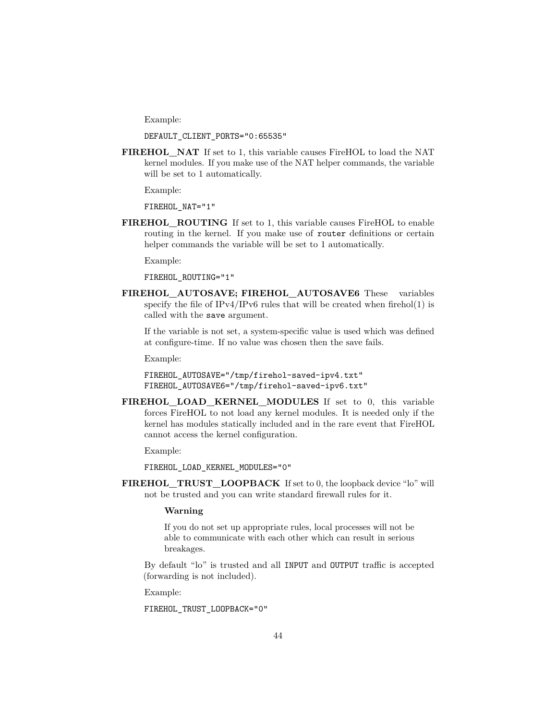Example:

DEFAULT\_CLIENT\_PORTS="0:65535"

**FIREHOL\_NAT** If set to 1, this variable causes FireHOL to load the NAT kernel modules. If you make use of the NAT helper commands, the variable will be set to 1 automatically.

Example:

FIREHOL\_NAT="1"

**FIREHOL** ROUTING If set to 1, this variable causes FireHOL to enable routing in the kernel. If you make use of router definitions or certain helper commands the variable will be set to 1 automatically.

Example:

FIREHOL\_ROUTING="1"

**FIREHOL\_AUTOSAVE; FIREHOL\_AUTOSAVE6** These variables specify the file of  $IPv4/IPv6$  rules that will be created when [firehol\(1\)](#page-10-0) is called with the save argument.

If the variable is not set, a system-specific value is used which was defined at configure-time. If no value was chosen then the save fails.

Example:

```
FIREHOL_AUTOSAVE="/tmp/firehol-saved-ipv4.txt"
FIREHOL_AUTOSAVE6="/tmp/firehol-saved-ipv6.txt"
```
FIREHOL LOAD KERNEL MODULES If set to 0, this variable forces FireHOL to not load any kernel modules. It is needed only if the kernel has modules statically included and in the rare event that FireHOL cannot access the kernel configuration.

Example:

FIREHOL\_LOAD\_KERNEL\_MODULES="0"

**FIREHOL\_TRUST\_LOOPBACK** If set to 0, the loopback device "lo" will not be trusted and you can write standard firewall rules for it.

#### **Warning**

If you do not set up appropriate rules, local processes will not be able to communicate with each other which can result in serious breakages.

By default "lo" is trusted and all INPUT and OUTPUT traffic is accepted (forwarding is not included).

Example:

FIREHOL\_TRUST\_LOOPBACK="0"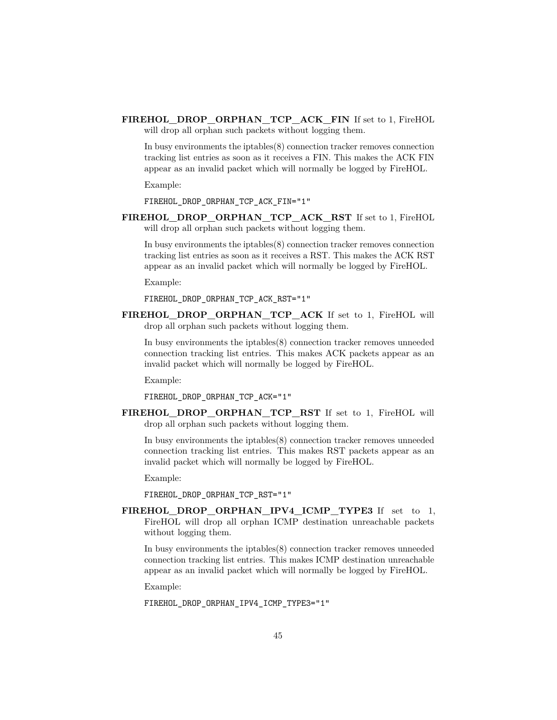**FIREHOL\_DROP\_ORPHAN\_TCP\_ACK\_FIN** If set to 1, FireHOL will drop all orphan such packets without logging them.

In busy environments the iptables(8) connection tracker removes connection tracking list entries as soon as it receives a FIN. This makes the ACK FIN appear as an invalid packet which will normally be logged by FireHOL.

Example:

FIREHOL DROP ORPHAN TCP ACK FIN="1"

**FIREHOL\_DROP\_ORPHAN\_TCP\_ACK\_RST** If set to 1, FireHOL will drop all orphan such packets without logging them.

In busy environments the iptables(8) connection tracker removes connection tracking list entries as soon as it receives a RST. This makes the ACK RST appear as an invalid packet which will normally be logged by FireHOL.

Example:

FIREHOL\_DROP\_ORPHAN\_TCP\_ACK\_RST="1"

**FIREHOL\_DROP\_ORPHAN\_TCP\_ACK** If set to 1, FireHOL will drop all orphan such packets without logging them.

In busy environments the iptables(8) connection tracker removes unneeded connection tracking list entries. This makes ACK packets appear as an invalid packet which will normally be logged by FireHOL.

Example:

FIREHOL DROP ORPHAN TCP ACK="1"

**FIREHOL\_DROP\_ORPHAN\_TCP\_RST** If set to 1, FireHOL will drop all orphan such packets without logging them.

In busy environments the iptables(8) connection tracker removes unneeded connection tracking list entries. This makes RST packets appear as an invalid packet which will normally be logged by FireHOL.

Example:

FIREHOL\_DROP\_ORPHAN\_TCP\_RST="1"

**FIREHOL\_DROP\_ORPHAN\_IPV4\_ICMP\_TYPE3** If set to 1, FireHOL will drop all orphan ICMP destination unreachable packets without logging them.

In busy environments the iptables(8) connection tracker removes unneeded connection tracking list entries. This makes ICMP destination unreachable appear as an invalid packet which will normally be logged by FireHOL.

Example:

FIREHOL\_DROP\_ORPHAN\_IPV4\_ICMP\_TYPE3="1"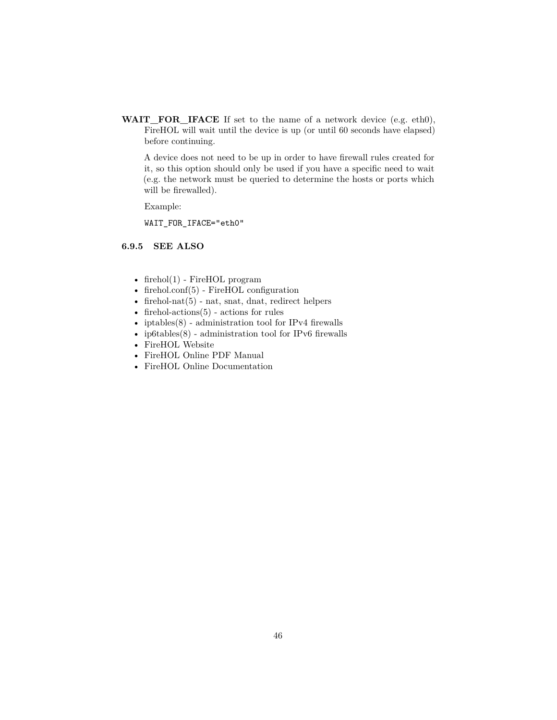**WAIT\_FOR\_IFACE** If set to the name of a network device (e.g. eth0), FireHOL will wait until the device is up (or until 60 seconds have elapsed) before continuing.

A device does not need to be up in order to have firewall rules created for it, so this option should only be used if you have a specific need to wait (e.g. the network must be queried to determine the hosts or ports which will be firewalled).

Example:

WAIT\_FOR\_IFACE="eth0"

# **6.9.5 SEE ALSO**

- [firehol\(1\)](#page-10-0) FireHOL program
- [firehol.conf\(5\)](#page-14-0) FireHOL configuration
- firehol-nat $(5)$  nat, snat, dnat, redirect helpers
- firehol-actions $(5)$  actions for rules
- iptables $(8)$  administration tool for IPv4 firewalls
- ip6tables $(8)$  administration tool for IPv6 firewalls
- [FireHOL Website](http://firehol.org/)
- [FireHOL Online PDF Manual](http://firehol.org/firehol-manual.pdf)
- [FireHOL Online Documentation](http://firehol.org/documentation/)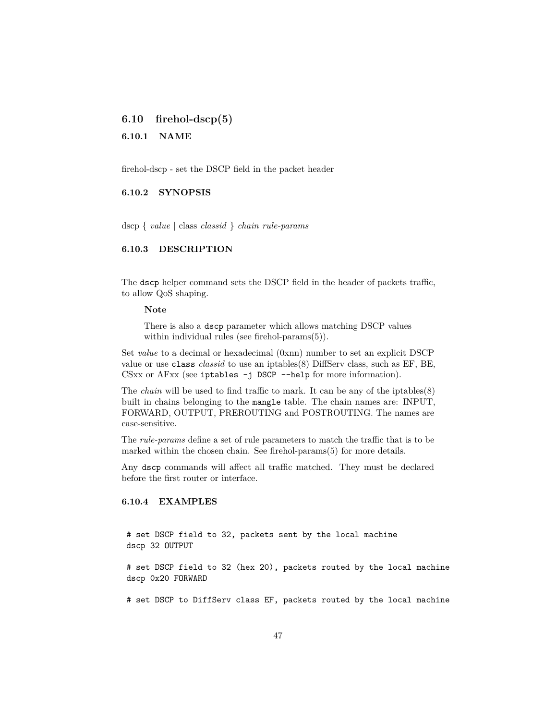# **6.10 firehol-dscp(5)**

#### **6.10.1 NAME**

firehol-dscp - set the DSCP field in the packet header

# **6.10.2 SYNOPSIS**

dscp { *value* | class *classid* } *chain rule-params*

### **6.10.3 DESCRIPTION**

The dscp helper command sets the DSCP field in the header of packets traffic, to allow QoS shaping.

#### **Note**

There is also a dscp parameter which allows matching DSCP values within individual rules (see [firehol-params\(5\)\)](#page-79-0).

Set *value* to a decimal or hexadecimal (0xnn) number to set an explicit DSCP value or use class *classid* to use an iptables(8) DiffServ class, such as EF, BE, CSxx or AFxx (see iptables -j DSCP --help for more information).

The *chain* will be used to find traffic to mark. It can be any of the iptables(8) built in chains belonging to the mangle table. The chain names are: INPUT, FORWARD, OUTPUT, PREROUTING and POSTROUTING. The names are case-sensitive.

The *rule-params* define a set of rule parameters to match the traffic that is to be marked within the chosen chain. See [firehol-params\(5\)](#page-76-0) for more details.

Any dscp commands will affect all traffic matched. They must be declared before the first router or interface.

### **6.10.4 EXAMPLES**

# set DSCP field to 32, packets sent by the local machine dscp 32 OUTPUT

# set DSCP field to 32 (hex 20), packets routed by the local machine dscp 0x20 FORWARD

# set DSCP to DiffServ class EF, packets routed by the local machine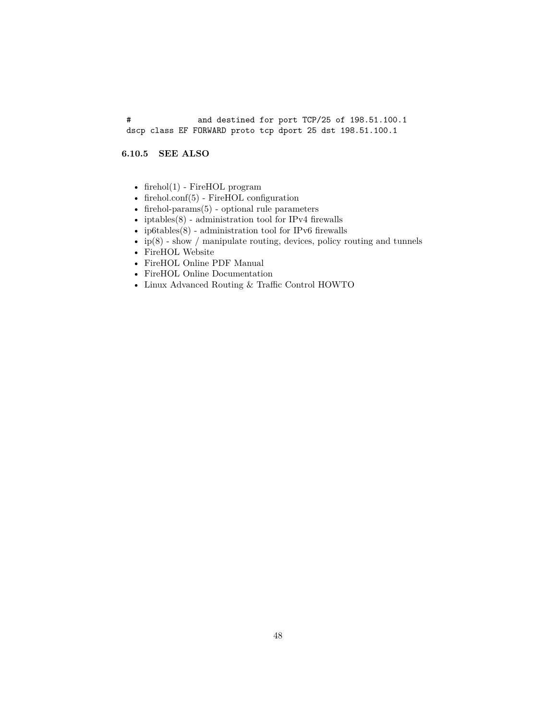# and destined for port TCP/25 of 198.51.100.1 dscp class EF FORWARD proto tcp dport 25 dst 198.51.100.1

## **6.10.5 SEE ALSO**

- [firehol\(1\)](#page-10-0) FireHOL program
- [firehol.conf\(5\)](#page-14-0) FireHOL configuration
- [firehol-params\(5\)](#page-76-0) optional rule parameters
- iptables $(8)$  administration tool for IPv4 firewalls
- ip6tables $(8)$  administration tool for IPv6 firewalls
- $ip(8)$  show / manipulate routing, devices, policy routing and tunnels
- [FireHOL Website](http://firehol.org/)
- [FireHOL Online PDF Manual](http://firehol.org/firehol-manual.pdf)
- [FireHOL Online Documentation](http://firehol.org/documentation/)
- [Linux Advanced Routing & Traffic Control HOWTO](http://lartc.org/howto/)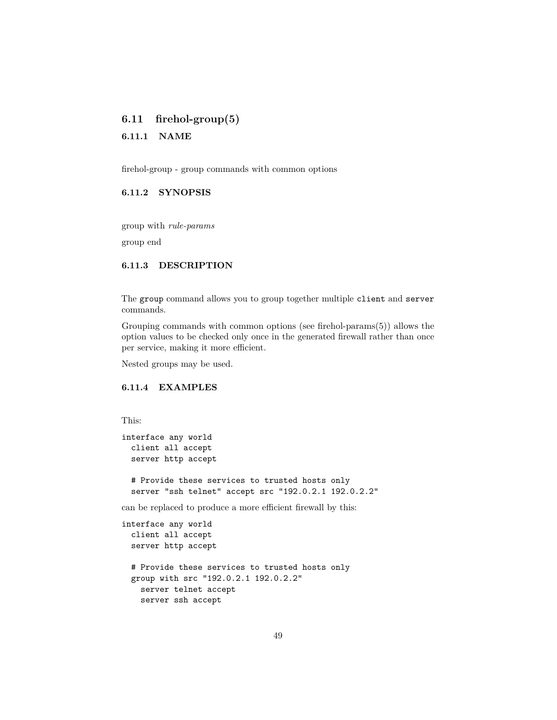# <span id="page-48-0"></span>**6.11 firehol-group(5)**

### **6.11.1 NAME**

firehol-group - group commands with common options

## **6.11.2 SYNOPSIS**

group with *rule-params*

group end

# **6.11.3 DESCRIPTION**

The group command allows you to group together multiple client and server commands.

Grouping commands with common options (see [firehol-params\(5\)\)](#page-76-0) allows the option values to be checked only once in the generated firewall rather than once per service, making it more efficient.

Nested groups may be used.

# **6.11.4 EXAMPLES**

This:

```
interface any world
 client all accept
 server http accept
```
# Provide these services to trusted hosts only server "ssh telnet" accept src "192.0.2.1 192.0.2.2"

can be replaced to produce a more efficient firewall by this:

```
interface any world
  client all accept
 server http accept
 # Provide these services to trusted hosts only
 group with src "192.0.2.1 192.0.2.2"
   server telnet accept
   server ssh accept
```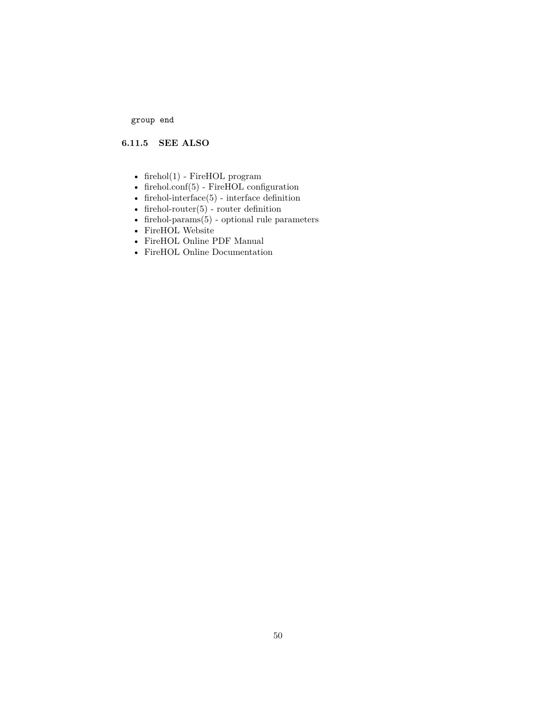group end

# **6.11.5 SEE ALSO**

- firehol $(1)$  FireHOL program
- [firehol.conf\(5\)](#page-14-0) FireHOL configuration
- [firehol-interface\(5\)](#page-50-0) interface definition
- firehol-router $(5)$  router definition
- [firehol-params\(5\)](#page-76-0) optional rule parameters
- [FireHOL Website](http://firehol.org/)
- [FireHOL Online PDF Manual](http://firehol.org/firehol-manual.pdf)
- [FireHOL Online Documentation](http://firehol.org/documentation/)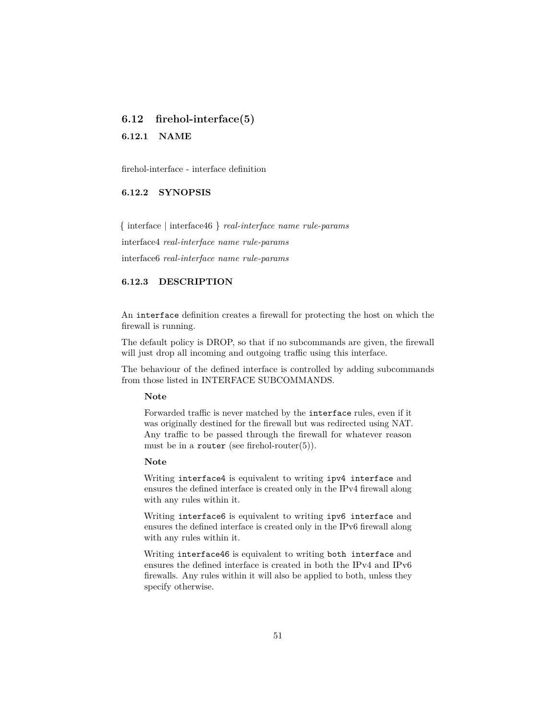# <span id="page-50-0"></span>**6.12 firehol-interface(5)**

**6.12.1 NAME**

firehol-interface - interface definition

# **6.12.2 SYNOPSIS**

{ interface | interface46 } *real-interface name rule-params*

interface4 *real-interface name rule-params*

interface6 *real-interface name rule-params*

## **6.12.3 DESCRIPTION**

An interface definition creates a firewall for protecting the host on which the firewall is running.

The default policy is DROP, so that if no subcommands are given, the firewall will just drop all incoming and outgoing traffic using this interface.

The behaviour of the defined interface is controlled by adding subcommands from those listed in [INTERFACE SUBCOMMANDS.](#page-51-0)

#### **Note**

Forwarded traffic is never matched by the interface rules, even if it was originally destined for the firewall but was redirected using NAT. Any traffic to be passed through the firewall for whatever reason must be in a router (see firehol-router $(5)$ ).

### **Note**

Writing interface4 is equivalent to writing ipv4 interface and ensures the defined interface is created only in the IPv4 firewall along with any rules within it.

Writing interface6 is equivalent to writing ipv6 interface and ensures the defined interface is created only in the IPv6 firewall along with any rules within it.

Writing interface46 is equivalent to writing both interface and ensures the defined interface is created in both the IPv4 and IPv6 firewalls. Any rules within it will also be applied to both, unless they specify otherwise.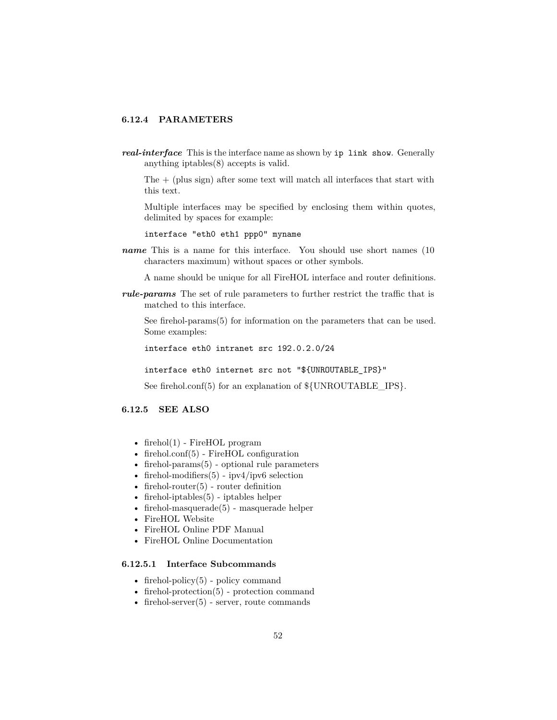# **6.12.4 PARAMETERS**

*real-interface* This is the interface name as shown by ip link show. Generally anything iptables(8) accepts is valid.

The  $+$  (plus sign) after some text will match all interfaces that start with this text.

Multiple interfaces may be specified by enclosing them within quotes, delimited by spaces for example:

interface "eth0 eth1 ppp0" myname

*name* This is a name for this interface. You should use short names (10 characters maximum) without spaces or other symbols.

A name should be unique for all FireHOL interface and router definitions.

*rule-params* The set of rule parameters to further restrict the traffic that is matched to this interface.

See [firehol-params\(5\)](#page-76-0) for information on the parameters that can be used. Some examples:

interface eth0 intranet src 192.0.2.0/24

interface eth0 internet src not "\${UNROUTABLE\_IPS}"

See [firehol.conf\(5\)](#page-14-0) for an explanation of  $\{\text{UNROUTABLE}\$  IPS $\}$ .

# **6.12.5 SEE ALSO**

- [firehol\(1\)](#page-10-0) FireHOL program
- [firehol.conf\(5\)](#page-14-0) FireHOL configuration
- [firehol-params\(5\)](#page-76-0) optional rule parameters
- firehol-modifiers $(5)$  ipv4/ipv6 selection
- firehol-router $(5)$  router definition
- [firehol-iptables\(5\)](#page-56-0) iptables helper
- firehol-masquerade $(5)$  masquerade helper
- [FireHOL Website](http://firehol.org/)
- [FireHOL Online PDF Manual](http://firehol.org/firehol-manual.pdf)
- <span id="page-51-0"></span>• [FireHOL Online Documentation](http://firehol.org/documentation/)

# **6.12.5.1 Interface Subcommands**

- firehol-policy $(5)$  policy command
- [firehol-protection\(5\)](#page-87-0) protection command
- firehol-server $(5)$  server, route commands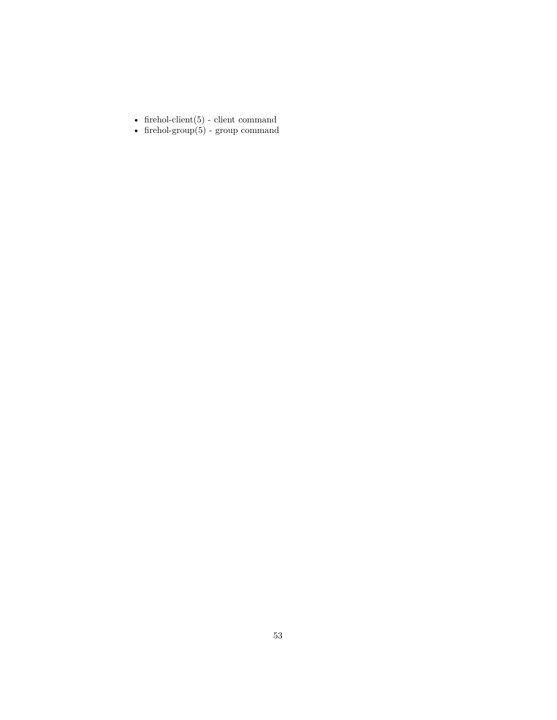- [firehol-client\(5\)](#page-35-0) client command
- firehol-group $(5)$  group command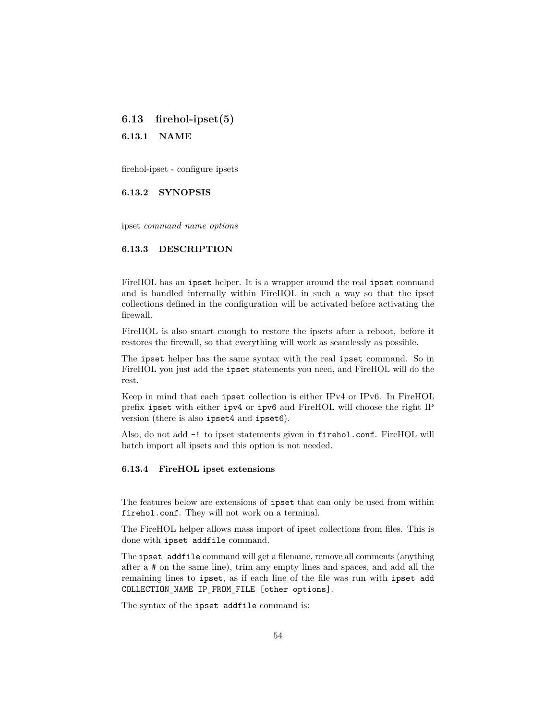# **6.13 firehol-ipset(5)**

**6.13.1 NAME**

firehol-ipset - configure ipsets

**6.13.2 SYNOPSIS**

ipset *command name options*

## **6.13.3 DESCRIPTION**

FireHOL has an ipset helper. It is a wrapper around the real ipset command and is handled internally within FireHOL in such a way so that the ipset collections defined in the configuration will be activated before activating the firewall.

FireHOL is also smart enough to restore the ipsets after a reboot, before it restores the firewall, so that everything will work as seamlessly as possible.

The ipset helper has the same syntax with the real ipset command. So in FireHOL you just add the ipset statements you need, and FireHOL will do the rest.

Keep in mind that each ipset collection is either IPv4 or IPv6. In FireHOL prefix ipset with either ipv4 or ipv6 and FireHOL will choose the right IP version (there is also ipset4 and ipset6).

Also, do not add -! to ipset statements given in firehol.conf. FireHOL will batch import all ipsets and this option is not needed.

### **6.13.4 FireHOL ipset extensions**

The features below are extensions of ipset that can only be used from within firehol.conf. They will not work on a terminal.

The FireHOL helper allows mass import of ipset collections from files. This is done with ipset addfile command.

The ipset addfile command will get a filename, remove all comments (anything after a # on the same line), trim any empty lines and spaces, and add all the remaining lines to ipset, as if each line of the file was run with ipset add COLLECTION\_NAME IP\_FROM\_FILE [other options].

The syntax of the ipset addfile command is: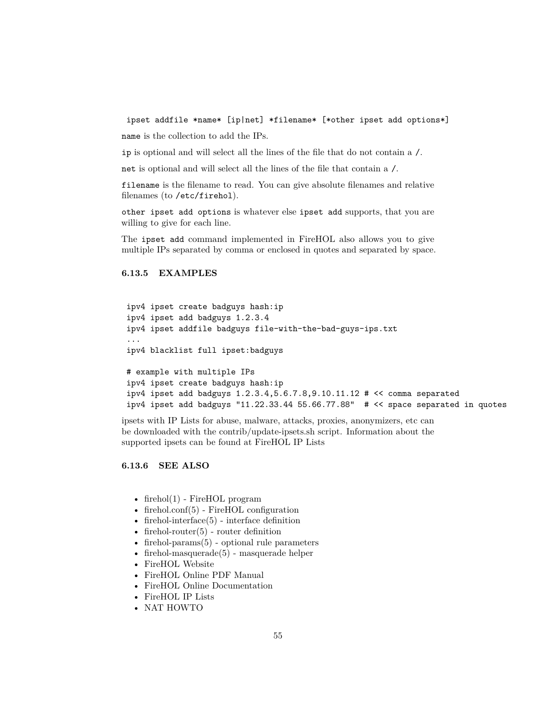ipset addfile \*name\* [ip|net] \*filename\* [\*other ipset add options\*]

name is the collection to add the IPs.

ip is optional and will select all the lines of the file that do not contain a /.

net is optional and will select all the lines of the file that contain a /.

filename is the filename to read. You can give absolute filenames and relative filenames (to /etc/firehol).

other ipset add options is whatever else ipset add supports, that you are willing to give for each line.

The ipset add command implemented in FireHOL also allows you to give multiple IPs separated by comma or enclosed in quotes and separated by space.

### **6.13.5 EXAMPLES**

```
ipv4 ipset create badguys hash:ip
ipv4 ipset add badguys 1.2.3.4
ipv4 ipset addfile badguys file-with-the-bad-guys-ips.txt
...
ipv4 blacklist full ipset:badguys
# example with multiple IPs
ipv4 ipset create badguys hash:ip
ipv4 ipset add badguys 1.2.3.4,5.6.7.8,9.10.11.12 # << comma separated
ipv4 ipset add badguys "11.22.33.44 55.66.77.88" # << space separated in quotes
```
ipsets with IP Lists for abuse, malware, attacks, proxies, anonymizers, etc can be downloaded with the contrib/update-ipsets.sh script. Information about the supported ipsets can be found at [FireHOL IP Lists](http://iplists.firehol.org/)

**6.13.6 SEE ALSO**

- [firehol\(1\)](#page-10-0) FireHOL program
- [firehol.conf\(5\)](#page-14-0) FireHOL configuration
- firehol-interface $(5)$  interface definition
- firehol-router $(5)$  router definition
- firehol-params $(5)$  optional rule parameters
- firehol-masquerade $(5)$  masquerade helper
- [FireHOL Website](http://firehol.org/)
- [FireHOL Online PDF Manual](http://firehol.org/firehol-manual.pdf)
- [FireHOL Online Documentation](http://firehol.org/documentation/)
- [FireHOL IP Lists](http://iplists.firehol.org/)
- [NAT HOWTO](http://www.netfilter.org/documentation/HOWTO/NAT-HOWTO-6.html)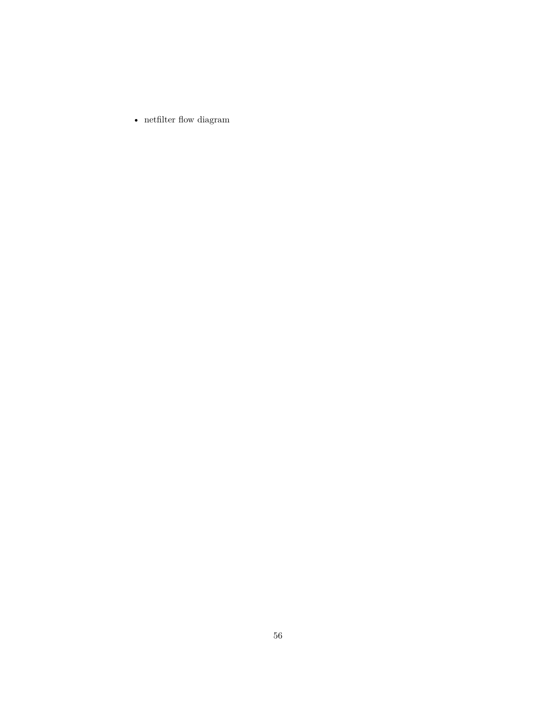$\bullet~$  net<br>filter flow diagram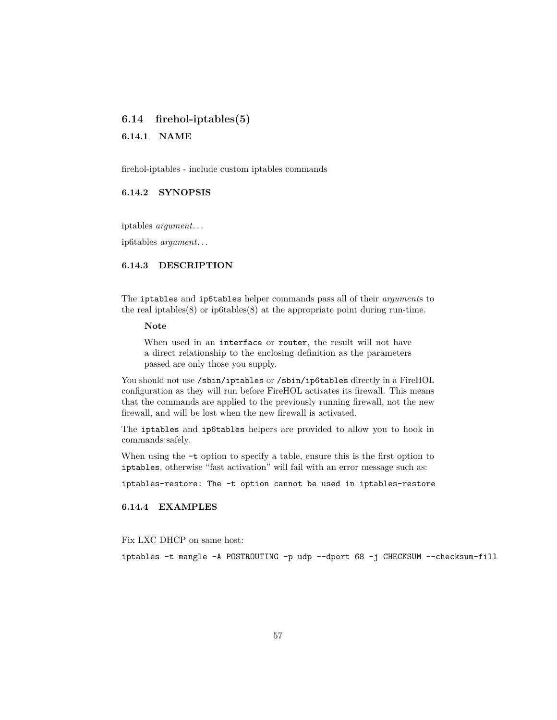# <span id="page-56-0"></span>**6.14 firehol-iptables(5)**

### **6.14.1 NAME**

firehol-iptables - include custom iptables commands

## **6.14.2 SYNOPSIS**

iptables *argument*. . .

ip6tables *argument*. . .

### **6.14.3 DESCRIPTION**

The iptables and ip6tables helper commands pass all of their *argument*s to the real iptables $(8)$  or ip6tables $(8)$  at the appropriate point during run-time.

#### **Note**

When used in an interface or router, the result will not have a direct relationship to the enclosing definition as the parameters passed are only those you supply.

You should not use /sbin/iptables or /sbin/ip6tables directly in a FireHOL configuration as they will run before FireHOL activates its firewall. This means that the commands are applied to the previously running firewall, not the new firewall, and will be lost when the new firewall is activated.

The iptables and ip6tables helpers are provided to allow you to hook in commands safely.

When using the  $-t$  option to specify a table, ensure this is the first option to iptables, otherwise "fast activation" will fail with an error message such as:

iptables-restore: The -t option cannot be used in iptables-restore

# **6.14.4 EXAMPLES**

Fix LXC DHCP on same host:

iptables -t mangle -A POSTROUTING -p udp --dport 68 -j CHECKSUM --checksum-fill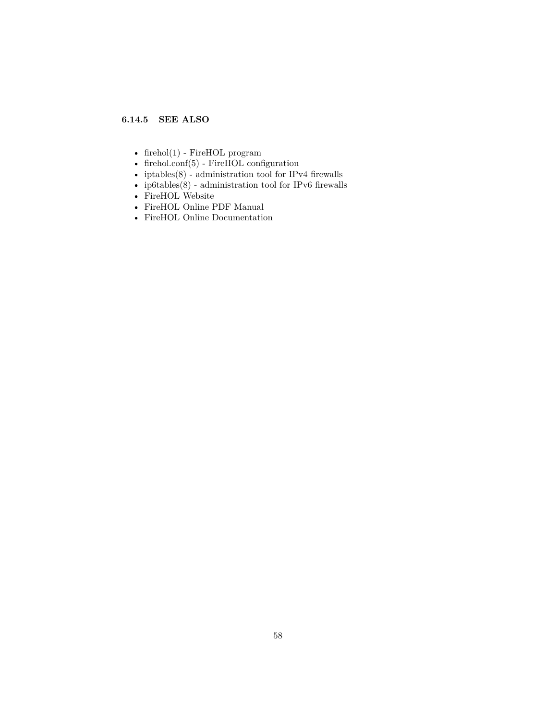# **6.14.5 SEE ALSO**

- [firehol\(1\)](#page-10-0) FireHOL program
- [firehol.conf\(5\)](#page-14-0) FireHOL configuration
- iptables $(8)$  administration tool for IPv4 firewalls
- [ip6tables\(8\)](http://ipset.netfilter.org/ip6tables.man.html) administration tool for IPv6 firewalls
- [FireHOL Website](http://firehol.org/)
- [FireHOL Online PDF Manual](http://firehol.org/firehol-manual.pdf)
- [FireHOL Online Documentation](http://firehol.org/documentation/)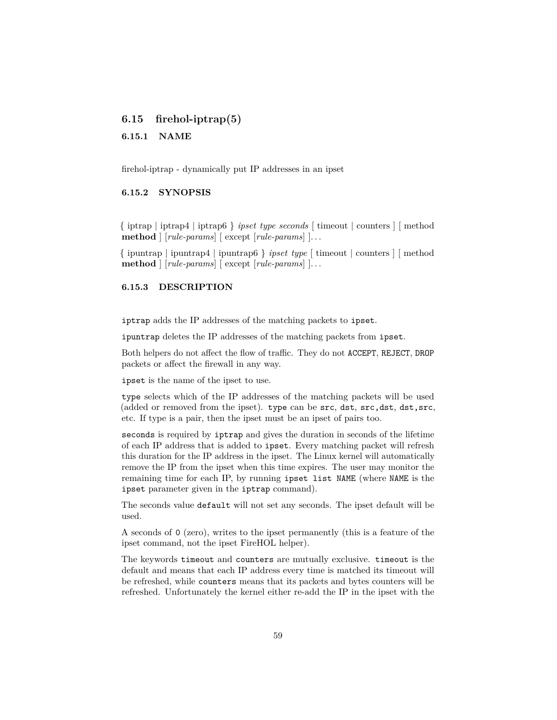# **6.15 firehol-iptrap(5)**

### **6.15.1 NAME**

firehol-iptrap - dynamically put IP addresses in an ipset

### **6.15.2 SYNOPSIS**

{ iptrap | iptrap4 | iptrap6 } *ipset type seconds* [ timeout | counters ] [ method **method** ] [*rule-params*] [ except [*rule-params*] ]. . .

{ ipuntrap | ipuntrap4 | ipuntrap6 } *ipset type* [ timeout | counters ] [ method **method** ] [*rule-params*] [ except [*rule-params*] ]. . .

#### **6.15.3 DESCRIPTION**

iptrap adds the IP addresses of the matching packets to ipset.

ipuntrap deletes the IP addresses of the matching packets from ipset.

Both helpers do not affect the flow of traffic. They do not ACCEPT, REJECT, DROP packets or affect the firewall in any way.

ipset is the name of the ipset to use.

type selects which of the IP addresses of the matching packets will be used (added or removed from the ipset). type can be  $src, dst, src, dst, dst, src,$ etc. If type is a pair, then the ipset must be an ipset of pairs too.

seconds is required by iptrap and gives the duration in seconds of the lifetime of each IP address that is added to ipset. Every matching packet will refresh this duration for the IP address in the ipset. The Linux kernel will automatically remove the IP from the ipset when this time expires. The user may monitor the remaining time for each IP, by running ipset list NAME (where NAME is the ipset parameter given in the iptrap command).

The seconds value default will not set any seconds. The ipset default will be used.

A seconds of 0 (zero), writes to the ipset permanently (this is a feature of the ipset command, not the ipset FireHOL helper).

The keywords timeout and counters are mutually exclusive. timeout is the default and means that each IP address every time is matched its timeout will be refreshed, while counters means that its packets and bytes counters will be refreshed. Unfortunately the kernel either re-add the IP in the ipset with the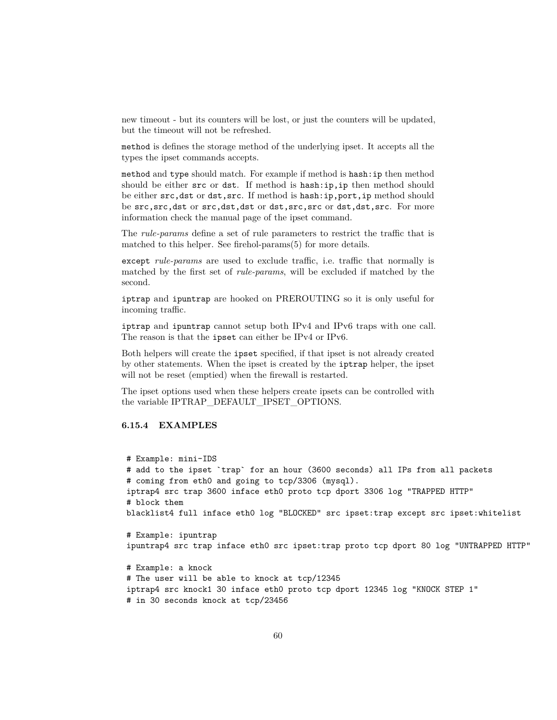new timeout - but its counters will be lost, or just the counters will be updated, but the timeout will not be refreshed.

method is defines the storage method of the underlying ipset. It accepts all the types the ipset commands accepts.

method and type should match. For example if method is hash:ip then method should be either src or dst. If method is hash:ip, ip then method should be either src,dst or dst,src. If method is hash:ip,port,ip method should be src,src,dst or src,dst,dst or dst,src,src or dst,dst,src. For more information check the manual page of the ipset command.

The *rule-params* define a set of rule parameters to restrict the traffic that is matched to this helper. See [firehol-params\(5\)](#page-76-0) for more details.

except *rule-params* are used to exclude traffic, i.e. traffic that normally is matched by the first set of *rule-params*, will be excluded if matched by the second.

iptrap and ipuntrap are hooked on PREROUTING so it is only useful for incoming traffic.

iptrap and ipuntrap cannot setup both IPv4 and IPv6 traps with one call. The reason is that the ipset can either be IPv4 or IPv6.

Both helpers will create the ipset specified, if that ipset is not already created by other statements. When the ipset is created by the iptrap helper, the ipset will not be reset (emptied) when the firewall is restarted.

The ipset options used when these helpers create ipsets can be controlled with the variable IPTRAP\_DEFAULT\_IPSET\_OPTIONS.

# **6.15.4 EXAMPLES**

# Example: mini-IDS # add to the ipset `trap` for an hour (3600 seconds) all IPs from all packets # coming from eth0 and going to tcp/3306 (mysql). iptrap4 src trap 3600 inface eth0 proto tcp dport 3306 log "TRAPPED HTTP" # block them blacklist4 full inface eth0 log "BLOCKED" src ipset:trap except src ipset:whitelist # Example: ipuntrap ipuntrap4 src trap inface eth0 src ipset:trap proto tcp dport 80 log "UNTRAPPED HTTP" # Example: a knock # The user will be able to knock at tcp/12345 iptrap4 src knock1 30 inface eth0 proto tcp dport 12345 log "KNOCK STEP 1" # in 30 seconds knock at tcp/23456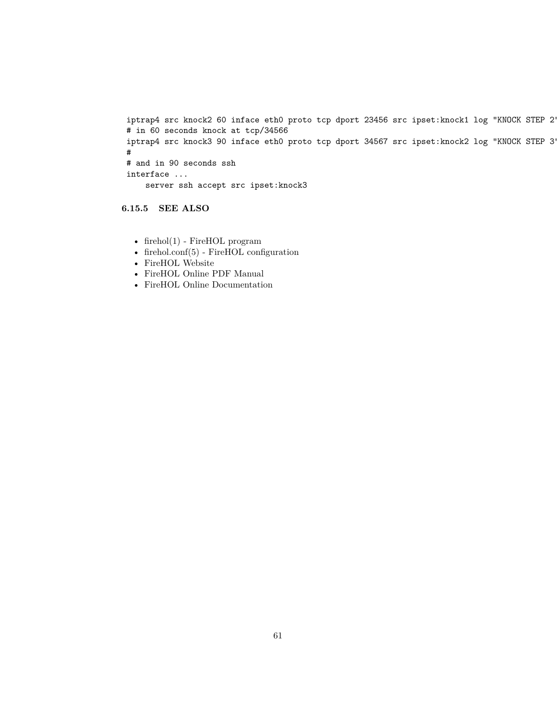iptrap4 src knock2 60 inface eth0 proto tcp dport 23456 src ipset:knock1 log "KNOCK STEP 2" # in 60 seconds knock at tcp/34566 iptrap4 src knock3 90 inface eth0 proto tcp dport 34567 src ipset:knock2 log "KNOCK STEP 3" # # and in 90 seconds ssh interface ... server ssh accept src ipset:knock3

**6.15.5 SEE ALSO**

- [firehol\(1\)](#page-10-0) FireHOL program
- [firehol.conf\(5\)](#page-14-0) FireHOL configuration
- [FireHOL Website](http://firehol.org/)
- [FireHOL Online PDF Manual](http://firehol.org/firehol-manual.pdf)
- [FireHOL Online Documentation](http://firehol.org/documentation/)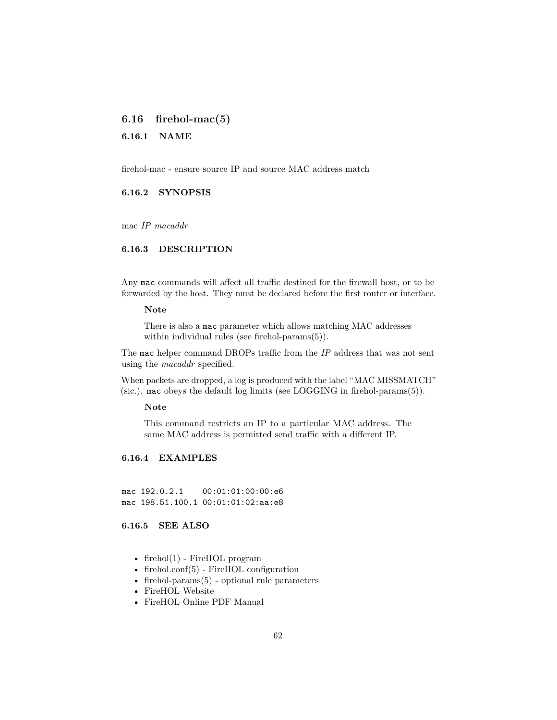# **6.16 firehol-mac(5)**

### **6.16.1 NAME**

firehol-mac - ensure source IP and source MAC address match

### **6.16.2 SYNOPSIS**

mac *IP macaddr*

### **6.16.3 DESCRIPTION**

Any mac commands will affect all traffic destined for the firewall host, or to be forwarded by the host. They must be declared before the first router or interface.

#### **Note**

There is also a mac parameter which allows matching MAC addresses within individual rules (see [firehol-params\(5\)\)](#page-76-0).

The mac helper command DROPs traffic from the *IP* address that was not sent using the *macaddr* specified.

When packets are dropped, a log is produced with the label "MAC MISSMATCH" (sic.). mac obeys the default log limits (see [LOGGING](#page-81-0) in [firehol-params\(5\)\)](#page-76-0).

#### **Note**

This command restricts an IP to a particular MAC address. The same MAC address is permitted send traffic with a different IP.

### **6.16.4 EXAMPLES**

mac 192.0.2.1 00:01:01:00:00:e6 mac 198.51.100.1 00:01:01:02:aa:e8

## **6.16.5 SEE ALSO**

- [firehol\(1\)](#page-10-0) FireHOL program
- [firehol.conf\(5\)](#page-14-0) FireHOL configuration
- firehol-params $(5)$  optional rule parameters
- [FireHOL Website](http://firehol.org/)
- [FireHOL Online PDF Manual](http://firehol.org/firehol-manual.pdf)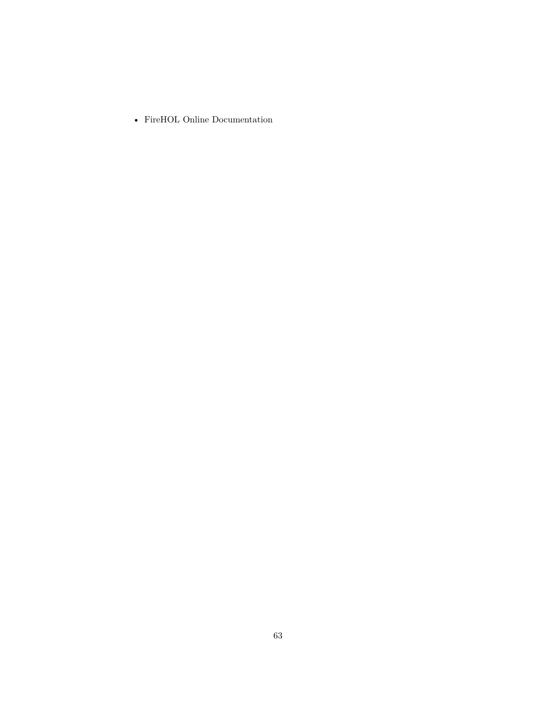• [FireHOL Online Documentation](http://firehol.org/documentation/)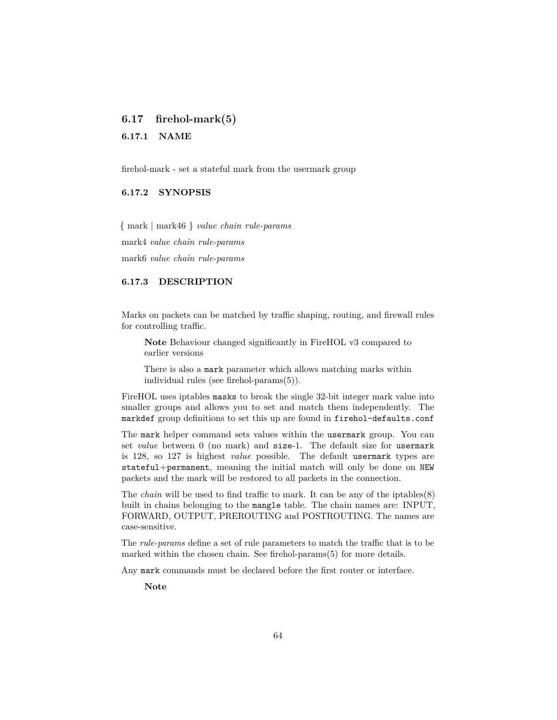# **6.17 firehol-mark(5)**

**6.17.1 NAME**

firehol-mark - set a stateful mark from the usermark group

# **6.17.2 SYNOPSIS**

{ mark | mark46 } *value chain rule-params* mark4 *value chain rule-params* mark6 *value chain rule-params*

### **6.17.3 DESCRIPTION**

Marks on packets can be matched by traffic shaping, routing, and firewall rules for controlling traffic.

**Note** Behaviour changed significantly in FireHOL v3 compared to earlier versions

There is also a mark parameter which allows matching marks within individual rules (see [firehol-params\(5\)\)](#page-79-1).

FireHOL uses iptables masks to break the single 32-bit integer mark value into smaller groups and allows you to set and match them independently. The markdef group definitions to set this up are found in firehol-defaults.conf

The mark helper command sets values within the usermark group. You can set *value* between 0 (no mark) and size-1. The default size for usermark is 128, so 127 is highest *value* possible. The default usermark types are stateful+permanent, meaning the initial match will only be done on NEW packets and the mark will be restored to all packets in the connection.

The *chain* will be used to find traffic to mark. It can be any of the iptables(8) built in chains belonging to the mangle table. The chain names are: INPUT, FORWARD, OUTPUT, PREROUTING and POSTROUTING. The names are case-sensitive.

The *rule-params* define a set of rule parameters to match the traffic that is to be marked within the chosen chain. See [firehol-params\(5\)](#page-76-0) for more details.

Any mark commands must be declared before the first router or interface.

**Note**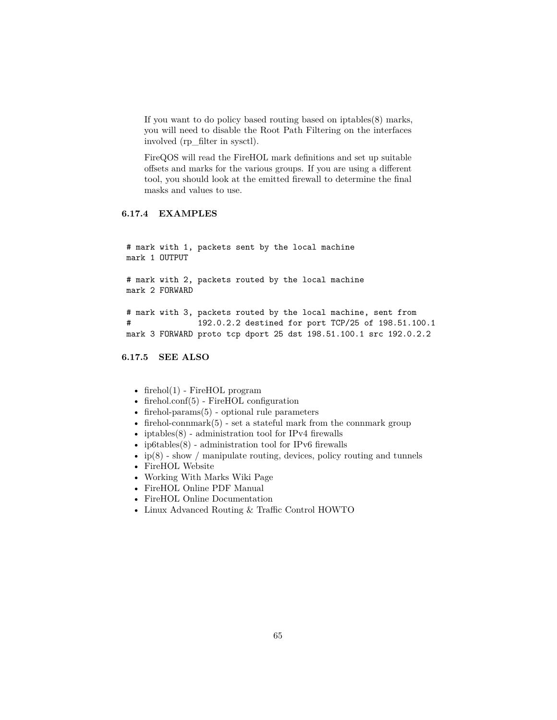If you want to do policy based routing based on iptables(8) marks, you will need to disable the Root Path Filtering on the interfaces involved (rp\_filter in sysctl).

FireQOS will read the FireHOL mark definitions and set up suitable offsets and marks for the various groups. If you are using a different tool, you should look at the emitted firewall to determine the final masks and values to use.

### **6.17.4 EXAMPLES**

# mark with 1, packets sent by the local machine mark 1 OUTPUT # mark with 2, packets routed by the local machine mark 2 FORWARD # mark with 3, packets routed by the local machine, sent from # 192.0.2.2 destined for port TCP/25 of 198.51.100.1 mark 3 FORWARD proto tcp dport 25 dst 198.51.100.1 src 192.0.2.2

**6.17.5 SEE ALSO**

- [firehol\(1\)](#page-10-0) FireHOL program
- [firehol.conf\(5\)](#page-14-0) FireHOL configuration
- firehol-params $(5)$  optional rule parameters
- firehol-connmark $(5)$  set a stateful mark from the connmark group
- iptables $(8)$  administration tool for IPv4 firewalls
- ip6tables $(8)$  administration tool for IPv6 firewalls
- ip(8) show / manipulate routing, devices, policy routing and tunnels
- [FireHOL Website](http://firehol.org/)
- [Working With Marks Wiki Page](https://github.com/firehol/firehol/wiki/Working-with-MARKs)
- [FireHOL Online PDF Manual](http://firehol.org/firehol-manual.pdf)
- [FireHOL Online Documentation](http://firehol.org/documentation/)
- [Linux Advanced Routing & Traffic Control HOWTO](http://lartc.org/howto/)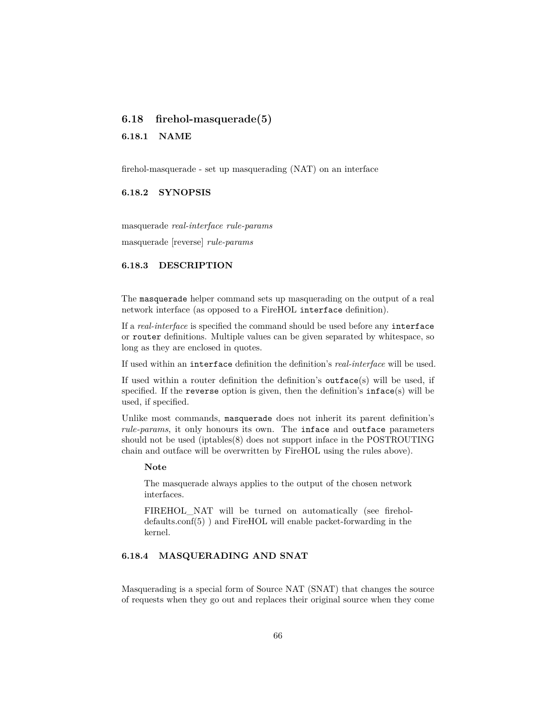# <span id="page-65-0"></span>**6.18 firehol-masquerade(5)**

#### **6.18.1 NAME**

firehol-masquerade - set up masquerading (NAT) on an interface

## **6.18.2 SYNOPSIS**

masquerade *real-interface rule-params* masquerade [reverse] *rule-params*

## **6.18.3 DESCRIPTION**

The masquerade helper command sets up masquerading on the output of a real network interface (as opposed to a FireHOL interface definition).

If a *real-interface* is specified the command should be used before any interface or router definitions. Multiple values can be given separated by whitespace, so long as they are enclosed in quotes.

If used within an interface definition the definition's *real-interface* will be used.

If used within a router definition the definition's outface(s) will be used, if specified. If the reverse option is given, then the definition's  $inface(s)$  will be used, if specified.

Unlike most commands, masquerade does not inherit its parent definition's *rule-params*, it only honours its own. The inface and outface parameters should not be used (iptables(8) does not support inface in the POSTROUTING chain and outface will be overwritten by FireHOL using the rules above).

#### **Note**

The masquerade always applies to the output of the chosen network interfaces.

FIREHOL NAT will be turned on automatically (see [firehol](#page-39-0)[defaults.conf\(5\)](#page-39-0) ) and FireHOL will enable packet-forwarding in the kernel.

# **6.18.4 MASQUERADING AND SNAT**

Masquerading is a special form of Source NAT (SNAT) that changes the source of requests when they go out and replaces their original source when they come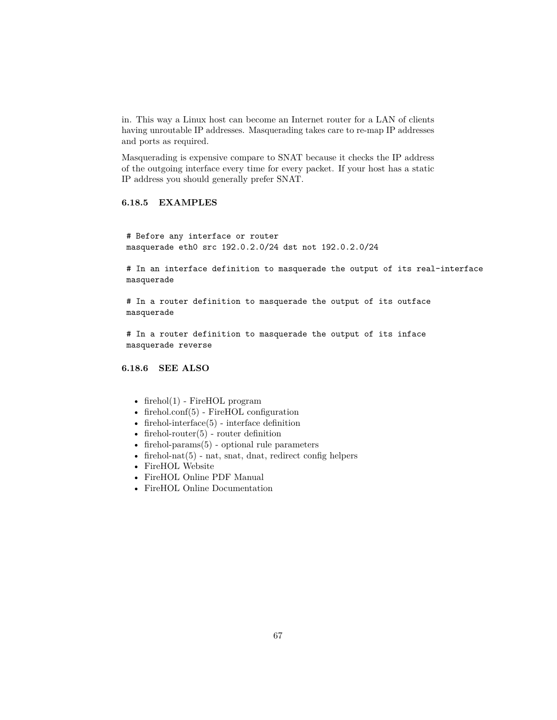in. This way a Linux host can become an Internet router for a LAN of clients having unroutable IP addresses. Masquerading takes care to re-map IP addresses and ports as required.

Masquerading is expensive compare to SNAT because it checks the IP address of the outgoing interface every time for every packet. If your host has a static IP address you should generally prefer SNAT.

# **6.18.5 EXAMPLES**

# Before any interface or router masquerade eth0 src 192.0.2.0/24 dst not 192.0.2.0/24

# In an interface definition to masquerade the output of its real-interface masquerade

# In a router definition to masquerade the output of its outface masquerade

# In a router definition to masquerade the output of its inface masquerade reverse

## **6.18.6 SEE ALSO**

- [firehol\(1\)](#page-10-0) FireHOL program
- [firehol.conf\(5\)](#page-14-0) FireHOL configuration
- firehol-interface $(5)$  interface definition
- firehol-router $(5)$  router definition
- [firehol-params\(5\)](#page-76-0) optional rule parameters
- firehol-nat $(5)$  nat, snat, dnat, redirect config helpers
- [FireHOL Website](http://firehol.org/)
- [FireHOL Online PDF Manual](http://firehol.org/firehol-manual.pdf)
- [FireHOL Online Documentation](http://firehol.org/documentation/)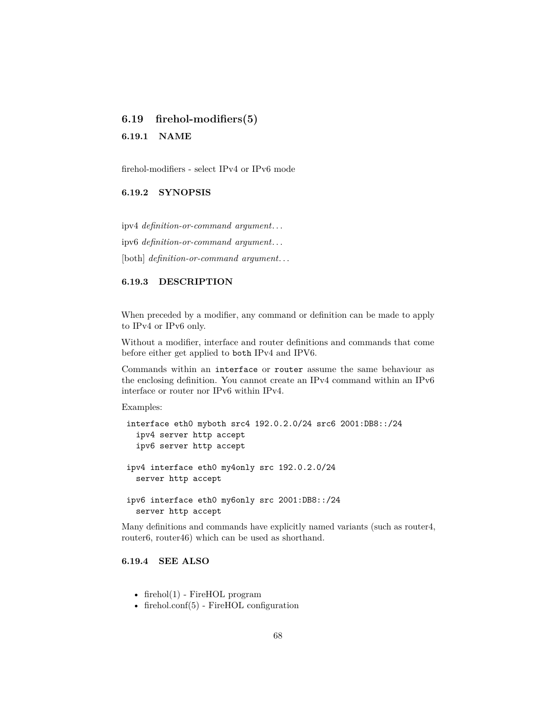# <span id="page-67-0"></span>**6.19 firehol-modifiers(5)**

**6.19.1 NAME**

firehol-modifiers - select IPv4 or IPv6 mode

## **6.19.2 SYNOPSIS**

ipv4 *definition-or-command argument*. . . ipv6 *definition-or-command argument*. . .

[both] *definition-or-command argument*. . .

### **6.19.3 DESCRIPTION**

When preceded by a modifier, any command or definition can be made to apply to IPv4 or IPv6 only.

Without a modifier, interface and router definitions and commands that come before either get applied to both IPv4 and IPV6.

Commands within an interface or router assume the same behaviour as the enclosing definition. You cannot create an IPv4 command within an IPv6 interface or router nor IPv6 within IPv4.

Examples:

```
interface eth0 myboth src4 192.0.2.0/24 src6 2001:DB8::/24
  ipv4 server http accept
  ipv6 server http accept
ipv4 interface eth0 my4only src 192.0.2.0/24
  server http accept
ipv6 interface eth0 my6only src 2001:DB8::/24
  server http accept
```
Many definitions and commands have explicitly named variants (such as router4, router6, router46) which can be used as shorthand.

# **6.19.4 SEE ALSO**

- [firehol\(1\)](#page-10-0) FireHOL program
- [firehol.conf\(5\)](#page-14-0) FireHOL configuration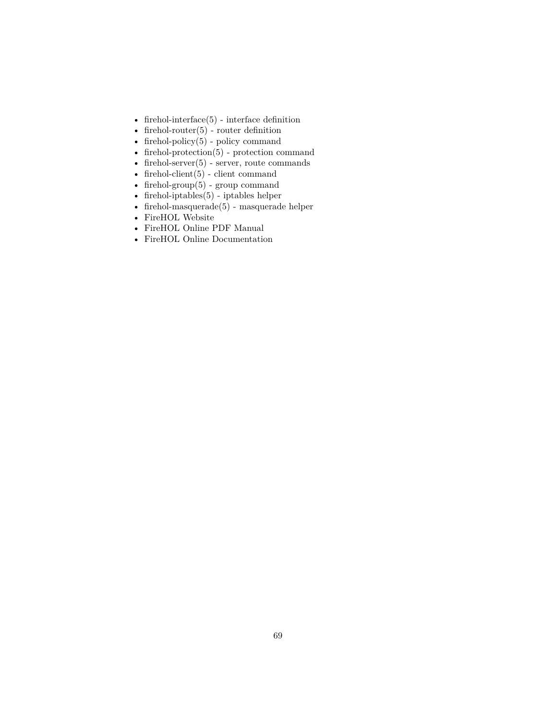- [firehol-interface\(5\)](#page-50-0) interface definition
- firehol-router $(5)$  router definition
- firehol-policy $(5)$  policy command
- [firehol-protection\(5\)](#page-87-0) protection command
- firehol-server $(5)$  server, route commands
- firehol-client $(5)$  client command
- firehol-group $(5)$  group command
- [firehol-iptables\(5\)](#page-56-0) iptables helper
- [firehol-masquerade\(5\)](#page-65-0) masquerade helper
- [FireHOL Website](http://firehol.org/)
- [FireHOL Online PDF Manual](http://firehol.org/firehol-manual.pdf)
- [FireHOL Online Documentation](http://firehol.org/documentation/)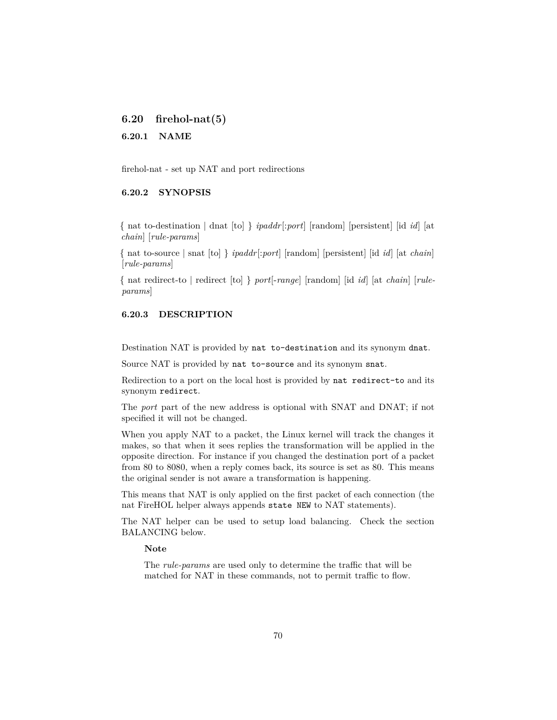<span id="page-69-0"></span>**6.20 firehol-nat(5)**

**6.20.1 NAME**

firehol-nat - set up NAT and port redirections

# **6.20.2 SYNOPSIS**

{ nat to-destination | dnat [to] } *ipaddr*[:*port*] [random] [persistent] [id *id*] [at *chain*] [*rule-params*]

{ nat to-source | snat [to] } *ipaddr*[:*port*] [random] [persistent] [id *id*] [at *chain*] [*rule-params*]

{ nat redirect-to | redirect [to] } *port*[-*range*] [random] [id *id*] [at *chain*] [*ruleparams*]

# **6.20.3 DESCRIPTION**

Destination NAT is provided by nat to-destination and its synonym dnat.

Source NAT is provided by nat to-source and its synonym snat.

Redirection to a port on the local host is provided by nat redirect-to and its synonym redirect.

The *port* part of the new address is optional with SNAT and DNAT; if not specified it will not be changed.

When you apply NAT to a packet, the Linux kernel will track the changes it makes, so that when it sees replies the transformation will be applied in the opposite direction. For instance if you changed the destination port of a packet from 80 to 8080, when a reply comes back, its source is set as 80. This means the original sender is not aware a transformation is happening.

This means that NAT is only applied on the first packet of each connection (the nat FireHOL helper always appends state NEW to NAT statements).

The NAT helper can be used to setup load balancing. Check the section BALANCING below.

#### **Note**

The *rule-params* are used only to determine the traffic that will be matched for NAT in these commands, not to permit traffic to flow.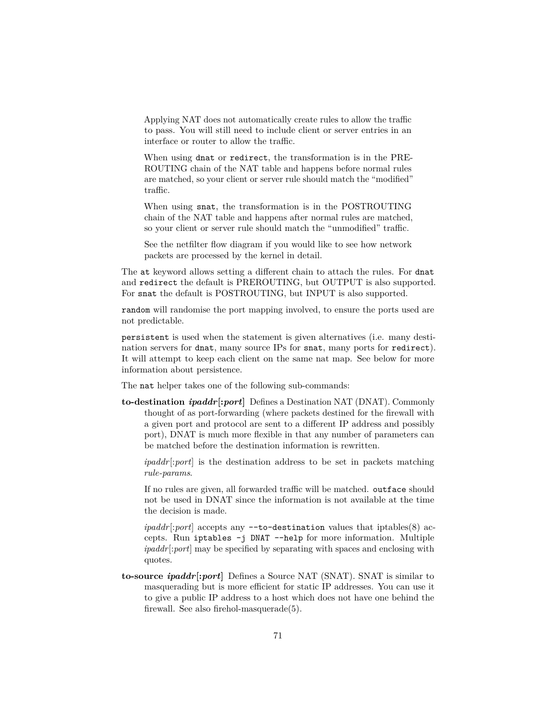Applying NAT does not automatically create rules to allow the traffic to pass. You will still need to include client or server entries in an interface or router to allow the traffic.

When using dnat or redirect, the transformation is in the PRE-ROUTING chain of the NAT table and happens before normal rules are matched, so your client or server rule should match the "modified" traffic.

When using snat, the transformation is in the POSTROUTING chain of the NAT table and happens after normal rules are matched, so your client or server rule should match the "unmodified" traffic.

See the [netfilter flow diagram](http://upload.wikimedia.org/wikipedia/commons/3/37/Netfilter-packet-flow.svg) if you would like to see how network packets are processed by the kernel in detail.

The at keyword allows setting a different chain to attach the rules. For dnat and redirect the default is PREROUTING, but OUTPUT is also supported. For snat the default is POSTROUTING, but INPUT is also supported.

random will randomise the port mapping involved, to ensure the ports used are not predictable.

persistent is used when the statement is given alternatives (i.e. many destination servers for dnat, many source IPs for snat, many ports for redirect). It will attempt to keep each client on the same nat map. See below for more information about persistence.

The nat helper takes one of the following sub-commands:

**to-destination** *ipaddr***[:***port***]** Defines a Destination NAT (DNAT). Commonly thought of as port-forwarding (where packets destined for the firewall with a given port and protocol are sent to a different IP address and possibly port), DNAT is much more flexible in that any number of parameters can be matched before the destination information is rewritten.

*ipaddr*[:*port*] is the destination address to be set in packets matching *rule-params*.

If no rules are given, all forwarded traffic will be matched. outface should not be used in DNAT since the information is not available at the time the decision is made.

*ipaddr*[:*port*] accepts any --to-destination values that iptables(8) accepts. Run iptables -j DNAT --help for more information. Multiple *ipaddr*[:*port*] may be specified by separating with spaces and enclosing with quotes.

**to-source** *ipaddr***[:***port***]** Defines a Source NAT (SNAT). SNAT is similar to masquerading but is more efficient for static IP addresses. You can use it to give a public IP address to a host which does not have one behind the firewall. See also [firehol-masquerade\(5\).](#page-65-0)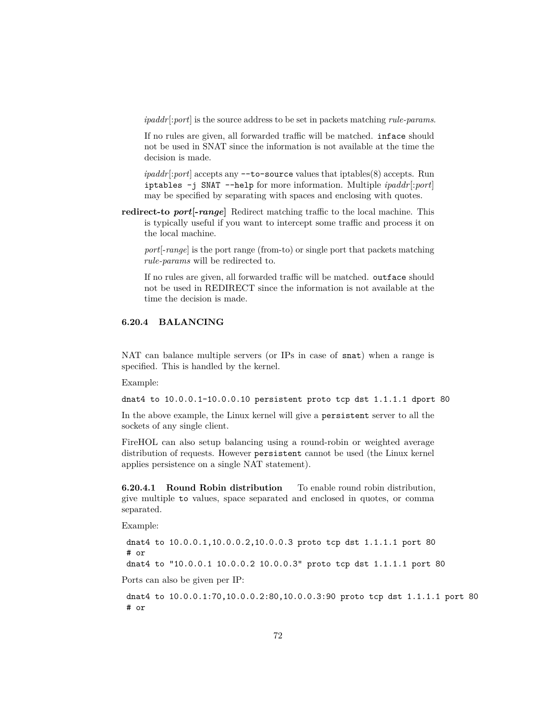*ipaddr*[:*port*] is the source address to be set in packets matching *rule-params*.

If no rules are given, all forwarded traffic will be matched. inface should not be used in SNAT since the information is not available at the time the decision is made.

*ipaddr*[:*port*] accepts any --to-source values that iptables(8) accepts. Run iptables -j SNAT --help for more information. Multiple *ipaddr*[:*port*] may be specified by separating with spaces and enclosing with quotes.

**redirect-to** *port***[-***range***]** Redirect matching traffic to the local machine. This is typically useful if you want to intercept some traffic and process it on the local machine.

*port*[-*range*] is the port range (from-to) or single port that packets matching *rule-params* will be redirected to.

If no rules are given, all forwarded traffic will be matched. outface should not be used in REDIRECT since the information is not available at the time the decision is made.

# **6.20.4 BALANCING**

NAT can balance multiple servers (or IPs in case of snat) when a range is specified. This is handled by the kernel.

Example:

dnat4 to  $10.0.0.1-10.0.0.10$  persistent proto tcp dst  $1.1.1.1$  dport 80

In the above example, the Linux kernel will give a persistent server to all the sockets of any single client.

FireHOL can also setup balancing using a round-robin or weighted average distribution of requests. However persistent cannot be used (the Linux kernel applies persistence on a single NAT statement).

**6.20.4.1 Round Robin distribution** To enable round robin distribution, give multiple to values, space separated and enclosed in quotes, or comma separated.

Example:

dnat4 to 10.0.0.1,10.0.0.2,10.0.0.3 proto tcp dst 1.1.1.1 port 80 # or

dnat4 to "10.0.0.1 10.0.0.2 10.0.0.3" proto tcp dst 1.1.1.1 port 80

Ports can also be given per IP:

dnat4 to 10.0.0.1:70,10.0.0.2:80,10.0.0.3:90 proto tcp dst 1.1.1.1 port 80 # or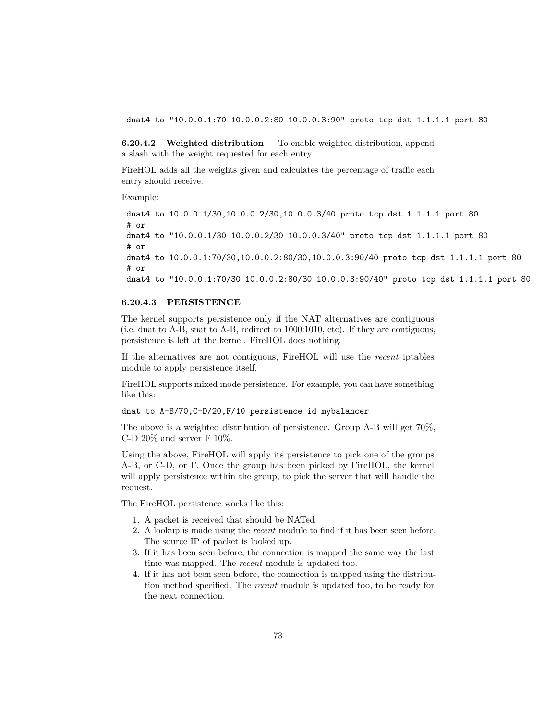dnat4 to "10.0.0.1:70 10.0.0.2:80 10.0.0.3:90" proto tcp dst 1.1.1.1 port 80

**6.20.4.2 Weighted distribution** To enable weighted distribution, append a slash with the weight requested for each entry.

FireHOL adds all the weights given and calculates the percentage of traffic each entry should receive.

Example:

dnat4 to 10.0.0.1/30,10.0.0.2/30,10.0.0.3/40 proto tcp dst 1.1.1.1 port 80 # or dnat4 to "10.0.0.1/30 10.0.0.2/30 10.0.0.3/40" proto tcp dst 1.1.1.1 port 80 # or dnat4 to 10.0.0.1:70/30,10.0.0.2:80/30,10.0.0.3:90/40 proto tcp dst 1.1.1.1 port 80 # or dnat4 to "10.0.0.1:70/30 10.0.0.2:80/30 10.0.0.3:90/40" proto tcp dst 1.1.1.1 port 80

#### **6.20.4.3 PERSISTENCE**

The kernel supports persistence only if the NAT alternatives are contiguous (i.e. dnat to A-B, snat to A-B, redirect to 1000:1010, etc). If they are contiguous, persistence is left at the kernel. FireHOL does nothing.

If the alternatives are not contiguous, FireHOL will use the *recent* iptables module to apply persistence itself.

FireHOL supports mixed mode persistence. For example, you can have something like this:

dnat to A-B/70,C-D/20,F/10 persistence id mybalancer

The above is a weighted distribution of persistence. Group A-B will get 70%, C-D  $20\%$  and server F 10%.

Using the above, FireHOL will apply its persistence to pick one of the groups A-B, or C-D, or F. Once the group has been picked by FireHOL, the kernel will apply persistence within the group, to pick the server that will handle the request.

The FireHOL persistence works like this:

- 1. A packet is received that should be NATed
- 2. A lookup is made using the *recent* module to find if it has been seen before. The source IP of packet is looked up.
- 3. If it has been seen before, the connection is mapped the same way the last time was mapped. The *recent* module is updated too.
- 4. If it has not been seen before, the connection is mapped using the distribution method specified. The *recent* module is updated too, to be ready for the next connection.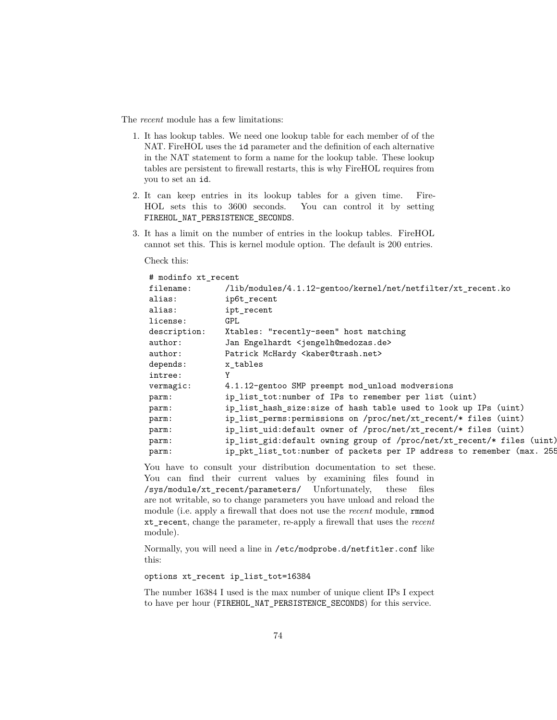The *recent* module has a few limitations:

- 1. It has lookup tables. We need one lookup table for each member of of the NAT. FireHOL uses the id parameter and the definition of each alternative in the NAT statement to form a name for the lookup table. These lookup tables are persistent to firewall restarts, this is why FireHOL requires from you to set an id.
- 2. It can keep entries in its lookup tables for a given time. Fire-HOL sets this to 3600 seconds. You can control it by setting FIREHOL\_NAT\_PERSISTENCE\_SECONDS.
- 3. It has a limit on the number of entries in the lookup tables. FireHOL cannot set this. This is kernel module option. The default is 200 entries.

Check this:

| # modinfo xt_recent |                                                                        |
|---------------------|------------------------------------------------------------------------|
| filename:           | /lib/modules/4.1.12-gentoo/kernel/net/netfilter/xt_recent.ko           |
| alias:              | ip6t recent                                                            |
| alias:              | ipt recent                                                             |
| license:            | <b>GPL</b>                                                             |
| description:        | Xtables: "recently-seen" host matching                                 |
| author:             | Jan Engelhardt <jengelh@medozas.de></jengelh@medozas.de>               |
| author:             | Patrick McHardy <kaber@trash.net></kaber@trash.net>                    |
| depends:            | x tables                                                               |
| intree:             |                                                                        |
| vermagic:           | 4.1.12-gentoo SMP preempt mod_unload modversions                       |
| parm:               | ip_list_tot:number of IPs to remember per list (uint)                  |
| parm:               | ip_list_hash_size:size of hash table used to look up IPs (uint)        |
| parm:               | ip_list_perms:permissions on /proc/net/xt_recent/* files (uint)        |
| parm:               | ip_list_uid:default owner of /proc/net/xt_recent/* files (uint)        |
| parm:               | ip_list_gid:default owning group of /proc/net/xt_recent/* files (uint) |
| parm:               | ip_pkt_list_tot:number of packets per IP address to remember (max. 255 |

You have to consult your distribution documentation to set these. You can find their current values by examining files found in /sys/module/xt\_recent/parameters/ Unfortunately, these files are not writable, so to change parameters you have unload and reload the module (i.e. apply a firewall that does not use the *recent* module, rmmod xt\_recent, change the parameter, re-apply a firewall that uses the *recent* module).

Normally, you will need a line in /etc/modprobe.d/netfitler.conf like this:

options xt\_recent ip\_list\_tot=16384

The number 16384 I used is the max number of unique client IPs I expect to have per hour (FIREHOL\_NAT\_PERSISTENCE\_SECONDS) for this service.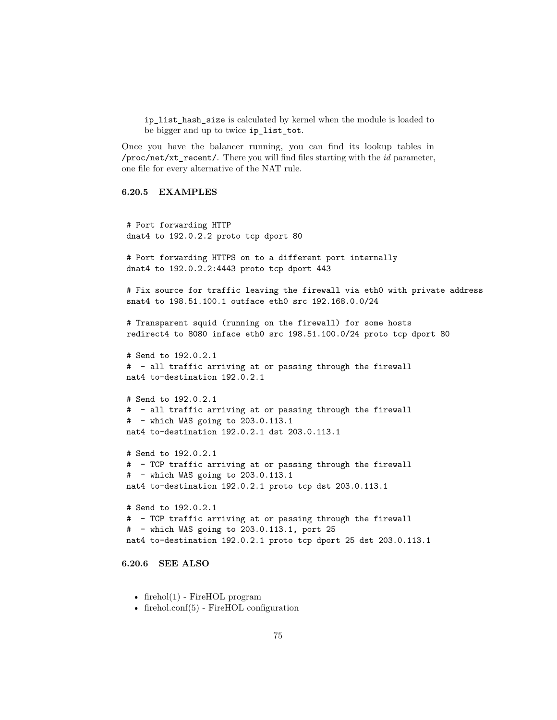ip\_list\_hash\_size is calculated by kernel when the module is loaded to be bigger and up to twice ip\_list\_tot.

Once you have the balancer running, you can find its lookup tables in /proc/net/xt\_recent/. There you will find files starting with the *id* parameter, one file for every alternative of the NAT rule.

#### **6.20.5 EXAMPLES**

```
# Port forwarding HTTP
dnat4 to 192.0.2.2 proto tcp dport 80
# Port forwarding HTTPS on to a different port internally
dnat4 to 192.0.2.2:4443 proto tcp dport 443
# Fix source for traffic leaving the firewall via eth0 with private address
snat4 to 198.51.100.1 outface eth0 src 192.168.0.0/24
# Transparent squid (running on the firewall) for some hosts
redirect4 to 8080 inface eth0 src 198.51.100.0/24 proto tcp dport 80
# Send to 192.0.2.1
# - all traffic arriving at or passing through the firewall
nat4 to-destination 192.0.2.1
# Send to 192.0.2.1
# - all traffic arriving at or passing through the firewall
# - which WAS going to 203.0.113.1
nat4 to-destination 192.0.2.1 dst 203.0.113.1
# Send to 192.0.2.1
# - TCP traffic arriving at or passing through the firewall
# - which WAS going to 203.0.113.1
nat4 to-destination 192.0.2.1 proto tcp dst 203.0.113.1
# Send to 192.0.2.1
# - TCP traffic arriving at or passing through the firewall
# - which WAS going to 203.0.113.1, port 25
nat4 to-destination 192.0.2.1 proto tcp dport 25 dst 203.0.113.1
```
#### **6.20.6 SEE ALSO**

- firehol $(1)$  FireHOL program
- [firehol.conf\(5\)](#page-14-0) FireHOL configuration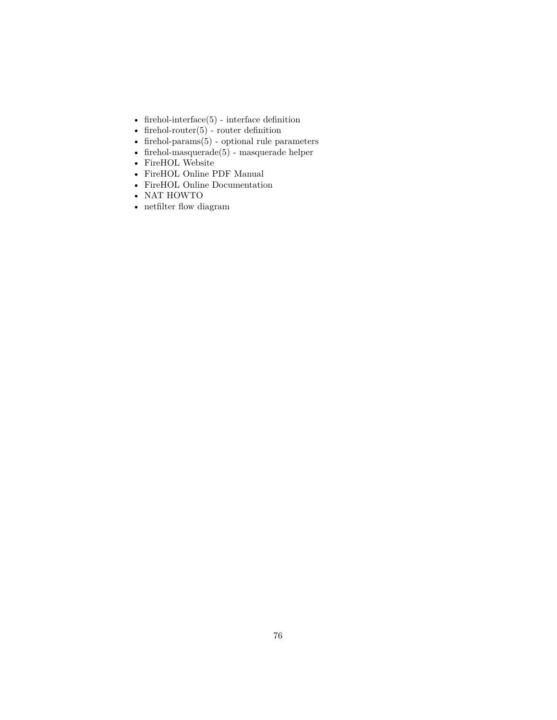- [firehol-interface\(5\)](#page-50-0) interface definition
- [firehol-router\(5\)](#page-93-0) router definition
- firehol-params $(5)$  optional rule parameters
- [firehol-masquerade\(5\)](#page-65-0) masquerade helper
- [FireHOL Website](http://firehol.org/)
- [FireHOL Online PDF Manual](http://firehol.org/firehol-manual.pdf)
- [FireHOL Online Documentation](http://firehol.org/documentation/)
- [NAT HOWTO](http://www.netfilter.org/documentation/HOWTO/NAT-HOWTO-6.html)
- [netfilter flow diagram](http://upload.wikimedia.org/wikipedia/commons/3/37/Netfilter-packet-flow.svg)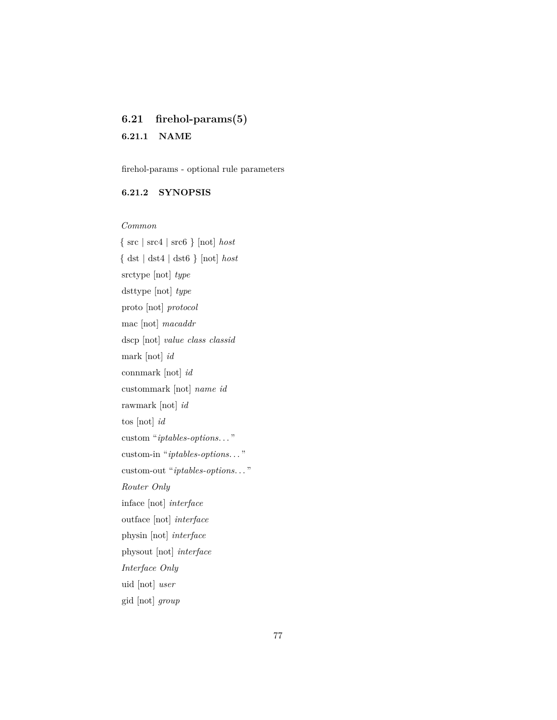# <span id="page-76-0"></span>**6.21 firehol-params(5)**

# **6.21.1 NAME**

firehol-params - optional rule parameters

# **6.21.2 SYNOPSIS**

*Common*

{ src | src4 | src6 } [not] *host* { dst | dst4 | dst6 } [not] *host* srctype [not] *type* dsttype [not] *type* proto [not] *protocol* mac [not] *macaddr* dscp [not] *value class classid* mark [not] *id* connmark [not] *id* custommark [not] *name id* rawmark [not] *id* tos [not] *id* custom "*iptables-options*. . . " custom-in "*iptables-options*. . . " custom-out "*iptables-options*. . . " *Router Only* inface [not] *interface* outface [not] *interface* physin [not] *interface* physout [not] *interface Interface Only* uid [not] *user* gid [not] *group*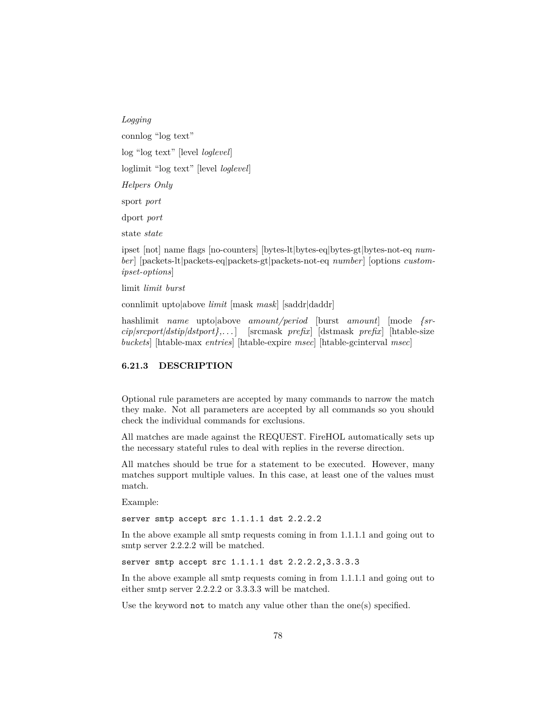*Logging* connlog "log text" log "log text" [level *loglevel*] loglimit "log text" [level *loglevel*] *Helpers Only* sport *port* dport *port* state *state*

ipset [not] name flags [no-counters] [bytes-lt|bytes-eq|bytes-gt|bytes-not-eq *number*] [packets-lt|packets-eq|packets-gt|packets-not-eq *number*] [options *customipset-options*]

limit *limit burst*

connlimit upto|above *limit* [mask *mask*] [saddr|daddr]

hashlimit *name* upto|above *amount/period* [burst *amount*] [mode *{srcip|srcport|dstip|dstport},. . .* ] [srcmask *prefix*] [dstmask *prefix*] [htable-size *buckets*] [htable-max *entries*] [htable-expire *msec*] [htable-gcinterval *msec*]

## **6.21.3 DESCRIPTION**

Optional rule parameters are accepted by many commands to narrow the match they make. Not all parameters are accepted by all commands so you should check the individual commands for exclusions.

All matches are made against the REQUEST. FireHOL automatically sets up the necessary stateful rules to deal with replies in the reverse direction.

All matches should be true for a statement to be executed. However, many matches support multiple values. In this case, at least one of the values must match.

Example:

server smtp accept src 1.1.1.1 dst 2.2.2.2

In the above example all smtp requests coming in from 1.1.1.1 and going out to smtp server 2.2.2.2 will be matched.

server smtp accept src 1.1.1.1 dst 2.2.2.2,3.3.3.3

In the above example all smtp requests coming in from 1.1.1.1 and going out to either smtp server 2.2.2.2 or 3.3.3.3 will be matched.

Use the keyword not to match any value other than the one(s) specified.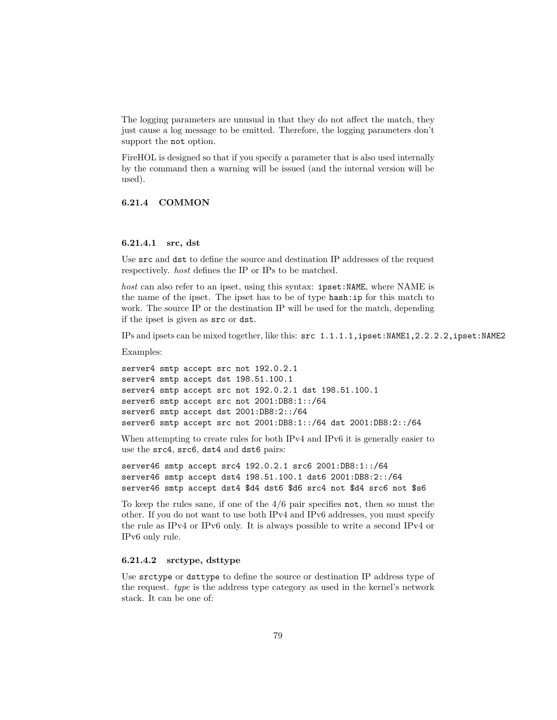The logging parameters are unusual in that they do not affect the match, they just cause a log message to be emitted. Therefore, the logging parameters don't support the not option.

FireHOL is designed so that if you specify a parameter that is also used internally by the command then a warning will be issued (and the internal version will be used).

# **6.21.4 COMMON**

### **6.21.4.1 src, dst**

Use src and dst to define the source and destination IP addresses of the request respectively. *host* defines the IP or IPs to be matched.

*host* can also refer to an ipset, using this syntax: ipset:NAME, where NAME is the name of the ipset. The ipset has to be of type hash:ip for this match to work. The source IP or the destination IP will be used for the match, depending if the ipset is given as src or dst.

IPs and ipsets can be mixed together, like this: src 1.1.1.1,ipset:NAME1,2.2.2.2,ipset:NAME2

Examples:

```
server4 smtp accept src not 192.0.2.1
server4 smtp accept dst 198.51.100.1
server4 smtp accept src not 192.0.2.1 dst 198.51.100.1
server6 smtp accept src not 2001:DB8:1::/64
server6 smtp accept dst 2001:DB8:2::/64
server6 smtp accept src not 2001:DB8:1::/64 dst 2001:DB8:2::/64
```
When attempting to create rules for both IPv4 and IPv6 it is generally easier to use the src4, src6, dst4 and dst6 pairs:

server46 smtp accept src4 192.0.2.1 src6 2001:DB8:1::/64 server46 smtp accept dst4 198.51.100.1 dst6 2001:DB8:2::/64 server46 smtp accept dst4 \$d4 dst6 \$d6 src4 not \$d4 src6 not \$s6

To keep the rules sane, if one of the 4/6 pair specifies not, then so must the other. If you do not want to use both IPv4 and IPv6 addresses, you must specify the rule as IPv4 or IPv6 only. It is always possible to write a second IPv4 or IPv6 only rule.

### **6.21.4.2 srctype, dsttype**

Use srctype or dsttype to define the source or destination IP address type of the request. *type* is the address type category as used in the kernel's network stack. It can be one of: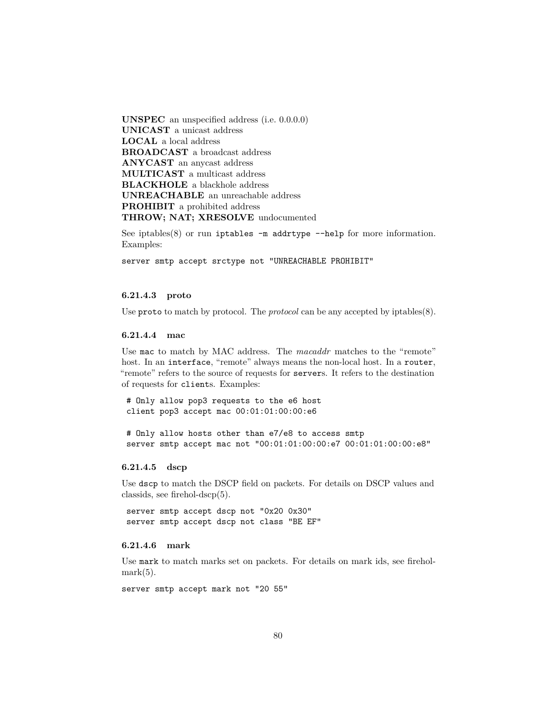**UNSPEC** an unspecified address (i.e. 0.0.0.0) **UNICAST** a unicast address **LOCAL** a local address **BROADCAST** a broadcast address **ANYCAST** an anycast address **MULTICAST** a multicast address **BLACKHOLE** a blackhole address **UNREACHABLE** an unreachable address **PROHIBIT** a prohibited address **THROW; NAT; XRESOLVE** undocumented

See iptables $(8)$  or run iptables  $-m$  addrtype  $-nelp$  for more information. Examples:

server smtp accept srctype not "UNREACHABLE PROHIBIT"

### **6.21.4.3 proto**

Use proto to match by protocol. The *protocol* can be any accepted by iptables(8).

# **6.21.4.4 mac**

Use mac to match by MAC address. The *macaddr* matches to the "remote" host. In an interface, "remote" always means the non-local host. In a router, "remote" refers to the source of requests for servers. It refers to the destination of requests for clients. Examples:

# Only allow pop3 requests to the e6 host client pop3 accept mac 00:01:01:00:00:e6

# Only allow hosts other than e7/e8 to access smtp server smtp accept mac not "00:01:01:00:00:e7 00:01:01:00:00:e8"

#### **6.21.4.5 dscp**

Use dscp to match the DSCP field on packets. For details on DSCP values and classids, see [firehol-dscp\(5\).](#page-46-0)

server smtp accept dscp not "0x20 0x30" server smtp accept dscp not class "BE EF"

### **6.21.4.6 mark**

Use mark to match marks set on packets. For details on mark ids, see [firehol](#page-63-0) $mark(5)$ .

server smtp accept mark not "20 55"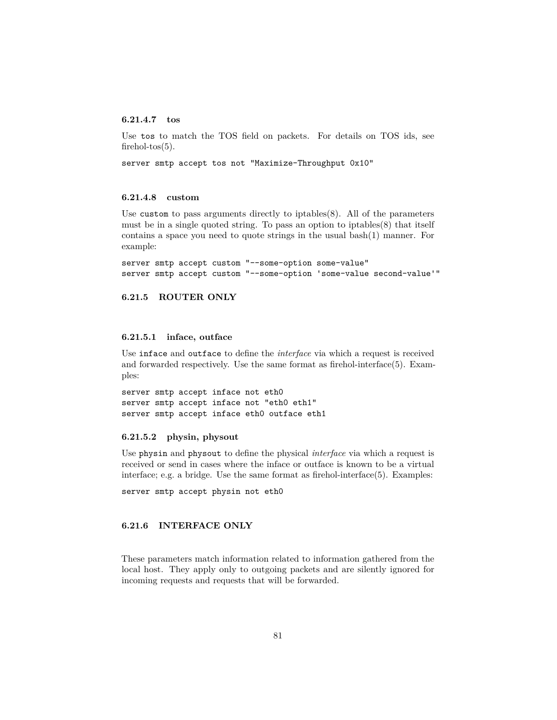#### **6.21.4.7 tos**

Use tos to match the TOS field on packets. For details on TOS ids, see firehol-tos $(5)$ .

server smtp accept tos not "Maximize-Throughput 0x10"

#### **6.21.4.8 custom**

Use custom to pass arguments directly to iptables $(8)$ . All of the parameters must be in a single quoted string. To pass an option to iptables(8) that itself contains a space you need to quote strings in the usual bash(1) manner. For example:

```
server smtp accept custom "--some-option some-value"
server smtp accept custom "--some-option 'some-value second-value'"
```
#### **6.21.5 ROUTER ONLY**

#### **6.21.5.1 inface, outface**

Use inface and outface to define the *interface* via which a request is received and forwarded respectively. Use the same format as [firehol-interface\(5\).](#page-50-0) Examples:

server smtp accept inface not eth0 server smtp accept inface not "eth0 eth1" server smtp accept inface eth0 outface eth1

#### **6.21.5.2 physin, physout**

Use physin and physout to define the physical *interface* via which a request is received or send in cases where the inface or outface is known to be a virtual interface; e.g. a bridge. Use the same format as [firehol-interface\(5\).](#page-50-0) Examples:

server smtp accept physin not eth0

#### **6.21.6 INTERFACE ONLY**

These parameters match information related to information gathered from the local host. They apply only to outgoing packets and are silently ignored for incoming requests and requests that will be forwarded.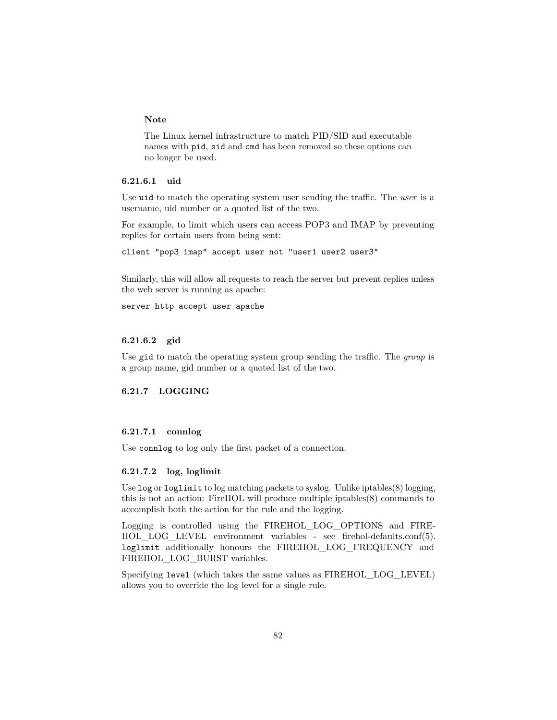#### **Note**

The Linux kernel infrastructure to match PID/SID and executable names with pid, sid and cmd has been removed so these options can no longer be used.

## **6.21.6.1 uid**

Use uid to match the operating system user sending the traffic. The *user* is a username, uid number or a quoted list of the two.

For example, to limit which users can access POP3 and IMAP by preventing replies for certain users from being sent:

client "pop3 imap" accept user not "user1 user2 user3"

Similarly, this will allow all requests to reach the server but prevent replies unless the web server is running as apache:

server http accept user apache

## **6.21.6.2 gid**

Use gid to match the operating system group sending the traffic. The *group* is a group name, gid number or a quoted list of the two.

### **6.21.7 LOGGING**

## **6.21.7.1 connlog**

Use connlog to log only the first packet of a connection.

### **6.21.7.2 log, loglimit**

Use log or loglimit to log matching packets to syslog. Unlike iptables(8) logging, this is not an action: FireHOL will produce multiple iptables(8) commands to accomplish both the action for the rule and the logging.

Logging is controlled using the FIREHOL\_LOG\_OPTIONS and FIREHOL LOG LEVEL environment variables - see [firehol-defaults.conf\(5\).](#page-39-0) loglimit additionally honours the FIREHOL\_LOG\_FREQUENCY and FIREHOL\_LOG\_BURST variables.

Specifying level (which takes the same values as FIREHOL\_LOG\_LEVEL) allows you to override the log level for a single rule.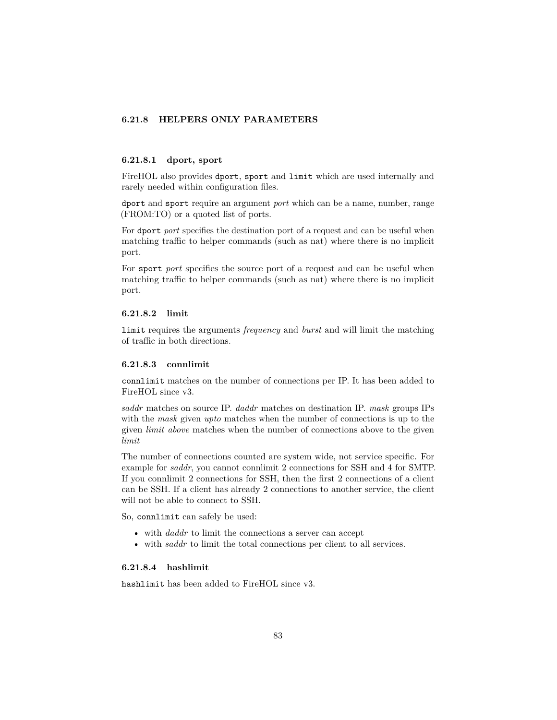# **6.21.8 HELPERS ONLY PARAMETERS**

#### **6.21.8.1 dport, sport**

FireHOL also provides dport, sport and limit which are used internally and rarely needed within configuration files.

dport and sport require an argument *port* which can be a name, number, range (FROM:TO) or a quoted list of ports.

For dport *port* specifies the destination port of a request and can be useful when matching traffic to helper commands (such as nat) where there is no implicit port.

For sport *port* specifies the source port of a request and can be useful when matching traffic to helper commands (such as nat) where there is no implicit port.

#### **6.21.8.2 limit**

limit requires the arguments *frequency* and *burst* and will limit the matching of traffic in both directions.

#### **6.21.8.3 connlimit**

connlimit matches on the number of connections per IP. It has been added to FireHOL since v3.

*saddr* matches on source IP. *daddr* matches on destination IP. *mask* groups IPs with the *mask* given *upto* matches when the number of connections is up to the given *limit above* matches when the number of connections above to the given *limit*

The number of connections counted are system wide, not service specific. For example for *saddr*, you cannot connlimit 2 connections for SSH and 4 for SMTP. If you connlimit 2 connections for SSH, then the first 2 connections of a client can be SSH. If a client has already 2 connections to another service, the client will not be able to connect to SSH.

So, connlimit can safely be used:

- with *daddr* to limit the connections a server can accept
- with *saddr* to limit the total connections per client to all services.

#### **6.21.8.4 hashlimit**

hashlimit has been added to FireHOL since v3.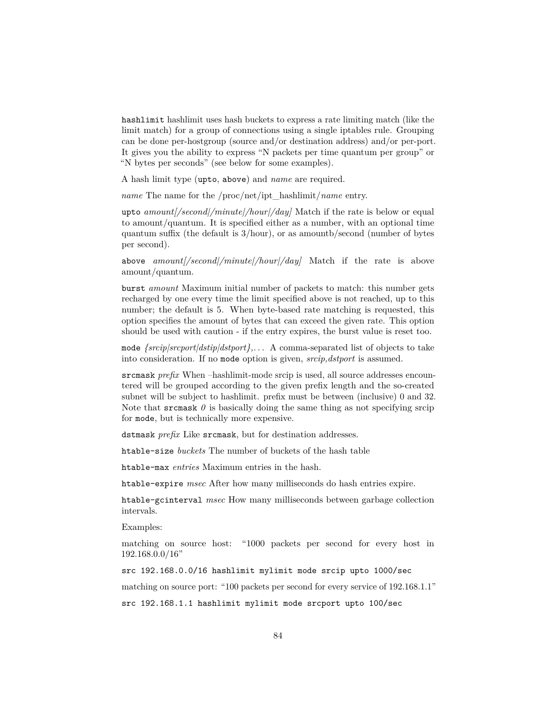hashlimit hashlimit uses hash buckets to express a rate limiting match (like the limit match) for a group of connections using a single iptables rule. Grouping can be done per-hostgroup (source and/or destination address) and/or per-port. It gives you the ability to express "N packets per time quantum per group" or "N bytes per seconds" (see below for some examples).

A hash limit type (upto, above) and *name* are required.

*name* The name for the /proc/net/ipt\_hashlimit/*name* entry.

upto *amount[/second|/minute|/hour|/day]* Match if the rate is below or equal to amount/quantum. It is specified either as a number, with an optional time quantum suffix (the default is 3/hour), or as amountb/second (number of bytes per second).

above *amount[/second|/minute|/hour|/day]* Match if the rate is above amount/quantum.

burst *amount* Maximum initial number of packets to match: this number gets recharged by one every time the limit specified above is not reached, up to this number; the default is 5. When byte-based rate matching is requested, this option specifies the amount of bytes that can exceed the given rate. This option should be used with caution - if the entry expires, the burst value is reset too.

mode *{srcip|srcport|dstip|dstport},. . .* A comma-separated list of objects to take into consideration. If no mode option is given, *srcip,dstport* is assumed.

srcmask *prefix* When –hashlimit-mode srcip is used, all source addresses encountered will be grouped according to the given prefix length and the so-created subnet will be subject to hashlimit. prefix must be between (inclusive) 0 and 32. Note that srcmask  $\theta$  is basically doing the same thing as not specifying srcip for mode, but is technically more expensive.

dstmask *prefix* Like srcmask, but for destination addresses.

htable-size *buckets* The number of buckets of the hash table

htable-max *entries* Maximum entries in the hash.

htable-expire *msec* After how many milliseconds do hash entries expire.

htable-gcinterval *msec* How many milliseconds between garbage collection intervals.

Examples:

matching on source host: "1000 packets per second for every host in 192.168.0.0/16"

src 192.168.0.0/16 hashlimit mylimit mode srcip upto 1000/sec

matching on source port: "100 packets per second for every service of 192.168.1.1"

src 192.168.1.1 hashlimit mylimit mode srcport upto 100/sec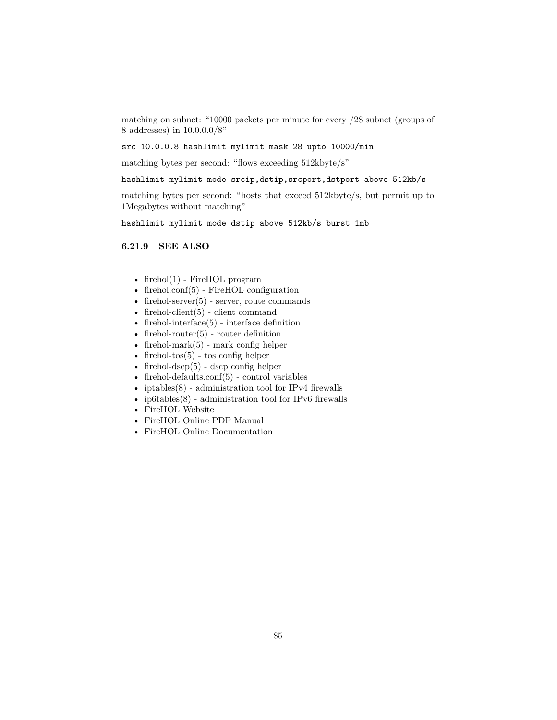matching on subnet: "10000 packets per minute for every /28 subnet (groups of 8 addresses) in 10.0.0.0/8"

src 10.0.0.8 hashlimit mylimit mask 28 upto 10000/min

matching bytes per second: "flows exceeding 512kbyte/s"

hashlimit mylimit mode srcip,dstip,srcport,dstport above 512kb/s

matching bytes per second: "hosts that exceed 512kbyte/s, but permit up to 1Megabytes without matching"

hashlimit mylimit mode dstip above 512kb/s burst 1mb

### **6.21.9 SEE ALSO**

- [firehol\(1\)](#page-10-0) FireHOL program
- [firehol.conf\(5\)](#page-14-0) FireHOL configuration
- firehol-server $(5)$  server, route commands
- firehol-client $(5)$  client command
- firehol-interface $(5)$  interface definition
- firehol-router $(5)$  router definition
- firehol-mark $(5)$  mark config helper
- firehol-tos $(5)$  tos config helper
- firehol-dscp $(5)$  dscp config helper
- [firehol-defaults.conf\(5\)](#page-39-0) control variables
- iptables $(8)$  administration tool for IPv4 firewalls
- ip $6$ tables $(8)$  administration tool for IPv6 firewalls
- [FireHOL Website](http://firehol.org/)
- [FireHOL Online PDF Manual](http://firehol.org/firehol-manual.pdf)
- [FireHOL Online Documentation](http://firehol.org/documentation/)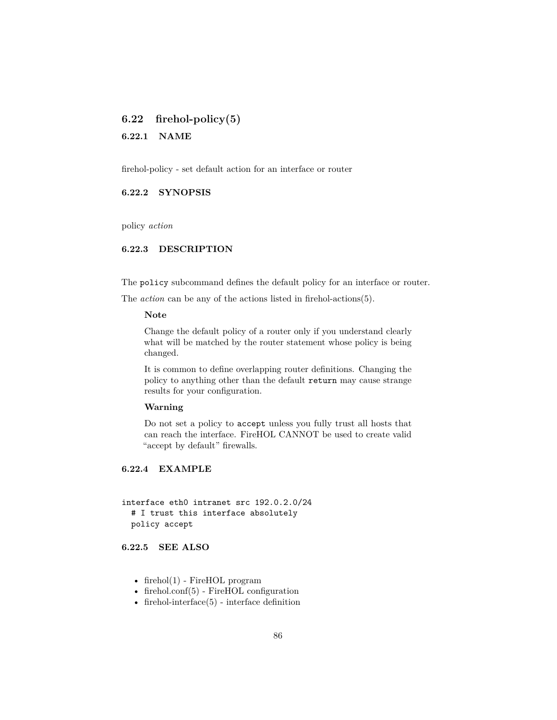# <span id="page-85-0"></span>**6.22 firehol-policy(5)**

**6.22.1 NAME**

firehol-policy - set default action for an interface or router

## **6.22.2 SYNOPSIS**

policy *action*

## **6.22.3 DESCRIPTION**

The policy subcommand defines the default policy for an interface or router.

The *action* can be any of the actions listed in [firehol-actions\(5\).](#page-24-0)

# **Note**

Change the default policy of a router only if you understand clearly what will be matched by the router statement whose policy is being changed.

It is common to define overlapping router definitions. Changing the policy to anything other than the default return may cause strange results for your configuration.

### **Warning**

Do not set a policy to accept unless you fully trust all hosts that can reach the interface. FireHOL CANNOT be used to create valid "accept by default" firewalls.

## **6.22.4 EXAMPLE**

interface eth0 intranet src 192.0.2.0/24 # I trust this interface absolutely policy accept

#### **6.22.5 SEE ALSO**

- firehol $(1)$  FireHOL program
- [firehol.conf\(5\)](#page-14-0) FireHOL configuration
- firehol-interface $(5)$  interface definition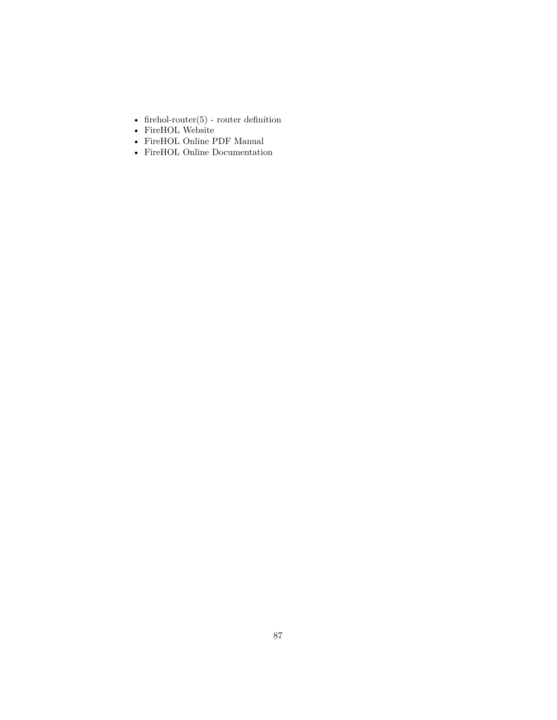- [firehol-router\(5\)](#page-93-0) router definition
- [FireHOL Website](http://firehol.org/)
- [FireHOL Online PDF Manual](http://firehol.org/firehol-manual.pdf)
- [FireHOL Online Documentation](http://firehol.org/documentation/)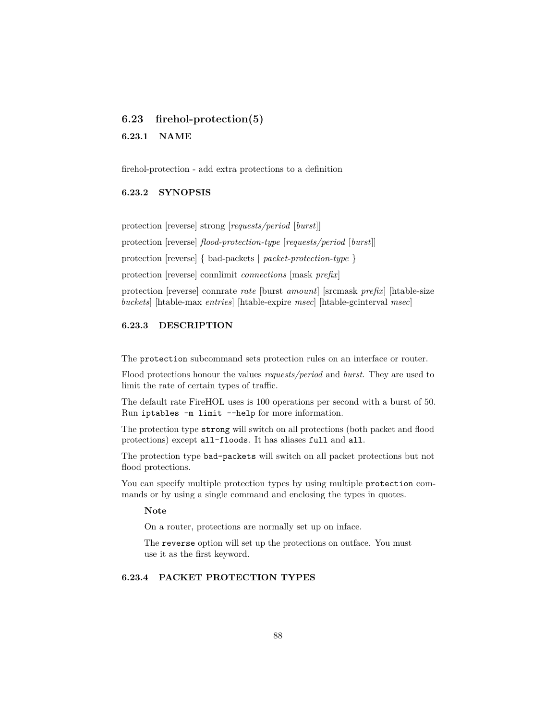# <span id="page-87-0"></span>**6.23 firehol-protection(5)**

## **6.23.1 NAME**

firehol-protection - add extra protections to a definition

## **6.23.2 SYNOPSIS**

protection [reverse] strong [*requests/period* [*burst*]]

protection [reverse] *flood-protection-type* [*requests/period* [*burst*]]

protection [reverse] { bad-packets | *packet-protection-type* }

protection [reverse] connlimit *connections* [mask *prefix*]

protection [reverse] connrate *rate* [burst *amount*] [srcmask *prefix*] [htable-size *buckets*] [htable-max *entries*] [htable-expire *msec*] [htable-gcinterval *msec*]

## **6.23.3 DESCRIPTION**

The protection subcommand sets protection rules on an interface or router.

Flood protections honour the values *requests/period* and *burst*. They are used to limit the rate of certain types of traffic.

The default rate FireHOL uses is 100 operations per second with a burst of 50. Run iptables -m limit --help for more information.

The protection type strong will switch on all protections (both packet and flood protections) except all-floods. It has aliases full and all.

The protection type bad-packets will switch on all packet protections but not flood protections.

You can specify multiple protection types by using multiple protection commands or by using a single command and enclosing the types in quotes.

### **Note**

On a router, protections are normally set up on inface.

The reverse option will set up the protections on outface. You must use it as the first keyword.

## **6.23.4 PACKET PROTECTION TYPES**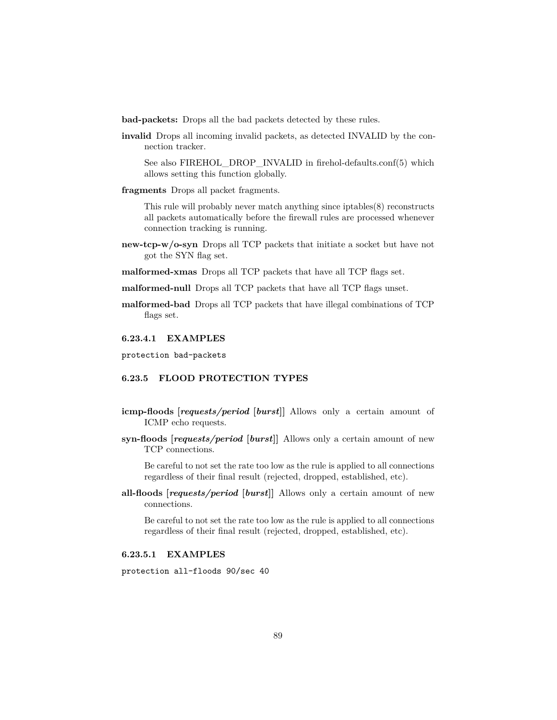**bad-packets:** Drops all the bad packets detected by these rules.

**invalid** Drops all incoming invalid packets, as detected INVALID by the connection tracker.

See also FIREHOL DROP INVALID in [firehol-defaults.conf\(5\)](#page-39-0) which allows setting this function globally.

**fragments** Drops all packet fragments.

This rule will probably never match anything since iptables(8) reconstructs all packets automatically before the firewall rules are processed whenever connection tracking is running.

- **new-tcp-w/o-syn** Drops all TCP packets that initiate a socket but have not got the SYN flag set.
- **malformed-xmas** Drops all TCP packets that have all TCP flags set.
- **malformed-null** Drops all TCP packets that have all TCP flags unset.
- **malformed-bad** Drops all TCP packets that have illegal combinations of TCP flags set.

#### **6.23.4.1 EXAMPLES**

protection bad-packets

## **6.23.5 FLOOD PROTECTION TYPES**

- **icmp-floods [***requests/period* **[***burst***]]** Allows only a certain amount of ICMP echo requests.
- **syn-floods [***requests/period* **[***burst***]]** Allows only a certain amount of new TCP connections.

Be careful to not set the rate too low as the rule is applied to all connections regardless of their final result (rejected, dropped, established, etc).

**all-floods [***requests/period* **[***burst***]]** Allows only a certain amount of new connections.

Be careful to not set the rate too low as the rule is applied to all connections regardless of their final result (rejected, dropped, established, etc).

### **6.23.5.1 EXAMPLES**

protection all-floods 90/sec 40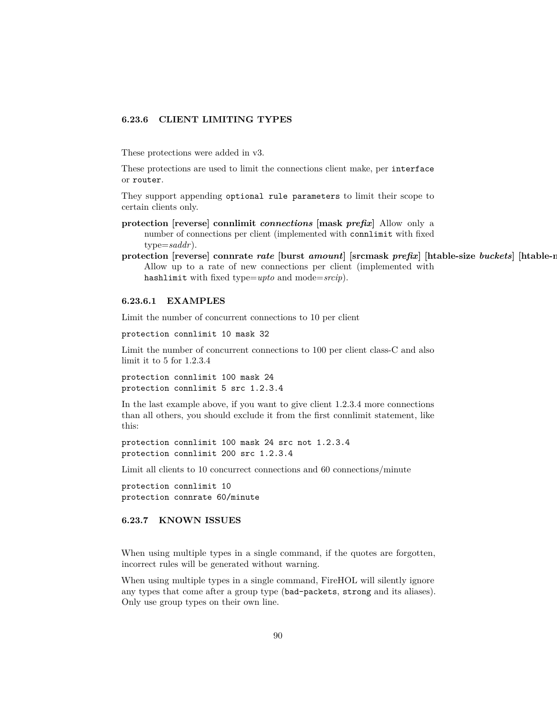#### **6.23.6 CLIENT LIMITING TYPES**

These protections were added in v3.

These protections are used to limit the connections client make, per interface or router.

They support appending optional rule parameters to limit their scope to certain clients only.

- **protection [reverse] connlimit** *connections* **[mask** *prefix***]** Allow only a number of connections per client (implemented with connlimit with fixed type=*saddr*).
- protection [reverse] connrate rate [burst amount] [srcmask prefix] [htable-size buckets] [htable-r Allow up to a rate of new connections per client (implemented with hashlimit with fixed type=*upto* and mode=*srcip*).

### **6.23.6.1 EXAMPLES**

Limit the number of concurrent connections to 10 per client

protection connlimit 10 mask 32

Limit the number of concurrent connections to 100 per client class-C and also limit it to 5 for 1.2.3.4

protection connlimit 100 mask 24 protection connlimit 5 src 1.2.3.4

In the last example above, if you want to give client 1.2.3.4 more connections than all others, you should exclude it from the first connlimit statement, like this:

protection connlimit 100 mask 24 src not 1.2.3.4 protection connlimit 200 src 1.2.3.4

Limit all clients to 10 concurrect connections and 60 connections/minute

protection connlimit 10 protection connrate 60/minute

## **6.23.7 KNOWN ISSUES**

When using multiple types in a single command, if the quotes are forgotten, incorrect rules will be generated without warning.

When using multiple types in a single command, FireHOL will silently ignore any types that come after a group type (bad-packets, strong and its aliases). Only use group types on their own line.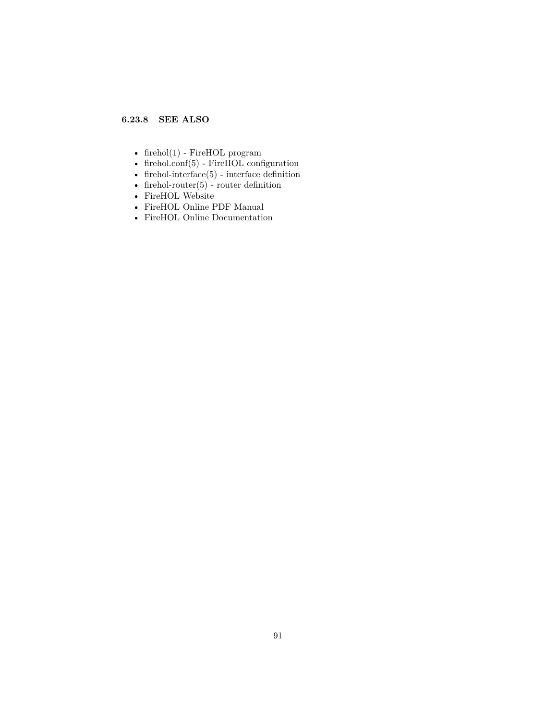# **6.23.8 SEE ALSO**

- [firehol\(1\)](#page-10-0) FireHOL program
- [firehol.conf\(5\)](#page-14-0) FireHOL configuration
- firehol-interface $(5)$  interface definition
- firehol-router $(5)$  router definition
- [FireHOL Website](http://firehol.org/)
- [FireHOL Online PDF Manual](http://firehol.org/firehol-manual.pdf)
- [FireHOL Online Documentation](http://firehol.org/documentation/)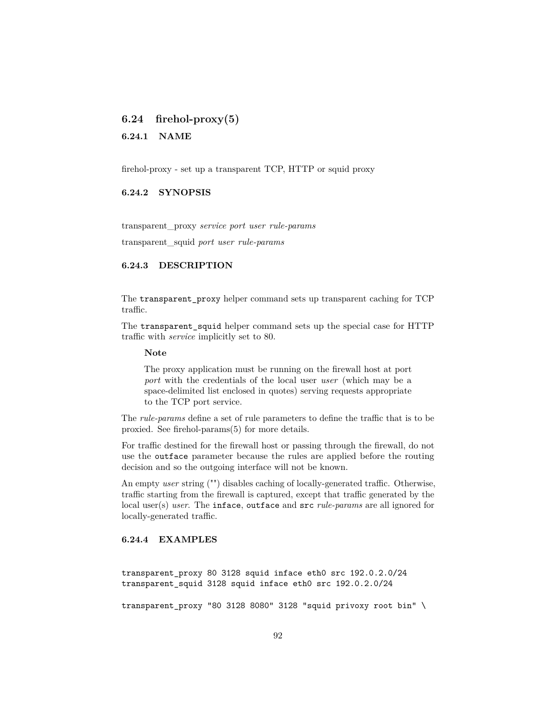# **6.24 firehol-proxy(5)**

**6.24.1 NAME**

firehol-proxy - set up a transparent TCP, HTTP or squid proxy

## **6.24.2 SYNOPSIS**

transparent\_proxy *service port user rule-params* transparent\_squid *port user rule-params*

## **6.24.3 DESCRIPTION**

The transparent\_proxy helper command sets up transparent caching for TCP traffic.

The transparent\_squid helper command sets up the special case for HTTP traffic with *service* implicitly set to 80.

**Note**

The proxy application must be running on the firewall host at port *port* with the credentials of the local user *user* (which may be a space-delimited list enclosed in quotes) serving requests appropriate to the TCP port service.

The *rule-params* define a set of rule parameters to define the traffic that is to be proxied. See [firehol-params\(5\)](#page-76-0) for more details.

For traffic destined for the firewall host or passing through the firewall, do not use the outface parameter because the rules are applied before the routing decision and so the outgoing interface will not be known.

An empty *user* string ("") disables caching of locally-generated traffic. Otherwise, traffic starting from the firewall is captured, except that traffic generated by the local user(s) *user*. The inface, outface and src *rule-params* are all ignored for locally-generated traffic.

## **6.24.4 EXAMPLES**

transparent\_proxy 80 3128 squid inface eth0 src 192.0.2.0/24 transparent\_squid 3128 squid inface eth0 src 192.0.2.0/24

transparent\_proxy "80 3128 8080" 3128 "squid privoxy root bin" \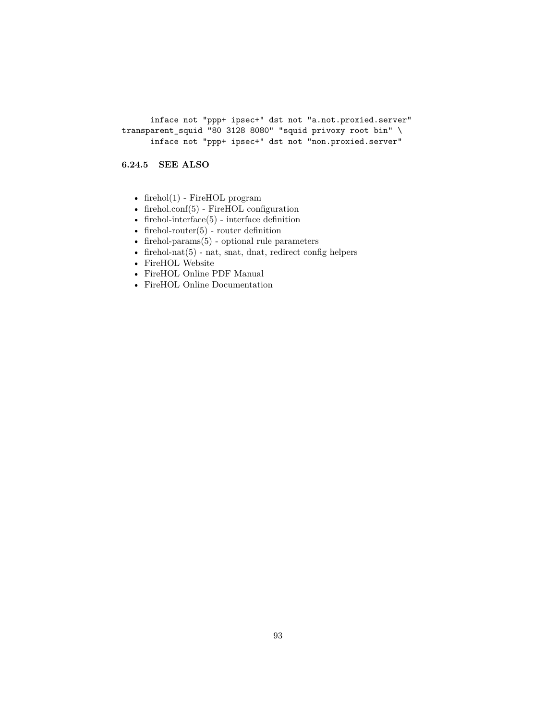inface not "ppp+ ipsec+" dst not "a.not.proxied.server" transparent\_squid "80 3128 8080" "squid privoxy root bin" \ inface not "ppp+ ipsec+" dst not "non.proxied.server"

# **6.24.5 SEE ALSO**

- [firehol\(1\)](#page-10-0) FireHOL program
- [firehol.conf\(5\)](#page-14-0) FireHOL configuration
- firehol-interface $(5)$  interface definition
- firehol-router $(5)$  router definition
- firehol-params $(5)$  optional rule parameters
- firehol-nat $(5)$  nat, snat, dnat, redirect config helpers
- [FireHOL Website](http://firehol.org/)
- [FireHOL Online PDF Manual](http://firehol.org/firehol-manual.pdf)
- [FireHOL Online Documentation](http://firehol.org/documentation/)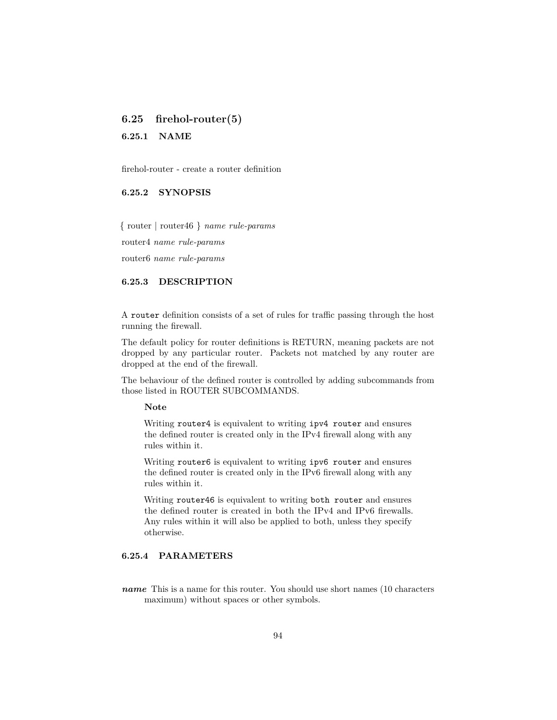# <span id="page-93-0"></span>**6.25 firehol-router(5)**

**6.25.1 NAME**

firehol-router - create a router definition

## **6.25.2 SYNOPSIS**

{ router | router46 } *name rule-params*

router4 *name rule-params*

router6 *name rule-params*

## **6.25.3 DESCRIPTION**

A router definition consists of a set of rules for traffic passing through the host running the firewall.

The default policy for router definitions is RETURN, meaning packets are not dropped by any particular router. Packets not matched by any router are dropped at the end of the firewall.

The behaviour of the defined router is controlled by adding subcommands from those listed in [ROUTER SUBCOMMANDS.](#page-95-0)

#### **Note**

Writing router4 is equivalent to writing ipv4 router and ensures the defined router is created only in the IPv4 firewall along with any rules within it.

Writing router6 is equivalent to writing ipv6 router and ensures the defined router is created only in the IPv6 firewall along with any rules within it.

Writing router46 is equivalent to writing both router and ensures the defined router is created in both the IPv4 and IPv6 firewalls. Any rules within it will also be applied to both, unless they specify otherwise.

# **6.25.4 PARAMETERS**

*name* This is a name for this router. You should use short names (10 characters maximum) without spaces or other symbols.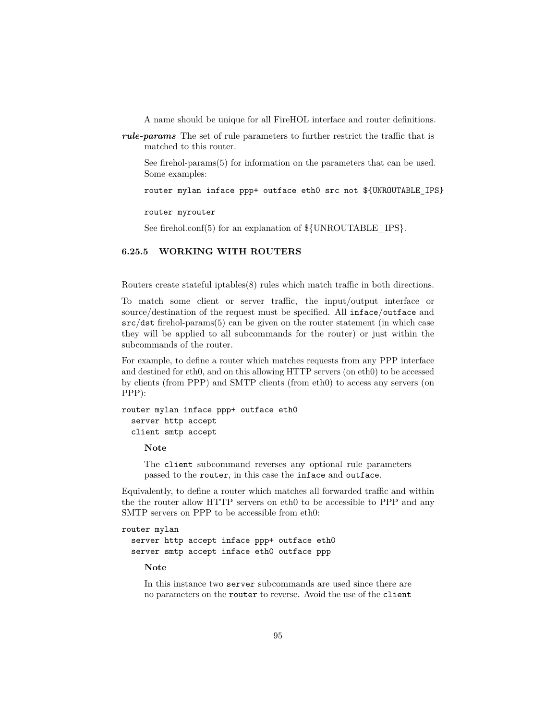A name should be unique for all FireHOL interface and router definitions.

*rule-params* The set of rule parameters to further restrict the traffic that is matched to this router.

See [firehol-params\(5\)](#page-76-0) for information on the parameters that can be used. Some examples:

router mylan inface ppp+ outface eth0 src not \${UNROUTABLE\_IPS}

router myrouter

See [firehol.conf\(5\)](#page-14-0) for an explanation of  $\{\text{UNROUTABLE\_IPS}\}.$ 

### **6.25.5 WORKING WITH ROUTERS**

Routers create stateful iptables(8) rules which match traffic in both directions.

To match some client or server traffic, the input/output interface or source/destination of the request must be specified. All inface/outface and src/dst [firehol-params\(5\)](#page-76-0) can be given on the router statement (in which case they will be applied to all subcommands for the router) or just within the subcommands of the router.

For example, to define a router which matches requests from any PPP interface and destined for eth0, and on this allowing HTTP servers (on eth0) to be accessed by clients (from PPP) and SMTP clients (from eth0) to access any servers (on PPP):

```
router mylan inface ppp+ outface eth0
  server http accept
  client smtp accept
```
**Note**

The client subcommand reverses any optional rule parameters passed to the router, in this case the inface and outface.

Equivalently, to define a router which matches all forwarded traffic and within the the router allow HTTP servers on eth0 to be accessible to PPP and any SMTP servers on PPP to be accessible from eth0:

```
router mylan
  server http accept inface ppp+ outface eth0
  server smtp accept inface eth0 outface ppp
```
**Note**

In this instance two server subcommands are used since there are no parameters on the router to reverse. Avoid the use of the client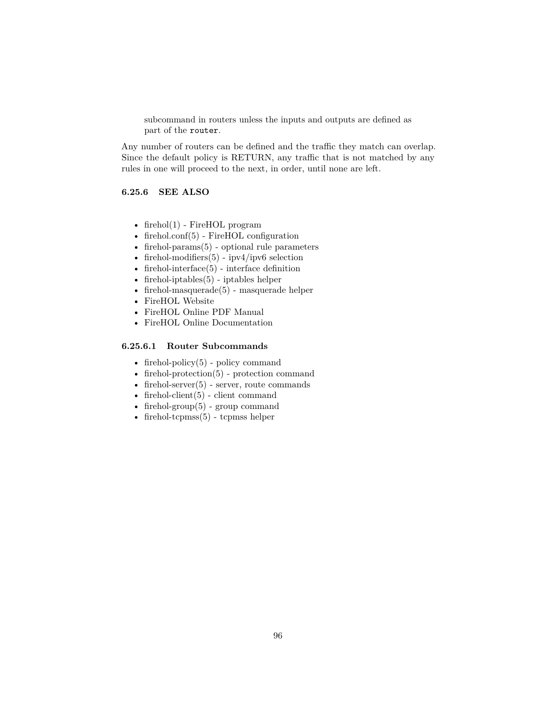subcommand in routers unless the inputs and outputs are defined as part of the router.

Any number of routers can be defined and the traffic they match can overlap. Since the default policy is RETURN, any traffic that is not matched by any rules in one will proceed to the next, in order, until none are left.

#### **6.25.6 SEE ALSO**

- firehol $(1)$  FireHOL program
- [firehol.conf\(5\)](#page-14-0) FireHOL configuration
- [firehol-params\(5\)](#page-76-0) optional rule parameters
- firehol-modifiers $(5)$  ipv4/ipv6 selection
- [firehol-interface\(5\)](#page-50-0) interface definition
- [firehol-iptables\(5\)](#page-56-0) iptables helper
- firehol-masquerade $(5)$  masquerade helper
- [FireHOL Website](http://firehol.org/)
- [FireHOL Online PDF Manual](http://firehol.org/firehol-manual.pdf)
- <span id="page-95-0"></span>• [FireHOL Online Documentation](http://firehol.org/documentation/)

## **6.25.6.1 Router Subcommands**

- firehol-policy $(5)$  policy command
- [firehol-protection\(5\)](#page-87-0) protection command
- firehol-server $(5)$  server, route commands
- firehol-client $(5)$  client command
- firehol-group $(5)$  group command
- firehol-tcpmss $(5)$  tcpmss helper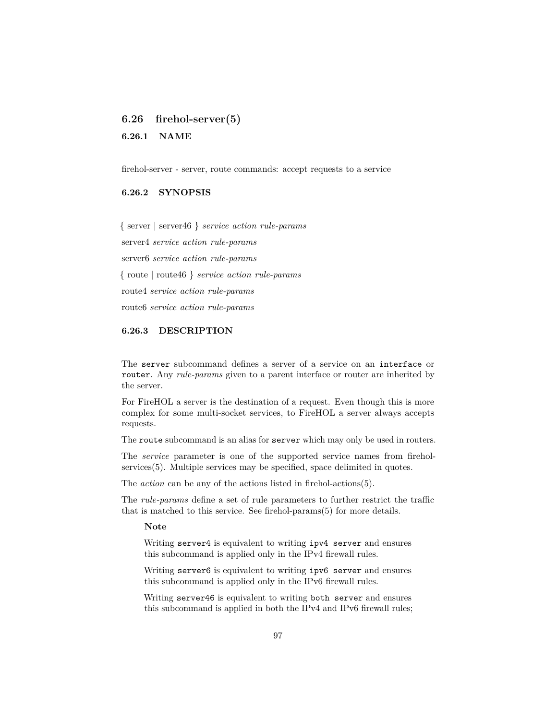# <span id="page-96-0"></span>**6.26 firehol-server(5)**

**6.26.1 NAME**

firehol-server - server, route commands: accept requests to a service

## **6.26.2 SYNOPSIS**

{ server | server46 } *service action rule-params* server4 *service action rule-params* server6 *service action rule-params* { route | route46 } *service action rule-params* route4 *service action rule-params* route6 *service action rule-params*

#### **6.26.3 DESCRIPTION**

The server subcommand defines a server of a service on an interface or router. Any *rule-params* given to a parent interface or router are inherited by the server.

For FireHOL a server is the destination of a request. Even though this is more complex for some multi-socket services, to FireHOL a server always accepts requests.

The route subcommand is an alias for server which may only be used in routers.

The *service* parameter is one of the supported service names from [firehol](#page-98-0)[services\(5\).](#page-98-0) Multiple services may be specified, space delimited in quotes.

The *action* can be any of the actions listed in [firehol-actions\(5\).](#page-24-0)

The *rule-params* define a set of rule parameters to further restrict the traffic that is matched to this service. See [firehol-params\(5\)](#page-76-0) for more details.

#### **Note**

Writing server4 is equivalent to writing ipv4 server and ensures this subcommand is applied only in the IPv4 firewall rules.

Writing server6 is equivalent to writing ipv6 server and ensures this subcommand is applied only in the IPv6 firewall rules.

Writing server46 is equivalent to writing both server and ensures this subcommand is applied in both the IPv4 and IPv6 firewall rules;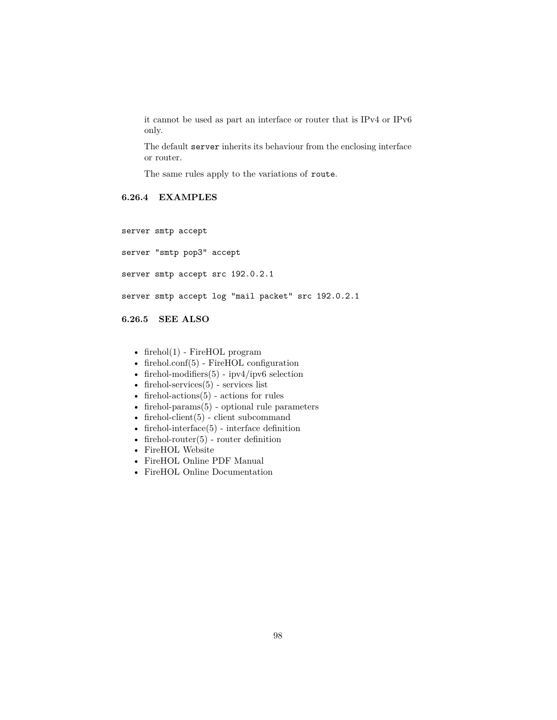it cannot be used as part an interface or router that is IPv4 or IPv6 only.

The default server inherits its behaviour from the enclosing interface or router.

The same rules apply to the variations of route.

# **6.26.4 EXAMPLES**

server smtp accept

server "smtp pop3" accept

server smtp accept src 192.0.2.1

server smtp accept log "mail packet" src 192.0.2.1

**6.26.5 SEE ALSO**

- [firehol\(1\)](#page-10-0) FireHOL program
- [firehol.conf\(5\)](#page-14-0) FireHOL configuration
- firehol-modifiers $(5)$  ipv4/ipv6 selection
- firehol-services $(5)$  services list
- firehol-actions $(5)$  actions for rules
- [firehol-params\(5\)](#page-76-0) optional rule parameters
- firehol-client $(5)$  client subcommand
- firehol-interface $(5)$  interface definition
- firehol-router $(5)$  router definition
- [FireHOL Website](http://firehol.org/)
- [FireHOL Online PDF Manual](http://firehol.org/firehol-manual.pdf)
- [FireHOL Online Documentation](http://firehol.org/documentation/)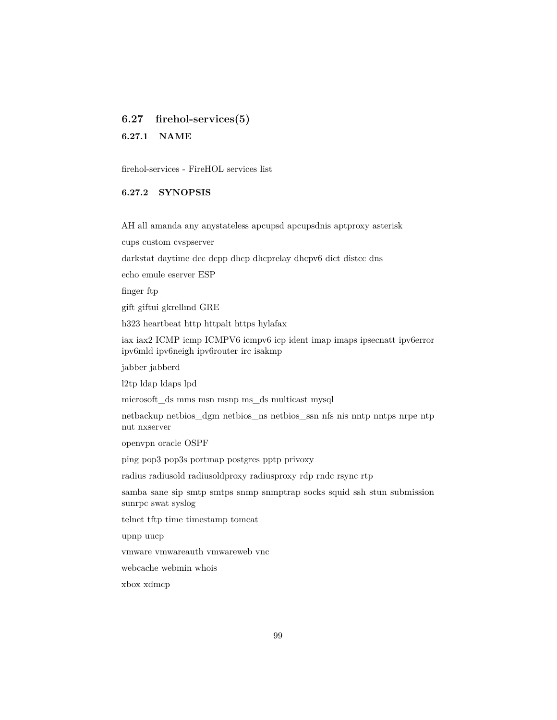# <span id="page-98-0"></span>**6.27 firehol-services(5)**

**6.27.1 NAME**

firehol-services - FireHOL services list

## **6.27.2 SYNOPSIS**

[AH](#page-99-0) [all](#page-99-1) [amanda](#page-100-0) [any](#page-100-1) [anystateless](#page-101-0) [apcupsd](#page-101-1) [apcupsdnis](#page-102-0) [aptproxy](#page-103-0) [asterisk](#page-103-1)

[cups](#page-104-0) [custom](#page-104-1) [cvspserver](#page-105-0)

[darkstat](#page-105-1) [daytime](#page-105-2) [dcc](#page-106-0) [dcpp](#page-106-1) [dhcp](#page-107-0) [dhcprelay](#page-108-0) [dhcpv6](#page-108-1) [dict](#page-109-0) [distcc](#page-110-0) [dns](#page-110-1)

[echo](#page-111-0) [emule](#page-111-1) [eserver](#page-112-0) [ESP](#page-112-1)

[finger](#page-113-0) [ftp](#page-113-1)

[gift](#page-114-0) [giftui](#page-114-1) [gkrellmd](#page-115-0) [GRE](#page-115-1)

[h323](#page-116-0) [heartbeat](#page-116-1) [http](#page-117-0) [httpalt](#page-117-1) [https](#page-118-0) [hylafax](#page-118-1)

[iax](#page-119-0) [iax2](#page-119-1) [ICMP icmp](#page-120-0) [ICMPV6 icmpv6](#page-120-1) [icp](#page-121-0) [ident](#page-121-1) [imap](#page-122-0) [imaps](#page-122-1) [ipsecnatt](#page-122-2) [ipv6error](#page-123-0) [ipv6mld](#page-123-1) [ipv6neigh](#page-124-0) [ipv6router](#page-125-0) [irc](#page-126-0) [isakmp](#page-126-1)

[jabber](#page-127-0) [jabberd](#page-127-1)

[l2tp](#page-128-0) [ldap](#page-128-1) [ldaps](#page-128-2) [lpd](#page-129-0)

[microsoft\\_ds](#page-129-1) [mms](#page-130-0) [msn](#page-130-1) [msnp](#page-131-0) [ms\\_ds](#page-131-1) [multicast](#page-131-2) [mysql](#page-132-0)

[netbackup](#page-132-1) [netbios\\_dgm](#page-133-0) [netbios\\_ns](#page-133-1) [netbios\\_ssn](#page-134-0) [nfs](#page-134-1) [nis](#page-135-0) [nntp](#page-136-0) [nntps](#page-137-0) [nrpe](#page-137-1) [ntp](#page-137-2) [nut](#page-138-0) [nxserver](#page-138-1)

[openvpn](#page-139-0) [oracle](#page-139-1) [OSPF](#page-140-0)

[ping](#page-140-1) [pop3](#page-140-2) [pop3s](#page-141-0) [portmap](#page-141-1) [postgres](#page-142-0) [pptp](#page-142-1) [privoxy](#page-143-0)

[radius](#page-143-1) [radiusold](#page-143-2) [radiusoldproxy](#page-144-0) [radiusproxy](#page-144-1) [rdp](#page-144-2) [rndc](#page-145-0) [rsync](#page-145-1) [rtp](#page-146-0)

[samba](#page-146-1) [sane](#page-147-0) [sip](#page-148-0) [smtp](#page-148-1) [smtps](#page-149-0) [snmp](#page-149-1) [snmptrap](#page-149-2) [socks](#page-150-0) [squid](#page-150-1) [ssh](#page-151-0) [stun](#page-151-1) [submission](#page-151-2) [sunrpc](#page-152-0) [swat](#page-152-1) [syslog](#page-152-2)

[telnet](#page-153-0) [tftp](#page-153-1) [time](#page-154-0) [timestamp](#page-154-1) [tomcat](#page-155-0)

[upnp](#page-155-1) [uucp](#page-155-2)

[vmware](#page-156-0) [vmwareauth](#page-156-1) [vmwareweb](#page-156-2) [vnc](#page-157-0)

[webcache](#page-157-1) [webmin](#page-157-2) [whois](#page-158-0)

[xbox](#page-158-1) [xdmcp](#page-158-2)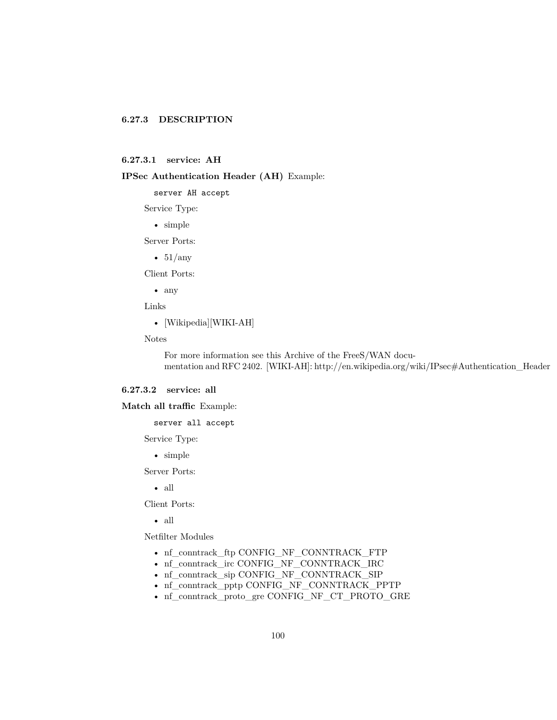## **6.27.3 DESCRIPTION**

#### <span id="page-99-0"></span>**6.27.3.1 service: AH**

## **IPSec Authentication Header (AH)** Example:

server AH accept

Service Type:

• simple

Server Ports:

•  $51/any$ 

Client Ports:

• any

Links

• [Wikipedia][WIKI-AH]

Notes

For more information see this [Archive of the FreeS/WAN docu](http://web.archive.org/web/20100918134143/http://www.freeswan.org/freeswan_trees/freeswan-1.99/doc/ipsec.html#AH.ipsec)[mentation](http://web.archive.org/web/20100918134143/http://www.freeswan.org/freeswan_trees/freeswan-1.99/doc/ipsec.html#AH.ipsec) and [RFC 2402.](http://www.ietf.org/rfc/rfc2402.txt) [WIKI-AH]: http://en.wikipedia.org/wiki/IPsec#Authentication\_Header

## <span id="page-99-1"></span>**6.27.3.2 service: all**

**Match all traffic** Example:

server all accept

Service Type:

• simple

Server Ports:

• all

Client Ports:

• all

Netfilter Modules

- nf\_conntrack\_ftp [CONFIG\\_NF\\_CONNTRACK\\_FTP](http://cateee.net/lkddb/web-lkddb/NF_CONNTRACK_FTP.html)
- nf\_conntrack\_irc [CONFIG\\_NF\\_CONNTRACK\\_IRC](http://cateee.net/lkddb/web-lkddb/NF_CONNTRACK_IRC.html)
- nf\_conntrack\_sip [CONFIG\\_NF\\_CONNTRACK\\_SIP](http://cateee.net/lkddb/web-lkddb/NF_CONNTRACK_SIP.html)
- nf\_conntrack\_pptp [CONFIG\\_NF\\_CONNTRACK\\_PPTP](http://cateee.net/lkddb/web-lkddb/NF_CONNTRACK_PPTP.html)
- nf\_conntrack\_proto\_gre [CONFIG\\_NF\\_CT\\_PROTO\\_GRE](http://cateee.net/lkddb/web-lkddb/NF_CT_PROTO_GRE.html)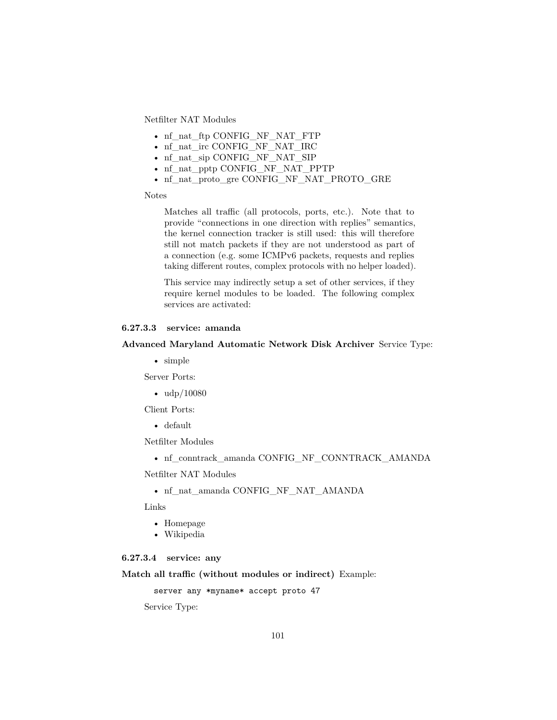Netfilter NAT Modules

- nf\_nat\_ftp [CONFIG\\_NF\\_NAT\\_FTP](http://cateee.net/lkddb/web-lkddb/NF_NAT_FTP.html)
- nf\_nat\_irc [CONFIG\\_NF\\_NAT\\_IRC](http://cateee.net/lkddb/web-lkddb/NF_NAT_IRC.html)
- nf\_nat\_sip [CONFIG\\_NF\\_NAT\\_SIP](http://cateee.net/lkddb/web-lkddb/NF_NAT_SIP.html)
- nf\_nat\_pptp [CONFIG\\_NF\\_NAT\\_PPTP](http://cateee.net/lkddb/web-lkddb/NF_NAT_PPTP.html)
- nf\_nat\_proto\_gre [CONFIG\\_NF\\_NAT\\_PROTO\\_GRE](http://cateee.net/lkddb/web-lkddb/NF_NAT_PROTO_GRE.html)

Notes

Matches all traffic (all protocols, ports, etc.). Note that to provide "connections in one direction with replies" semantics, the kernel connection tracker is still used: this will therefore still not match packets if they are not understood as part of a connection (e.g. some ICMPv6 packets, requests and replies taking different routes, complex protocols with no helper loaded).

This service may indirectly setup a set of other services, if they require kernel modules to be loaded. The following complex services are activated:

## <span id="page-100-0"></span>**6.27.3.3 service: amanda**

#### **Advanced Maryland Automatic Network Disk Archiver** Service Type:

• simple

Server Ports:

•  $\frac{\text{udp}}{10080}$ 

Client Ports:

• default

Netfilter Modules

• nf\_conntrack\_amanda [CONFIG\\_NF\\_CONNTRACK\\_AMANDA](http://cateee.net/lkddb/web-lkddb/NF_CONNTRACK_AMANDA.html)

Netfilter NAT Modules

• nf\_nat\_amanda [CONFIG\\_NF\\_NAT\\_AMANDA](http://cateee.net/lkddb/web-lkddb/NF_NAT_AMANDA.html)

Links

- [Homepage](http://www.amanda.org/)
- [Wikipedia](http://en.wikipedia.org/wiki/Advanced_Maryland_Automatic_Network_Disk_Archiver)

#### <span id="page-100-1"></span>**6.27.3.4 service: any**

**Match all traffic (without modules or indirect)** Example:

```
server any *myname* accept proto 47
```
Service Type: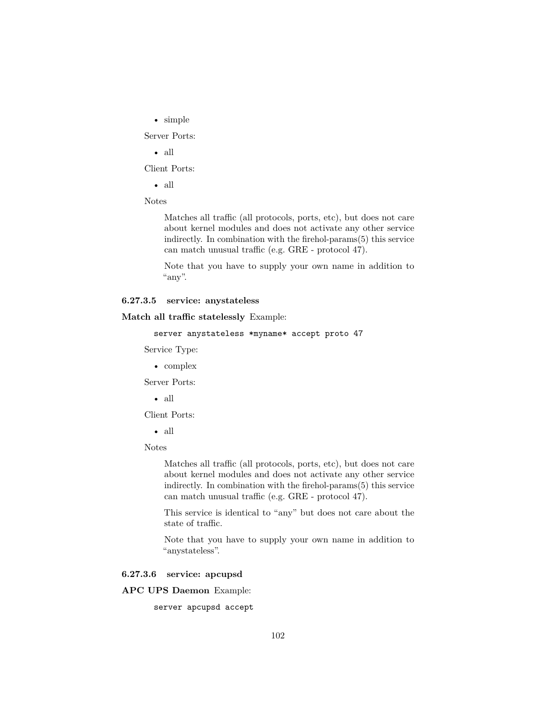• simple

Server Ports:

• all

Client Ports:

• all

Notes

Matches all traffic (all protocols, ports, etc), but does not care about kernel modules and does not activate any other service indirectly. In combination with the [firehol-params\(5\)](#page-76-0) this service can match unusual traffic (e.g. GRE - protocol 47).

Note that you have to supply your own name in addition to "any".

## <span id="page-101-0"></span>**6.27.3.5 service: anystateless**

**Match all traffic statelessly** Example:

```
server anystateless *myname* accept proto 47
```
Service Type:

• complex

Server Ports:

• all

Client Ports:

• all

Notes

Matches all traffic (all protocols, ports, etc), but does not care about kernel modules and does not activate any other service indirectly. In combination with the [firehol-params\(5\)](#page-76-0) this service can match unusual traffic (e.g. GRE - protocol 47).

This service is identical to "any" but does not care about the state of traffic.

Note that you have to supply your own name in addition to "anystateless".

## <span id="page-101-1"></span>**6.27.3.6 service: apcupsd**

**APC UPS Daemon** Example:

server apcupsd accept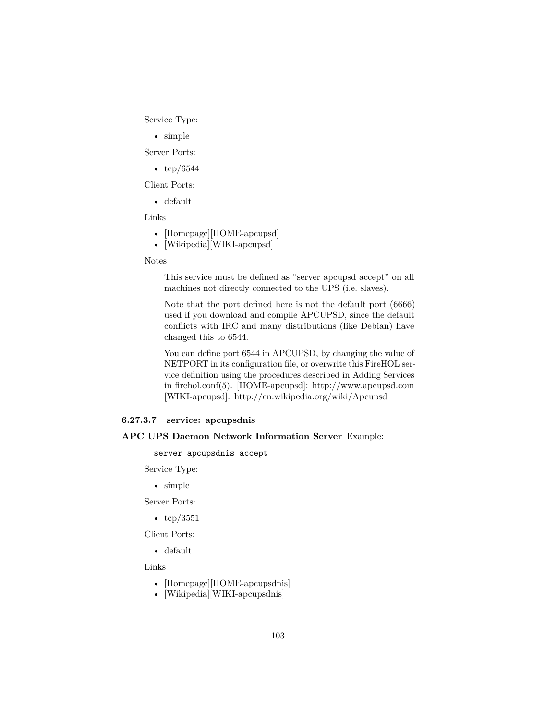Service Type:

• simple

Server Ports:

•  $\text{tcp}/6544$ 

Client Ports:

• default

Links

- [Homepage][HOME-apcupsd]
- [Wikipedia][WIKI-apcupsd]

#### Notes

This service must be defined as "server apcupsd accept" on all machines not directly connected to the UPS (i.e. slaves).

Note that the port defined here is not the default port (6666) used if you download and compile APCUPSD, since the default conflicts with IRC and many distributions (like Debian) have changed this to 6544.

You can define port 6544 in APCUPSD, by changing the value of NETPORT in its configuration file, or overwrite this FireHOL service definition using the procedures described in [Adding Services](#page-15-0) in [firehol.conf\(5\).](#page-14-0) [HOME-apcupsd]: http://www.apcupsd.com [WIKI-apcupsd]: http://en.wikipedia.org/wiki/Apcupsd

## <span id="page-102-0"></span>**6.27.3.7 service: apcupsdnis**

#### **APC UPS Daemon Network Information Server** Example:

server apcupsdnis accept

Service Type:

• simple

Server Ports:

• tcp/3551

Client Ports:

• default

Links

- [Homepage][HOME-apcupsdnis]
- [Wikipedia][WIKI-apcupsdnis]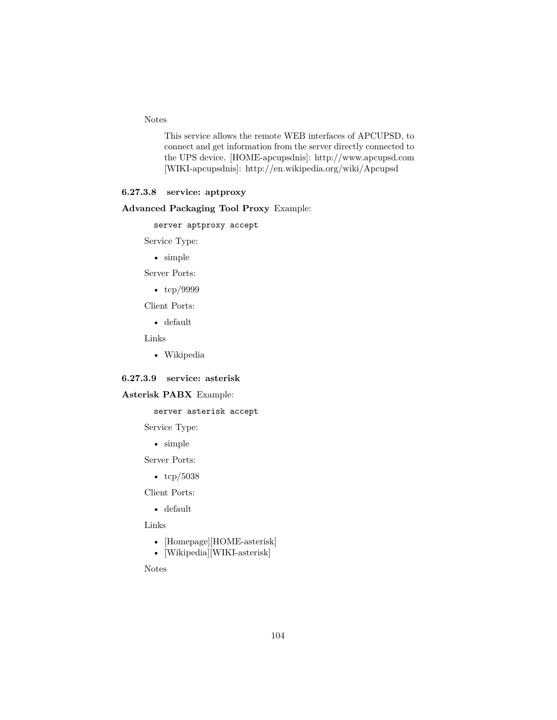Notes

This service allows the remote WEB interfaces of [APCUPSD,](http://www.apcupsd.com/) to connect and get information from the server directly connected to the UPS device. [HOME-apcupsdnis]: http://www.apcupsd.com [WIKI-apcupsdnis]: http://en.wikipedia.org/wiki/Apcupsd

## <span id="page-103-0"></span>**6.27.3.8 service: aptproxy**

## **Advanced Packaging Tool Proxy** Example:

server aptproxy accept

Service Type:

• simple

Server Ports:

• tcp/9999

Client Ports:

• default

Links

• [Wikipedia](http://en.wikipedia.org/wiki/Apt-proxy)

#### <span id="page-103-1"></span>**6.27.3.9 service: asterisk**

## **Asterisk PABX** Example:

server asterisk accept

Service Type:

• simple

Server Ports:

• tcp/5038

Client Ports:

• default

Links

- [Homepage][HOME-asterisk]
- [Wikipedia][WIKI-asterisk]

Notes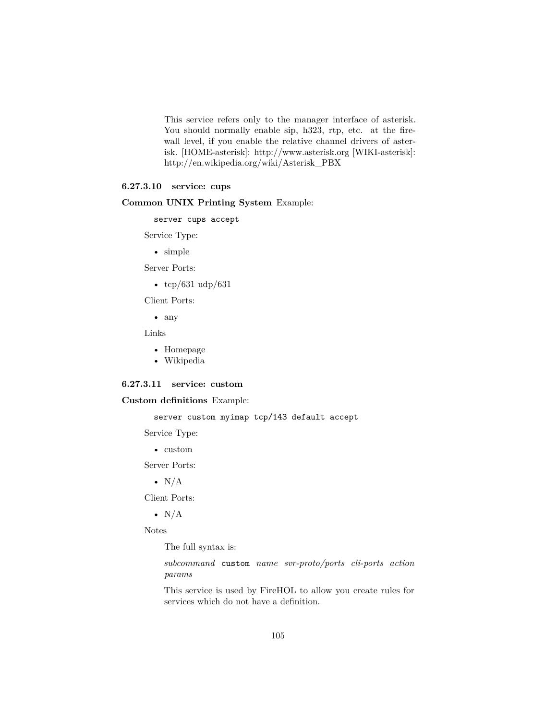This service refers only to the manager interface of asterisk. You should normally enable [sip,](#page-148-0) [h323,](#page-116-0) [rtp,](#page-146-0) etc. at the firewall level, if you enable the relative channel drivers of asterisk. [HOME-asterisk]: http://www.asterisk.org [WIKI-asterisk]: http://en.wikipedia.org/wiki/Asterisk\_PBX

## <span id="page-104-0"></span>**6.27.3.10 service: cups**

### **Common UNIX Printing System** Example:

server cups accept

Service Type:

• simple

Server Ports:

•  $\text{tcp}/631 \text{ udp}/631$ 

Client Ports:

• any

Links

- [Homepage](http://www.cups.org)
- [Wikipedia](http://en.wikipedia.org/wiki/Common_Unix_Printing_System)

#### <span id="page-104-1"></span>**6.27.3.11 service: custom**

**Custom definitions** Example:

server custom myimap tcp/143 default accept

Service Type:

• custom

Server Ports:

•  $N/A$ 

Client Ports:

•  $N/A$ 

Notes

The full syntax is:

*subcommand* custom *name svr-proto/ports cli-ports action params*

This service is used by FireHOL to allow you create rules for services which do not have a definition.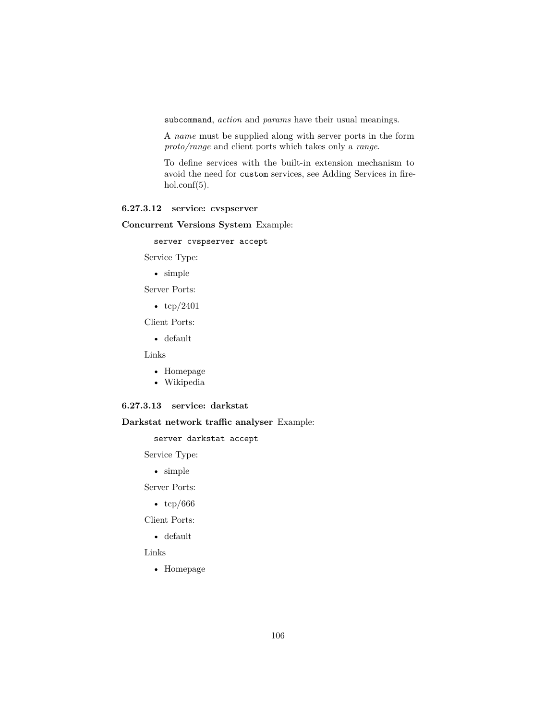subcommand, *action* and *params* have their usual meanings.

A *name* must be supplied along with server ports in the form *proto/range* and client ports which takes only a *range*.

To define services with the built-in extension mechanism to avoid the need for custom services, see [Adding Services](#page-15-0) in [fire](#page-14-0) $hol.config(5)$ .

#### <span id="page-105-0"></span>**6.27.3.12 service: cvspserver**

**Concurrent Versions System** Example:

server cvspserver accept

Service Type:

• simple

Server Ports:

•  $\text{tcp}/2401$ 

Client Ports:

• default

Links

- [Homepage](http://www.nongnu.org/cvs/)
- [Wikipedia](http://en.wikipedia.org/wiki/Concurrent_Versions_System)

## <span id="page-105-1"></span>**6.27.3.13 service: darkstat**

**Darkstat network traffic analyser** Example:

server darkstat accept

Service Type:

• simple

Server Ports:

• tcp/666

Client Ports:

• default

<span id="page-105-2"></span>Links

• [Homepage](https://unix4lyfe.org/darkstat/)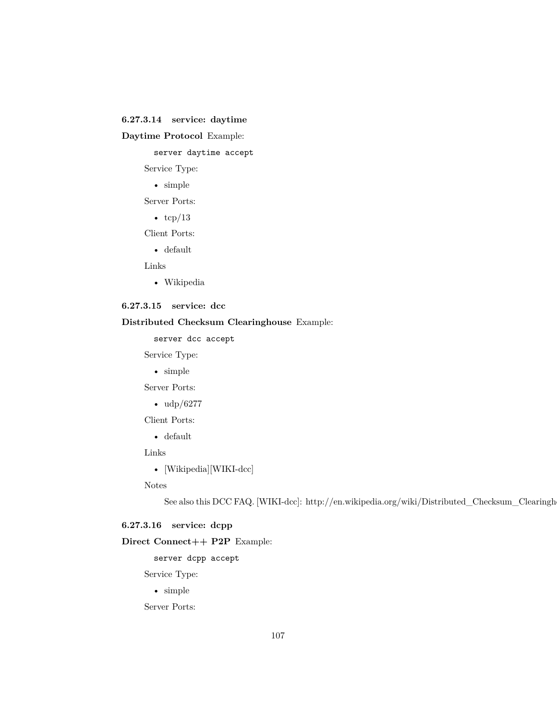## **6.27.3.14 service: daytime**

## **Daytime Protocol** Example:

server daytime accept

Service Type:

• simple

Server Ports:

•  $tcp/13$ 

Client Ports:

• default

Links

• [Wikipedia](http://en.wikipedia.org/wiki/Daytime_Protocol)

# <span id="page-106-0"></span>**6.27.3.15 service: dcc**

## **Distributed Checksum Clearinghouse** Example:

server dcc accept

Service Type:

• simple

Server Ports:

• udp/6277

Client Ports:

• default

Links

• [Wikipedia][WIKI-dcc]

Notes

See also this [DCC FAQ.](http://www.rhyolite.com/dcc/FAQ.html#firewall-ports) [WIKI-dcc]: http://en.wikipedia.org/wiki/Distributed\_Checksum\_Clearingh

## <span id="page-106-1"></span>**6.27.3.16 service: dcpp**

# **Direct Connect++ P2P** Example:

server dcpp accept

Service Type:

• simple

Server Ports: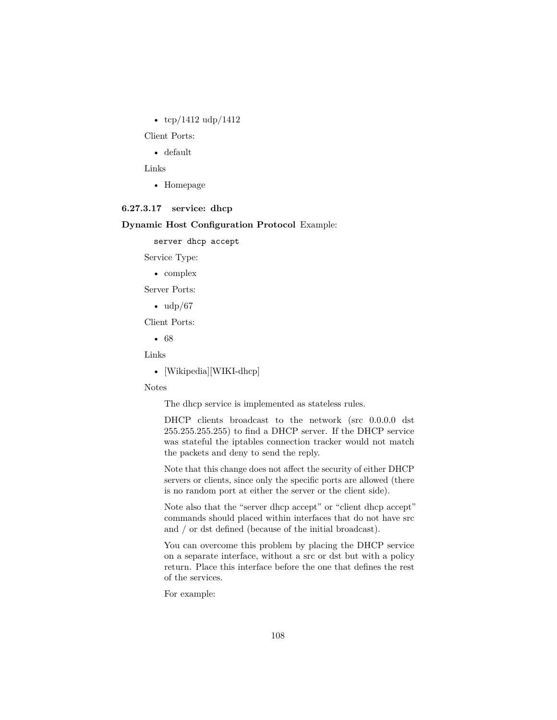•  $\frac{\text{top}}{1412} \text{udp}}{1412}$ 

Client Ports:

• default

Links

• [Homepage](http://dcplusplus.sourceforge.net)

#### <span id="page-107-0"></span>**6.27.3.17 service: dhcp**

## **Dynamic Host Configuration Protocol** Example:

server dhcp accept

Service Type:

• complex

Server Ports:

 $\bullet$  udp/67

Client Ports:

• 68

Links

• [Wikipedia][WIKI-dhcp]

Notes

The dhcp service is implemented as stateless rules.

DHCP clients broadcast to the network (src 0.0.0.0 dst 255.255.255.255) to find a DHCP server. If the DHCP service was stateful the iptables connection tracker would not match the packets and deny to send the reply.

Note that this change does not affect the security of either DHCP servers or clients, since only the specific ports are allowed (there is no random port at either the server or the client side).

Note also that the "server dhcp accept" or "client dhcp accept" commands should placed within interfaces that do not have src and / or dst defined (because of the initial broadcast).

You can overcome this problem by placing the DHCP service on a separate interface, without a src or dst but with a policy return. Place this interface before the one that defines the rest of the services.

For example: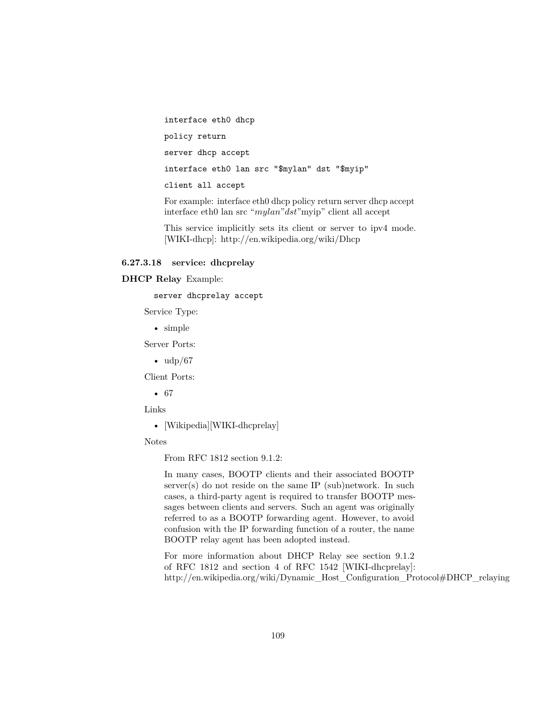interface eth0 dhcp policy return server dhcp accept interface eth0 lan src "\$mylan" dst "\$myip" client all accept

For example: interface eth0 dhcp policy return server dhcp accept interface eth0 lan src "*mylan*"*dst*"myip" client all accept

This service implicitly sets its client or server to ipv4 mode. [WIKI-dhcp]: http://en.wikipedia.org/wiki/Dhcp

#### **6.27.3.18 service: dhcprelay**

**DHCP Relay** Example:

server dhcprelay accept

Service Type:

• simple

Server Ports:

 $\bullet$  udp/67

Client Ports:

• 67

Links

• [Wikipedia][WIKI-dhcprelay]

Notes

From RFC 1812 section 9.1.2:

In many cases, BOOTP clients and their associated BOOTP server(s) do not reside on the same IP (sub)network. In such cases, a third-party agent is required to transfer BOOTP messages between clients and servers. Such an agent was originally referred to as a BOOTP forwarding agent. However, to avoid confusion with the IP forwarding function of a router, the name BOOTP relay agent has been adopted instead.

For more information about DHCP Relay see section 9.1.2 of [RFC 1812](http://www.ietf.org/rfc/rfc1812.txt) and section 4 of [RFC 1542](http://www.ietf.org/rfc/rfc1542.txt) [WIKI-dhcprelay]: http://en.wikipedia.org/wiki/Dynamic\_Host\_Configuration\_Protocol#DHCP\_relaying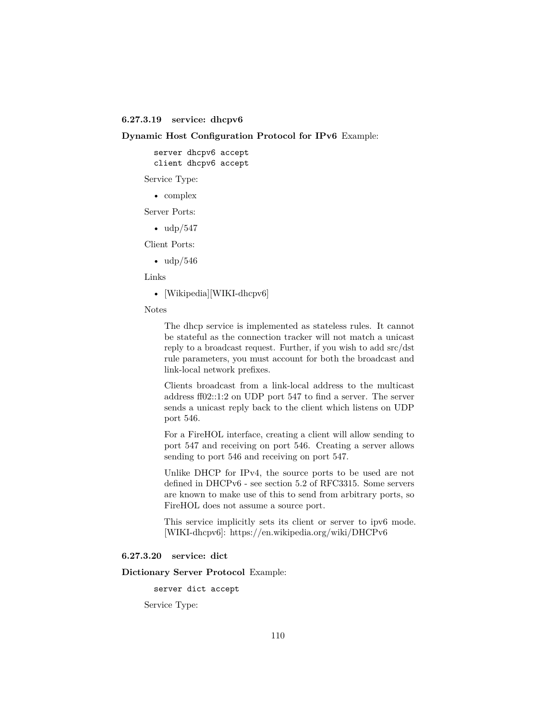**6.27.3.19 service: dhcpv6**

**Dynamic Host Configuration Protocol for IPv6** Example:

server dhcpv6 accept client dhcpv6 accept

Service Type:

• complex

Server Ports:

 $\bullet$  udp/547

Client Ports:

 $\bullet$  udp/546

Links

• [Wikipedia][WIKI-dhcpv6]

Notes

The dhcp service is implemented as stateless rules. It cannot be stateful as the connection tracker will not match a unicast reply to a broadcast request. Further, if you wish to add src/dst rule parameters, you must account for both the broadcast and link-local network prefixes.

Clients broadcast from a link-local address to the multicast address ff02::1:2 on UDP port 547 to find a server. The server sends a unicast reply back to the client which listens on UDP port 546.

For a FireHOL interface, creating a client will allow sending to port 547 and receiving on port 546. Creating a server allows sending to port 546 and receiving on port 547.

Unlike DHCP for IPv4, the source ports to be used are not defined in DHCPv6 - see section 5.2 of [RFC3315.](http://www.ietf.org/rfc/rfc3315.txt) Some servers are known to make use of this to send from arbitrary ports, so FireHOL does not assume a source port.

This service implicitly sets its client or server to ipv6 mode. [WIKI-dhcpv6]: https://en.wikipedia.org/wiki/DHCPv6

### **6.27.3.20 service: dict**

**Dictionary Server Protocol** Example:

server dict accept

Service Type: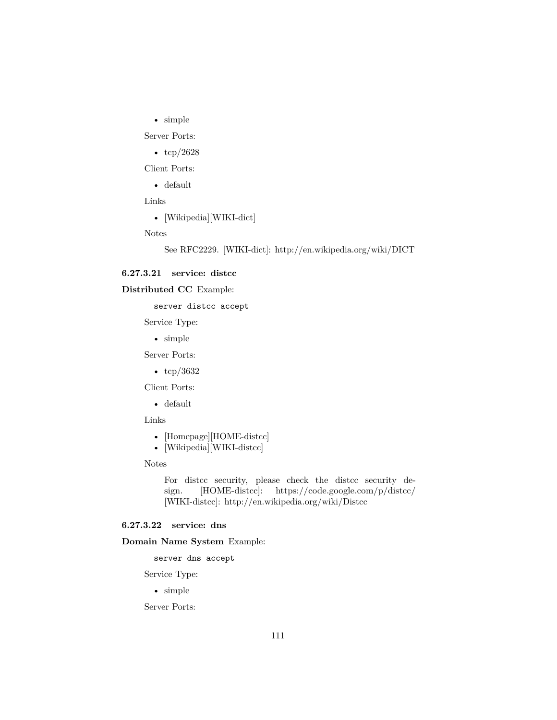• simple

Server Ports:

•  $\frac{\text{tcp}}{2628}$ 

Client Ports:

• default

Links

• [Wikipedia][WIKI-dict]

Notes

See [RFC2229.](http://www.ietf.org/rfc/rfc2229.txt) [WIKI-dict]: http://en.wikipedia.org/wiki/DICT

#### **6.27.3.21 service: distcc**

### **Distributed CC** Example:

server distcc accept

Service Type:

• simple

Server Ports:

• tcp/3632

Client Ports:

• default

Links

- [Homepage][HOME-distcc]
- [Wikipedia][WIKI-distcc]

Notes

For distcc security, please check the [distcc security de](http://distcc.googlecode.com/svn/trunk/doc/web/security.html)[sign.](http://distcc.googlecode.com/svn/trunk/doc/web/security.html) [HOME-distcc]: https://code.google.com/p/distcc/ [WIKI-distcc]: http://en.wikipedia.org/wiki/Distcc

# **6.27.3.22 service: dns**

**Domain Name System** Example:

server dns accept

Service Type:

• simple

Server Ports: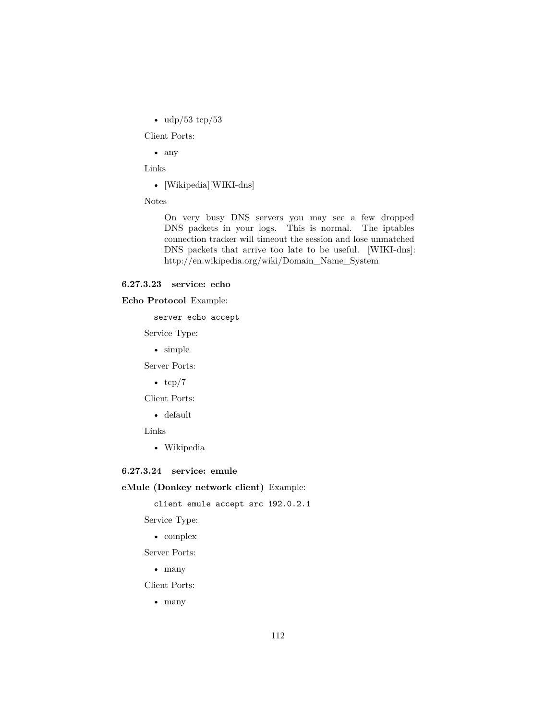• udp/53 tcp/53

Client Ports:

• any

Links

• [Wikipedia][WIKI-dns]

Notes

On very busy DNS servers you may see a few dropped DNS packets in your logs. This is normal. The iptables connection tracker will timeout the session and lose unmatched DNS packets that arrive too late to be useful. [WIKI-dns]: http://en.wikipedia.org/wiki/Domain\_Name\_System

### **6.27.3.23 service: echo**

### **Echo Protocol** Example:

server echo accept

Service Type:

• simple

Server Ports:

•  $tcp/7$ 

Client Ports:

• default

Links

• [Wikipedia](http://en.wikipedia.org/wiki/Echo_Protocol)

### **6.27.3.24 service: emule**

**eMule (Donkey network client)** Example:

client emule accept src 192.0.2.1

Service Type:

• complex Server Ports:

• many

Client Ports:

• many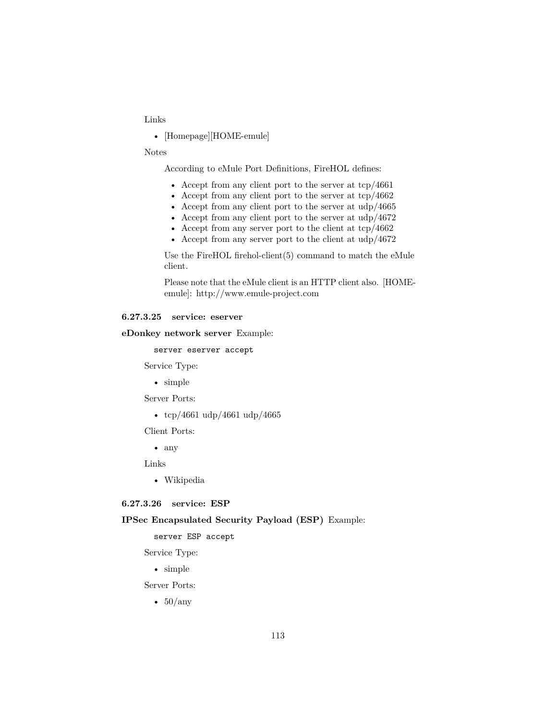### Links

• [Homepage][HOME-emule]

### Notes

According to [eMule Port Definitions,](http://www.emule-project.net/home/perl/help.cgi?l=1&rm=show_topic&topic_id=122) FireHOL defines:

- Accept from any client port to the server at tcp/4661
- Accept from any client port to the server at tcp/4662
- Accept from any client port to the server at  $\frac{\text{d}p}{4665}$
- Accept from any client port to the server at udp/4672
- Accept from any server port to the client at tcp/4662
- Accept from any server port to the client at udp/4672

Use the FireHOL [firehol-client\(5\)](#page-35-0) command to match the eMule client.

Please note that the eMule client is an HTTP client also. [HOMEemule]: http://www.emule-project.com

#### **6.27.3.25 service: eserver**

**eDonkey network server** Example:

server eserver accept

Service Type:

• simple

Server Ports:

• tcp/4661 udp/4661 udp/4665

Client Ports:

• any

Links

• [Wikipedia](http://en.wikipedia.org/wiki/Eserver)

### **6.27.3.26 service: ESP**

#### **IPSec Encapsulated Security Payload (ESP)** Example:

server ESP accept

Service Type:

• simple

Server Ports:

•  $50/any$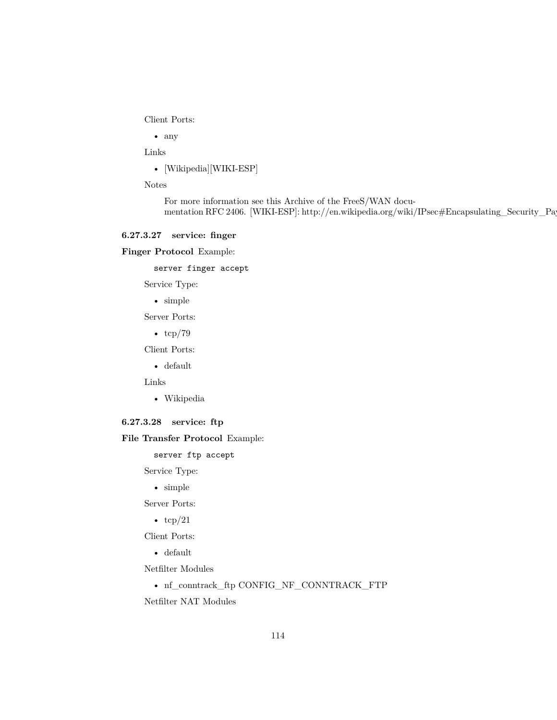Client Ports:

• any

Links

• [Wikipedia][WIKI-ESP]

Notes

For more information see this [Archive of the FreeS/WAN docu](http://web.archive.org/web/20100918134143/http://www.freeswan.org/freeswan_trees/freeswan-1.99/doc/ipsec.html#ESP.ipsec)[mentation](http://web.archive.org/web/20100918134143/http://www.freeswan.org/freeswan_trees/freeswan-1.99/doc/ipsec.html#ESP.ipsec) [RFC 2406.](http://www.ietf.org/rfc/rfc2406.txt) [WIKI-ESP]: http://en.wikipedia.org/wiki/IPsec#Encapsulating\_Security\_Pay

### **6.27.3.27 service: finger**

**Finger Protocol** Example:

server finger accept

Service Type:

• simple

Server Ports:

•  $\text{tcp}/79$ 

Client Ports:

• default

Links

• [Wikipedia](http://en.wikipedia.org/wiki/Finger_protocol)

### **6.27.3.28 service: ftp**

**File Transfer Protocol** Example:

server ftp accept

Service Type:

• simple

Server Ports:

•  $\text{tcp}/21$ 

Client Ports:

• default

Netfilter Modules

• nf\_conntrack\_ftp [CONFIG\\_NF\\_CONNTRACK\\_FTP](http://cateee.net/lkddb/web-lkddb/NF_CONNTRACK_FTP.html)

Netfilter NAT Modules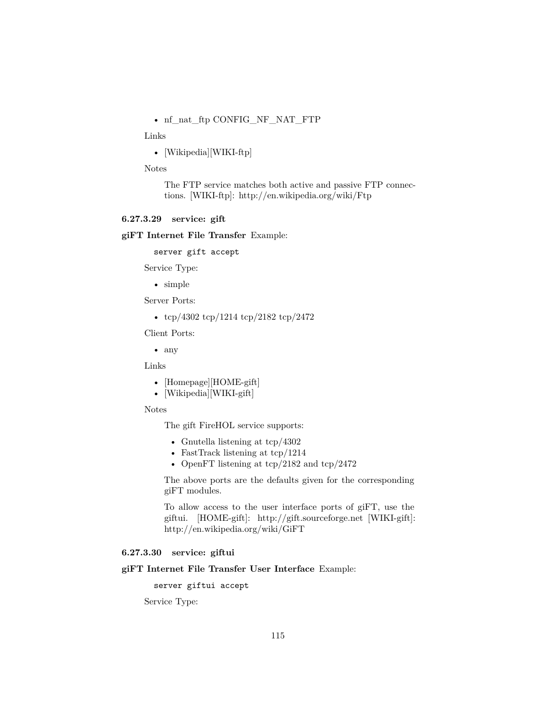• nf\_nat\_ftp [CONFIG\\_NF\\_NAT\\_FTP](http://cateee.net/lkddb/web-lkddb/NF_NAT_FTP.html)

Links

• [Wikipedia][WIKI-ftp]

Notes

The FTP service matches both active and passive FTP connections. [WIKI-ftp]: http://en.wikipedia.org/wiki/Ftp

#### <span id="page-114-1"></span>**6.27.3.29 service: gift**

#### **giFT Internet File Transfer** Example:

server gift accept

Service Type:

• simple

Server Ports:

• tcp/4302 tcp/1214 tcp/2182 tcp/2472

Client Ports:

• any

Links

- [Homepage][HOME-gift]
- [Wikipedia][WIKI-gift]

#### Notes

The gift FireHOL service supports:

- Gnutella listening at tcp/4302
- FastTrack listening at tcp/1214
- OpenFT listening at  $\text{tcp}/2182$  and  $\text{tcp}/2472$

The above ports are the defaults given for the corresponding giFT modules.

To allow access to the user interface ports of giFT, use the [giftui.](#page-114-0) [HOME-gift]: http://gift.sourceforge.net [WIKI-gift]: http://en.wikipedia.org/wiki/GiFT

### <span id="page-114-0"></span>**6.27.3.30 service: giftui**

### **giFT Internet File Transfer User Interface** Example:

server giftui accept

Service Type: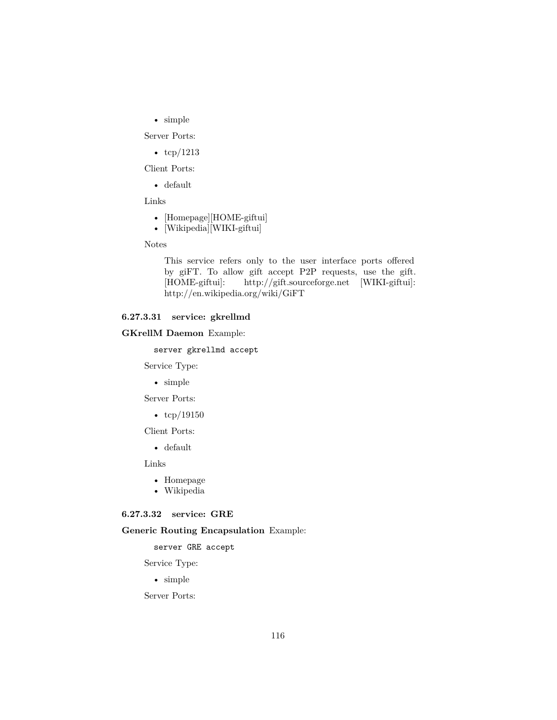• simple

Server Ports:

•  $\text{tcp}/1213$ 

Client Ports:

• default

Links

- [Homepage][HOME-giftui]
- [Wikipedia][WIKI-giftui]

Notes

This service refers only to the user interface ports offered by giFT. To allow gift accept P2P requests, use the [gift.](#page-114-1) [HOME-giftui]: http://gift.sourceforge.net [WIKI-giftui]: http://en.wikipedia.org/wiki/GiFT

### **6.27.3.31 service: gkrellmd**

#### **GKrellM Daemon** Example:

server gkrellmd accept

Service Type:

• simple

Server Ports:

•  $\text{tcp}/19150$ 

Client Ports:

• default

Links

- [Homepage](http://gkrellm.net/)
- [Wikipedia](http://en.wikipedia.org/wiki/Gkrellm)

#### **6.27.3.32 service: GRE**

#### **Generic Routing Encapsulation** Example:

server GRE accept

Service Type:

• simple

Server Ports: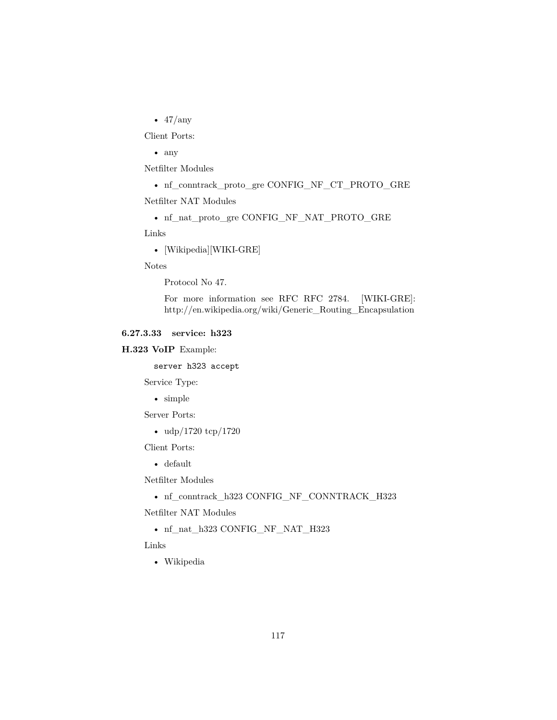• 47/any

Client Ports:

• any

Netfilter Modules

• nf\_conntrack\_proto\_gre [CONFIG\\_NF\\_CT\\_PROTO\\_GRE](http://cateee.net/lkddb/web-lkddb/NF_CT_PROTO_GRE.html)

Netfilter NAT Modules

• nf\_nat\_proto\_gre [CONFIG\\_NF\\_NAT\\_PROTO\\_GRE](http://cateee.net/lkddb/web-lkddb/NF_NAT_PROTO_GRE.html)

Links

• [Wikipedia][WIKI-GRE]

Notes

Protocol No 47.

For more information see RFC [RFC 2784.](http://www.ietf.org/rfc/rfc2784.txt) [WIKI-GRE]: http://en.wikipedia.org/wiki/Generic\_Routing\_Encapsulation

### **6.27.3.33 service: h323**

### **H.323 VoIP** Example:

server h323 accept

Service Type:

• simple

Server Ports:

• udp/1720 tcp/1720

Client Ports:

• default

Netfilter Modules

• nf\_conntrack\_h323 [CONFIG\\_NF\\_CONNTRACK\\_H323](http://cateee.net/lkddb/web-lkddb/NF_CONNTRACK_H323.html)

Netfilter NAT Modules

• nf\_nat\_h323 [CONFIG\\_NF\\_NAT\\_H323](http://cateee.net/lkddb/web-lkddb/NF_NAT_H323.html)

Links

• [Wikipedia](http://en.wikipedia.org/wiki/H323)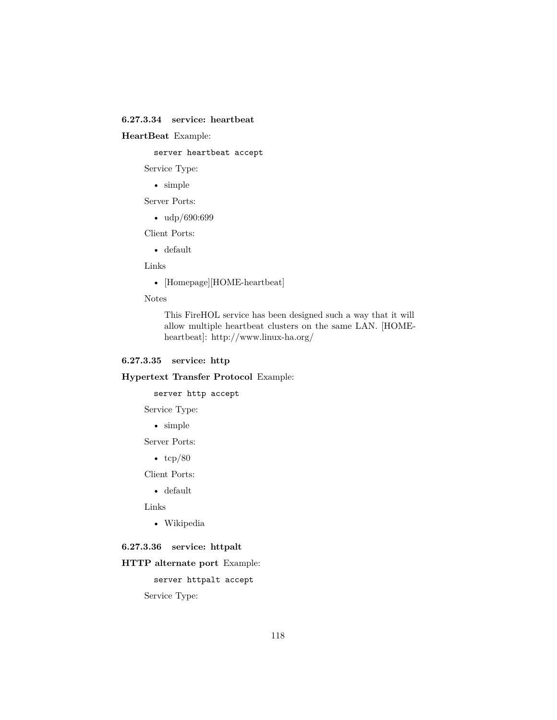## **6.27.3.34 service: heartbeat**

### **HeartBeat** Example:

server heartbeat accept

Service Type:

• simple

Server Ports:

• udp/690:699

Client Ports:

• default

Links

• [Homepage][HOME-heartbeat]

Notes

This FireHOL service has been designed such a way that it will allow multiple heartbeat clusters on the same LAN. [HOMEheartbeat]: http://www.linux-ha.org/

### <span id="page-117-0"></span>**6.27.3.35 service: http**

**Hypertext Transfer Protocol** Example:

server http accept

Service Type:

• simple

Server Ports:

•  $\text{tcp}/80$ 

Client Ports:

• default

Links

• [Wikipedia](http://en.wikipedia.org/wiki/Http)

### **6.27.3.36 service: httpalt**

#### **HTTP alternate port** Example:

server httpalt accept

Service Type: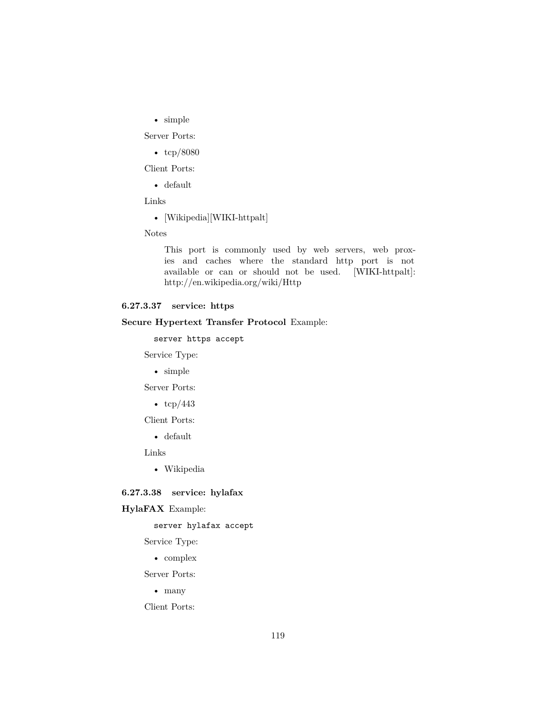• simple

Server Ports:

• tcp/8080

Client Ports:

• default

Links

• [Wikipedia][WIKI-httpalt]

Notes

This port is commonly used by web servers, web proxies and caches where the standard [http](#page-117-0) port is not available or can or should not be used. [WIKI-httpalt]: http://en.wikipedia.org/wiki/Http

# **6.27.3.37 service: https**

### **Secure Hypertext Transfer Protocol** Example:

server https accept

Service Type:

• simple

Server Ports:

•  $\text{tcp}/443$ 

Client Ports:

• default

Links

• [Wikipedia](http://en.wikipedia.org/wiki/Https)

### **6.27.3.38 service: hylafax**

### **HylaFAX** Example:

server hylafax accept

Service Type:

• complex

Server Ports:

• many

Client Ports: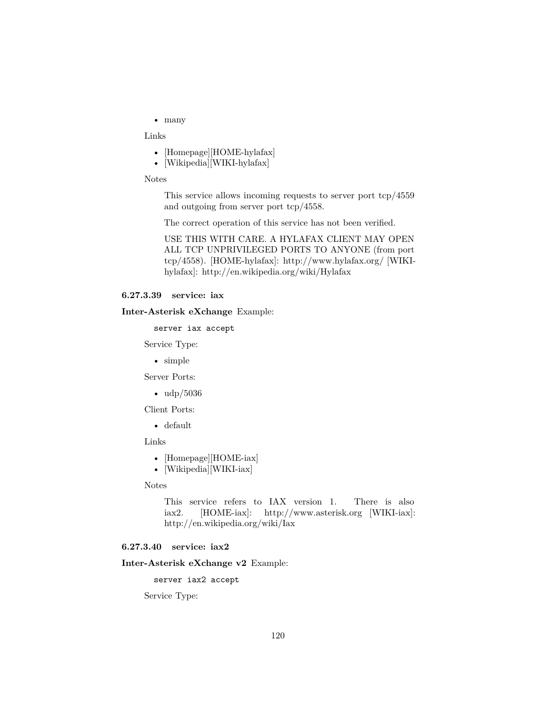• many

Links

- [Homepage][HOME-hylafax]
- [Wikipedia][WIKI-hylafax]

Notes

This service allows incoming requests to server port tcp/4559 and outgoing from server port tcp/4558.

The correct operation of this service has not been verified.

USE THIS WITH CARE. A HYLAFAX CLIENT MAY OPEN ALL TCP UNPRIVILEGED PORTS TO ANYONE (from port tcp/4558). [HOME-hylafax]: http://www.hylafax.org/ [WIKIhylafax]: http://en.wikipedia.org/wiki/Hylafax

#### <span id="page-119-1"></span>**6.27.3.39 service: iax**

#### **Inter-Asterisk eXchange** Example:

server iax accept

Service Type:

• simple

Server Ports:

• udp/5036

Client Ports:

• default

Links

- [Homepage][HOME-iax]
- [Wikipedia][WIKI-iax]

Notes

This service refers to IAX version 1. There is also [iax2.](#page-119-0) [HOME-iax]: http://www.asterisk.org [WIKI-iax]: http://en.wikipedia.org/wiki/Iax

### <span id="page-119-0"></span>**6.27.3.40 service: iax2**

#### **Inter-Asterisk eXchange v2** Example:

server iax2 accept

Service Type: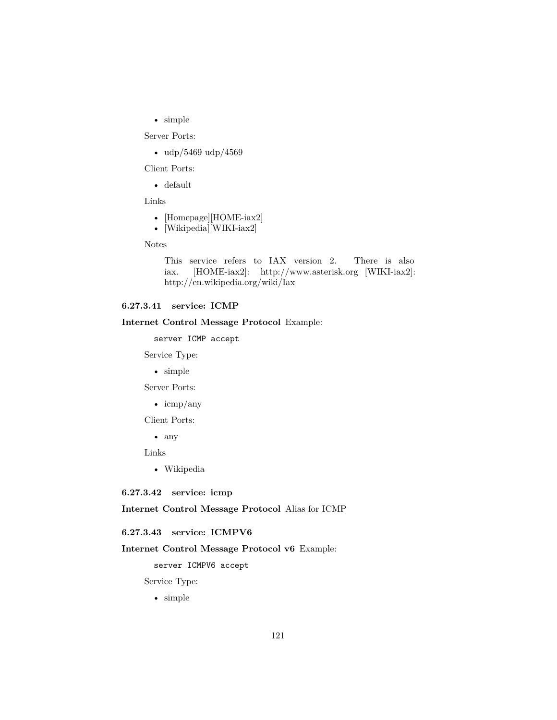• simple

Server Ports:

• udp/5469 udp/4569

Client Ports:

• default

Links

- [Homepage][HOME-iax2]
- [Wikipedia][WIKI-iax2]

Notes

This service refers to IAX version 2. There is also [iax.](#page-119-1) [HOME-iax2]: http://www.asterisk.org [WIKI-iax2]: http://en.wikipedia.org/wiki/Iax

# <span id="page-120-0"></span>**6.27.3.41 service: ICMP**

#### **Internet Control Message Protocol** Example:

server ICMP accept

Service Type:

• simple

Server Ports:

• icmp/any

Client Ports:

• any

Links

• [Wikipedia](http://en.wikipedia.org/wiki/Internet_Control_Message_Protocol)

**6.27.3.42 service: icmp**

<span id="page-120-1"></span>**Internet Control Message Protocol** Alias for [ICMP](#page-120-0)

#### **6.27.3.43 service: ICMPV6**

### **Internet Control Message Protocol v6** Example:

server ICMPV6 accept

Service Type:

• simple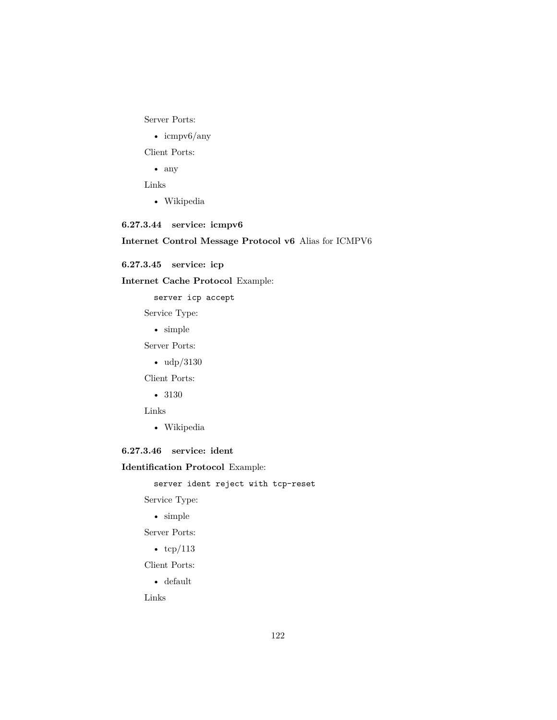Server Ports:

• icmpv6/any

Client Ports:

• any

Links

• [Wikipedia](http://en.wikipedia.org/wiki/ICMPv6)

# **6.27.3.44 service: icmpv6**

# **Internet Control Message Protocol v6** Alias for [ICMPV6](#page-120-1)

**6.27.3.45 service: icp**

**Internet Cache Protocol** Example:

server icp accept

Service Type:

• simple

Server Ports:

• udp/3130

Client Ports:

• 3130

Links

• [Wikipedia](http://en.wikipedia.org/wiki/Internet_Cache_Protocol)

### **6.27.3.46 service: ident**

**Identification Protocol** Example:

server ident reject with tcp-reset

Service Type:

• simple

Server Ports:

•  $\text{tcp}/113$ 

Client Ports:

• default

Links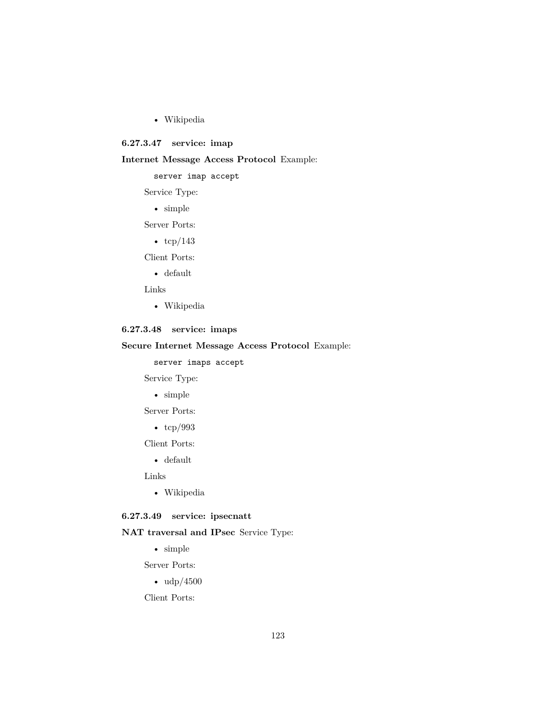• [Wikipedia](http://en.wikipedia.org/wiki/Ident_protocol)

### **6.27.3.47 service: imap**

### **Internet Message Access Protocol** Example:

server imap accept

Service Type:

• simple

Server Ports:

•  $\text{tcp}/143$ 

Client Ports:

• default

Links

• [Wikipedia](http://en.wikipedia.org/wiki/Imap)

# **6.27.3.48 service: imaps**

### **Secure Internet Message Access Protocol** Example:

server imaps accept

Service Type:

• simple

Server Ports:

• tcp/993

Client Ports:

• default

Links

• [Wikipedia](http://en.wikipedia.org/wiki/Imap)

# **6.27.3.49 service: ipsecnatt**

# **NAT traversal and IPsec** Service Type:

• simple

Server Ports:

• udp/4500

Client Ports: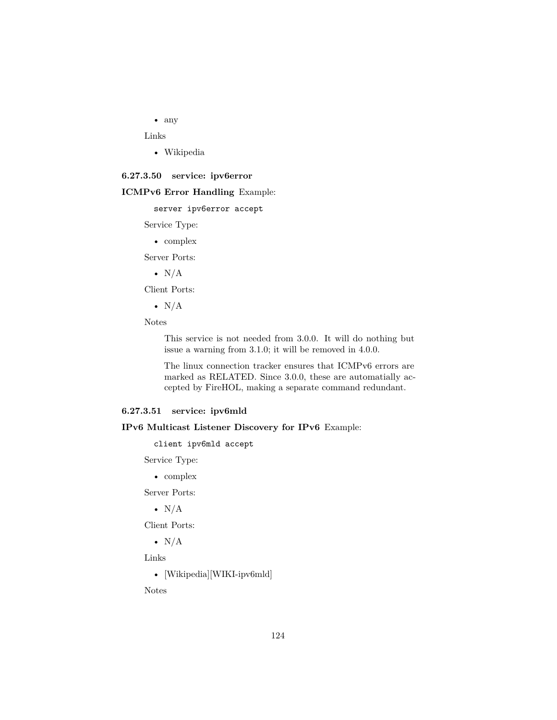• any

Links

• [Wikipedia](http://en.wikipedia.org/wiki/NAT_traversal#IPsec_traversal_across_NAT)

#### **6.27.3.50 service: ipv6error**

#### **ICMPv6 Error Handling** Example:

server ipv6error accept

Service Type:

• complex

Server Ports:

•  $N/A$ 

Client Ports:

•  $N/A$ 

Notes

This service is not needed from 3.0.0. It will do nothing but issue a warning from 3.1.0; it will be removed in 4.0.0.

The linux connection tracker ensures that ICMPv6 errors are marked as RELATED. Since 3.0.0, these are automatially accepted by FireHOL, making a separate command redundant.

### **6.27.3.51 service: ipv6mld**

**IPv6 Multicast Listener Discovery for IPv6** Example:

client ipv6mld accept

Service Type:

• complex

Server Ports:

•  $N/A$ 

Client Ports:

•  $N/A$ 

Links

• [Wikipedia][WIKI-ipv6mld]

Notes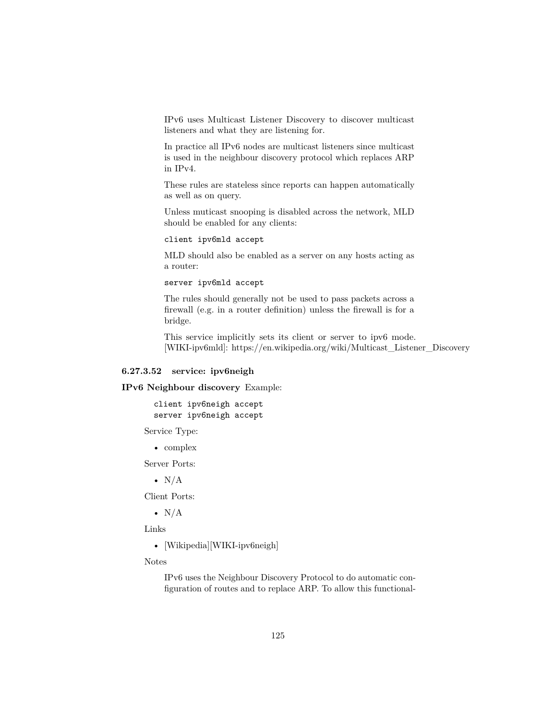IPv6 uses Multicast Listener Discovery to discover multicast listeners and what they are listening for.

In practice all IPv6 nodes are multicast listeners since multicast is used in the neighbour discovery protocol which replaces ARP in IPv4.

These rules are stateless since reports can happen automatically as well as on query.

Unless muticast snooping is disabled across the network, MLD should be enabled for any clients:

client ipv6mld accept

MLD should also be enabled as a server on any hosts acting as a router:

server ipv6mld accept

The rules should generally not be used to pass packets across a firewall (e.g. in a router definition) unless the firewall is for a bridge.

This service implicitly sets its client or server to ipv6 mode. [WIKI-ipv6mld]: https://en.wikipedia.org/wiki/Multicast\_Listener\_Discovery

### **6.27.3.52 service: ipv6neigh**

**IPv6 Neighbour discovery** Example:

client ipv6neigh accept server ipv6neigh accept

Service Type:

• complex

Server Ports:

•  $N/A$ 

Client Ports:

•  $N/A$ 

Links

• [Wikipedia][WIKI-ipv6neigh]

Notes

IPv6 uses the Neighbour Discovery Protocol to do automatic configuration of routes and to replace ARP. To allow this functional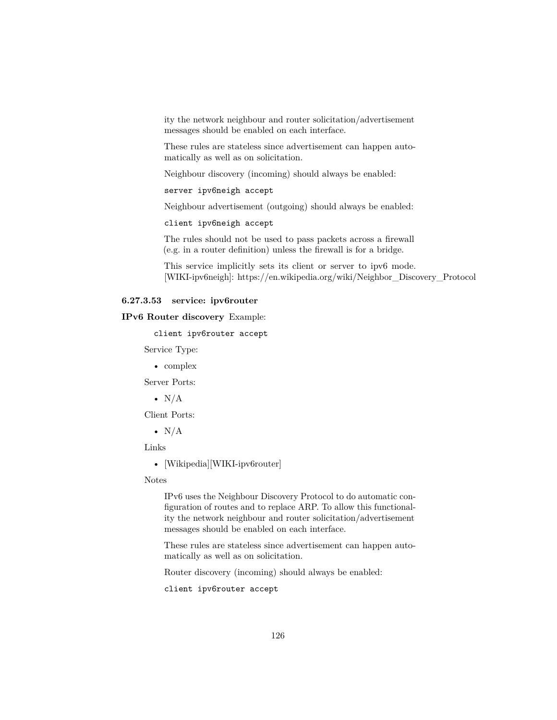ity the network neighbour and router solicitation/advertisement messages should be enabled on each interface.

These rules are stateless since advertisement can happen automatically as well as on solicitation.

Neighbour discovery (incoming) should always be enabled:

server ipv6neigh accept

Neighbour advertisement (outgoing) should always be enabled:

client ipv6neigh accept

The rules should not be used to pass packets across a firewall (e.g. in a router definition) unless the firewall is for a bridge.

This service implicitly sets its client or server to ipv6 mode. [WIKI-ipv6neigh]: https://en.wikipedia.org/wiki/Neighbor\_Discovery\_Protocol

### **6.27.3.53 service: ipv6router**

**IPv6 Router discovery** Example:

client ipv6router accept

Service Type:

• complex

Server Ports:

•  $N/A$ 

Client Ports:

•  $N/A$ 

Links

• [Wikipedia][WIKI-ipv6router]

Notes

IPv6 uses the Neighbour Discovery Protocol to do automatic configuration of routes and to replace ARP. To allow this functionality the network neighbour and router solicitation/advertisement messages should be enabled on each interface.

These rules are stateless since advertisement can happen automatically as well as on solicitation.

Router discovery (incoming) should always be enabled:

client ipv6router accept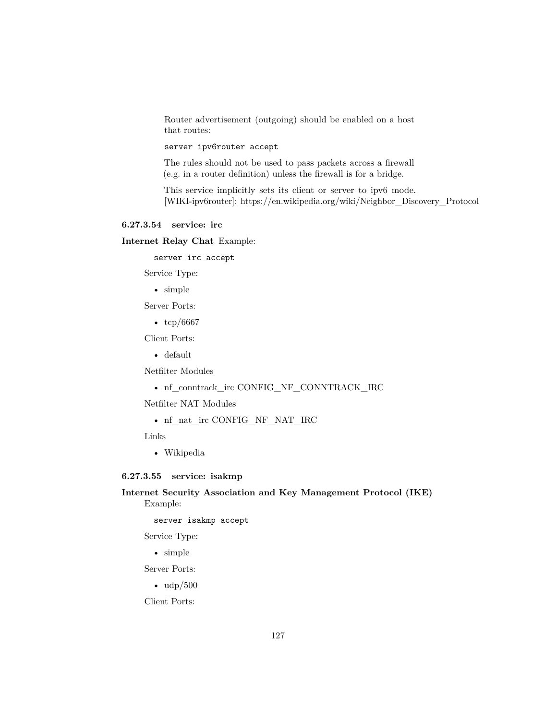Router advertisement (outgoing) should be enabled on a host that routes:

### server ipv6router accept

The rules should not be used to pass packets across a firewall (e.g. in a router definition) unless the firewall is for a bridge.

This service implicitly sets its client or server to ipv6 mode. [WIKI-ipv6router]: https://en.wikipedia.org/wiki/Neighbor\_Discovery\_Protocol

#### **6.27.3.54 service: irc**

**Internet Relay Chat** Example:

server irc accept

Service Type:

• simple

Server Ports:

• tcp/6667

Client Ports:

• default

Netfilter Modules

• nf\_conntrack\_irc [CONFIG\\_NF\\_CONNTRACK\\_IRC](http://cateee.net/lkddb/web-lkddb/NF_CONNTRACK_IRC.html)

Netfilter NAT Modules

• nf\_nat\_irc [CONFIG\\_NF\\_NAT\\_IRC](http://cateee.net/lkddb/web-lkddb/NF_NAT_IRC.html)

Links

• [Wikipedia](http://en.wikipedia.org/wiki/Internet_Relay_Chat)

### **6.27.3.55 service: isakmp**

**Internet Security Association and Key Management Protocol (IKE)** Example:

server isakmp accept

Service Type:

• simple

Server Ports:

 $\bullet$  udp/500

Client Ports: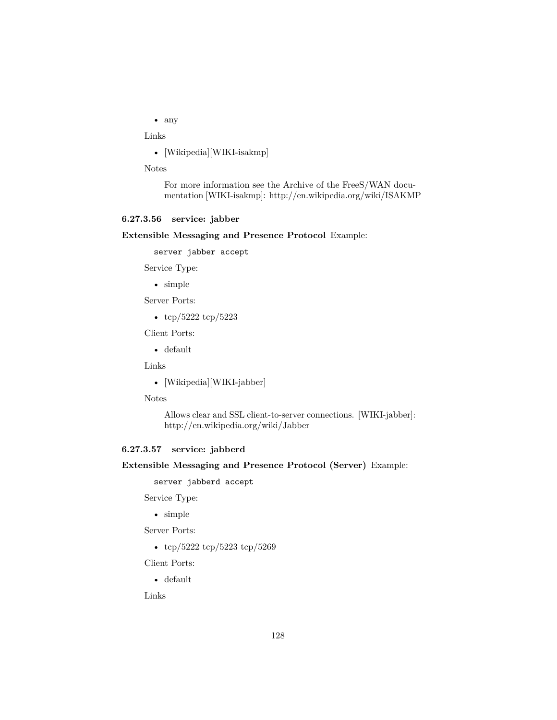• any

Links

• [Wikipedia][WIKI-isakmp]

Notes

For more information see the [Archive of the FreeS/WAN docu](http://web.archive.org/web/20100918134143/http://www.freeswan.org/freeswan_trees/freeswan-1.99/doc/ipsec.html#IKE.ipsec)[mentation](http://web.archive.org/web/20100918134143/http://www.freeswan.org/freeswan_trees/freeswan-1.99/doc/ipsec.html#IKE.ipsec) [WIKI-isakmp]: http://en.wikipedia.org/wiki/ISAKMP

### <span id="page-127-0"></span>**6.27.3.56 service: jabber**

#### **Extensible Messaging and Presence Protocol** Example:

server jabber accept

Service Type:

• simple

Server Ports:

• tcp/5222 tcp/5223

Client Ports:

• default

Links

• [Wikipedia][WIKI-jabber]

Notes

Allows clear and SSL client-to-server connections. [WIKI-jabber]: http://en.wikipedia.org/wiki/Jabber

### **6.27.3.57 service: jabberd**

**Extensible Messaging and Presence Protocol (Server)** Example:

server jabberd accept

Service Type:

• simple

Server Ports:

• tcp/5222 tcp/5223 tcp/5269

Client Ports:

• default

Links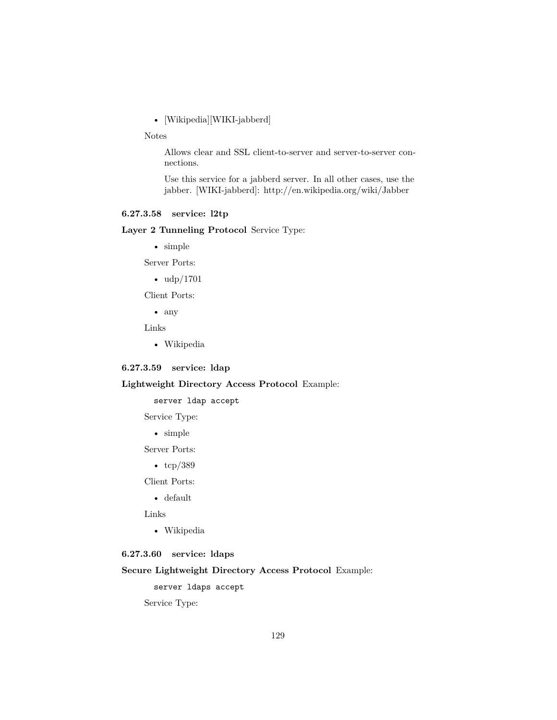• [Wikipedia][WIKI-jabberd]

Notes

Allows clear and SSL client-to-server and server-to-server connections.

Use this service for a jabberd server. In all other cases, use the [jabber.](#page-127-0) [WIKI-jabberd]: http://en.wikipedia.org/wiki/Jabber

# **6.27.3.58 service: l2tp**

### **Layer 2 Tunneling Protocol** Service Type:

• simple

Server Ports:

• udp/1701

Client Ports:

• any

Links

• [Wikipedia](http://en.wikipedia.org/wiki/L2tp)

### **6.27.3.59 service: ldap**

### **Lightweight Directory Access Protocol** Example:

server ldap accept

Service Type:

• simple

Server Ports:

•  $\text{tcp}/389$ 

Client Ports:

• default

Links

• [Wikipedia](http://en.wikipedia.org/wiki/Ldap)

### **6.27.3.60 service: ldaps**

**Secure Lightweight Directory Access Protocol** Example:

server ldaps accept

Service Type: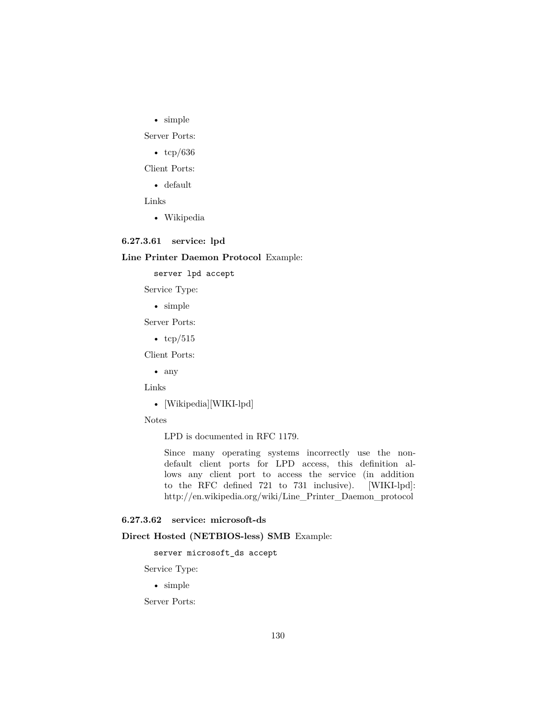• simple

Server Ports:

• tcp/636

Client Ports:

• default

Links

• [Wikipedia](http://en.wikipedia.org/wiki/Ldap)

## **6.27.3.61 service: lpd**

### **Line Printer Daemon Protocol** Example:

server lpd accept

Service Type:

• simple

Server Ports:

•  $tcp/515$ 

Client Ports:

• any

Links

• [Wikipedia][WIKI-lpd]

Notes

LPD is documented in [RFC 1179.](http://www.ietf.org/rfc/rfc1179.txt)

Since many operating systems incorrectly use the nondefault client ports for LPD access, this definition allows any client port to access the service (in addition to the RFC defined 721 to 731 inclusive). [WIKI-lpd]: http://en.wikipedia.org/wiki/Line\_Printer\_Daemon\_protocol

### <span id="page-129-0"></span>**6.27.3.62 service: microsoft-ds**

### **Direct Hosted (NETBIOS-less) SMB** Example:

server microsoft\_ds accept

Service Type:

• simple

Server Ports: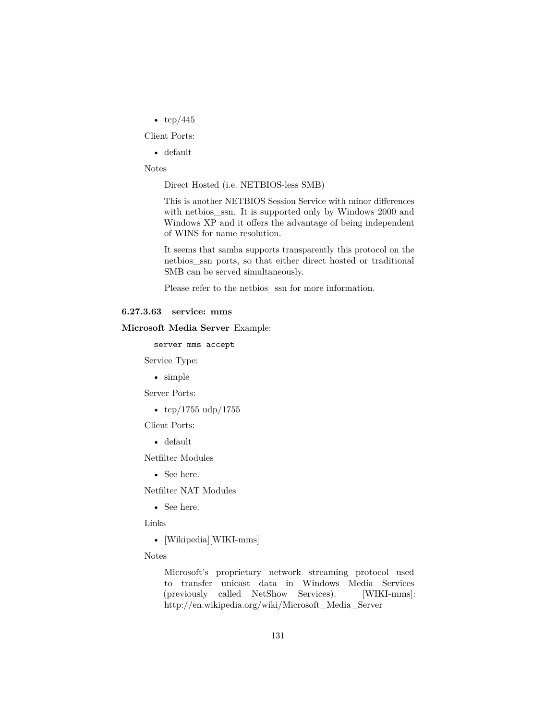•  $\text{tcp}/445$ 

Client Ports:

• default

Notes

Direct Hosted (i.e. NETBIOS-less SMB)

This is another NETBIOS Session Service with minor differences with [netbios\\_ssn.](#page-134-0) It is supported only by Windows 2000 and Windows XP and it offers the advantage of being independent of WINS for name resolution.

It seems that samba supports transparently this protocol on the [netbios\\_ssn](#page-134-0) ports, so that either direct hosted or traditional SMB can be served simultaneously.

Please refer to the [netbios\\_ssn](#page-134-0) for more information.

#### **6.27.3.63 service: mms**

**Microsoft Media Server** Example:

server mms accept

Service Type:

• simple

Server Ports:

•  $\frac{\text{top}}{1755}$  udp/1755

Client Ports:

• default

Netfilter Modules

• See [here.](http://www.netfilter.org/documentation/HOWTO/netfilter-extensions-HOWTO-5.html#ss5.5)

Netfilter NAT Modules

• See [here.](http://www.netfilter.org/documentation/HOWTO/netfilter-extensions-HOWTO-5.html#ss5.5)

Links

• [Wikipedia][WIKI-mms]

Notes

Microsoft's proprietary network streaming protocol used to transfer unicast data in Windows Media Services (previously called NetShow Services). [WIKI-mms]: http://en.wikipedia.org/wiki/Microsoft\_Media\_Server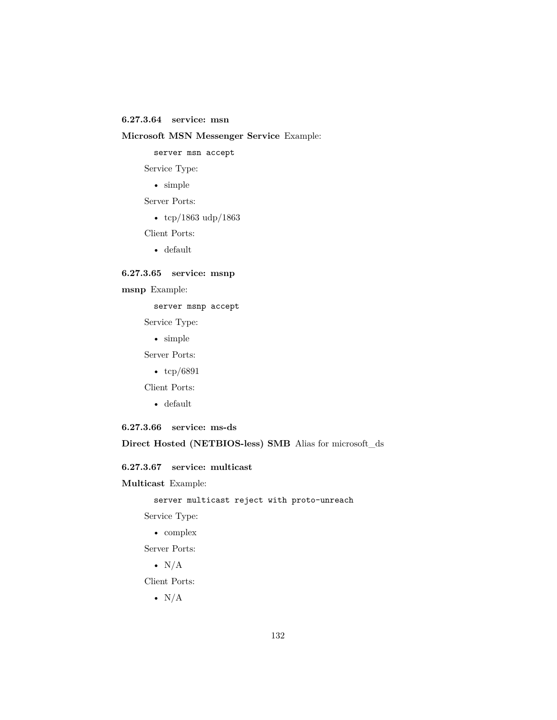## **6.27.3.64 service: msn**

### **Microsoft MSN Messenger Service** Example:

server msn accept

Service Type:

• simple

Server Ports:

• tcp/1863 udp/1863

Client Ports:

• default

### **6.27.3.65 service: msnp**

**msnp** Example:

server msnp accept

Service Type:

• simple

Server Ports:

•  $\frac{\text{tcp}}{6891}$ 

Client Ports:

- default
- **6.27.3.66 service: ms-ds**

### **Direct Hosted (NETBIOS-less) SMB** Alias for [microsoft\\_ds](#page-129-0)

### **6.27.3.67 service: multicast**

**Multicast** Example:

server multicast reject with proto-unreach

Service Type:

• complex

Server Ports:

•  $N/A$ 

Client Ports:

•  $N/A$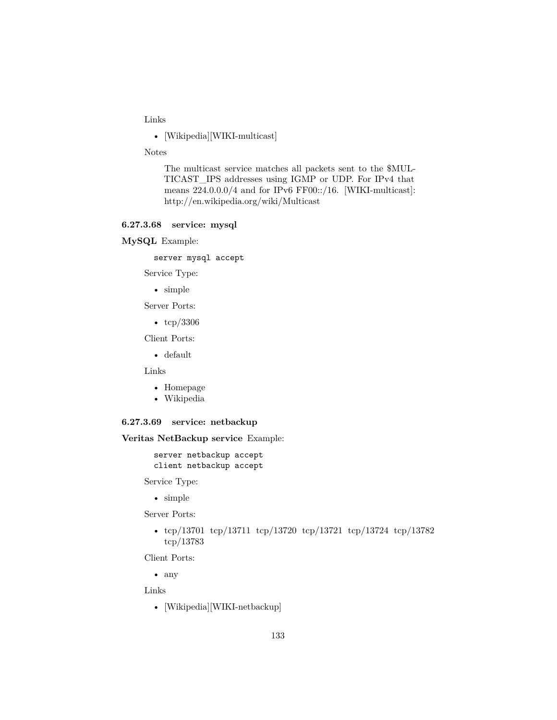Links

• [Wikipedia][WIKI-multicast]

Notes

The multicast service matches all packets sent to the \$MUL-TICAST\_IPS addresses using IGMP or UDP. For IPv4 that means  $224.0.0.0/4$  and for IPv6 FF00::/16. [WIKI-multicast]: http://en.wikipedia.org/wiki/Multicast

### **6.27.3.68 service: mysql**

**MySQL** Example:

server mysql accept

Service Type:

• simple

Server Ports:

• tcp/3306

Client Ports:

• default

Links

- [Homepage](http://www.mysql.com/)
- [Wikipedia](http://en.wikipedia.org/wiki/Mysql)

#### **6.27.3.69 service: netbackup**

**Veritas NetBackup service** Example:

server netbackup accept client netbackup accept

Service Type:

• simple

Server Ports:

• tcp/13701 tcp/13711 tcp/13720 tcp/13721 tcp/13724 tcp/13782 tcp/13783

Client Ports:

• any

Links

• [Wikipedia][WIKI-netbackup]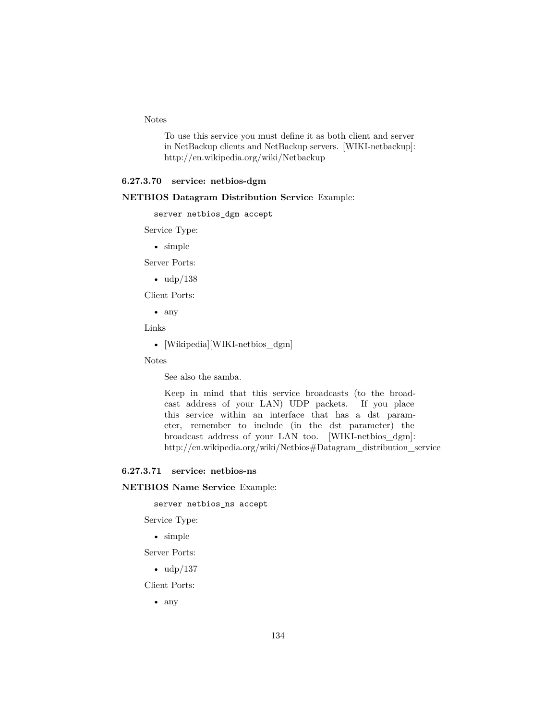### Notes

To use this service you must define it as both client and server in NetBackup clients and NetBackup servers. [WIKI-netbackup]: http://en.wikipedia.org/wiki/Netbackup

#### **6.27.3.70 service: netbios-dgm**

#### **NETBIOS Datagram Distribution Service** Example:

server netbios\_dgm accept

Service Type:

• simple

Server Ports:

 $\bullet$  udp/138

Client Ports:

• any

Links

• [Wikipedia][WIKI-netbios\_dgm]

Notes

See also the [samba.](#page-146-0)

Keep in mind that this service broadcasts (to the broadcast address of your LAN) UDP packets. If you place this service within an interface that has a dst parameter, remember to include (in the dst parameter) the broadcast address of your LAN too. [WIKI-netbios\_dgm]: http://en.wikipedia.org/wiki/Netbios#Datagram\_distribution\_service

#### **6.27.3.71 service: netbios-ns**

**NETBIOS Name Service** Example:

server netbios\_ns accept

Service Type:

• simple

Server Ports:

```
• \frac{\text{udp}}{137}
```
Client Ports:

• any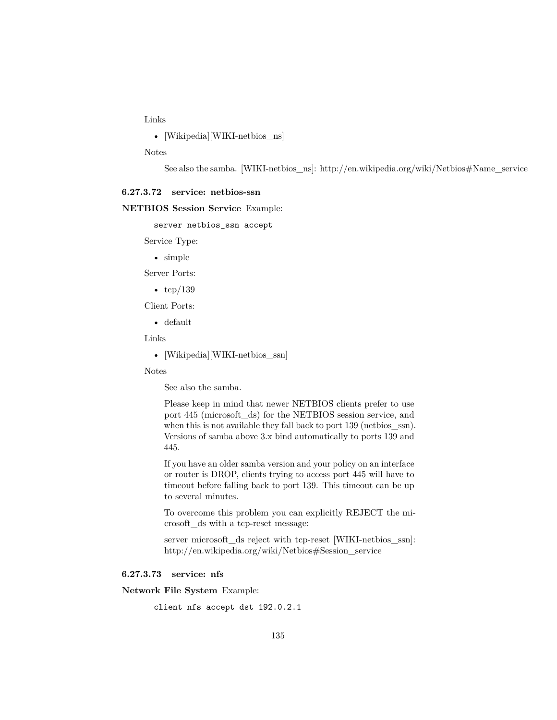Links

• [Wikipedia][WIKI-netbios\_ns]

Notes

See also the [samba.](#page-146-0) [WIKI-netbios\_ns]: http://en.wikipedia.org/wiki/Netbios#Name\_service

#### <span id="page-134-0"></span>**6.27.3.72 service: netbios-ssn**

#### **NETBIOS Session Service** Example:

server netbios\_ssn accept

Service Type:

• simple

Server Ports:

•  $\text{tcp}/139$ 

Client Ports:

• default

Links

• [Wikipedia][WIKI-netbios\_ssn]

Notes

See also the [samba.](#page-146-0)

Please keep in mind that newer NETBIOS clients prefer to use port 445 [\(microsoft\\_ds\)](#page-129-0) for the NETBIOS session service, and when this is not available they fall back to port 139 (netbios\_ssn). Versions of samba above 3.x bind automatically to ports 139 and 445.

If you have an older samba version and your policy on an interface or router is DROP, clients trying to access port 445 will have to timeout before falling back to port 139. This timeout can be up to several minutes.

To overcome this problem you can explicitly REJECT the [mi](#page-129-0)[crosoft\\_ds](#page-129-0) with a tcp-reset message:

server microsoft\_ds reject with tcp-reset [WIKI-netbios\_ssn]: http://en.wikipedia.org/wiki/Netbios#Session\_service

#### **6.27.3.73 service: nfs**

**Network File System** Example:

client nfs accept dst 192.0.2.1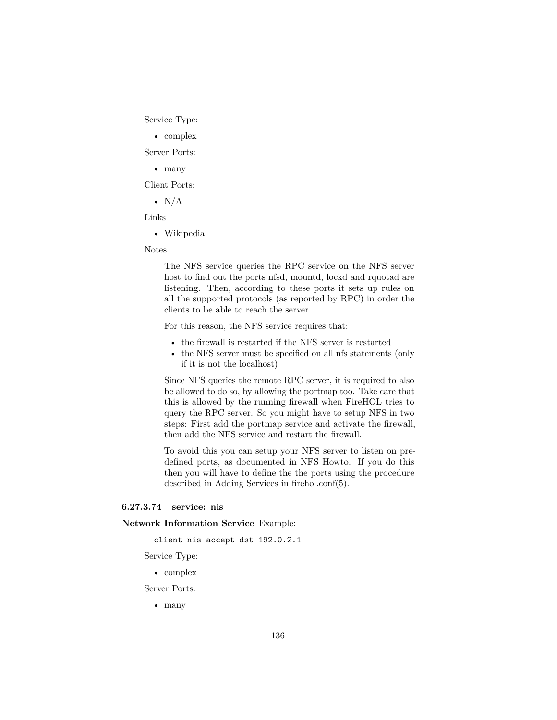Service Type:

• complex

Server Ports:

• many

Client Ports:

•  $N/A$ 

Links

• [Wikipedia](http://en.wikipedia.org/wiki/Network_File_System_%28protocol%29)

#### Notes

The NFS service queries the RPC service on the NFS server host to find out the ports nfsd, mountd, lockd and rquotad are listening. Then, according to these ports it sets up rules on all the supported protocols (as reported by RPC) in order the clients to be able to reach the server.

For this reason, the NFS service requires that:

- the firewall is restarted if the NFS server is restarted
- the NFS server must be specified on all nfs statements (only if it is not the localhost)

Since NFS queries the remote RPC server, it is required to also be allowed to do so, by allowing the [portmap](#page-141-0) too. Take care that this is allowed by the running firewall when FireHOL tries to query the RPC server. So you might have to setup NFS in two steps: First add the portmap service and activate the firewall, then add the NFS service and restart the firewall.

To avoid this you can setup your NFS server to listen on predefined ports, as documented in [NFS Howto.](http://nfs.sourceforge.net/nfs-howto/ar01s06.html#nfs_firewalls) If you do this then you will have to define the the ports using the procedure described in [Adding Services](#page-15-0) in [firehol.conf\(5\).](#page-14-0)

#### **6.27.3.74 service: nis**

**Network Information Service** Example:

client nis accept dst 192.0.2.1

Service Type:

• complex

Server Ports:

• many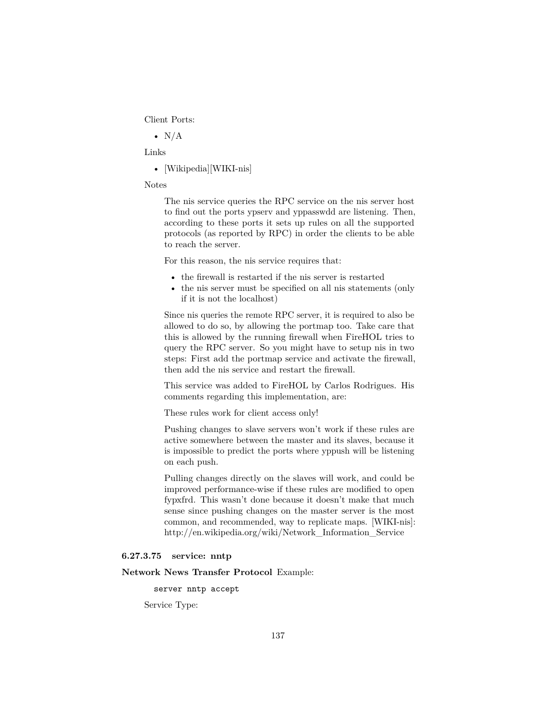Client Ports:

•  $N/A$ 

Links

• [Wikipedia][WIKI-nis]

Notes

The nis service queries the RPC service on the nis server host to find out the ports ypserv and yppasswdd are listening. Then, according to these ports it sets up rules on all the supported protocols (as reported by RPC) in order the clients to be able to reach the server.

For this reason, the nis service requires that:

- the firewall is restarted if the nis server is restarted
- the nis server must be specified on all nis statements (only if it is not the localhost)

Since nis queries the remote RPC server, it is required to also be allowed to do so, by allowing the [portmap](#page-141-0) too. Take care that this is allowed by the running firewall when FireHOL tries to query the RPC server. So you might have to setup nis in two steps: First add the portmap service and activate the firewall, then add the nis service and restart the firewall.

This service was added to FireHOL by [Carlos Rodrigues.](http://sourceforge.net/p/firehol/feature-requests/20/) His comments regarding this implementation, are:

These rules work for client access only!

Pushing changes to slave servers won't work if these rules are active somewhere between the master and its slaves, because it is impossible to predict the ports where yppush will be listening on each push.

Pulling changes directly on the slaves will work, and could be improved performance-wise if these rules are modified to open fypxfrd. This wasn't done because it doesn't make that much sense since pushing changes on the master server is the most common, and recommended, way to replicate maps. [WIKI-nis]: http://en.wikipedia.org/wiki/Network\_Information\_Service

#### **6.27.3.75 service: nntp**

#### **Network News Transfer Protocol** Example:

server nntp accept

Service Type: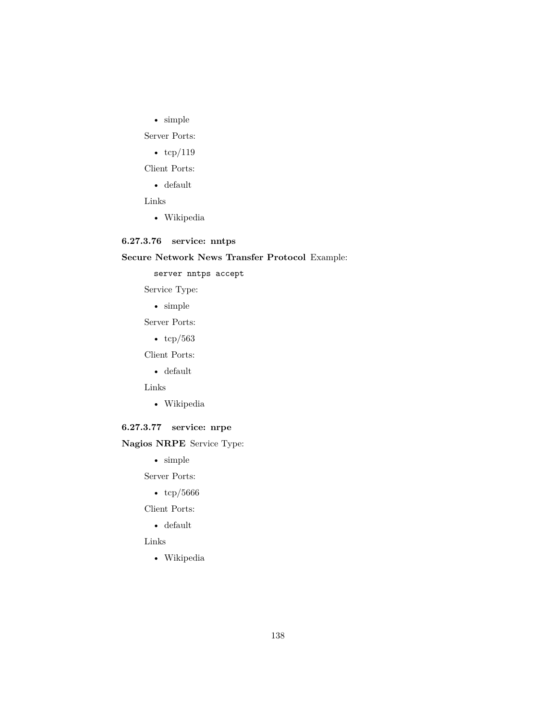$\bullet~$  simple

Server Ports:

•  $\text{tcp}/119$ 

Client Ports:

• default

Links

• [Wikipedia](http://en.wikipedia.org/wiki/Nntp)

# **6.27.3.76 service: nntps**

# **Secure Network News Transfer Protocol** Example:

server nntps accept

Service Type:

• simple

Server Ports:

•  $tcp/563$ 

Client Ports:

• default

Links

• [Wikipedia](http://en.wikipedia.org/wiki/Nntp)

# **6.27.3.77 service: nrpe**

# **Nagios NRPE** Service Type:

• simple

Server Ports:

• tcp/5666

Client Ports:

• default

## Links

• [Wikipedia](http://en.wikipedia.org/wiki/Nagios#NRPE)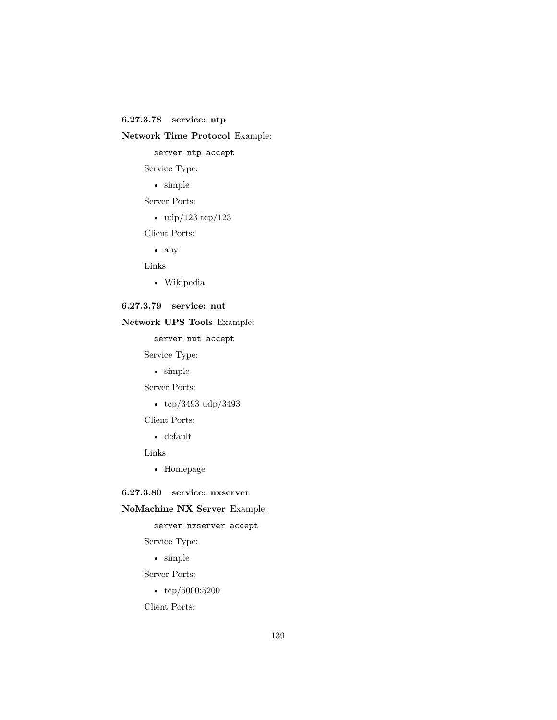**6.27.3.78 service: ntp**

# **Network Time Protocol** Example:

server ntp accept

Service Type:

• simple

Server Ports:

•  $\frac{\text{udp}}{123} \text{tcp}}{123}$ 

Client Ports:

• any

Links

• [Wikipedia](http://en.wikipedia.org/wiki/Network_Time_Protocol)

# **6.27.3.79 service: nut**

### **Network UPS Tools** Example:

server nut accept

Service Type:

• simple

Server Ports:

• tcp/3493 udp/3493

Client Ports:

• default

Links

• [Homepage](http://www.networkupstools.org/)

#### **6.27.3.80 service: nxserver**

### **NoMachine NX Server** Example:

server nxserver accept

Service Type:

• simple

Server Ports:

• tcp/5000:5200

Client Ports: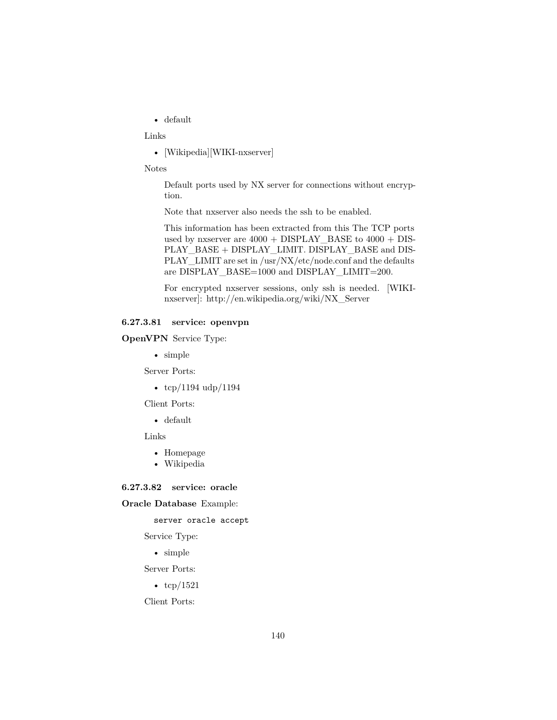• default

Links

• [Wikipedia][WIKI-nxserver]

Notes

Default ports used by NX server for connections without encryption.

Note that nxserver also needs the [ssh](#page-151-0) to be enabled.

This information has been extracted from this The TCP ports used by nxserver are 4000 + DISPLAY\_BASE to 4000 + DIS-PLAY\_BASE + DISPLAY\_LIMIT. DISPLAY\_BASE and DIS-PLAY\_LIMIT are set in /usr/NX/etc/node.conf and the defaults are DISPLAY\_BASE=1000 and DISPLAY\_LIMIT=200.

For encrypted nxserver sessions, only [ssh](#page-151-0) is needed. [WIKInxserver]: http://en.wikipedia.org/wiki/NX\_Server

### **6.27.3.81 service: openvpn**

**OpenVPN** Service Type:

• simple

Server Ports:

•  $\frac{\text{top}}{1194}$  udp $\frac{/1194}{j}$ 

Client Ports:

• default

Links

- [Homepage](http://openvpn.net/)
- [Wikipedia](http://en.wikipedia.org/wiki/OpenVPN)

**6.27.3.82 service: oracle**

#### **Oracle Database** Example:

server oracle accept

Service Type:

• simple

Server Ports:

•  $\text{tcp}/1521$ 

Client Ports: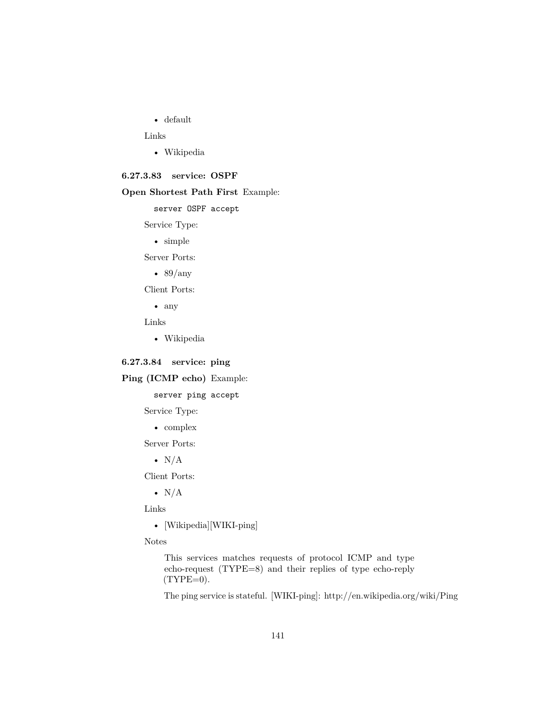• default

Links

• [Wikipedia](http://en.wikipedia.org/wiki/Oracle_db)

### **6.27.3.83 service: OSPF**

### **Open Shortest Path First** Example:

server OSPF accept

Service Type:

• simple

Server Ports:

•  $89/any$ 

Client Ports:

• any

Links

• [Wikipedia](http://en.wikipedia.org/wiki/Ospf)

**6.27.3.84 service: ping**

**Ping (ICMP echo)** Example:

server ping accept

Service Type:

• complex

Server Ports:

•  $N/A$ 

Client Ports:

•  $N/A$ 

Links

• [Wikipedia][WIKI-ping]

Notes

This services matches requests of protocol ICMP and type echo-request (TYPE=8) and their replies of type echo-reply  $(TYPE=0)$ .

The ping service is stateful. [WIKI-ping]: http://en.wikipedia.org/wiki/Ping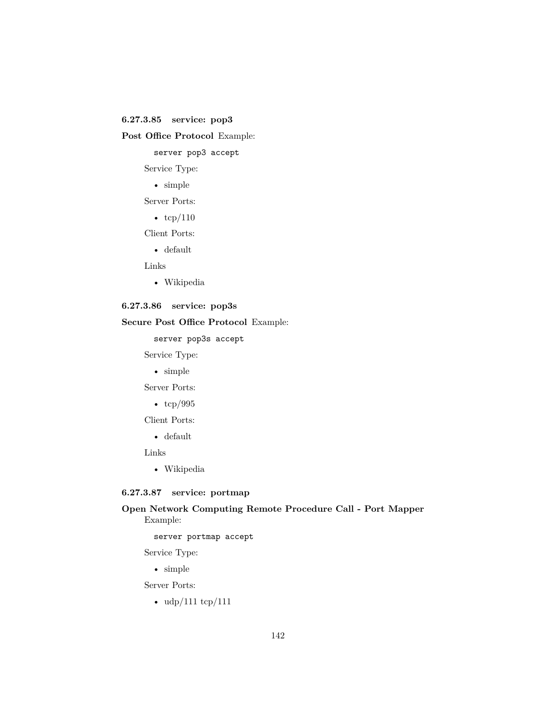### **6.27.3.85 service: pop3**

**Post Office Protocol** Example:

server pop3 accept

Service Type:

• simple

Server Ports:

•  $\text{tcp}/110$ 

Client Ports:

• default

Links

• [Wikipedia](http://en.wikipedia.org/wiki/Pop3)

# **6.27.3.86 service: pop3s**

# **Secure Post Office Protocol** Example:

server pop3s accept

Service Type:

• simple

Server Ports:

• tcp/995

Client Ports:

• default

Links

• [Wikipedia](http://en.wikipedia.org/wiki/Pop3)

### <span id="page-141-0"></span>**6.27.3.87 service: portmap**

## **Open Network Computing Remote Procedure Call - Port Mapper** Example:

server portmap accept

Service Type:

• simple

Server Ports:

• udp/111 tcp/111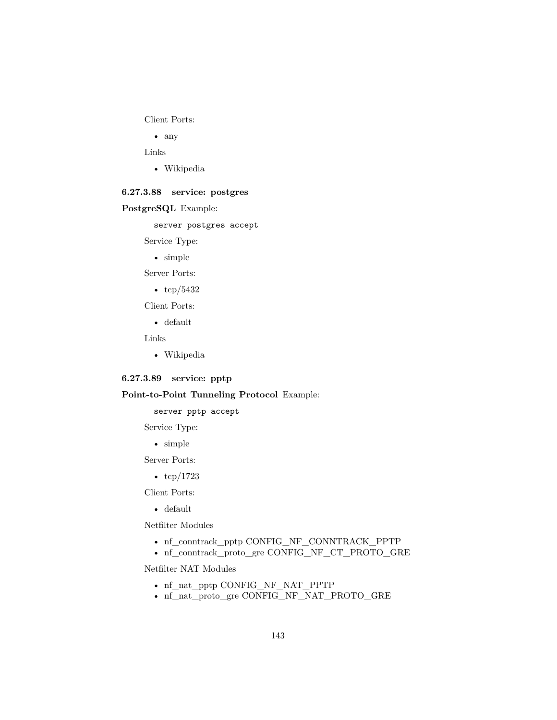Client Ports:

• any

Links

• [Wikipedia](http://en.wikipedia.org/wiki/Portmap)

### **6.27.3.88 service: postgres**

#### **PostgreSQL** Example:

server postgres accept

Service Type:

• simple

Server Ports:

• tcp/5432

Client Ports:

• default

Links

• [Wikipedia](http://en.wikipedia.org/wiki/Postgres)

#### **6.27.3.89 service: pptp**

### **Point-to-Point Tunneling Protocol** Example:

server pptp accept

Service Type:

• simple

Server Ports:

•  $\text{tcp}/1723$ 

Client Ports:

• default

Netfilter Modules

- nf\_conntrack\_pptp [CONFIG\\_NF\\_CONNTRACK\\_PPTP](http://cateee.net/lkddb/web-lkddb/NF_CONNTRACK_PPTP.html)
- nf\_conntrack\_proto\_gre [CONFIG\\_NF\\_CT\\_PROTO\\_GRE](http://cateee.net/lkddb/web-lkddb/NF_CT_PROTO_GRE.html)

Netfilter NAT Modules

- nf\_nat\_pptp [CONFIG\\_NF\\_NAT\\_PPTP](http://cateee.net/lkddb/web-lkddb/NF_NAT_PPTP.html)
- nf\_nat\_proto\_gre [CONFIG\\_NF\\_NAT\\_PROTO\\_GRE](http://cateee.net/lkddb/web-lkddb/NF_NAT_PROTO_GRE.html)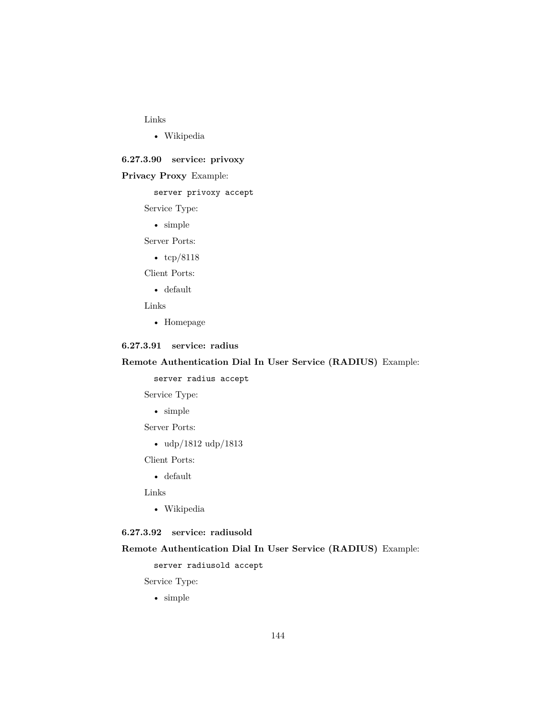#### Links

• [Wikipedia](http://en.wikipedia.org/wiki/Pptp)

**6.27.3.90 service: privoxy**

## **Privacy Proxy** Example:

server privoxy accept

Service Type:

• simple

Server Ports:

• tcp/8118

Client Ports:

• default

Links

• [Homepage](http://www.privoxy.org/)

## **6.27.3.91 service: radius**

### **Remote Authentication Dial In User Service (RADIUS)** Example:

server radius accept

Service Type:

• simple

Server Ports:

• udp/1812 udp/1813

Client Ports:

• default

Links

• [Wikipedia](http://en.wikipedia.org/wiki/RADIUS)

# **6.27.3.92 service: radiusold**

### **Remote Authentication Dial In User Service (RADIUS)** Example:

server radiusold accept

Service Type:

• simple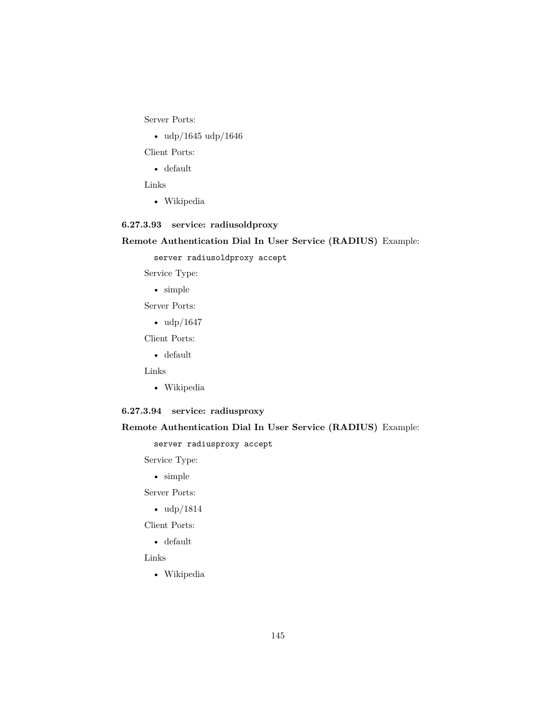Server Ports:

• udp/1645 udp/1646

Client Ports:

• default

Links

• [Wikipedia](http://en.wikipedia.org/wiki/RADIUS)

## **6.27.3.93 service: radiusoldproxy**

**Remote Authentication Dial In User Service (RADIUS)** Example:

server radiusoldproxy accept

Service Type:

- simple
- Server Ports:
	- udp/1647

Client Ports:

• default

Links

• [Wikipedia](http://en.wikipedia.org/wiki/RADIUS)

## **6.27.3.94 service: radiusproxy**

### **Remote Authentication Dial In User Service (RADIUS)** Example:

server radiusproxy accept

Service Type:

• simple

Server Ports:

• udp/1814

Client Ports:

• default

Links

• [Wikipedia](http://en.wikipedia.org/wiki/RADIUS)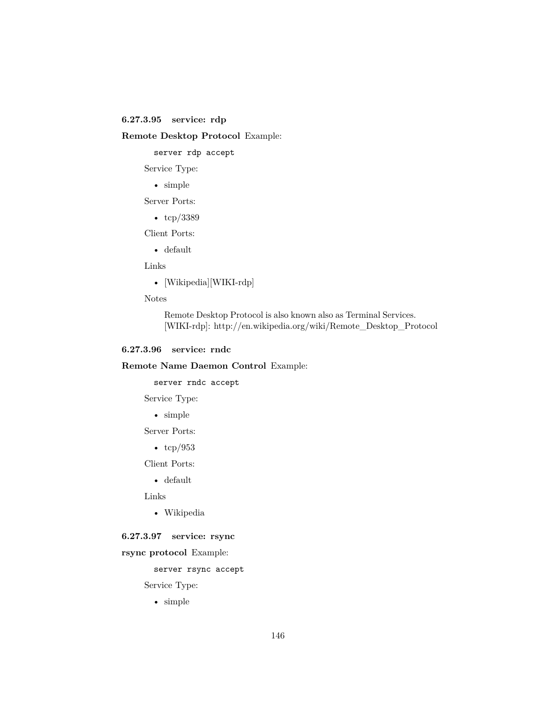### **6.27.3.95 service: rdp**

### **Remote Desktop Protocol** Example:

server rdp accept

Service Type:

• simple

Server Ports:

• tcp/3389

Client Ports:

• default

Links

• [Wikipedia][WIKI-rdp]

Notes

Remote Desktop Protocol is also known also as Terminal Services. [WIKI-rdp]: http://en.wikipedia.org/wiki/Remote\_Desktop\_Protocol

#### **6.27.3.96 service: rndc**

### **Remote Name Daemon Control** Example:

server rndc accept

Service Type:

• simple

Server Ports:

•  $\text{tcp}/953$ 

Client Ports:

• default

Links

• [Wikipedia](http://en.wikipedia.org/wiki/Rndc)

### **6.27.3.97 service: rsync**

### **rsync protocol** Example:

server rsync accept

Service Type:

• simple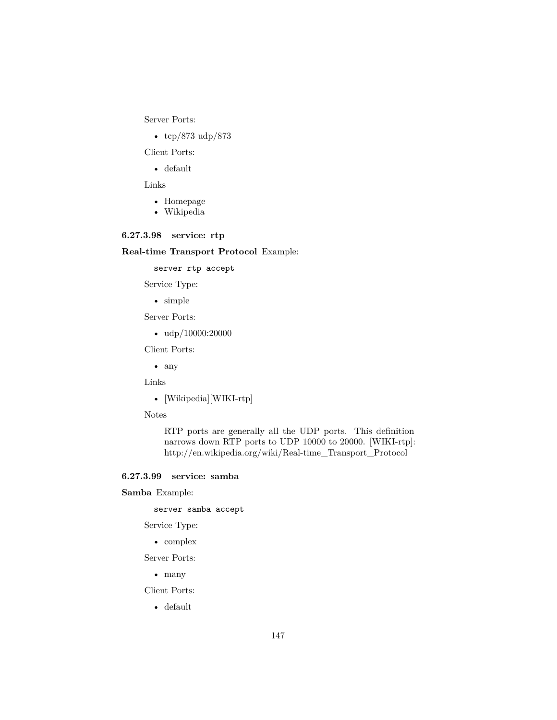Server Ports:

• tcp/873 udp/873

Client Ports:

• default

Links

- [Homepage](http://rsync.samba.org/)
- [Wikipedia](http://en.wikipedia.org/wiki/Rsync)

### **6.27.3.98 service: rtp**

### **Real-time Transport Protocol** Example:

server rtp accept

Service Type:

• simple

Server Ports:

•  $\frac{\text{udp}}{10000:20000}$ 

Client Ports:

• any

Links

• [Wikipedia][WIKI-rtp]

Notes

RTP ports are generally all the UDP ports. This definition narrows down RTP ports to UDP 10000 to 20000. [WIKI-rtp]: http://en.wikipedia.org/wiki/Real-time\_Transport\_Protocol

### **6.27.3.99 service: samba**

**Samba** Example:

server samba accept

Service Type:

• complex

Server Ports:

• many

Client Ports:

• default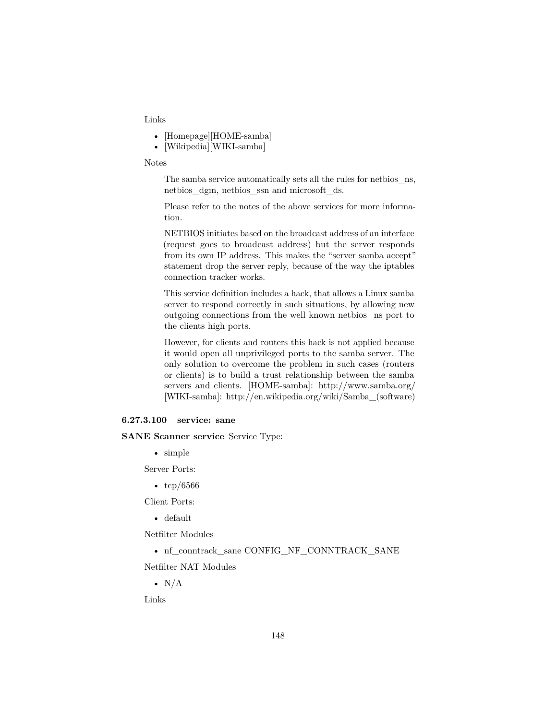#### Links

- [Homepage][HOME-samba]
- [Wikipedia][WIKI-samba]

#### Notes

The samba service automatically sets all the rules for [netbios\\_ns,](#page-133-0) [netbios\\_dgm,](#page-133-1) [netbios\\_ssn](#page-134-0) and [microsoft\\_ds.](#page-129-0)

Please refer to the notes of the above services for more information.

NETBIOS initiates based on the broadcast address of an interface (request goes to broadcast address) but the server responds from its own IP address. This makes the "server samba accept" statement drop the server reply, because of the way the iptables connection tracker works.

This service definition includes a hack, that allows a Linux samba server to respond correctly in such situations, by allowing new outgoing connections from the well known [netbios\\_ns](#page-133-0) port to the clients high ports.

However, for clients and routers this hack is not applied because it would open all unprivileged ports to the samba server. The only solution to overcome the problem in such cases (routers or clients) is to build a trust relationship between the samba servers and clients. [HOME-samba]: http://www.samba.org/ [WIKI-samba]: http://en.wikipedia.org/wiki/Samba\_(software)

### **6.27.3.100 service: sane**

#### **SANE Scanner service** Service Type:

• simple

Server Ports:

• tcp/6566

Client Ports:

• default

Netfilter Modules

• nf\_conntrack\_sane [CONFIG\\_NF\\_CONNTRACK\\_SANE](http://cateee.net/lkddb/web-lkddb/NF_CONNTRACK_SANE.html)

Netfilter NAT Modules

•  $N/A$ 

Links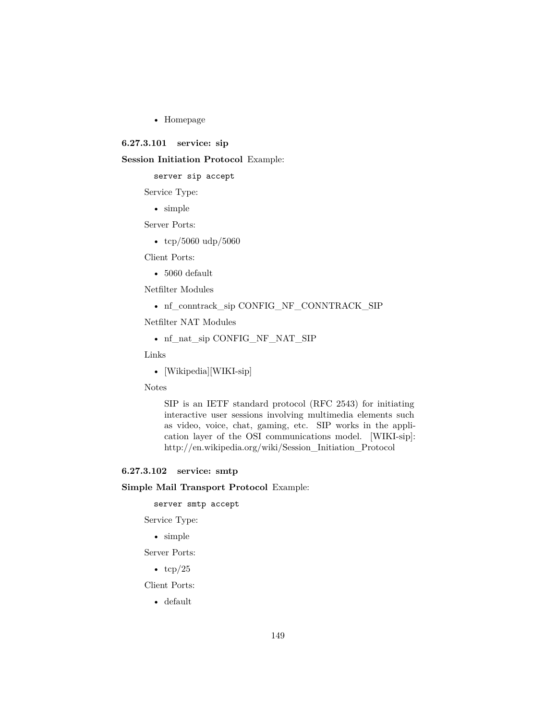• [Homepage](http://www.sane-project.org/)

### **6.27.3.101 service: sip**

### **Session Initiation Protocol** Example:

server sip accept

Service Type:

• simple

Server Ports:

• tcp/5060 udp/5060

Client Ports:

• 5060 default

Netfilter Modules

• nf\_conntrack\_sip [CONFIG\\_NF\\_CONNTRACK\\_SIP](http://cateee.net/lkddb/web-lkddb/NF_CONNTRACK_SIP.html)

Netfilter NAT Modules

• nf\_nat\_sip [CONFIG\\_NF\\_NAT\\_SIP](http://cateee.net/lkddb/web-lkddb/NF_NAT_SIP.html)

Links

• [Wikipedia][WIKI-sip]

Notes

[SIP](http://www.voip-info.org/wiki/view/SIP) is an IETF standard protocol (RFC 2543) for initiating interactive user sessions involving multimedia elements such as video, voice, chat, gaming, etc. SIP works in the application layer of the OSI communications model. [WIKI-sip]: http://en.wikipedia.org/wiki/Session\_Initiation\_Protocol

### **6.27.3.102 service: smtp**

### **Simple Mail Transport Protocol** Example:

server smtp accept

Service Type:

• simple

Server Ports:

•  $\text{tcp}/25$ 

Client Ports:

• default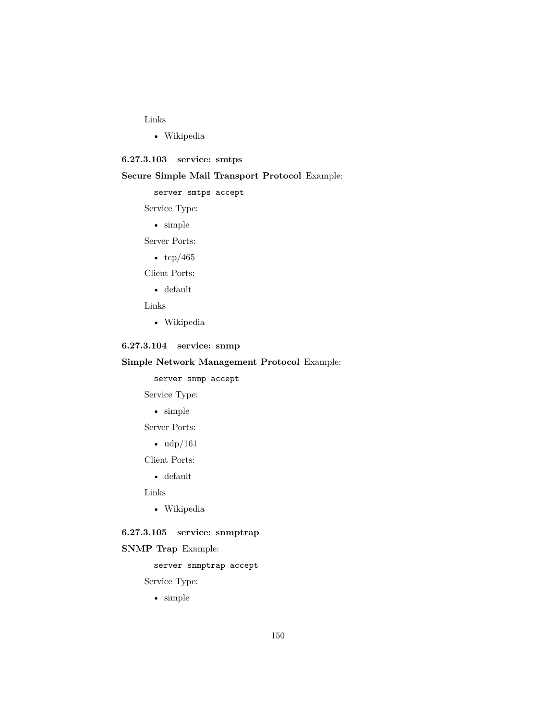### Links

• [Wikipedia](http://en.wikipedia.org/wiki/Simple_Mail_Transfer_Protocol)

### **6.27.3.103 service: smtps**

## **Secure Simple Mail Transport Protocol** Example:

server smtps accept

### Service Type:

• simple

Server Ports:

•  $\text{tcp}/465$ 

Client Ports:

• default

Links

• [Wikipedia](http://en.wikipedia.org/wiki/SMTPS)

# **6.27.3.104 service: snmp**

### **Simple Network Management Protocol** Example:

server snmp accept

Service Type:

• simple

Server Ports:

•  $\frac{\text{udp}}{161}$ 

Client Ports:

• default

Links

• [Wikipedia](http://en.wikipedia.org/wiki/Simple_Network_Management_Protocol)

# **6.27.3.105 service: snmptrap**

### **SNMP Trap** Example:

## server snmptrap accept

Service Type:

• simple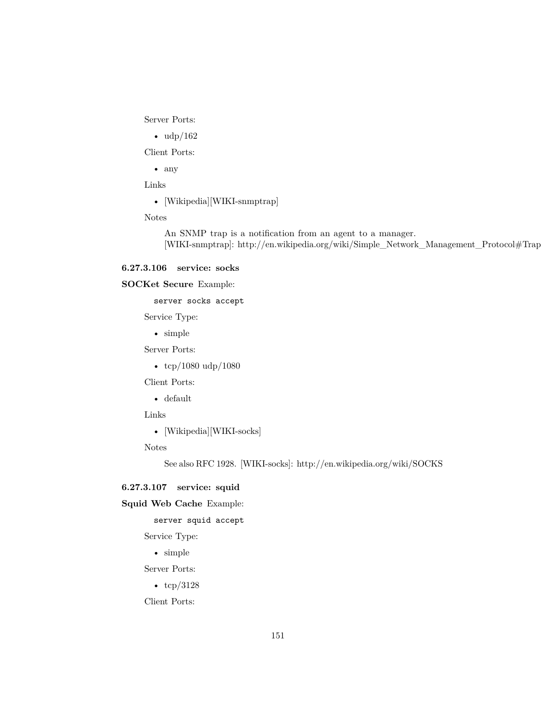Server Ports:

•  $\frac{\text{udp}}{162}$ 

Client Ports:

• any

Links

• [Wikipedia][WIKI-snmptrap]

Notes

An SNMP trap is a notification from an agent to a manager. [WIKI-snmptrap]: http://en.wikipedia.org/wiki/Simple\_Network\_Management\_Protocol#Trap

#### **6.27.3.106 service: socks**

### **SOCKet Secure** Example:

server socks accept

Service Type:

• simple

Server Ports:

• tcp/1080 udp/1080

Client Ports:

• default

Links

• [Wikipedia][WIKI-socks]

Notes

See also [RFC 1928.](http://www.ietf.org/rfc/rfc1928.txt) [WIKI-socks]: http://en.wikipedia.org/wiki/SOCKS

### **6.27.3.107 service: squid**

**Squid Web Cache** Example:

server squid accept

Service Type:

• simple

Server Ports:

• tcp/3128

Client Ports: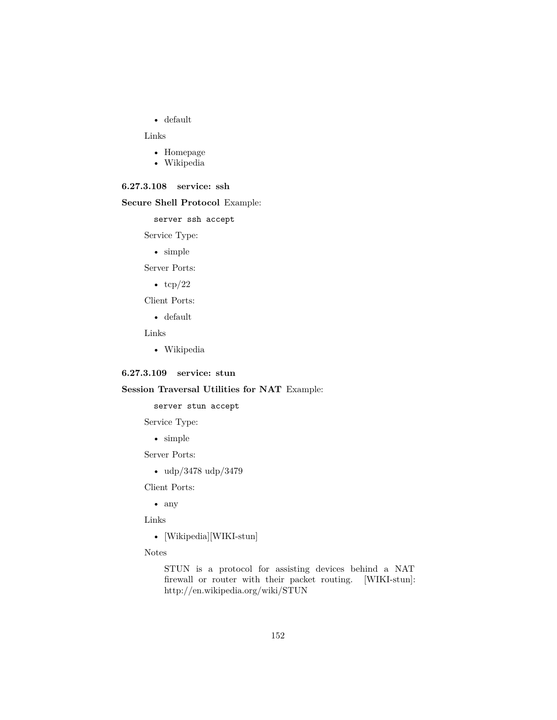• default

Links

- [Homepage](http://www.squid-cache.org/)
- [Wikipedia](http://en.wikipedia.org/wiki/Squid_(software))

### **6.27.3.108 service: ssh**

#### **Secure Shell Protocol** Example:

server ssh accept

Service Type:

• simple

Server Ports:

•  $tcp/22$ 

Client Ports:

• default

Links

• [Wikipedia](http://en.wikipedia.org/wiki/Secure_Shell)

### **6.27.3.109 service: stun**

## **Session Traversal Utilities for NAT** Example:

server stun accept

Service Type:

• simple

Server Ports:

• udp/3478 udp/3479

Client Ports:

• any

Links

- [Wikipedia][WIKI-stun]
- Notes

[STUN](http://www.voip-info.org/wiki/view/STUN) is a protocol for assisting devices behind a NAT firewall or router with their packet routing. [WIKI-stun]: http://en.wikipedia.org/wiki/STUN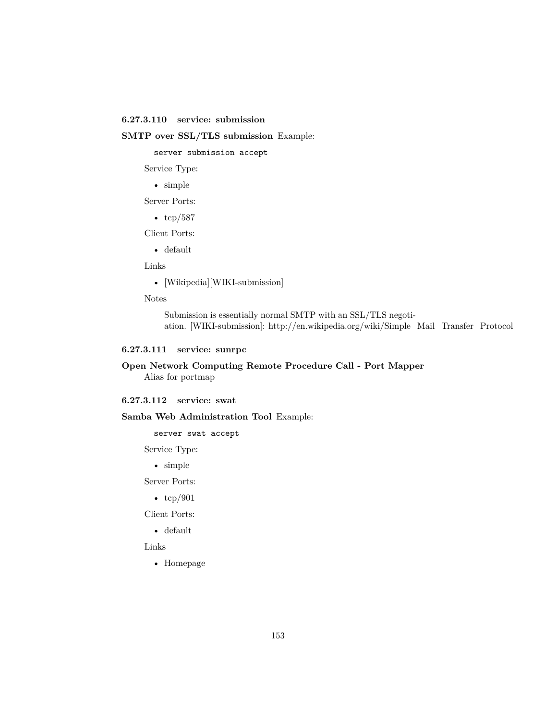### **6.27.3.110 service: submission**

#### **SMTP over SSL/TLS submission** Example:

server submission accept

Service Type:

• simple

Server Ports:

•  $\text{tcp}/587$ 

Client Ports:

• default

Links

• [Wikipedia][WIKI-submission]

Notes

Submission is essentially normal SMTP with an SSL/TLS negotiation. [WIKI-submission]: http://en.wikipedia.org/wiki/Simple\_Mail\_Transfer\_Protocol

### **6.27.3.111 service: sunrpc**

### **Open Network Computing Remote Procedure Call - Port Mapper** Alias for [portmap](#page-141-0)

## **6.27.3.112 service: swat**

#### **Samba Web Administration Tool** Example:

server swat accept

Service Type:

• simple

Server Ports:

•  $\text{tcp}/901$ 

Client Ports:

• default

Links

• [Homepage](http://www.samba.org/samba/docs/man/Samba-HOWTO-Collection/SWAT.html)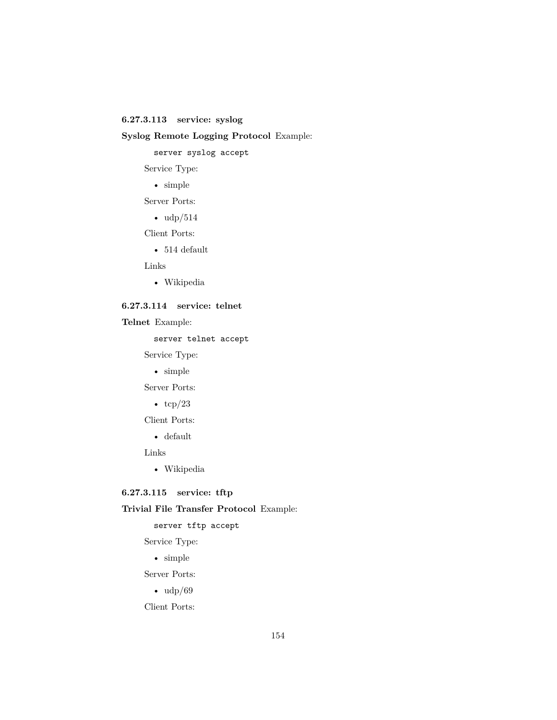## **6.27.3.113 service: syslog**

## **Syslog Remote Logging Protocol** Example:

server syslog accept

Service Type:

• simple

Server Ports:

•  $\frac{\text{udp}}{514}$ 

Client Ports:

 $• 514$  default

Links

• [Wikipedia](http://en.wikipedia.org/wiki/Syslog)

### **6.27.3.114 service: telnet**

**Telnet** Example:

server telnet accept

Service Type:

• simple

Server Ports:

•  $\text{tcp}/23$ 

Client Ports:

• default

Links

• [Wikipedia](http://en.wikipedia.org/wiki/Telnet)

## **6.27.3.115 service: tftp**

### **Trivial File Transfer Protocol** Example:

server tftp accept

Service Type:

• simple

Server Ports:

• udp/69

Client Ports: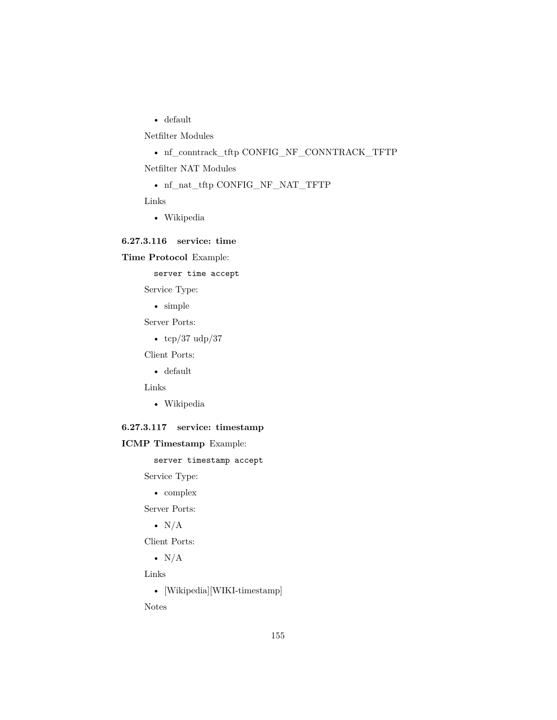• default

Netfilter Modules

• nf\_conntrack\_tftp [CONFIG\\_NF\\_CONNTRACK\\_TFTP](http://cateee.net/lkddb/web-lkddb/NF_CONNTRACK_TFTP.html)

Netfilter NAT Modules

• nf\_nat\_tftp [CONFIG\\_NF\\_NAT\\_TFTP](http://cateee.net/lkddb/web-lkddb/NF_NAT_TFTP.html)

Links

• [Wikipedia](http://en.wikipedia.org/wiki/Trivial_File_Transfer_Protocol)

### **6.27.3.116 service: time**

### **Time Protocol** Example:

server time accept

Service Type:

• simple

Server Ports:

•  $\text{tcp}/37 \text{ udp}/37$ 

Client Ports:

• default

Links

• [Wikipedia](http://en.wikipedia.org/wiki/Time_Protocol)

### **6.27.3.117 service: timestamp**

**ICMP Timestamp** Example:

server timestamp accept

Service Type:

• complex

Server Ports:

•  $N/A$ 

Client Ports:

•  $N/A$ 

Links

• [Wikipedia][WIKI-timestamp]

Notes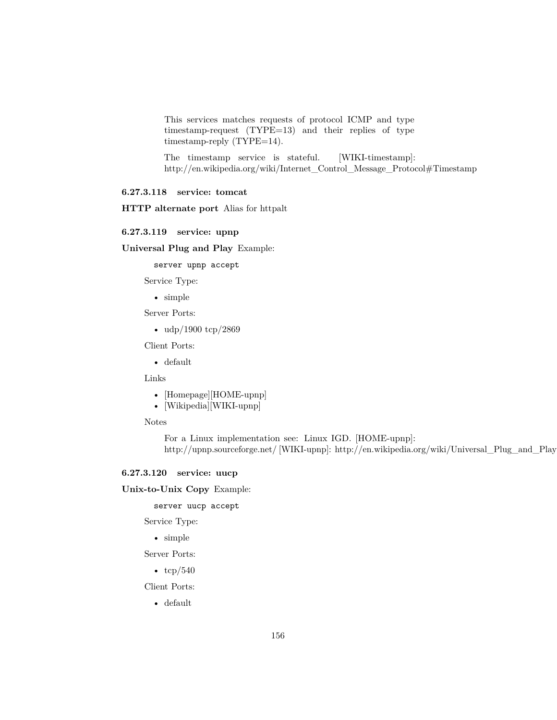This services matches requests of protocol ICMP and type timestamp-request (TYPE=13) and their replies of type timestamp-reply (TYPE=14).

The timestamp service is stateful. [WIKI-timestamp]: http://en.wikipedia.org/wiki/Internet\_Control\_Message\_Protocol#Timestamp

#### **6.27.3.118 service: tomcat**

**HTTP alternate port** Alias for [httpalt](#page-117-0)

### **6.27.3.119 service: upnp**

**Universal Plug and Play** Example:

server upnp accept

Service Type:

• simple

Server Ports:

• udp/1900 tcp/2869

Client Ports:

• default

Links

- [Homepage][HOME-upnp]
- [Wikipedia][WIKI-upnp]

Notes

For a Linux implementation see: [Linux IGD.](http://linux-igd.sourceforge.net/) [HOME-upnp]: http://upnp.sourceforge.net/ [WIKI-upnp]: http://en.wikipedia.org/wiki/Universal\_Plug\_and\_Play

#### **6.27.3.120 service: uucp**

**Unix-to-Unix Copy** Example:

server uucp accept

Service Type:

• simple

Server Ports:

•  $\text{tcp}/540$ 

Client Ports:

• default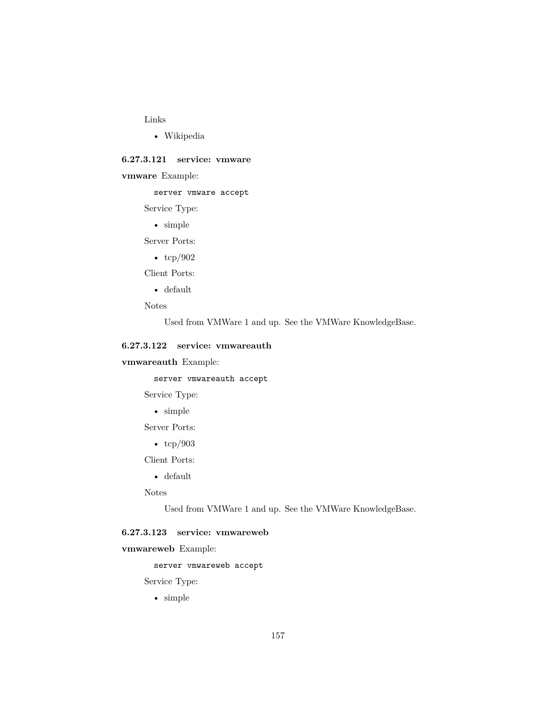#### Links

• [Wikipedia](http://en.wikipedia.org/wiki/UUCP)

#### **6.27.3.121 service: vmware**

**vmware** Example:

### server vmware accept

Service Type:

• simple

Server Ports:

•  $\text{tcp}/902$ 

Client Ports:

- default
- Notes

Used from VMWare 1 and up. See the [VMWare KnowledgeBase.](http://kb.vmware.com/selfservice/microsites/search.do?language=en_US&cmd=displayKC&externalId=1012382)

### **6.27.3.122 service: vmwareauth**

**vmwareauth** Example:

server vmwareauth accept

Service Type:

• simple

Server Ports:

• tcp/903

Client Ports:

• default

Notes

Used from VMWare 1 and up. See the [VMWare KnowledgeBase.](http://kb.vmware.com/selfservice/microsites/search.do?language=en_US&cmd=displayKC&externalId=1012382)

# **6.27.3.123 service: vmwareweb**

**vmwareweb** Example:

server vmwareweb accept

Service Type:

• simple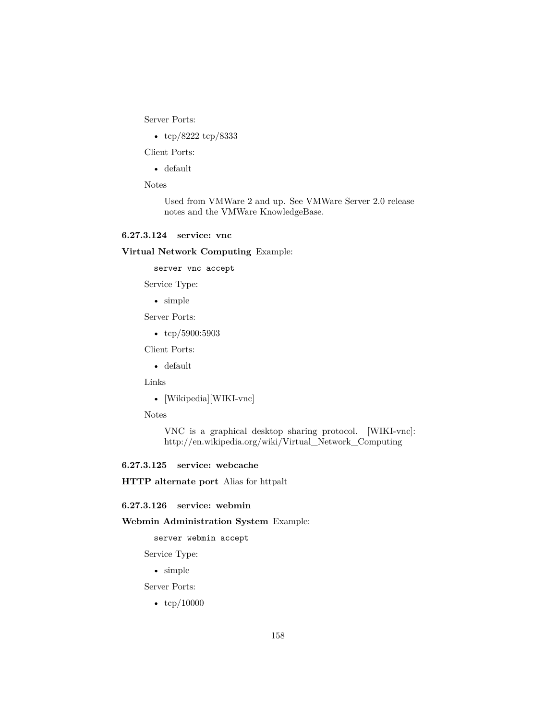Server Ports:

• tcp/8222 tcp/8333

Client Ports:

• default

Notes

Used from VMWare 2 and up. See [VMWare Server 2.0 release](http://www.vmware.com/support/server2/doc/releasenotes_vmserver2.html) [notes](http://www.vmware.com/support/server2/doc/releasenotes_vmserver2.html) and the [VMWare KnowledgeBase.](http://kb.vmware.com/selfservice/microsites/search.do?language=en_US&cmd=displayKC&externalId=1012382)

#### **6.27.3.124 service: vnc**

**Virtual Network Computing** Example:

server vnc accept

Service Type:

• simple

Server Ports:

•  $\text{tcp}/5900:5903$ 

Client Ports:

• default

Links

• [Wikipedia][WIKI-vnc]

Notes

VNC is a graphical desktop sharing protocol. [WIKI-vnc]: http://en.wikipedia.org/wiki/Virtual\_Network\_Computing

# **6.27.3.125 service: webcache**

**HTTP alternate port** Alias for [httpalt](#page-117-0)

### **6.27.3.126 service: webmin**

**Webmin Administration System** Example:

server webmin accept

Service Type:

• simple

Server Ports:

•  $\text{tcp}/10000$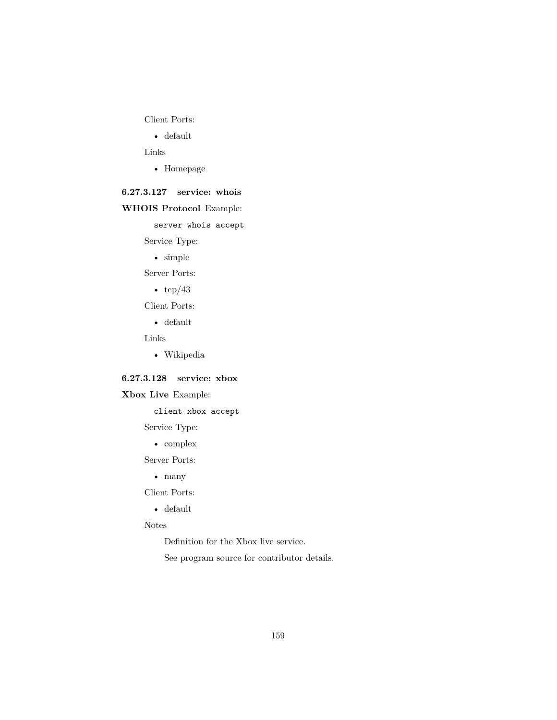Client Ports:

• default

Links

• [Homepage](http://www.webmin.com/)

## **6.27.3.127 service: whois**

### **WHOIS Protocol** Example:

server whois accept

Service Type:

• simple

Server Ports:

•  $tcp/43$ 

Client Ports:

• default

Links

• [Wikipedia](http://en.wikipedia.org/wiki/Whois)

## **6.27.3.128 service: xbox**

## **Xbox Live** Example:

client xbox accept

Service Type:

• complex

Server Ports:

• many

Client Ports:

• default

### Notes

Definition for the Xbox live service.

See program source for contributor details.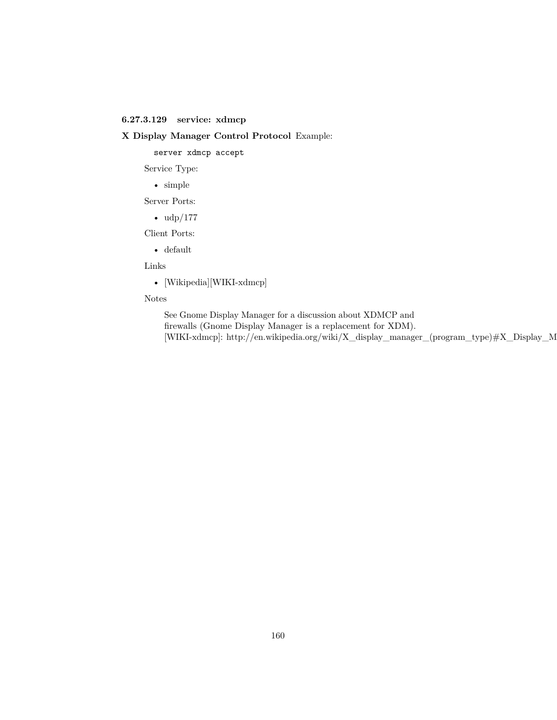### **6.27.3.129 service: xdmcp**

### **X Display Manager Control Protocol** Example:

server xdmcp accept

Service Type:

• simple

Server Ports:

• udp/177

Client Ports:

• default

Links

• [Wikipedia][WIKI-xdmcp]

### Notes

See [Gnome Display Manager](http://www.jirka.org/gdm-documentation/x70.html) for a discussion about XDMCP and firewalls (Gnome Display Manager is a replacement for XDM). [WIKI-xdmcp]: http://en.wikipedia.org/wiki/X\_display\_manager\_(program\_type)#X\_Display\_M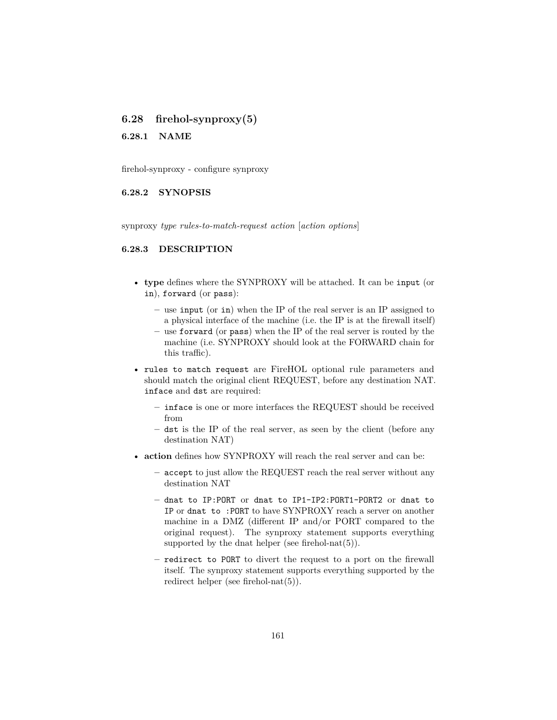## **6.28 firehol-synproxy(5)**

**6.28.1 NAME**

firehol-synproxy - configure synproxy

### **6.28.2 SYNOPSIS**

synproxy *type rules-to-match-request action* [*action options*]

#### **6.28.3 DESCRIPTION**

- **type** defines where the SYNPROXY will be attached. It can be input (or in), forward (or pass):
	- **–** use input (or in) when the IP of the real server is an IP assigned to a physical interface of the machine (i.e. the IP is at the firewall itself)
	- **–** use forward (or pass) when the IP of the real server is routed by the machine (i.e. SYNPROXY should look at the FORWARD chain for this traffic).
- rules to match request are FireHOL optional rule parameters and should match the original client REQUEST, before any destination NAT. inface and dst are required:
	- **–** inface is one or more interfaces the REQUEST should be received from
	- **–** dst is the IP of the real server, as seen by the client (before any destination NAT)
- **action** defines how SYNPROXY will reach the real server and can be:
	- **–** accept to just allow the REQUEST reach the real server without any destination NAT
	- **–** dnat to IP:PORT or dnat to IP1-IP2:PORT1-PORT2 or dnat to IP or dnat to :PORT to have SYNPROXY reach a server on another machine in a DMZ (different IP and/or PORT compared to the original request). The synproxy statement supports everything supported by the dnat helper (see firehol-nat $(5)$ ).
	- **–** redirect to PORT to divert the request to a port on the firewall itself. The synproxy statement supports everything supported by the redirect helper (see [firehol-nat\(5\)\)](#page-69-0).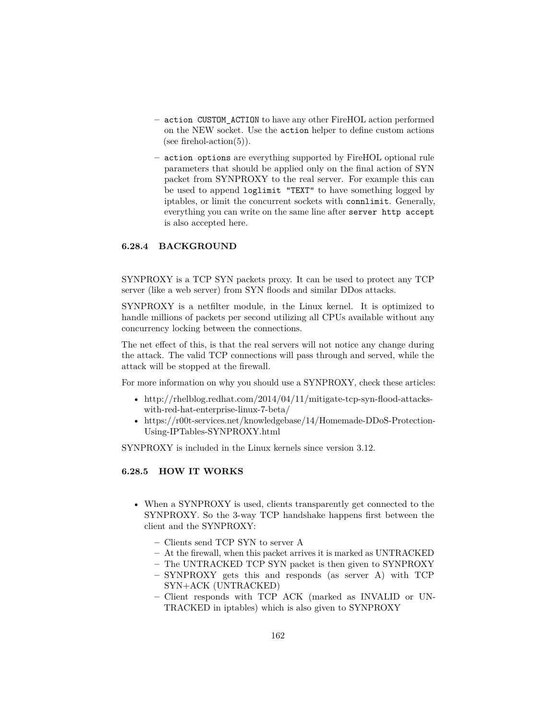- **–** action CUSTOM\_ACTION to have any other FireHOL action performed on the NEW socket. Use the action helper to define custom actions (see firehol-action $(5)$ ).
- **–** action options are everything supported by FireHOL optional rule parameters that should be applied only on the final action of SYN packet from SYNPROXY to the real server. For example this can be used to append loglimit "TEXT" to have something logged by iptables, or limit the concurrent sockets with connlimit. Generally, everything you can write on the same line after server http accept is also accepted here.

#### **6.28.4 BACKGROUND**

SYNPROXY is a TCP SYN packets proxy. It can be used to protect any TCP server (like a web server) from SYN floods and similar DDos attacks.

SYNPROXY is a netfilter module, in the Linux kernel. It is optimized to handle millions of packets per second utilizing all CPUs available without any concurrency locking between the connections.

The net effect of this, is that the real servers will not notice any change during the attack. The valid TCP connections will pass through and served, while the attack will be stopped at the firewall.

For more information on why you should use a SYNPROXY, check these articles:

- http://rhelblog.redhat.com/2014/04/11/mitigate-tcp-syn-flood-attackswith-red-hat-enterprise-linux-7-beta/
- https://r00t-services.net/knowledgebase/14/Homemade-DDoS-Protection-Using-IPTables-SYNPROXY.html

SYNPROXY is included in the Linux kernels since version 3.12.

### **6.28.5 HOW IT WORKS**

- When a SYNPROXY is used, clients transparently get connected to the SYNPROXY. So the 3-way TCP handshake happens first between the client and the SYNPROXY:
	- **–** Clients send TCP SYN to server A
	- **–** At the firewall, when this packet arrives it is marked as UNTRACKED
	- **–** The UNTRACKED TCP SYN packet is then given to SYNPROXY
	- **–** SYNPROXY gets this and responds (as server A) with TCP SYN+ACK (UNTRACKED)
	- **–** Client responds with TCP ACK (marked as INVALID or UN-TRACKED in iptables) which is also given to SYNPROXY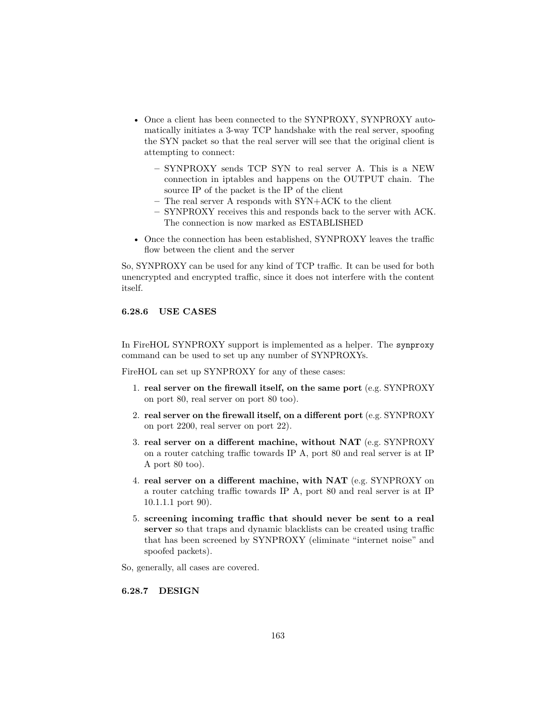- Once a client has been connected to the SYNPROXY, SYNPROXY automatically initiates a 3-way TCP handshake with the real server, spoofing the SYN packet so that the real server will see that the original client is attempting to connect:
	- **–** SYNPROXY sends TCP SYN to real server A. This is a NEW connection in iptables and happens on the OUTPUT chain. The source IP of the packet is the IP of the client
	- **–** The real server A responds with SYN+ACK to the client
	- **–** SYNPROXY receives this and responds back to the server with ACK. The connection is now marked as ESTABLISHED
- Once the connection has been established, SYNPROXY leaves the traffic flow between the client and the server

So, SYNPROXY can be used for any kind of TCP traffic. It can be used for both unencrypted and encrypted traffic, since it does not interfere with the content itself.

#### **6.28.6 USE CASES**

In FireHOL SYNPROXY support is implemented as a helper. The synproxy command can be used to set up any number of SYNPROXYs.

FireHOL can set up SYNPROXY for any of these cases:

- 1. **real server on the firewall itself, on the same port** (e.g. SYNPROXY on port 80, real server on port 80 too).
- 2. **real server on the firewall itself, on a different port** (e.g. SYNPROXY on port 2200, real server on port 22).
- 3. **real server on a different machine, without NAT** (e.g. SYNPROXY on a router catching traffic towards IP A, port 80 and real server is at IP A port 80 too).
- 4. **real server on a different machine, with NAT** (e.g. SYNPROXY on a router catching traffic towards IP A, port 80 and real server is at IP 10.1.1.1 port 90).
- 5. **screening incoming traffic that should never be sent to a real server** so that traps and dynamic blacklists can be created using traffic that has been screened by SYNPROXY (eliminate "internet noise" and spoofed packets).

So, generally, all cases are covered.

### **6.28.7 DESIGN**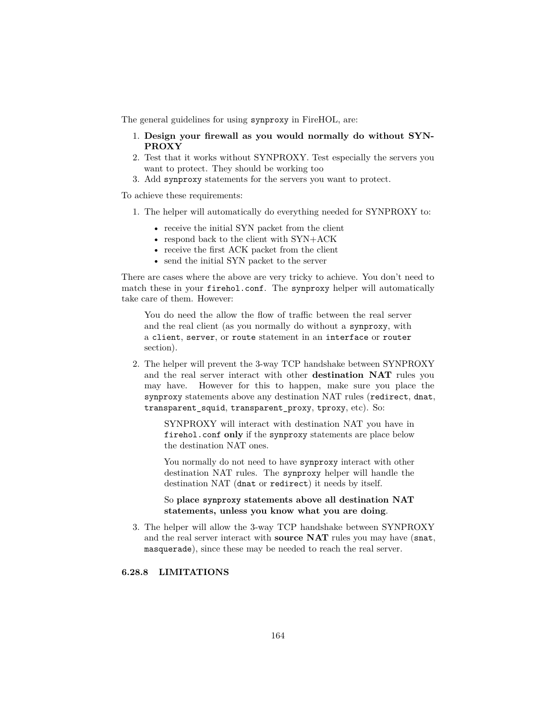The general guidelines for using synproxy in FireHOL, are:

- 1. **Design your firewall as you would normally do without SYN-PROXY**
- 2. Test that it works without SYNPROXY. Test especially the servers you want to protect. They should be working too
- 3. Add synproxy statements for the servers you want to protect.

To achieve these requirements:

- 1. The helper will automatically do everything needed for SYNPROXY to:
	- receive the initial SYN packet from the client
	- respond back to the client with SYN+ACK
	- receive the first ACK packet from the client
	- send the initial SYN packet to the server

There are cases where the above are very tricky to achieve. You don't need to match these in your firehol.conf. The synproxy helper will automatically take care of them. However:

You do need the allow the flow of traffic between the real server and the real client (as you normally do without a synproxy, with a client, server, or route statement in an interface or router section).

2. The helper will prevent the 3-way TCP handshake between SYNPROXY and the real server interact with other **destination NAT** rules you may have. However for this to happen, make sure you place the synproxy statements above any destination NAT rules (redirect, dnat, transparent\_squid, transparent\_proxy, tproxy, etc). So:

> SYNPROXY will interact with destination NAT you have in firehol.conf **only** if the synproxy statements are place below the destination NAT ones.

> You normally do not need to have synproxy interact with other destination NAT rules. The synproxy helper will handle the destination NAT (dnat or redirect) it needs by itself.

> So **place synproxy statements above all destination NAT statements, unless you know what you are doing**.

3. The helper will allow the 3-way TCP handshake between SYNPROXY and the real server interact with **source NAT** rules you may have (snat, masquerade), since these may be needed to reach the real server.

### **6.28.8 LIMITATIONS**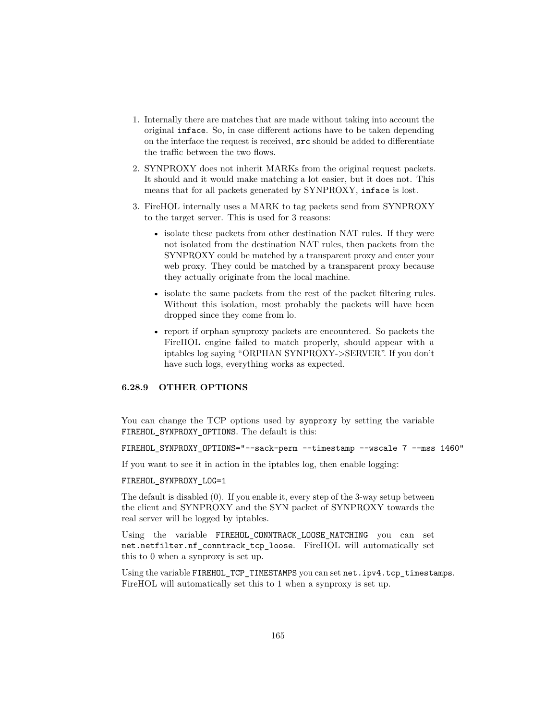- 1. Internally there are matches that are made without taking into account the original inface. So, in case different actions have to be taken depending on the interface the request is received, src should be added to differentiate the traffic between the two flows.
- 2. SYNPROXY does not inherit MARKs from the original request packets. It should and it would make matching a lot easier, but it does not. This means that for all packets generated by SYNPROXY, inface is lost.
- 3. FireHOL internally uses a MARK to tag packets send from SYNPROXY to the target server. This is used for 3 reasons:
	- isolate these packets from other destination NAT rules. If they were not isolated from the destination NAT rules, then packets from the SYNPROXY could be matched by a transparent proxy and enter your web proxy. They could be matched by a transparent proxy because they actually originate from the local machine.
	- isolate the same packets from the rest of the packet filtering rules. Without this isolation, most probably the packets will have been dropped since they come from lo.
	- report if orphan synproxy packets are encountered. So packets the FireHOL engine failed to match properly, should appear with a iptables log saying "ORPHAN SYNPROXY->SERVER". If you don't have such logs, everything works as expected.

### **6.28.9 OTHER OPTIONS**

You can change the TCP options used by synproxy by setting the variable FIREHOL SYNPROXY OPTIONS. The default is this:

FIREHOL\_SYNPROXY\_OPTIONS="--sack-perm --timestamp --wscale 7 --mss 1460"

If you want to see it in action in the iptables log, then enable logging:

#### FIREHOL\_SYNPROXY\_LOG=1

The default is disabled (0). If you enable it, every step of the 3-way setup between the client and SYNPROXY and the SYN packet of SYNPROXY towards the real server will be logged by iptables.

Using the variable FIREHOL\_CONNTRACK\_LOOSE\_MATCHING you can set net.netfilter.nf\_conntrack\_tcp\_loose. FireHOL will automatically set this to 0 when a synproxy is set up.

Using the variable FIREHOL TCP\_TIMESTAMPS you can set net.ipv4.tcp\_timestamps. FireHOL will automatically set this to 1 when a synproxy is set up.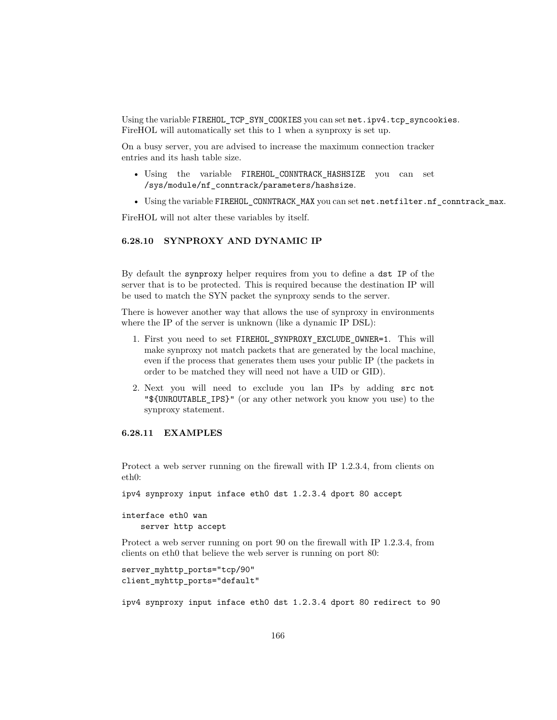Using the variable FIREHOL\_TCP\_SYN\_COOKIES you can set net.ipv4.tcp\_syncookies. FireHOL will automatically set this to 1 when a synproxy is set up.

On a busy server, you are advised to increase the maximum connection tracker entries and its hash table size.

- Using the variable FIREHOL\_CONNTRACK\_HASHSIZE you can set /sys/module/nf\_conntrack/parameters/hashsize.
- Using the variable FIREHOL CONNTRACK MAX you can set net.netfilter.nf conntrack max.

FireHOL will not alter these variables by itself.

## **6.28.10 SYNPROXY AND DYNAMIC IP**

By default the synproxy helper requires from you to define a dst IP of the server that is to be protected. This is required because the destination IP will be used to match the SYN packet the synproxy sends to the server.

There is however another way that allows the use of synproxy in environments where the IP of the server is unknown (like a dynamic IP DSL):

- 1. First you need to set FIREHOL\_SYNPROXY\_EXCLUDE\_OWNER=1. This will make synproxy not match packets that are generated by the local machine, even if the process that generates them uses your public IP (the packets in order to be matched they will need not have a UID or GID).
- 2. Next you will need to exclude you lan IPs by adding src not "\${UNROUTABLE\_IPS}" (or any other network you know you use) to the synproxy statement.

# **6.28.11 EXAMPLES**

Protect a web server running on the firewall with IP 1.2.3.4, from clients on eth0:

ipv4 synproxy input inface eth0 dst 1.2.3.4 dport 80 accept

interface eth0 wan server http accept

Protect a web server running on port 90 on the firewall with IP 1.2.3.4, from clients on eth0 that believe the web server is running on port 80:

```
server_myhttp_ports="tcp/90"
client_myhttp_ports="default"
```
ipv4 synproxy input inface eth0 dst 1.2.3.4 dport 80 redirect to 90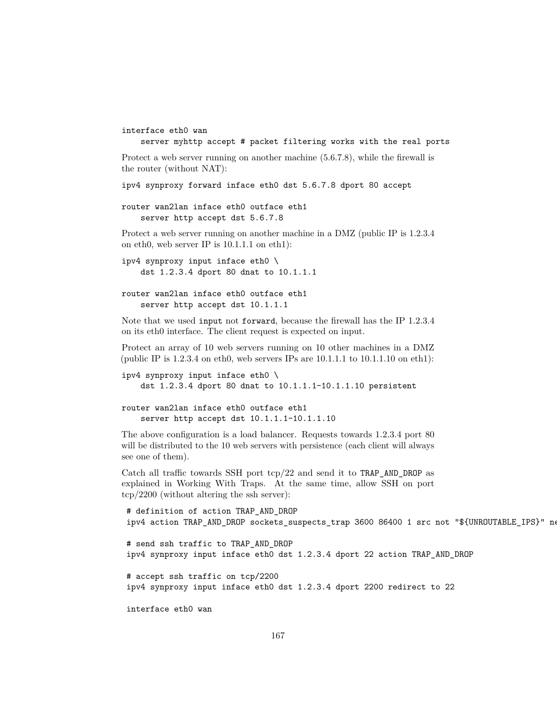```
interface eth0 wan
```
server myhttp accept # packet filtering works with the real ports

Protect a web server running on another machine (5.6.7.8), while the firewall is the router (without NAT):

ipv4 synproxy forward inface eth0 dst 5.6.7.8 dport 80 accept

```
router wan2lan inface eth0 outface eth1
    server http accept dst 5.6.7.8
```
Protect a web server running on another machine in a DMZ (public IP is 1.2.3.4 on eth0, web server IP is 10.1.1.1 on eth1):

ipv4 synproxy input inface eth0 \ dst 1.2.3.4 dport 80 dnat to 10.1.1.1

```
router wan2lan inface eth0 outface eth1
    server http accept dst 10.1.1.1
```
Note that we used input not forward, because the firewall has the IP 1.2.3.4 on its eth0 interface. The client request is expected on input.

Protect an array of 10 web servers running on 10 other machines in a DMZ (public IP is 1.2.3.4 on eth0, web servers IPs are 10.1.1.1 to 10.1.1.10 on eth1):

```
ipv4 synproxy input inface eth0 \
   dst 1.2.3.4 dport 80 dnat to 10.1.1.1-10.1.1.10 persistent
```

```
router wan2lan inface eth0 outface eth1
    server http accept dst 10.1.1.1-10.1.1.10
```
The above configuration is a load balancer. Requests towards 1.2.3.4 port 80 will be distributed to the 10 web servers with persistence (each client will always see one of them).

Catch all traffic towards SSH port tcp/22 and send it to TRAP\_AND\_DROP as explained in [Working With Traps.](#page-0-0) At the same time, allow SSH on port tcp/2200 (without altering the ssh server):

```
# definition of action TRAP_AND_DROP
ipv4 action TRAP_AND_DROP sockets_suspects_trap 3600 86400 1 src not "${UNROUTABLE_IPS}" ne
# send ssh traffic to TRAP_AND_DROP
ipv4 synproxy input inface eth0 dst 1.2.3.4 dport 22 action TRAP_AND_DROP
# accept ssh traffic on tcp/2200
ipv4 synproxy input inface eth0 dst 1.2.3.4 dport 2200 redirect to 22
interface eth0 wan
```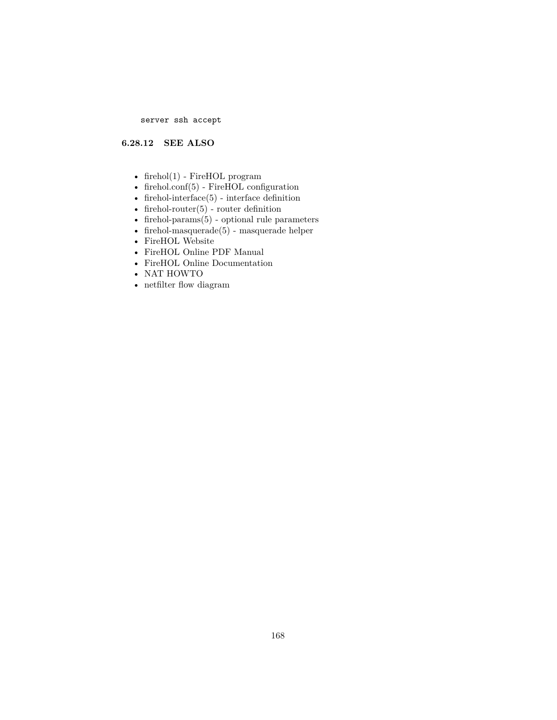server ssh accept

## **6.28.12 SEE ALSO**

- firehol $(1)$  FireHOL program
- [firehol.conf\(5\)](#page-14-0) FireHOL configuration
- [firehol-interface\(5\)](#page-50-0) interface definition
- firehol-router $(5)$  router definition
- [firehol-params\(5\)](#page-76-0) optional rule parameters
- firehol-masquerade $(5)$  masquerade helper
- [FireHOL Website](http://firehol.org/)
- [FireHOL Online PDF Manual](http://firehol.org/firehol-manual.pdf)
- [FireHOL Online Documentation](http://firehol.org/documentation/)
- [NAT HOWTO](http://www.netfilter.org/documentation/HOWTO/NAT-HOWTO-6.html)
- [netfilter flow diagram](http://upload.wikimedia.org/wikipedia/commons/3/37/Netfilter-packet-flow.svg)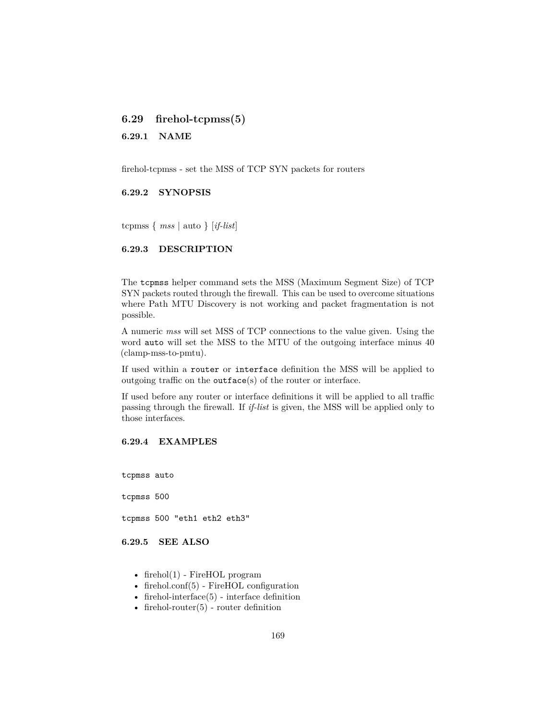## **6.29 firehol-tcpmss(5)**

**6.29.1 NAME**

firehol-tcpmss - set the MSS of TCP SYN packets for routers

### **6.29.2 SYNOPSIS**

tcpmss { *mss* | auto } [*if-list*]

### **6.29.3 DESCRIPTION**

The tcpmss helper command sets the MSS (Maximum Segment Size) of TCP SYN packets routed through the firewall. This can be used to overcome situations where Path MTU Discovery is not working and packet fragmentation is not possible.

A numeric *mss* will set MSS of TCP connections to the value given. Using the word auto will set the MSS to the MTU of the outgoing interface minus 40 (clamp-mss-to-pmtu).

If used within a router or interface definition the MSS will be applied to outgoing traffic on the outface(s) of the router or interface.

If used before any router or interface definitions it will be applied to all traffic passing through the firewall. If *if-list* is given, the MSS will be applied only to those interfaces.

## **6.29.4 EXAMPLES**

tcpmss auto

tcpmss 500

tcpmss 500 "eth1 eth2 eth3"

**6.29.5 SEE ALSO**

- firehol $(1)$  FireHOL program
- [firehol.conf\(5\)](#page-14-0) FireHOL configuration
- firehol-interface $(5)$  interface definition
- firehol-router $(5)$  router definition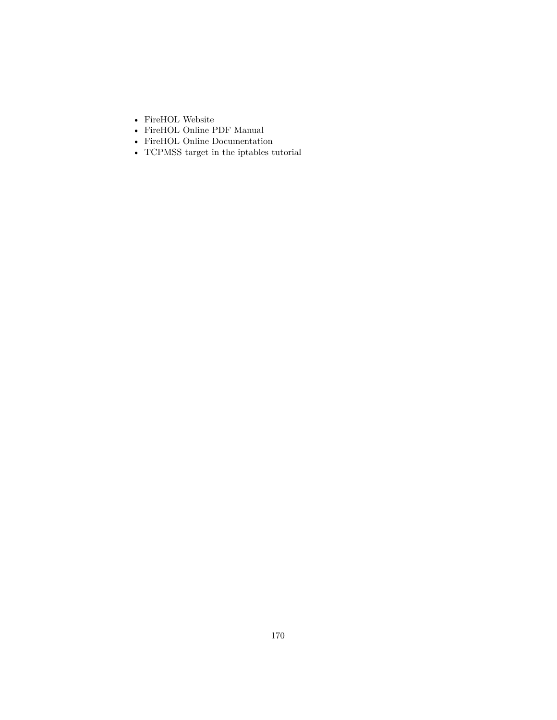- [FireHOL Website](http://firehol.org/)
- [FireHOL Online PDF Manual](http://firehol.org/firehol-manual.pdf)
- [FireHOL Online Documentation](http://firehol.org/documentation/)
- [TCPMSS target in the iptables tutorial](https://www.frozentux.net/iptables-tutorial/iptables-tutorial.html#TCPMSSTARGET)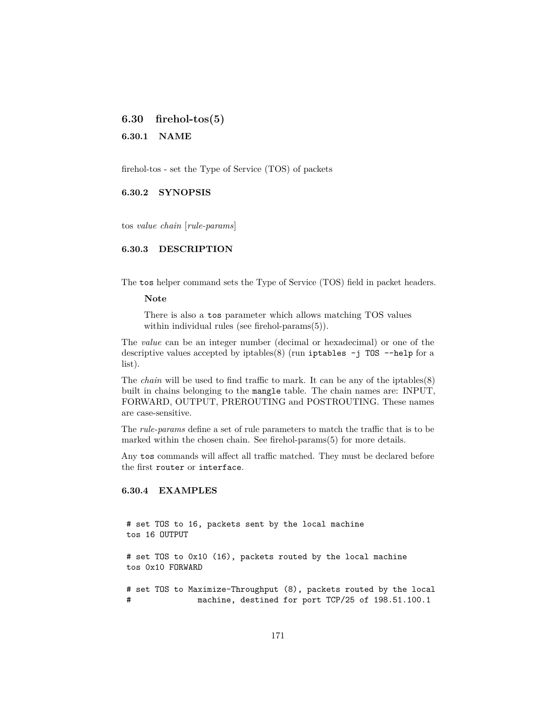<span id="page-170-0"></span>**6.30 firehol-tos(5)**

**6.30.1 NAME**

firehol-tos - set the Type of Service (TOS) of packets

**6.30.2 SYNOPSIS**

tos *value chain* [*rule-params*]

#### **6.30.3 DESCRIPTION**

The tos helper command sets the Type of Service (TOS) field in packet headers.

**Note**

There is also a tos parameter which allows matching TOS values within individual rules (see [firehol-params\(5\)\)](#page-79-0).

The *value* can be an integer number (decimal or hexadecimal) or one of the descriptive values accepted by iptables(8) (run iptables  $-j$  TOS --help for a list).

The *chain* will be used to find traffic to mark. It can be any of the iptables(8) built in chains belonging to the mangle table. The chain names are: INPUT, FORWARD, OUTPUT, PREROUTING and POSTROUTING. These names are case-sensitive.

The *rule-params* define a set of rule parameters to match the traffic that is to be marked within the chosen chain. See [firehol-params\(5\)](#page-76-0) for more details.

Any tos commands will affect all traffic matched. They must be declared before the first router or interface.

### **6.30.4 EXAMPLES**

# set TOS to 16, packets sent by the local machine tos 16 OUTPUT

# set TOS to 0x10 (16), packets routed by the local machine tos 0x10 FORWARD

# set TOS to Maximize-Throughput (8), packets routed by the local # machine, destined for port TCP/25 of 198.51.100.1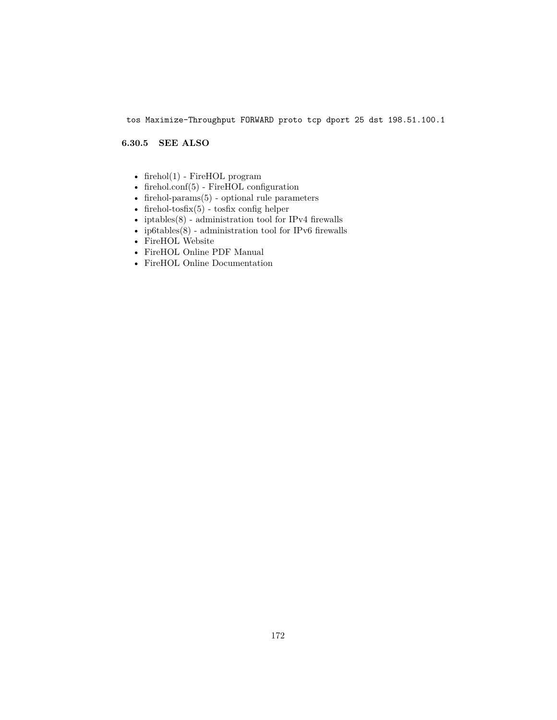tos Maximize-Throughput FORWARD proto tcp dport 25 dst 198.51.100.1

## **6.30.5 SEE ALSO**

- [firehol\(1\)](#page-10-0) FireHOL program
- [firehol.conf\(5\)](#page-14-0) FireHOL configuration
- [firehol-params\(5\)](#page-76-0) optional rule parameters
- firehol-tosfix $(5)$  tosfix config helper
- [iptables\(8\)](http://ipset.netfilter.org/iptables.man.html) administration tool for IPv4 firewalls
- ip6tables $(8)$  administration tool for IPv6 firewalls
- [FireHOL Website](http://firehol.org/)
- [FireHOL Online PDF Manual](http://firehol.org/firehol-manual.pdf)
- [FireHOL Online Documentation](http://firehol.org/documentation/)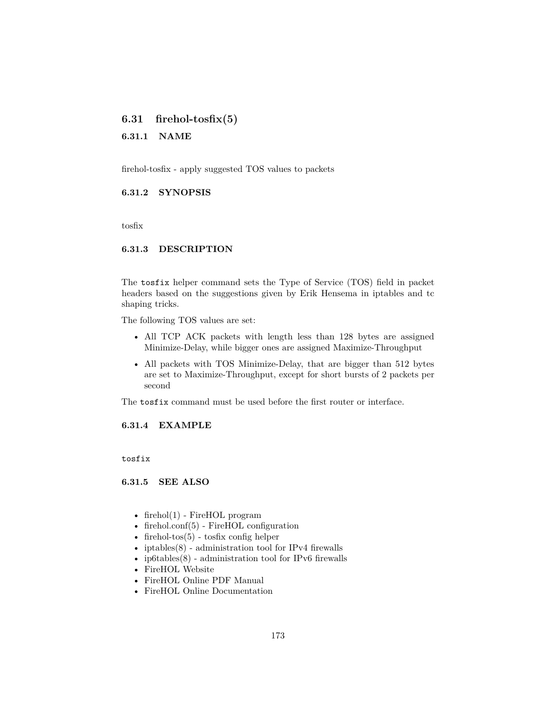# <span id="page-172-0"></span>**6.31 firehol-tosfix(5)**

**6.31.1 NAME**

firehol-tosfix - apply suggested TOS values to packets

### **6.31.2 SYNOPSIS**

tosfix

#### **6.31.3 DESCRIPTION**

The tosfix helper command sets the Type of Service (TOS) field in packet headers based on the suggestions given by Erik Hensema in [iptables and tc](http://www.docum.org/docum.org/faq/cache/49.html) [shaping tricks.](http://www.docum.org/docum.org/faq/cache/49.html)

The following TOS values are set:

- All TCP ACK packets with length less than 128 bytes are assigned Minimize-Delay, while bigger ones are assigned Maximize-Throughput
- All packets with TOS Minimize-Delay, that are bigger than 512 bytes are set to Maximize-Throughput, except for short bursts of 2 packets per second

The tosfix command must be used before the first router or interface.

**6.31.4 EXAMPLE**

tosfix

**6.31.5 SEE ALSO**

- firehol $(1)$  FireHOL program
- [firehol.conf\(5\)](#page-14-0) FireHOL configuration
- firehol-tos $(5)$  tosfix config helper
- [iptables\(8\)](http://ipset.netfilter.org/iptables.man.html) administration tool for IPv4 firewalls
- [ip6tables\(8\)](http://ipset.netfilter.org/ip6tables.man.html) administration tool for IPv6 firewalls
- [FireHOL Website](http://firehol.org/)
- [FireHOL Online PDF Manual](http://firehol.org/firehol-manual.pdf)
- [FireHOL Online Documentation](http://firehol.org/documentation/)